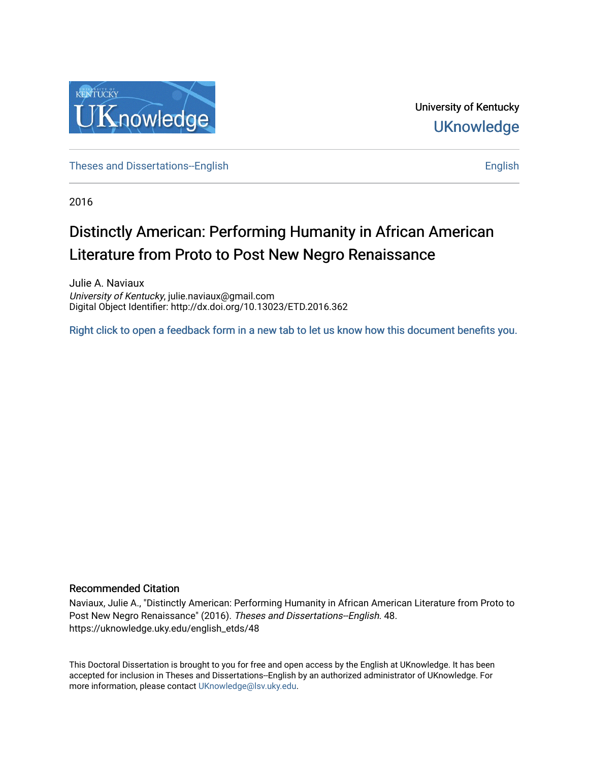

University of Kentucky **UKnowledge** 

[Theses and Dissertations--English](https://uknowledge.uky.edu/english_etds) [English](https://uknowledge.uky.edu/english) English English English English English

2016

# Distinctly American: Performing Humanity in African American Literature from Proto to Post New Negro Renaissance

Julie A. Naviaux University of Kentucky, julie.naviaux@gmail.com Digital Object Identifier: http://dx.doi.org/10.13023/ETD.2016.362

[Right click to open a feedback form in a new tab to let us know how this document benefits you.](https://uky.az1.qualtrics.com/jfe/form/SV_9mq8fx2GnONRfz7)

#### Recommended Citation

Naviaux, Julie A., "Distinctly American: Performing Humanity in African American Literature from Proto to Post New Negro Renaissance" (2016). Theses and Dissertations--English. 48. https://uknowledge.uky.edu/english\_etds/48

This Doctoral Dissertation is brought to you for free and open access by the English at UKnowledge. It has been accepted for inclusion in Theses and Dissertations--English by an authorized administrator of UKnowledge. For more information, please contact [UKnowledge@lsv.uky.edu](mailto:UKnowledge@lsv.uky.edu).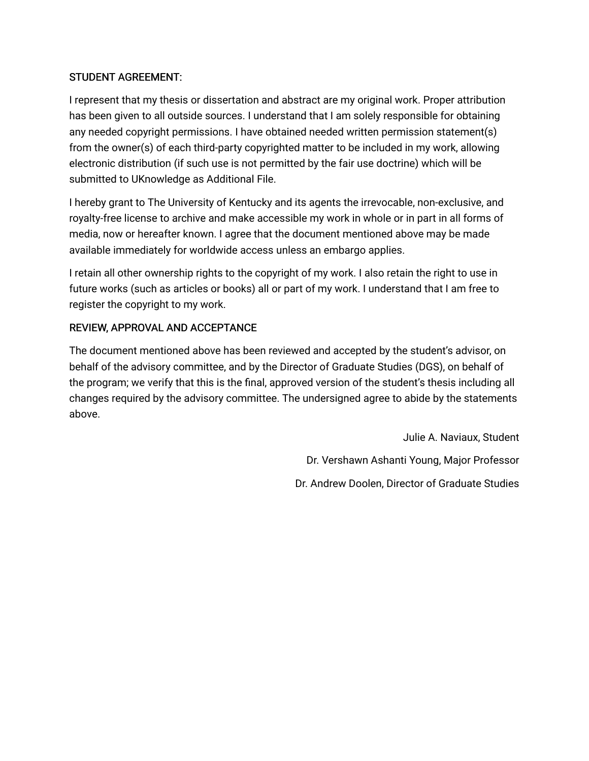# STUDENT AGREEMENT:

I represent that my thesis or dissertation and abstract are my original work. Proper attribution has been given to all outside sources. I understand that I am solely responsible for obtaining any needed copyright permissions. I have obtained needed written permission statement(s) from the owner(s) of each third-party copyrighted matter to be included in my work, allowing electronic distribution (if such use is not permitted by the fair use doctrine) which will be submitted to UKnowledge as Additional File.

I hereby grant to The University of Kentucky and its agents the irrevocable, non-exclusive, and royalty-free license to archive and make accessible my work in whole or in part in all forms of media, now or hereafter known. I agree that the document mentioned above may be made available immediately for worldwide access unless an embargo applies.

I retain all other ownership rights to the copyright of my work. I also retain the right to use in future works (such as articles or books) all or part of my work. I understand that I am free to register the copyright to my work.

# REVIEW, APPROVAL AND ACCEPTANCE

The document mentioned above has been reviewed and accepted by the student's advisor, on behalf of the advisory committee, and by the Director of Graduate Studies (DGS), on behalf of the program; we verify that this is the final, approved version of the student's thesis including all changes required by the advisory committee. The undersigned agree to abide by the statements above.

> Julie A. Naviaux, Student Dr. Vershawn Ashanti Young, Major Professor Dr. Andrew Doolen, Director of Graduate Studies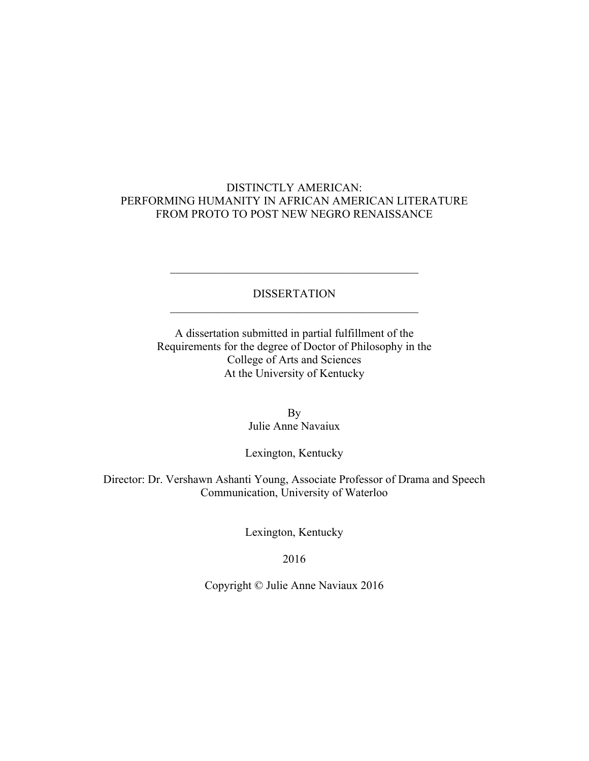# DISTINCTLY AMERICAN: PERFORMING HUMANITY IN AFRICAN AMERICAN LITERATURE FROM PROTO TO POST NEW NEGRO RENAISSANCE

### DISSERTATION  $\mathcal{L}_\text{max}$  , and the contract of the contract of the contract of the contract of the contract of the contract of the contract of the contract of the contract of the contract of the contract of the contract of the contr

 $\mathcal{L}_\text{max}$  , and the contract of the contract of the contract of the contract of the contract of the contract of the contract of the contract of the contract of the contract of the contract of the contract of the contr

A dissertation submitted in partial fulfillment of the Requirements for the degree of Doctor of Philosophy in the College of Arts and Sciences At the University of Kentucky

> By Julie Anne Navaiux

#### Lexington, Kentucky

Director: Dr. Vershawn Ashanti Young, Associate Professor of Drama and Speech Communication, University of Waterloo

Lexington, Kentucky

2016

Copyright © Julie Anne Naviaux 2016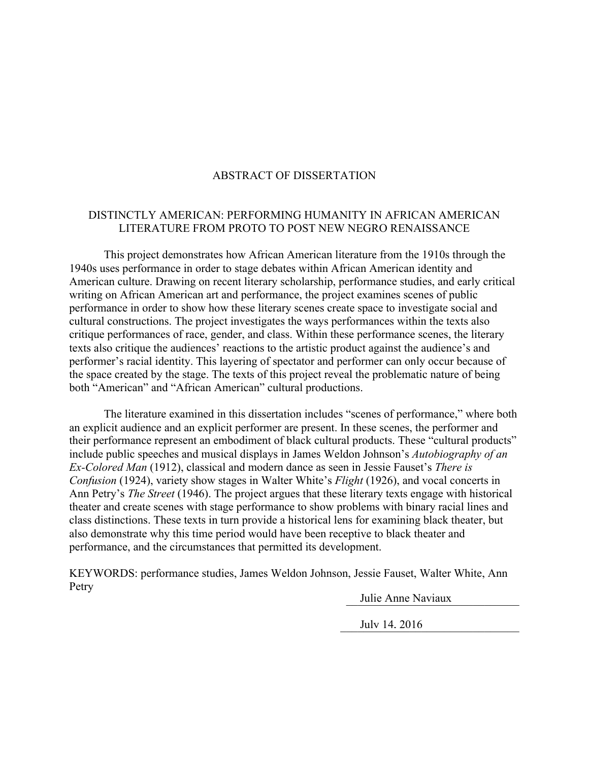# ABSTRACT OF DISSERTATION

# DISTINCTLY AMERICAN: PERFORMING HUMANITY IN AFRICAN AMERICAN LITERATURE FROM PROTO TO POST NEW NEGRO RENAISSANCE

This project demonstrates how African American literature from the 1910s through the 1940s uses performance in order to stage debates within African American identity and American culture. Drawing on recent literary scholarship, performance studies, and early critical writing on African American art and performance, the project examines scenes of public performance in order to show how these literary scenes create space to investigate social and cultural constructions. The project investigates the ways performances within the texts also critique performances of race, gender, and class. Within these performance scenes, the literary texts also critique the audiences' reactions to the artistic product against the audience's and performer's racial identity. This layering of spectator and performer can only occur because of the space created by the stage. The texts of this project reveal the problematic nature of being both "American" and "African American" cultural productions.

The literature examined in this dissertation includes "scenes of performance," where both an explicit audience and an explicit performer are present. In these scenes, the performer and their performance represent an embodiment of black cultural products. These "cultural products" include public speeches and musical displays in James Weldon Johnson's *Autobiography of an Ex-Colored Man* (1912), classical and modern dance as seen in Jessie Fauset's *There is Confusion* (1924), variety show stages in Walter White's *Flight* (1926), and vocal concerts in Ann Petry's *The Street* (1946). The project argues that these literary texts engage with historical theater and create scenes with stage performance to show problems with binary racial lines and class distinctions. These texts in turn provide a historical lens for examining black theater, but also demonstrate why this time period would have been receptive to black theater and performance, and the circumstances that permitted its development.

KEYWORDS: performance studies, James Weldon Johnson, Jessie Fauset, Walter White, Ann Petry

Julie Anne Naviaux

July 14, 2016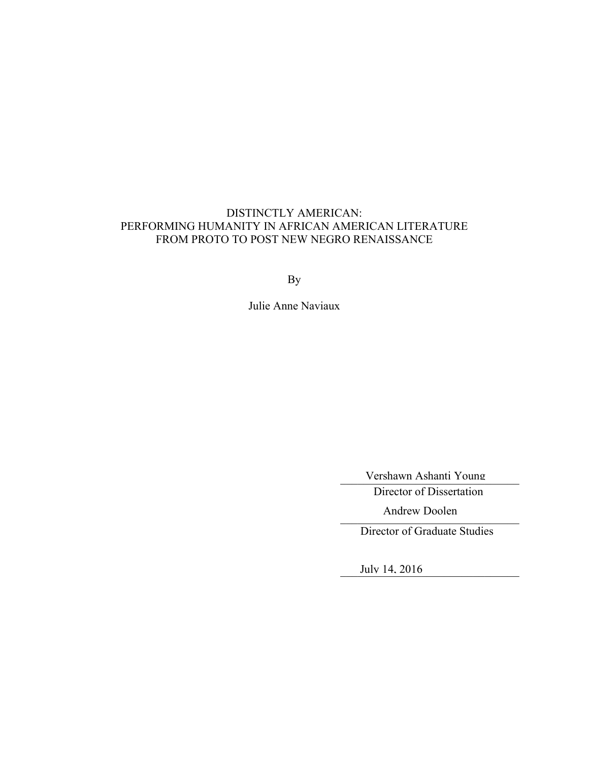# DISTINCTLY AMERICAN: PERFORMING HUMANITY IN AFRICAN AMERICAN LITERATURE FROM PROTO TO POST NEW NEGRO RENAISSANCE

By

Julie Anne Naviaux

Vershawn Ashanti Young

Director of Dissertation

Andrew Doolen

Director of Graduate Studies

July 14, 2016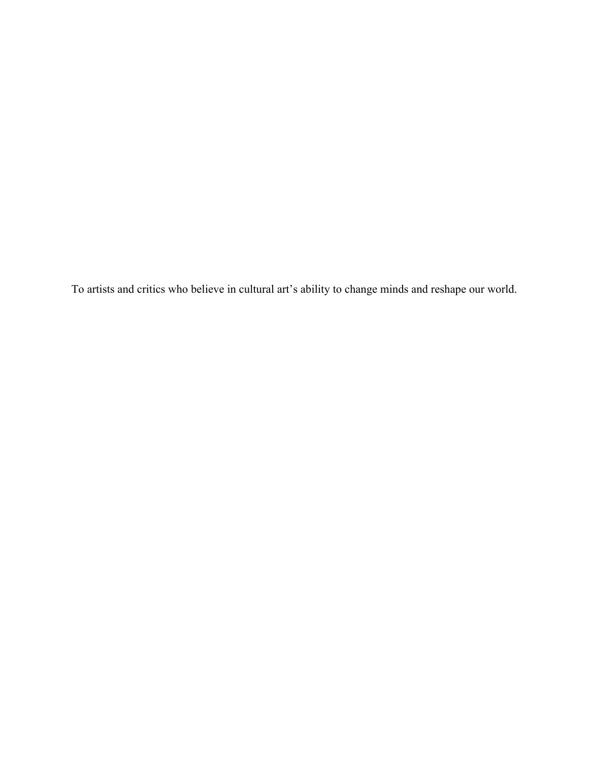To artists and critics who believe in cultural art's ability to change minds and reshape our world.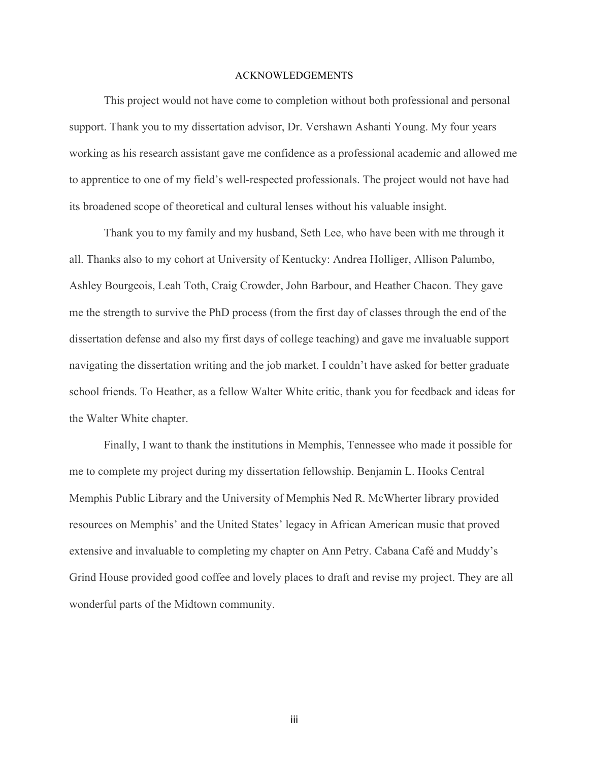#### ACKNOWLEDGEMENTS

This project would not have come to completion without both professional and personal support. Thank you to my dissertation advisor, Dr. Vershawn Ashanti Young. My four years working as his research assistant gave me confidence as a professional academic and allowed me to apprentice to one of my field's well-respected professionals. The project would not have had its broadened scope of theoretical and cultural lenses without his valuable insight.

Thank you to my family and my husband, Seth Lee, who have been with me through it all. Thanks also to my cohort at University of Kentucky: Andrea Holliger, Allison Palumbo, Ashley Bourgeois, Leah Toth, Craig Crowder, John Barbour, and Heather Chacon. They gave me the strength to survive the PhD process (from the first day of classes through the end of the dissertation defense and also my first days of college teaching) and gave me invaluable support navigating the dissertation writing and the job market. I couldn't have asked for better graduate school friends. To Heather, as a fellow Walter White critic, thank you for feedback and ideas for the Walter White chapter.

Finally, I want to thank the institutions in Memphis, Tennessee who made it possible for me to complete my project during my dissertation fellowship. Benjamin L. Hooks Central Memphis Public Library and the University of Memphis Ned R. McWherter library provided resources on Memphis' and the United States' legacy in African American music that proved extensive and invaluable to completing my chapter on Ann Petry. Cabana Café and Muddy's Grind House provided good coffee and lovely places to draft and revise my project. They are all wonderful parts of the Midtown community.

iii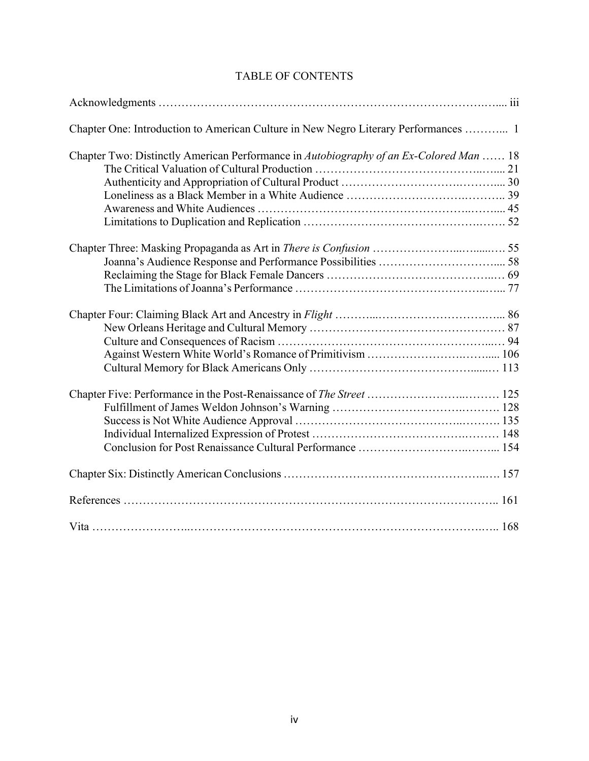| Chapter One: Introduction to American Culture in New Negro Literary Performances  1    |  |
|----------------------------------------------------------------------------------------|--|
| Chapter Two: Distinctly American Performance in Autobiography of an Ex-Colored Man  18 |  |
|                                                                                        |  |
|                                                                                        |  |
|                                                                                        |  |
|                                                                                        |  |
|                                                                                        |  |
|                                                                                        |  |
|                                                                                        |  |
|                                                                                        |  |
|                                                                                        |  |
|                                                                                        |  |
|                                                                                        |  |
|                                                                                        |  |
|                                                                                        |  |
|                                                                                        |  |
|                                                                                        |  |
|                                                                                        |  |
|                                                                                        |  |
|                                                                                        |  |
|                                                                                        |  |
|                                                                                        |  |
|                                                                                        |  |
|                                                                                        |  |

# TABLE OF CONTENTS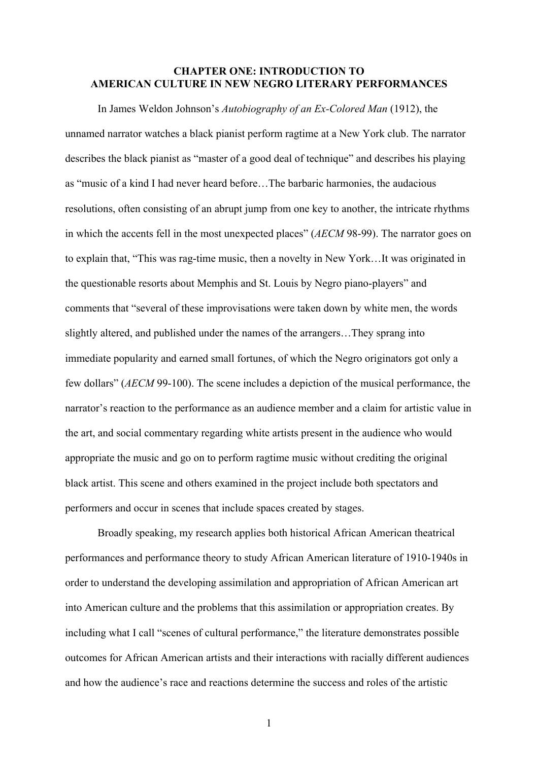#### **CHAPTER ONE: INTRODUCTION TO AMERICAN CULTURE IN NEW NEGRO LITERARY PERFORMANCES**

In James Weldon Johnson's *Autobiography of an Ex-Colored Man* (1912), the unnamed narrator watches a black pianist perform ragtime at a New York club. The narrator describes the black pianist as "master of a good deal of technique" and describes his playing as "music of a kind I had never heard before…The barbaric harmonies, the audacious resolutions, often consisting of an abrupt jump from one key to another, the intricate rhythms in which the accents fell in the most unexpected places" (*AECM* 98-99). The narrator goes on to explain that, "This was rag-time music, then a novelty in New York…It was originated in the questionable resorts about Memphis and St. Louis by Negro piano-players" and comments that "several of these improvisations were taken down by white men, the words slightly altered, and published under the names of the arrangers…They sprang into immediate popularity and earned small fortunes, of which the Negro originators got only a few dollars" (*AECM* 99-100). The scene includes a depiction of the musical performance, the narrator's reaction to the performance as an audience member and a claim for artistic value in the art, and social commentary regarding white artists present in the audience who would appropriate the music and go on to perform ragtime music without crediting the original black artist. This scene and others examined in the project include both spectators and performers and occur in scenes that include spaces created by stages.

Broadly speaking, my research applies both historical African American theatrical performances and performance theory to study African American literature of 1910-1940s in order to understand the developing assimilation and appropriation of African American art into American culture and the problems that this assimilation or appropriation creates. By including what I call "scenes of cultural performance," the literature demonstrates possible outcomes for African American artists and their interactions with racially different audiences and how the audience's race and reactions determine the success and roles of the artistic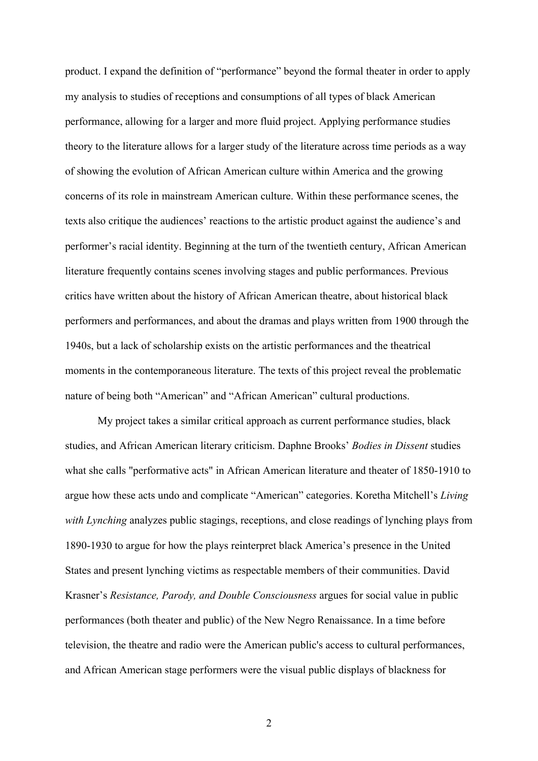product. I expand the definition of "performance" beyond the formal theater in order to apply my analysis to studies of receptions and consumptions of all types of black American performance, allowing for a larger and more fluid project. Applying performance studies theory to the literature allows for a larger study of the literature across time periods as a way of showing the evolution of African American culture within America and the growing concerns of its role in mainstream American culture. Within these performance scenes, the texts also critique the audiences' reactions to the artistic product against the audience's and performer's racial identity. Beginning at the turn of the twentieth century, African American literature frequently contains scenes involving stages and public performances. Previous critics have written about the history of African American theatre, about historical black performers and performances, and about the dramas and plays written from 1900 through the 1940s, but a lack of scholarship exists on the artistic performances and the theatrical moments in the contemporaneous literature. The texts of this project reveal the problematic nature of being both "American" and "African American" cultural productions.

My project takes a similar critical approach as current performance studies, black studies, and African American literary criticism. Daphne Brooks' *Bodies in Dissent* studies what she calls "performative acts" in African American literature and theater of 1850-1910 to argue how these acts undo and complicate "American" categories. Koretha Mitchell's *Living with Lynching* analyzes public stagings, receptions, and close readings of lynching plays from 1890-1930 to argue for how the plays reinterpret black America's presence in the United States and present lynching victims as respectable members of their communities. David Krasner's *Resistance, Parody, and Double Consciousness* argues for social value in public performances (both theater and public) of the New Negro Renaissance. In a time before television, the theatre and radio were the American public's access to cultural performances, and African American stage performers were the visual public displays of blackness for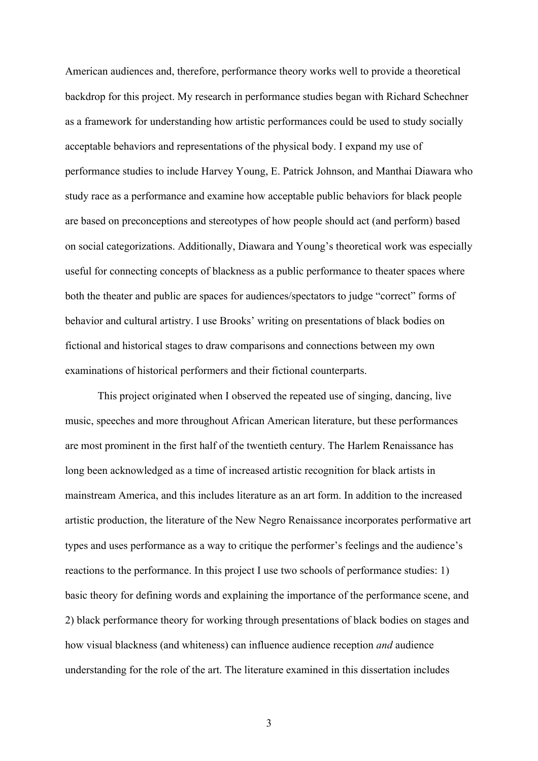American audiences and, therefore, performance theory works well to provide a theoretical backdrop for this project. My research in performance studies began with Richard Schechner as a framework for understanding how artistic performances could be used to study socially acceptable behaviors and representations of the physical body. I expand my use of performance studies to include Harvey Young, E. Patrick Johnson, and Manthai Diawara who study race as a performance and examine how acceptable public behaviors for black people are based on preconceptions and stereotypes of how people should act (and perform) based on social categorizations. Additionally, Diawara and Young's theoretical work was especially useful for connecting concepts of blackness as a public performance to theater spaces where both the theater and public are spaces for audiences/spectators to judge "correct" forms of behavior and cultural artistry. I use Brooks' writing on presentations of black bodies on fictional and historical stages to draw comparisons and connections between my own examinations of historical performers and their fictional counterparts.

This project originated when I observed the repeated use of singing, dancing, live music, speeches and more throughout African American literature, but these performances are most prominent in the first half of the twentieth century. The Harlem Renaissance has long been acknowledged as a time of increased artistic recognition for black artists in mainstream America, and this includes literature as an art form. In addition to the increased artistic production, the literature of the New Negro Renaissance incorporates performative art types and uses performance as a way to critique the performer's feelings and the audience's reactions to the performance. In this project I use two schools of performance studies: 1) basic theory for defining words and explaining the importance of the performance scene, and 2) black performance theory for working through presentations of black bodies on stages and how visual blackness (and whiteness) can influence audience reception *and* audience understanding for the role of the art. The literature examined in this dissertation includes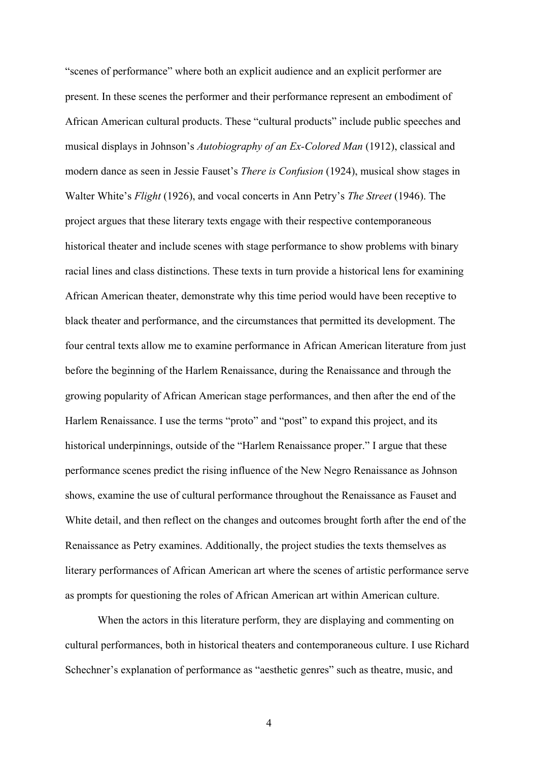"scenes of performance" where both an explicit audience and an explicit performer are present. In these scenes the performer and their performance represent an embodiment of African American cultural products. These "cultural products" include public speeches and musical displays in Johnson's *Autobiography of an Ex-Colored Man* (1912), classical and modern dance as seen in Jessie Fauset's *There is Confusion* (1924), musical show stages in Walter White's *Flight* (1926), and vocal concerts in Ann Petry's *The Street* (1946). The project argues that these literary texts engage with their respective contemporaneous historical theater and include scenes with stage performance to show problems with binary racial lines and class distinctions. These texts in turn provide a historical lens for examining African American theater, demonstrate why this time period would have been receptive to black theater and performance, and the circumstances that permitted its development. The four central texts allow me to examine performance in African American literature from just before the beginning of the Harlem Renaissance, during the Renaissance and through the growing popularity of African American stage performances, and then after the end of the Harlem Renaissance. I use the terms "proto" and "post" to expand this project, and its historical underpinnings, outside of the "Harlem Renaissance proper." I argue that these performance scenes predict the rising influence of the New Negro Renaissance as Johnson shows, examine the use of cultural performance throughout the Renaissance as Fauset and White detail, and then reflect on the changes and outcomes brought forth after the end of the Renaissance as Petry examines. Additionally, the project studies the texts themselves as literary performances of African American art where the scenes of artistic performance serve as prompts for questioning the roles of African American art within American culture.

When the actors in this literature perform, they are displaying and commenting on cultural performances, both in historical theaters and contemporaneous culture. I use Richard Schechner's explanation of performance as "aesthetic genres" such as theatre, music, and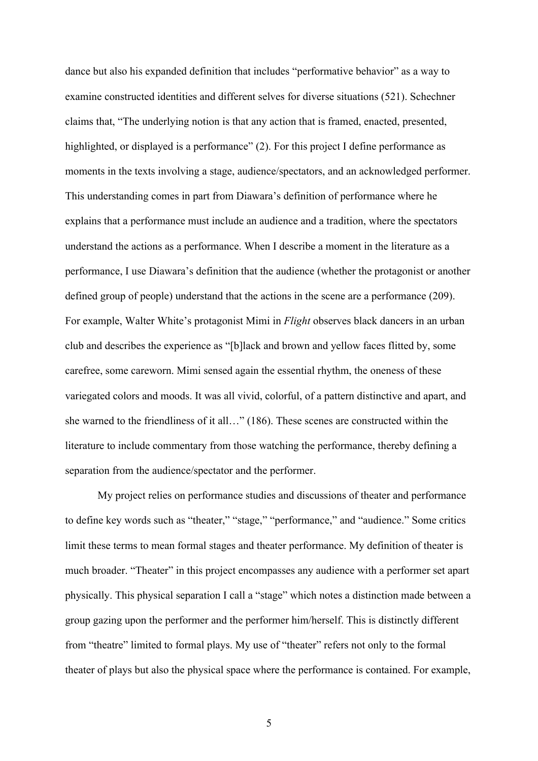dance but also his expanded definition that includes "performative behavior" as a way to examine constructed identities and different selves for diverse situations (521). Schechner claims that, "The underlying notion is that any action that is framed, enacted, presented, highlighted, or displayed is a performance" (2). For this project I define performance as moments in the texts involving a stage, audience/spectators, and an acknowledged performer. This understanding comes in part from Diawara's definition of performance where he explains that a performance must include an audience and a tradition, where the spectators understand the actions as a performance. When I describe a moment in the literature as a performance, I use Diawara's definition that the audience (whether the protagonist or another defined group of people) understand that the actions in the scene are a performance (209). For example, Walter White's protagonist Mimi in *Flight* observes black dancers in an urban club and describes the experience as "[b]lack and brown and yellow faces flitted by, some carefree, some careworn. Mimi sensed again the essential rhythm, the oneness of these variegated colors and moods. It was all vivid, colorful, of a pattern distinctive and apart, and she warned to the friendliness of it all…" (186). These scenes are constructed within the literature to include commentary from those watching the performance, thereby defining a separation from the audience/spectator and the performer.

My project relies on performance studies and discussions of theater and performance to define key words such as "theater," "stage," "performance," and "audience." Some critics limit these terms to mean formal stages and theater performance. My definition of theater is much broader. "Theater" in this project encompasses any audience with a performer set apart physically. This physical separation I call a "stage" which notes a distinction made between a group gazing upon the performer and the performer him/herself. This is distinctly different from "theatre" limited to formal plays. My use of "theater" refers not only to the formal theater of plays but also the physical space where the performance is contained. For example,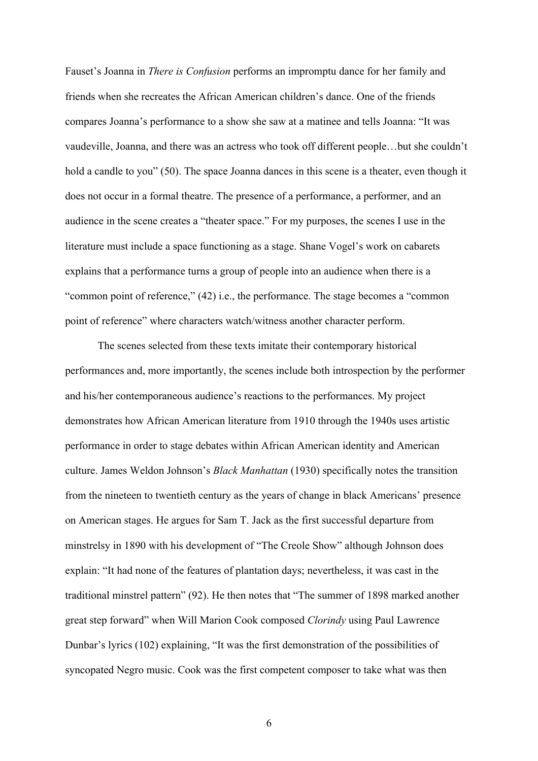Fauset's Joanna in *There is Confusion* performs an impromptu dance for her family and friends when she recreates the African American children's dance. One of the friends compares Joanna's performance to a show she saw at a matinee and tells Joanna: "It was vaudeville, Joanna, and there was an actress who took off different people…but she couldn't hold a candle to you" (50). The space Joanna dances in this scene is a theater, even though it does not occur in a formal theatre. The presence of a performance, a performer, and an audience in the scene creates a "theater space." For my purposes, the scenes I use in the literature must include a space functioning as a stage. Shane Vogel's work on cabarets explains that a performance turns a group of people into an audience when there is a "common point of reference," (42) i.e., the performance. The stage becomes a "common point of reference" where characters watch/witness another character perform.

The scenes selected from these texts imitate their contemporary historical performances and, more importantly, the scenes include both introspection by the performer and his/her contemporaneous audience's reactions to the performances. My project demonstrates how African American literature from 1910 through the 1940s uses artistic performance in order to stage debates within African American identity and American culture. James Weldon Johnson's *Black Manhattan* (1930) specifically notes the transition from the nineteen to twentieth century as the years of change in black Americans' presence on American stages. He argues for Sam T. Jack as the first successful departure from minstrelsy in 1890 with his development of "The Creole Show" although Johnson does explain: "It had none of the features of plantation days; nevertheless, it was cast in the traditional minstrel pattern" (92). He then notes that "The summer of 1898 marked another great step forward" when Will Marion Cook composed *Clorindy* using Paul Lawrence Dunbar's lyrics (102) explaining, "It was the first demonstration of the possibilities of syncopated Negro music. Cook was the first competent composer to take what was then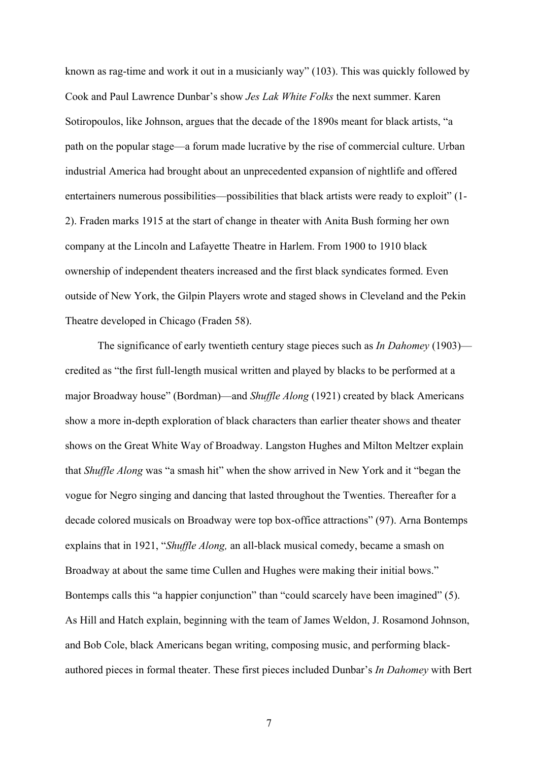known as rag-time and work it out in a musicianly way" (103). This was quickly followed by Cook and Paul Lawrence Dunbar's show *Jes Lak White Folks* the next summer. Karen Sotiropoulos, like Johnson, argues that the decade of the 1890s meant for black artists, "a path on the popular stage—a forum made lucrative by the rise of commercial culture. Urban industrial America had brought about an unprecedented expansion of nightlife and offered entertainers numerous possibilities—possibilities that black artists were ready to exploit" (1- 2). Fraden marks 1915 at the start of change in theater with Anita Bush forming her own company at the Lincoln and Lafayette Theatre in Harlem. From 1900 to 1910 black ownership of independent theaters increased and the first black syndicates formed. Even outside of New York, the Gilpin Players wrote and staged shows in Cleveland and the Pekin Theatre developed in Chicago (Fraden 58).

The significance of early twentieth century stage pieces such as *In Dahomey* (1903) credited as "the first full-length musical written and played by blacks to be performed at a major Broadway house" (Bordman)—and *Shuffle Along* (1921) created by black Americans show a more in-depth exploration of black characters than earlier theater shows and theater shows on the Great White Way of Broadway. Langston Hughes and Milton Meltzer explain that *Shuffle Along* was "a smash hit" when the show arrived in New York and it "began the vogue for Negro singing and dancing that lasted throughout the Twenties. Thereafter for a decade colored musicals on Broadway were top box-office attractions" (97). Arna Bontemps explains that in 1921, "*Shuffle Along,* an all-black musical comedy, became a smash on Broadway at about the same time Cullen and Hughes were making their initial bows." Bontemps calls this "a happier conjunction" than "could scarcely have been imagined" (5). As Hill and Hatch explain, beginning with the team of James Weldon, J. Rosamond Johnson, and Bob Cole, black Americans began writing, composing music, and performing blackauthored pieces in formal theater. These first pieces included Dunbar's *In Dahomey* with Bert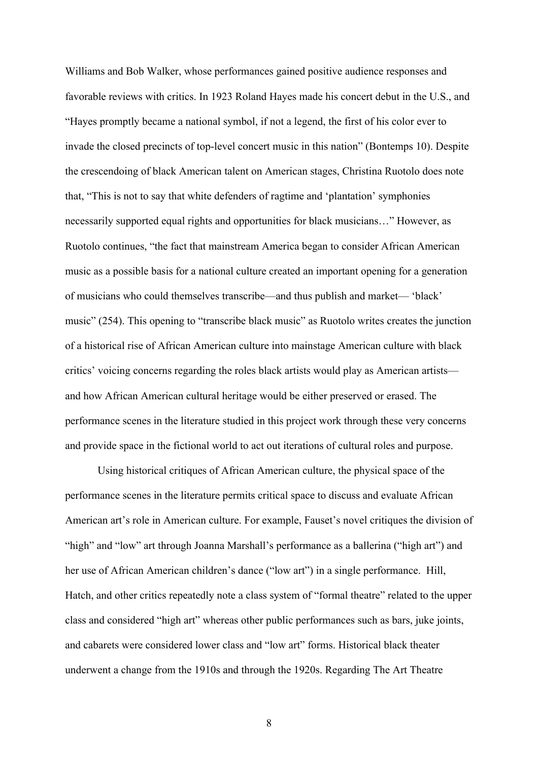Williams and Bob Walker, whose performances gained positive audience responses and favorable reviews with critics. In 1923 Roland Hayes made his concert debut in the U.S., and "Hayes promptly became a national symbol, if not a legend, the first of his color ever to invade the closed precincts of top-level concert music in this nation" (Bontemps 10). Despite the crescendoing of black American talent on American stages, Christina Ruotolo does note that, "This is not to say that white defenders of ragtime and 'plantation' symphonies necessarily supported equal rights and opportunities for black musicians…" However, as Ruotolo continues, "the fact that mainstream America began to consider African American music as a possible basis for a national culture created an important opening for a generation of musicians who could themselves transcribe—and thus publish and market— 'black' music" (254). This opening to "transcribe black music" as Ruotolo writes creates the junction of a historical rise of African American culture into mainstage American culture with black critics' voicing concerns regarding the roles black artists would play as American artists and how African American cultural heritage would be either preserved or erased. The performance scenes in the literature studied in this project work through these very concerns and provide space in the fictional world to act out iterations of cultural roles and purpose.

Using historical critiques of African American culture, the physical space of the performance scenes in the literature permits critical space to discuss and evaluate African American art's role in American culture. For example, Fauset's novel critiques the division of "high" and "low" art through Joanna Marshall's performance as a ballerina ("high art") and her use of African American children's dance ("low art") in a single performance. Hill, Hatch, and other critics repeatedly note a class system of "formal theatre" related to the upper class and considered "high art" whereas other public performances such as bars, juke joints, and cabarets were considered lower class and "low art" forms. Historical black theater underwent a change from the 1910s and through the 1920s. Regarding The Art Theatre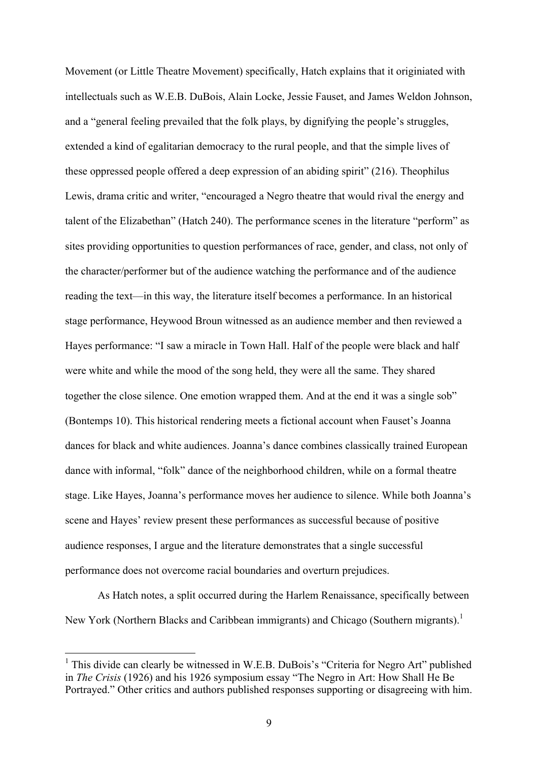Movement (or Little Theatre Movement) specifically, Hatch explains that it originiated with intellectuals such as W.E.B. DuBois, Alain Locke, Jessie Fauset, and James Weldon Johnson, and a "general feeling prevailed that the folk plays, by dignifying the people's struggles, extended a kind of egalitarian democracy to the rural people, and that the simple lives of these oppressed people offered a deep expression of an abiding spirit" (216). Theophilus Lewis, drama critic and writer, "encouraged a Negro theatre that would rival the energy and talent of the Elizabethan" (Hatch 240). The performance scenes in the literature "perform" as sites providing opportunities to question performances of race, gender, and class, not only of the character/performer but of the audience watching the performance and of the audience reading the text—in this way, the literature itself becomes a performance. In an historical stage performance, Heywood Broun witnessed as an audience member and then reviewed a Hayes performance: "I saw a miracle in Town Hall. Half of the people were black and half were white and while the mood of the song held, they were all the same. They shared together the close silence. One emotion wrapped them. And at the end it was a single sob" (Bontemps 10). This historical rendering meets a fictional account when Fauset's Joanna dances for black and white audiences. Joanna's dance combines classically trained European dance with informal, "folk" dance of the neighborhood children, while on a formal theatre stage. Like Hayes, Joanna's performance moves her audience to silence. While both Joanna's scene and Hayes' review present these performances as successful because of positive audience responses, I argue and the literature demonstrates that a single successful performance does not overcome racial boundaries and overturn prejudices.

As Hatch notes, a split occurred during the Harlem Renaissance, specifically between New York (Northern Blacks and Caribbean immigrants) and Chicago (Southern migrants).<sup>1</sup>

<sup>&</sup>lt;sup>1</sup> This divide can clearly be witnessed in W.E.B. DuBois's "Criteria for Negro Art" published in *The Crisis* (1926) and his 1926 symposium essay "The Negro in Art: How Shall He Be Portrayed." Other critics and authors published responses supporting or disagreeing with him.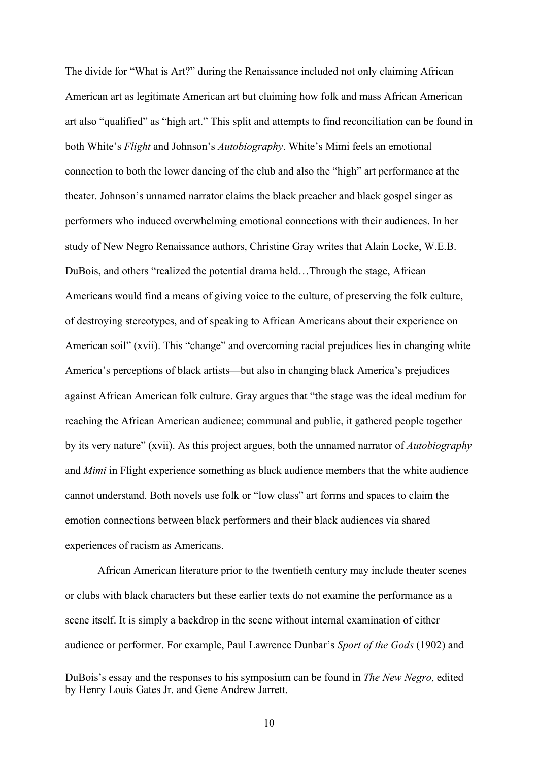The divide for "What is Art?" during the Renaissance included not only claiming African American art as legitimate American art but claiming how folk and mass African American art also "qualified" as "high art." This split and attempts to find reconciliation can be found in both White's *Flight* and Johnson's *Autobiography*. White's Mimi feels an emotional connection to both the lower dancing of the club and also the "high" art performance at the theater. Johnson's unnamed narrator claims the black preacher and black gospel singer as performers who induced overwhelming emotional connections with their audiences. In her study of New Negro Renaissance authors, Christine Gray writes that Alain Locke, W.E.B. DuBois, and others "realized the potential drama held…Through the stage, African Americans would find a means of giving voice to the culture, of preserving the folk culture, of destroying stereotypes, and of speaking to African Americans about their experience on American soil" (xvii). This "change" and overcoming racial prejudices lies in changing white America's perceptions of black artists—but also in changing black America's prejudices against African American folk culture. Gray argues that "the stage was the ideal medium for reaching the African American audience; communal and public, it gathered people together by its very nature" (xvii). As this project argues, both the unnamed narrator of *Autobiography* and *Mimi* in Flight experience something as black audience members that the white audience cannot understand. Both novels use folk or "low class" art forms and spaces to claim the emotion connections between black performers and their black audiences via shared experiences of racism as Americans.

African American literature prior to the twentieth century may include theater scenes or clubs with black characters but these earlier texts do not examine the performance as a scene itself. It is simply a backdrop in the scene without internal examination of either audience or performer. For example, Paul Lawrence Dunbar's *Sport of the Gods* (1902) and

DuBois's essay and the responses to his symposium can be found in *The New Negro,* edited by Henry Louis Gates Jr. and Gene Andrew Jarrett.

 $\overline{a}$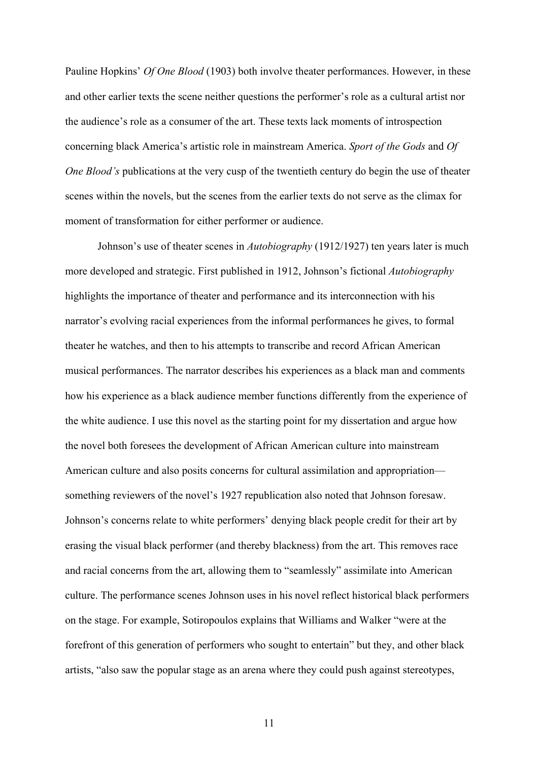Pauline Hopkins' *Of One Blood* (1903) both involve theater performances. However, in these and other earlier texts the scene neither questions the performer's role as a cultural artist nor the audience's role as a consumer of the art. These texts lack moments of introspection concerning black America's artistic role in mainstream America. *Sport of the Gods* and *Of One Blood's* publications at the very cusp of the twentieth century do begin the use of theater scenes within the novels, but the scenes from the earlier texts do not serve as the climax for moment of transformation for either performer or audience.

Johnson's use of theater scenes in *Autobiography* (1912/1927) ten years later is much more developed and strategic. First published in 1912, Johnson's fictional *Autobiography*  highlights the importance of theater and performance and its interconnection with his narrator's evolving racial experiences from the informal performances he gives, to formal theater he watches, and then to his attempts to transcribe and record African American musical performances. The narrator describes his experiences as a black man and comments how his experience as a black audience member functions differently from the experience of the white audience. I use this novel as the starting point for my dissertation and argue how the novel both foresees the development of African American culture into mainstream American culture and also posits concerns for cultural assimilation and appropriation something reviewers of the novel's 1927 republication also noted that Johnson foresaw. Johnson's concerns relate to white performers' denying black people credit for their art by erasing the visual black performer (and thereby blackness) from the art. This removes race and racial concerns from the art, allowing them to "seamlessly" assimilate into American culture. The performance scenes Johnson uses in his novel reflect historical black performers on the stage. For example, Sotiropoulos explains that Williams and Walker "were at the forefront of this generation of performers who sought to entertain" but they, and other black artists, "also saw the popular stage as an arena where they could push against stereotypes,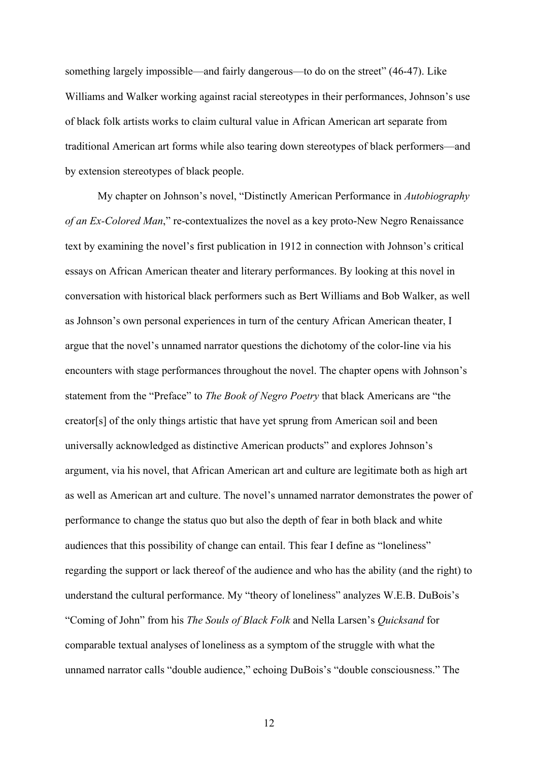something largely impossible—and fairly dangerous—to do on the street" (46-47). Like Williams and Walker working against racial stereotypes in their performances, Johnson's use of black folk artists works to claim cultural value in African American art separate from traditional American art forms while also tearing down stereotypes of black performers—and by extension stereotypes of black people.

My chapter on Johnson's novel, "Distinctly American Performance in *Autobiography of an Ex-Colored Man*," re-contextualizes the novel as a key proto-New Negro Renaissance text by examining the novel's first publication in 1912 in connection with Johnson's critical essays on African American theater and literary performances. By looking at this novel in conversation with historical black performers such as Bert Williams and Bob Walker, as well as Johnson's own personal experiences in turn of the century African American theater, I argue that the novel's unnamed narrator questions the dichotomy of the color-line via his encounters with stage performances throughout the novel. The chapter opens with Johnson's statement from the "Preface" to *The Book of Negro Poetry* that black Americans are "the creator[s] of the only things artistic that have yet sprung from American soil and been universally acknowledged as distinctive American products" and explores Johnson's argument, via his novel, that African American art and culture are legitimate both as high art as well as American art and culture. The novel's unnamed narrator demonstrates the power of performance to change the status quo but also the depth of fear in both black and white audiences that this possibility of change can entail. This fear I define as "loneliness" regarding the support or lack thereof of the audience and who has the ability (and the right) to understand the cultural performance. My "theory of loneliness" analyzes W.E.B. DuBois's "Coming of John" from his *The Souls of Black Folk* and Nella Larsen's *Quicksand* for comparable textual analyses of loneliness as a symptom of the struggle with what the unnamed narrator calls "double audience," echoing DuBois's "double consciousness." The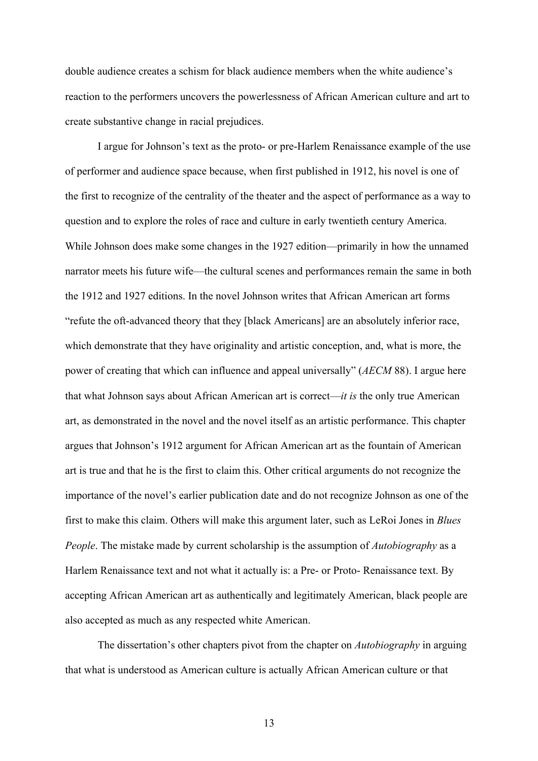double audience creates a schism for black audience members when the white audience's reaction to the performers uncovers the powerlessness of African American culture and art to create substantive change in racial prejudices.

I argue for Johnson's text as the proto- or pre-Harlem Renaissance example of the use of performer and audience space because, when first published in 1912, his novel is one of the first to recognize of the centrality of the theater and the aspect of performance as a way to question and to explore the roles of race and culture in early twentieth century America. While Johnson does make some changes in the 1927 edition—primarily in how the unnamed narrator meets his future wife—the cultural scenes and performances remain the same in both the 1912 and 1927 editions. In the novel Johnson writes that African American art forms "refute the oft-advanced theory that they [black Americans] are an absolutely inferior race, which demonstrate that they have originality and artistic conception, and, what is more, the power of creating that which can influence and appeal universally" (*AECM* 88). I argue here that what Johnson says about African American art is correct—*it is* the only true American art, as demonstrated in the novel and the novel itself as an artistic performance. This chapter argues that Johnson's 1912 argument for African American art as the fountain of American art is true and that he is the first to claim this. Other critical arguments do not recognize the importance of the novel's earlier publication date and do not recognize Johnson as one of the first to make this claim. Others will make this argument later, such as LeRoi Jones in *Blues People*. The mistake made by current scholarship is the assumption of *Autobiography* as a Harlem Renaissance text and not what it actually is: a Pre- or Proto- Renaissance text. By accepting African American art as authentically and legitimately American, black people are also accepted as much as any respected white American.

The dissertation's other chapters pivot from the chapter on *Autobiography* in arguing that what is understood as American culture is actually African American culture or that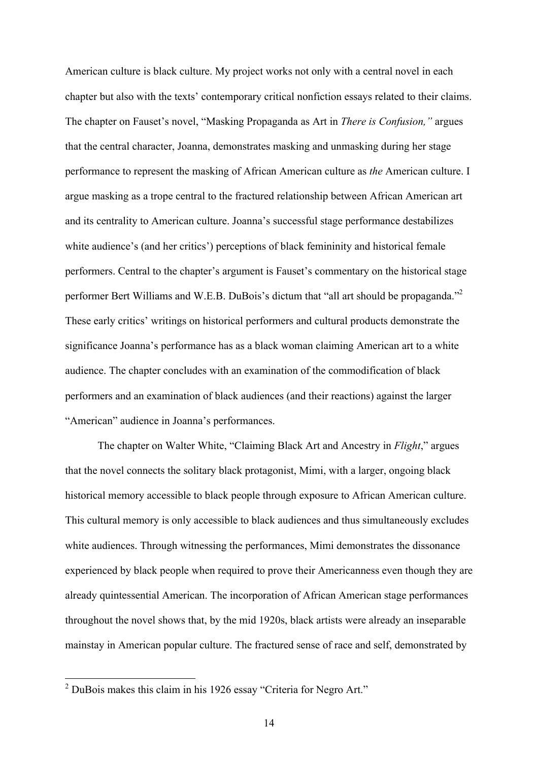American culture is black culture. My project works not only with a central novel in each chapter but also with the texts' contemporary critical nonfiction essays related to their claims. The chapter on Fauset's novel, "Masking Propaganda as Art in *There is Confusion,"* argues that the central character, Joanna, demonstrates masking and unmasking during her stage performance to represent the masking of African American culture as *the* American culture. I argue masking as a trope central to the fractured relationship between African American art and its centrality to American culture. Joanna's successful stage performance destabilizes white audience's (and her critics') perceptions of black femininity and historical female performers. Central to the chapter's argument is Fauset's commentary on the historical stage performer Bert Williams and W.E.B. DuBois's dictum that "all art should be propaganda."<sup>2</sup> These early critics' writings on historical performers and cultural products demonstrate the significance Joanna's performance has as a black woman claiming American art to a white audience. The chapter concludes with an examination of the commodification of black performers and an examination of black audiences (and their reactions) against the larger "American" audience in Joanna's performances.

The chapter on Walter White, "Claiming Black Art and Ancestry in *Flight*," argues that the novel connects the solitary black protagonist, Mimi, with a larger, ongoing black historical memory accessible to black people through exposure to African American culture. This cultural memory is only accessible to black audiences and thus simultaneously excludes white audiences. Through witnessing the performances, Mimi demonstrates the dissonance experienced by black people when required to prove their Americanness even though they are already quintessential American. The incorporation of African American stage performances throughout the novel shows that, by the mid 1920s, black artists were already an inseparable mainstay in American popular culture. The fractured sense of race and self, demonstrated by

 $2$  DuBois makes this claim in his 1926 essay "Criteria for Negro Art."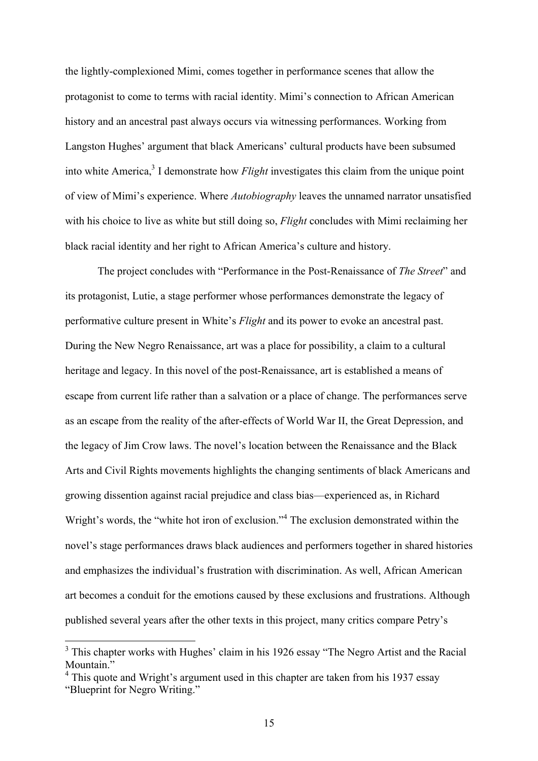the lightly-complexioned Mimi, comes together in performance scenes that allow the protagonist to come to terms with racial identity. Mimi's connection to African American history and an ancestral past always occurs via witnessing performances. Working from Langston Hughes' argument that black Americans' cultural products have been subsumed into white America,<sup>3</sup> I demonstrate how *Flight* investigates this claim from the unique point of view of Mimi's experience. Where *Autobiography* leaves the unnamed narrator unsatisfied with his choice to live as white but still doing so, *Flight* concludes with Mimi reclaiming her black racial identity and her right to African America's culture and history.

The project concludes with "Performance in the Post-Renaissance of *The Street*" and its protagonist, Lutie, a stage performer whose performances demonstrate the legacy of performative culture present in White's *Flight* and its power to evoke an ancestral past. During the New Negro Renaissance, art was a place for possibility, a claim to a cultural heritage and legacy. In this novel of the post-Renaissance, art is established a means of escape from current life rather than a salvation or a place of change. The performances serve as an escape from the reality of the after-effects of World War II, the Great Depression, and the legacy of Jim Crow laws. The novel's location between the Renaissance and the Black Arts and Civil Rights movements highlights the changing sentiments of black Americans and growing dissention against racial prejudice and class bias—experienced as, in Richard Wright's words, the "white hot iron of exclusion."<sup>4</sup> The exclusion demonstrated within the novel's stage performances draws black audiences and performers together in shared histories and emphasizes the individual's frustration with discrimination. As well, African American art becomes a conduit for the emotions caused by these exclusions and frustrations. Although published several years after the other texts in this project, many critics compare Petry's

<sup>&</sup>lt;sup>3</sup> This chapter works with Hughes' claim in his 1926 essay "The Negro Artist and the Racial Mountain<sup>"</sup>

<sup>4</sup> This quote and Wright's argument used in this chapter are taken from his 1937 essay "Blueprint for Negro Writing."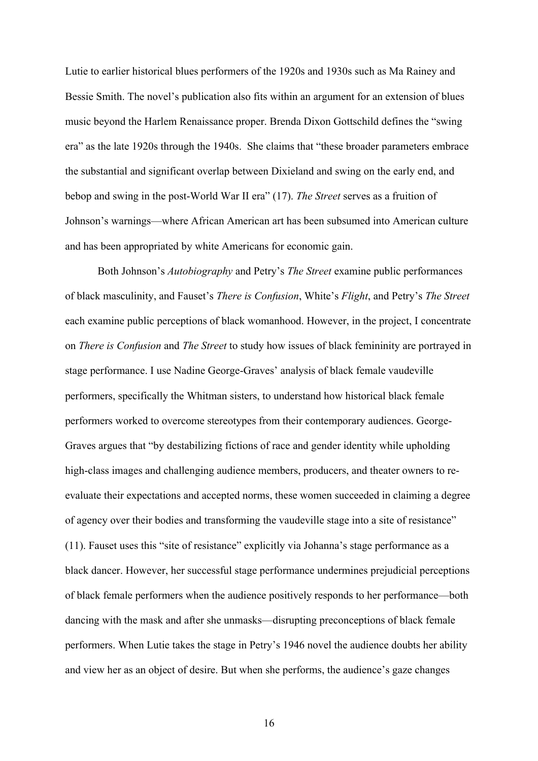Lutie to earlier historical blues performers of the 1920s and 1930s such as Ma Rainey and Bessie Smith. The novel's publication also fits within an argument for an extension of blues music beyond the Harlem Renaissance proper. Brenda Dixon Gottschild defines the "swing era" as the late 1920s through the 1940s. She claims that "these broader parameters embrace the substantial and significant overlap between Dixieland and swing on the early end, and bebop and swing in the post-World War II era" (17). *The Street* serves as a fruition of Johnson's warnings—where African American art has been subsumed into American culture and has been appropriated by white Americans for economic gain.

Both Johnson's *Autobiography* and Petry's *The Street* examine public performances of black masculinity, and Fauset's *There is Confusion*, White's *Flight*, and Petry's *The Street* each examine public perceptions of black womanhood. However, in the project, I concentrate on *There is Confusion* and *The Street* to study how issues of black femininity are portrayed in stage performance. I use Nadine George-Graves' analysis of black female vaudeville performers, specifically the Whitman sisters, to understand how historical black female performers worked to overcome stereotypes from their contemporary audiences. George-Graves argues that "by destabilizing fictions of race and gender identity while upholding high-class images and challenging audience members, producers, and theater owners to reevaluate their expectations and accepted norms, these women succeeded in claiming a degree of agency over their bodies and transforming the vaudeville stage into a site of resistance" (11). Fauset uses this "site of resistance" explicitly via Johanna's stage performance as a black dancer. However, her successful stage performance undermines prejudicial perceptions of black female performers when the audience positively responds to her performance—both dancing with the mask and after she unmasks—disrupting preconceptions of black female performers. When Lutie takes the stage in Petry's 1946 novel the audience doubts her ability and view her as an object of desire. But when she performs, the audience's gaze changes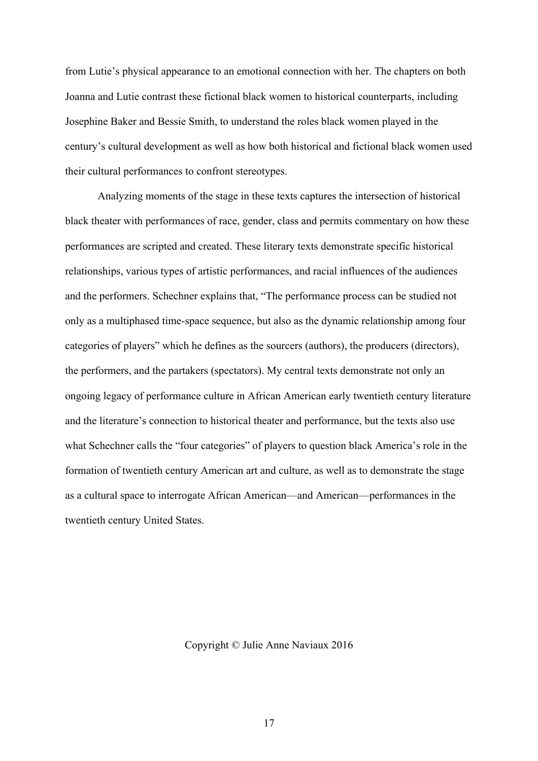from Lutie's physical appearance to an emotional connection with her. The chapters on both Joanna and Lutie contrast these fictional black women to historical counterparts, including Josephine Baker and Bessie Smith, to understand the roles black women played in the century's cultural development as well as how both historical and fictional black women used their cultural performances to confront stereotypes.

Analyzing moments of the stage in these texts captures the intersection of historical black theater with performances of race, gender, class and permits commentary on how these performances are scripted and created. These literary texts demonstrate specific historical relationships, various types of artistic performances, and racial influences of the audiences and the performers. Schechner explains that, "The performance process can be studied not only as a multiphased time-space sequence, but also as the dynamic relationship among four categories of players" which he defines as the sourcers (authors), the producers (directors), the performers, and the partakers (spectators). My central texts demonstrate not only an ongoing legacy of performance culture in African American early twentieth century literature and the literature's connection to historical theater and performance, but the texts also use what Schechner calls the "four categories" of players to question black America's role in the formation of twentieth century American art and culture, as well as to demonstrate the stage as a cultural space to interrogate African American—and American—performances in the twentieth century United States.

Copyright © Julie Anne Naviaux 2016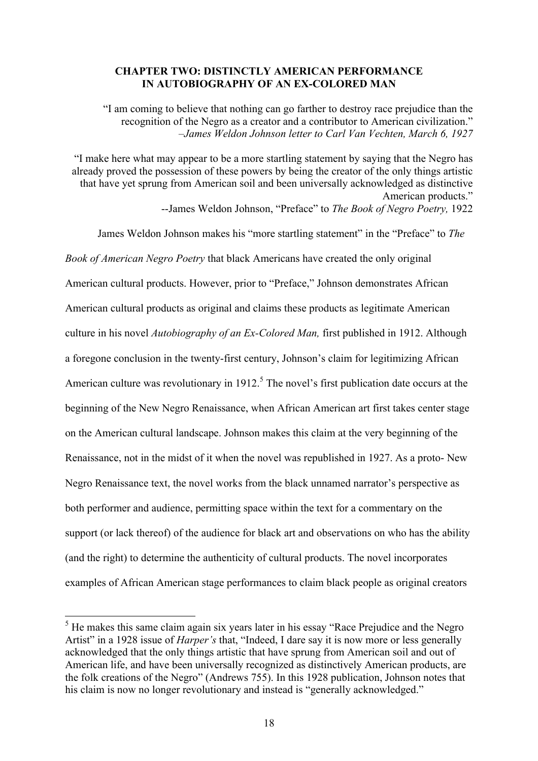#### **CHAPTER TWO: DISTINCTLY AMERICAN PERFORMANCE IN AUTOBIOGRAPHY OF AN EX-COLORED MAN**

"I am coming to believe that nothing can go farther to destroy race prejudice than the recognition of the Negro as a creator and a contributor to American civilization." *–James Weldon Johnson letter to Carl Van Vechten, March 6, 1927*

"I make here what may appear to be a more startling statement by saying that the Negro has already proved the possession of these powers by being the creator of the only things artistic that have yet sprung from American soil and been universally acknowledged as distinctive American products." --James Weldon Johnson, "Preface" to *The Book of Negro Poetry,* 1922

James Weldon Johnson makes his "more startling statement" in the "Preface" to *The Book of American Negro Poetry* that black Americans have created the only original American cultural products. However, prior to "Preface," Johnson demonstrates African American cultural products as original and claims these products as legitimate American culture in his novel *Autobiography of an Ex-Colored Man,* first published in 1912. Although a foregone conclusion in the twenty-first century, Johnson's claim for legitimizing African American culture was revolutionary in 1912.<sup>5</sup> The novel's first publication date occurs at the beginning of the New Negro Renaissance, when African American art first takes center stage on the American cultural landscape. Johnson makes this claim at the very beginning of the Renaissance, not in the midst of it when the novel was republished in 1927. As a proto- New Negro Renaissance text, the novel works from the black unnamed narrator's perspective as both performer and audience, permitting space within the text for a commentary on the support (or lack thereof) of the audience for black art and observations on who has the ability (and the right) to determine the authenticity of cultural products. The novel incorporates examples of African American stage performances to claim black people as original creators

<sup>&</sup>lt;sup>5</sup> He makes this same claim again six years later in his essay "Race Prejudice and the Negro" Artist" in a 1928 issue of *Harper's* that, "Indeed, I dare say it is now more or less generally acknowledged that the only things artistic that have sprung from American soil and out of American life, and have been universally recognized as distinctively American products, are the folk creations of the Negro" (Andrews 755). In this 1928 publication, Johnson notes that his claim is now no longer revolutionary and instead is "generally acknowledged."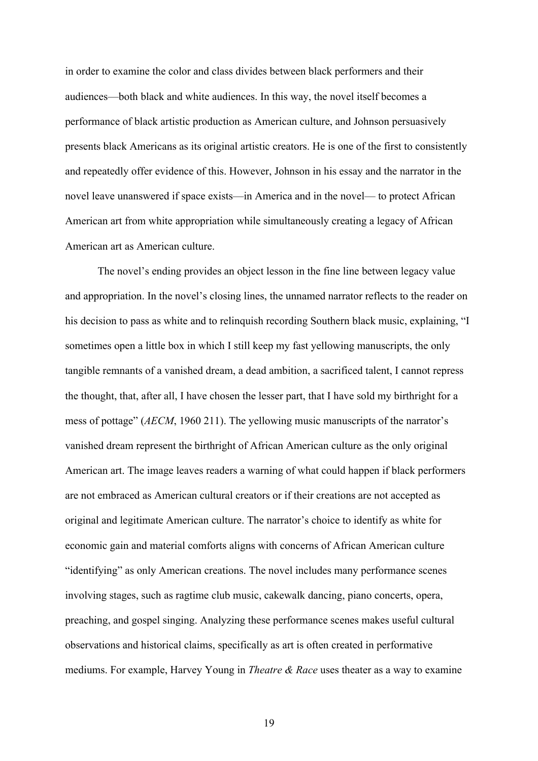in order to examine the color and class divides between black performers and their audiences—both black and white audiences. In this way, the novel itself becomes a performance of black artistic production as American culture, and Johnson persuasively presents black Americans as its original artistic creators. He is one of the first to consistently and repeatedly offer evidence of this. However, Johnson in his essay and the narrator in the novel leave unanswered if space exists—in America and in the novel— to protect African American art from white appropriation while simultaneously creating a legacy of African American art as American culture.

The novel's ending provides an object lesson in the fine line between legacy value and appropriation. In the novel's closing lines, the unnamed narrator reflects to the reader on his decision to pass as white and to relinquish recording Southern black music, explaining, "I sometimes open a little box in which I still keep my fast yellowing manuscripts, the only tangible remnants of a vanished dream, a dead ambition, a sacrificed talent, I cannot repress the thought, that, after all, I have chosen the lesser part, that I have sold my birthright for a mess of pottage" (*AECM*, 1960 211). The yellowing music manuscripts of the narrator's vanished dream represent the birthright of African American culture as the only original American art. The image leaves readers a warning of what could happen if black performers are not embraced as American cultural creators or if their creations are not accepted as original and legitimate American culture. The narrator's choice to identify as white for economic gain and material comforts aligns with concerns of African American culture "identifying" as only American creations. The novel includes many performance scenes involving stages, such as ragtime club music, cakewalk dancing, piano concerts, opera, preaching, and gospel singing. Analyzing these performance scenes makes useful cultural observations and historical claims, specifically as art is often created in performative mediums. For example, Harvey Young in *Theatre & Race* uses theater as a way to examine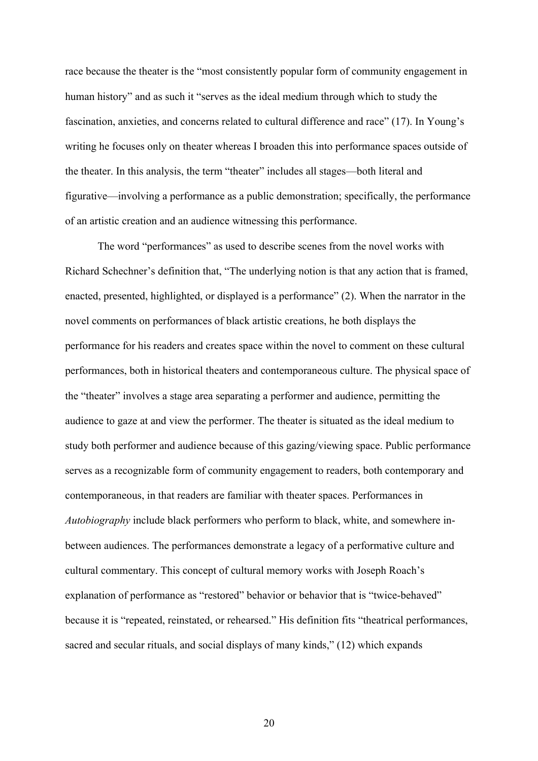race because the theater is the "most consistently popular form of community engagement in human history" and as such it "serves as the ideal medium through which to study the fascination, anxieties, and concerns related to cultural difference and race" (17). In Young's writing he focuses only on theater whereas I broaden this into performance spaces outside of the theater. In this analysis, the term "theater" includes all stages—both literal and figurative—involving a performance as a public demonstration; specifically, the performance of an artistic creation and an audience witnessing this performance.

The word "performances" as used to describe scenes from the novel works with Richard Schechner's definition that, "The underlying notion is that any action that is framed, enacted, presented, highlighted, or displayed is a performance" (2). When the narrator in the novel comments on performances of black artistic creations, he both displays the performance for his readers and creates space within the novel to comment on these cultural performances, both in historical theaters and contemporaneous culture. The physical space of the "theater" involves a stage area separating a performer and audience, permitting the audience to gaze at and view the performer. The theater is situated as the ideal medium to study both performer and audience because of this gazing/viewing space. Public performance serves as a recognizable form of community engagement to readers, both contemporary and contemporaneous, in that readers are familiar with theater spaces. Performances in *Autobiography* include black performers who perform to black, white, and somewhere inbetween audiences. The performances demonstrate a legacy of a performative culture and cultural commentary. This concept of cultural memory works with Joseph Roach's explanation of performance as "restored" behavior or behavior that is "twice-behaved" because it is "repeated, reinstated, or rehearsed." His definition fits "theatrical performances, sacred and secular rituals, and social displays of many kinds," (12) which expands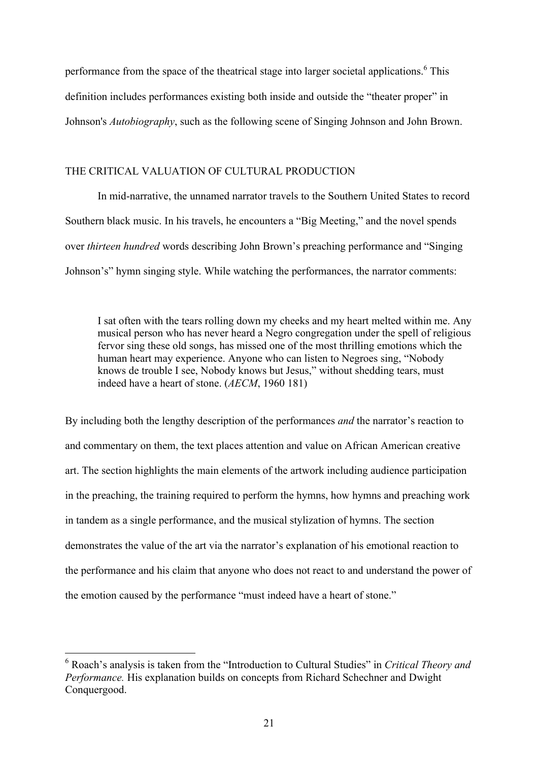performance from the space of the theatrical stage into larger societal applications.<sup>6</sup> This definition includes performances existing both inside and outside the "theater proper" in Johnson's *Autobiography*, such as the following scene of Singing Johnson and John Brown.

#### THE CRITICAL VALUATION OF CULTURAL PRODUCTION

In mid-narrative, the unnamed narrator travels to the Southern United States to record Southern black music. In his travels, he encounters a "Big Meeting," and the novel spends over *thirteen hundred* words describing John Brown's preaching performance and "Singing Johnson's" hymn singing style. While watching the performances, the narrator comments:

I sat often with the tears rolling down my cheeks and my heart melted within me. Any musical person who has never heard a Negro congregation under the spell of religious fervor sing these old songs, has missed one of the most thrilling emotions which the human heart may experience. Anyone who can listen to Negroes sing, "Nobody knows de trouble I see, Nobody knows but Jesus," without shedding tears, must indeed have a heart of stone. (*AECM*, 1960 181)

By including both the lengthy description of the performances *and* the narrator's reaction to and commentary on them, the text places attention and value on African American creative art. The section highlights the main elements of the artwork including audience participation in the preaching, the training required to perform the hymns, how hymns and preaching work in tandem as a single performance, and the musical stylization of hymns. The section demonstrates the value of the art via the narrator's explanation of his emotional reaction to the performance and his claim that anyone who does not react to and understand the power of the emotion caused by the performance "must indeed have a heart of stone."

 <sup>6</sup> Roach's analysis is taken from the "Introduction to Cultural Studies" in *Critical Theory and Performance.* His explanation builds on concepts from Richard Schechner and Dwight Conquergood.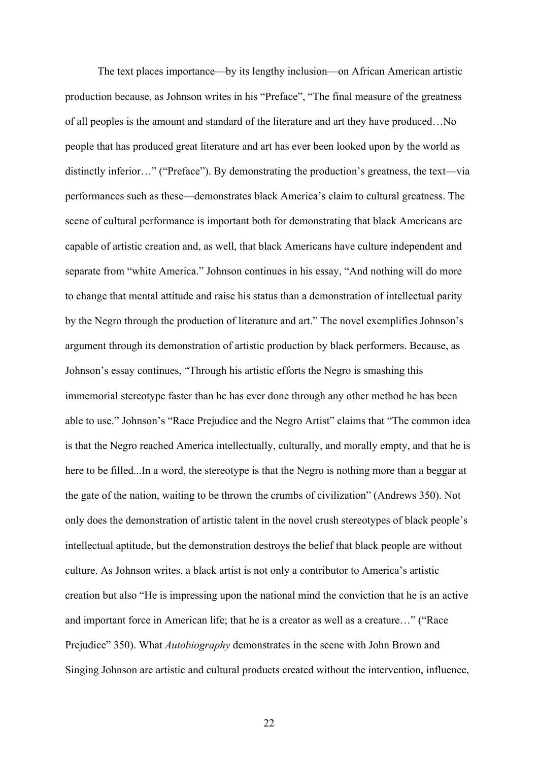The text places importance—by its lengthy inclusion—on African American artistic production because, as Johnson writes in his "Preface", "The final measure of the greatness of all peoples is the amount and standard of the literature and art they have produced…No people that has produced great literature and art has ever been looked upon by the world as distinctly inferior…" ("Preface"). By demonstrating the production's greatness, the text—via performances such as these—demonstrates black America's claim to cultural greatness. The scene of cultural performance is important both for demonstrating that black Americans are capable of artistic creation and, as well, that black Americans have culture independent and separate from "white America." Johnson continues in his essay, "And nothing will do more to change that mental attitude and raise his status than a demonstration of intellectual parity by the Negro through the production of literature and art." The novel exemplifies Johnson's argument through its demonstration of artistic production by black performers. Because, as Johnson's essay continues, "Through his artistic efforts the Negro is smashing this immemorial stereotype faster than he has ever done through any other method he has been able to use." Johnson's "Race Prejudice and the Negro Artist" claims that "The common idea is that the Negro reached America intellectually, culturally, and morally empty, and that he is here to be filled...In a word, the stereotype is that the Negro is nothing more than a beggar at the gate of the nation, waiting to be thrown the crumbs of civilization" (Andrews 350). Not only does the demonstration of artistic talent in the novel crush stereotypes of black people's intellectual aptitude, but the demonstration destroys the belief that black people are without culture. As Johnson writes, a black artist is not only a contributor to America's artistic creation but also "He is impressing upon the national mind the conviction that he is an active and important force in American life; that he is a creator as well as a creature…" ("Race Prejudice" 350). What *Autobiography* demonstrates in the scene with John Brown and Singing Johnson are artistic and cultural products created without the intervention, influence,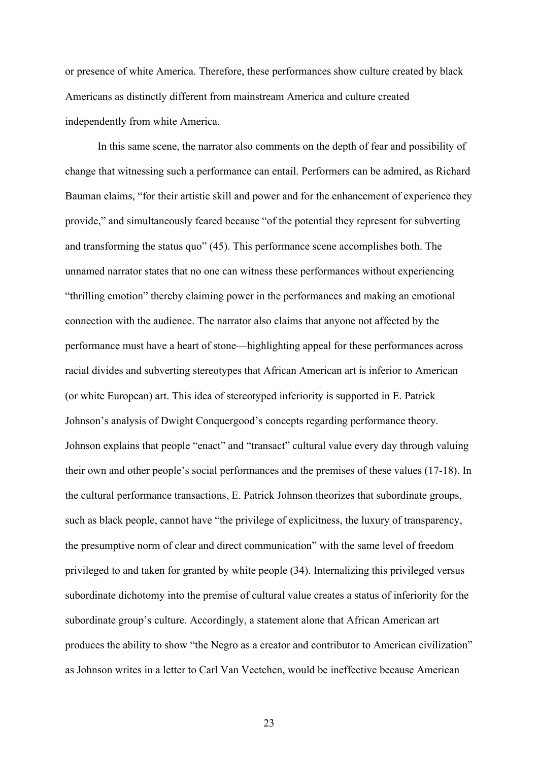or presence of white America. Therefore, these performances show culture created by black Americans as distinctly different from mainstream America and culture created independently from white America.

In this same scene, the narrator also comments on the depth of fear and possibility of change that witnessing such a performance can entail. Performers can be admired, as Richard Bauman claims, "for their artistic skill and power and for the enhancement of experience they provide," and simultaneously feared because "of the potential they represent for subverting and transforming the status quo" (45). This performance scene accomplishes both. The unnamed narrator states that no one can witness these performances without experiencing "thrilling emotion" thereby claiming power in the performances and making an emotional connection with the audience. The narrator also claims that anyone not affected by the performance must have a heart of stone—highlighting appeal for these performances across racial divides and subverting stereotypes that African American art is inferior to American (or white European) art. This idea of stereotyped inferiority is supported in E. Patrick Johnson's analysis of Dwight Conquergood's concepts regarding performance theory. Johnson explains that people "enact" and "transact" cultural value every day through valuing their own and other people's social performances and the premises of these values (17-18). In the cultural performance transactions, E. Patrick Johnson theorizes that subordinate groups, such as black people, cannot have "the privilege of explicitness, the luxury of transparency, the presumptive norm of clear and direct communication" with the same level of freedom privileged to and taken for granted by white people (34). Internalizing this privileged versus subordinate dichotomy into the premise of cultural value creates a status of inferiority for the subordinate group's culture. Accordingly, a statement alone that African American art produces the ability to show "the Negro as a creator and contributor to American civilization" as Johnson writes in a letter to Carl Van Vectchen, would be ineffective because American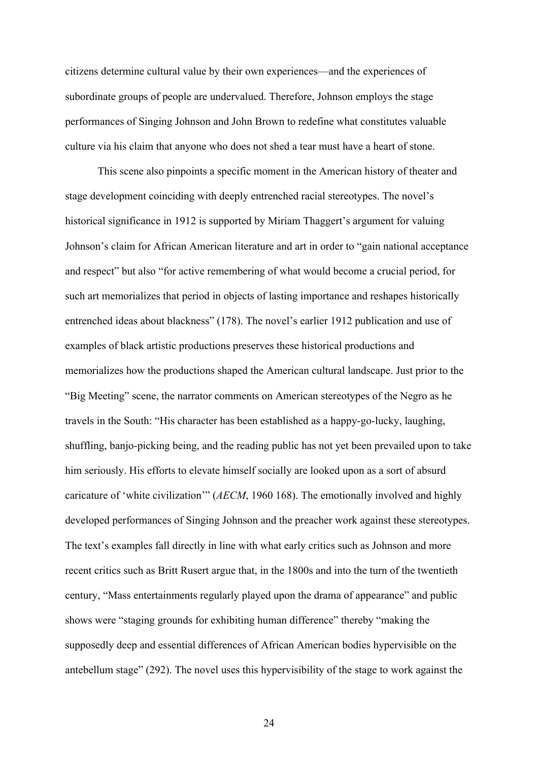citizens determine cultural value by their own experiences—and the experiences of subordinate groups of people are undervalued. Therefore, Johnson employs the stage performances of Singing Johnson and John Brown to redefine what constitutes valuable culture via his claim that anyone who does not shed a tear must have a heart of stone.

This scene also pinpoints a specific moment in the American history of theater and stage development coinciding with deeply entrenched racial stereotypes. The novel's historical significance in 1912 is supported by Miriam Thaggert's argument for valuing Johnson's claim for African American literature and art in order to "gain national acceptance and respect" but also "for active remembering of what would become a crucial period, for such art memorializes that period in objects of lasting importance and reshapes historically entrenched ideas about blackness" (178). The novel's earlier 1912 publication and use of examples of black artistic productions preserves these historical productions and memorializes how the productions shaped the American cultural landscape. Just prior to the "Big Meeting" scene, the narrator comments on American stereotypes of the Negro as he travels in the South: "His character has been established as a happy-go-lucky, laughing, shuffling, banjo-picking being, and the reading public has not yet been prevailed upon to take him seriously. His efforts to elevate himself socially are looked upon as a sort of absurd caricature of 'white civilization'" (*AECM*, 1960 168). The emotionally involved and highly developed performances of Singing Johnson and the preacher work against these stereotypes. The text's examples fall directly in line with what early critics such as Johnson and more recent critics such as Britt Rusert argue that, in the 1800s and into the turn of the twentieth century, "Mass entertainments regularly played upon the drama of appearance" and public shows were "staging grounds for exhibiting human difference" thereby "making the supposedly deep and essential differences of African American bodies hypervisible on the antebellum stage" (292). The novel uses this hypervisibility of the stage to work against the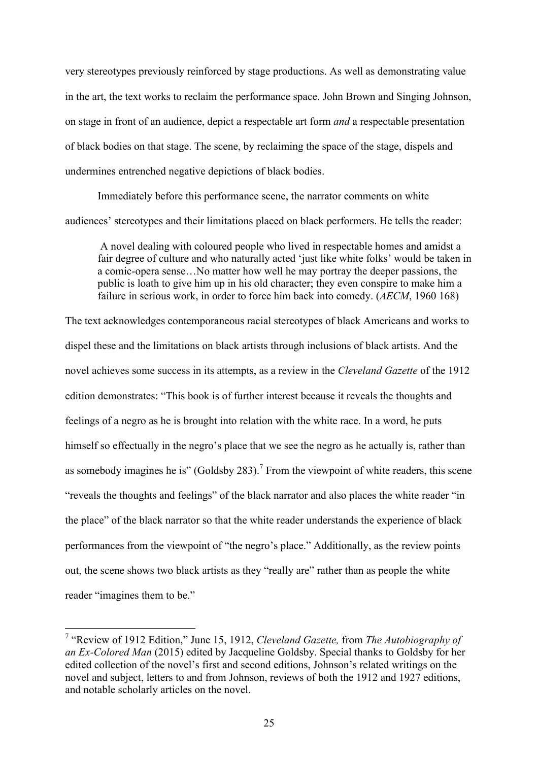very stereotypes previously reinforced by stage productions. As well as demonstrating value in the art, the text works to reclaim the performance space. John Brown and Singing Johnson, on stage in front of an audience, depict a respectable art form *and* a respectable presentation of black bodies on that stage. The scene, by reclaiming the space of the stage, dispels and undermines entrenched negative depictions of black bodies.

Immediately before this performance scene, the narrator comments on white audiences' stereotypes and their limitations placed on black performers. He tells the reader:

A novel dealing with coloured people who lived in respectable homes and amidst a fair degree of culture and who naturally acted 'just like white folks' would be taken in a comic-opera sense…No matter how well he may portray the deeper passions, the public is loath to give him up in his old character; they even conspire to make him a failure in serious work, in order to force him back into comedy. (*AECM*, 1960 168)

The text acknowledges contemporaneous racial stereotypes of black Americans and works to dispel these and the limitations on black artists through inclusions of black artists. And the novel achieves some success in its attempts, as a review in the *Cleveland Gazette* of the 1912 edition demonstrates: "This book is of further interest because it reveals the thoughts and feelings of a negro as he is brought into relation with the white race. In a word, he puts himself so effectually in the negro's place that we see the negro as he actually is, rather than as somebody imagines he is" (Goldsby 283).<sup>7</sup> From the viewpoint of white readers, this scene "reveals the thoughts and feelings" of the black narrator and also places the white reader "in the place" of the black narrator so that the white reader understands the experience of black performances from the viewpoint of "the negro's place." Additionally, as the review points out, the scene shows two black artists as they "really are" rather than as people the white reader "imagines them to be."

 <sup>7</sup> "Review of 1912 Edition," June 15, 1912, *Cleveland Gazette,* from *The Autobiography of an Ex-Colored Man* (2015) edited by Jacqueline Goldsby. Special thanks to Goldsby for her edited collection of the novel's first and second editions, Johnson's related writings on the novel and subject, letters to and from Johnson, reviews of both the 1912 and 1927 editions, and notable scholarly articles on the novel.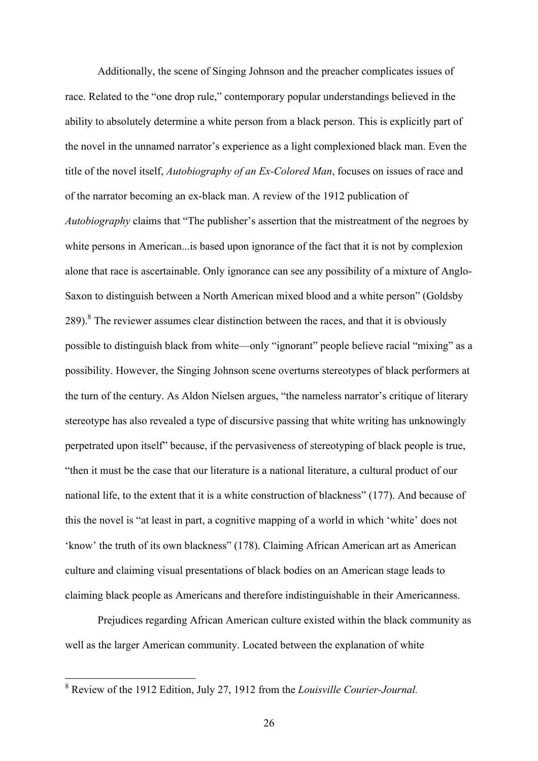Additionally, the scene of Singing Johnson and the preacher complicates issues of race. Related to the "one drop rule," contemporary popular understandings believed in the ability to absolutely determine a white person from a black person. This is explicitly part of the novel in the unnamed narrator's experience as a light complexioned black man. Even the title of the novel itself, *Autobiography of an Ex-Colored Man*, focuses on issues of race and of the narrator becoming an ex-black man. A review of the 1912 publication of *Autobiography* claims that "The publisher's assertion that the mistreatment of the negroes by white persons in American... is based upon ignorance of the fact that it is not by complexion alone that race is ascertainable. Only ignorance can see any possibility of a mixture of Anglo-Saxon to distinguish between a North American mixed blood and a white person" (Goldsby  $289$ <sup>8</sup>. The reviewer assumes clear distinction between the races, and that it is obviously possible to distinguish black from white—only "ignorant" people believe racial "mixing" as a possibility. However, the Singing Johnson scene overturns stereotypes of black performers at the turn of the century. As Aldon Nielsen argues, "the nameless narrator's critique of literary stereotype has also revealed a type of discursive passing that white writing has unknowingly perpetrated upon itself" because, if the pervasiveness of stereotyping of black people is true, "then it must be the case that our literature is a national literature, a cultural product of our national life, to the extent that it is a white construction of blackness" (177). And because of this the novel is "at least in part, a cognitive mapping of a world in which 'white' does not 'know' the truth of its own blackness" (178). Claiming African American art as American culture and claiming visual presentations of black bodies on an American stage leads to claiming black people as Americans and therefore indistinguishable in their Americanness.

Prejudices regarding African American culture existed within the black community as well as the larger American community. Located between the explanation of white

 <sup>8</sup> Review of the 1912 Edition, July 27, 1912 from the *Louisville Courier-Journal.*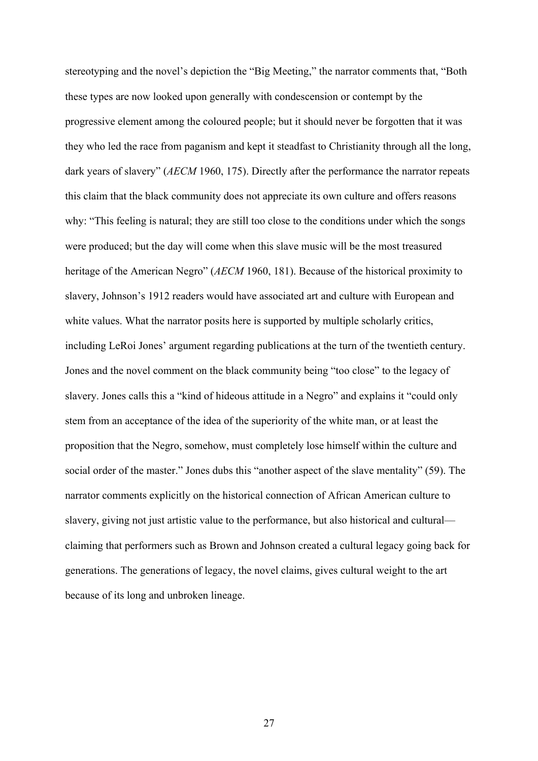stereotyping and the novel's depiction the "Big Meeting," the narrator comments that, "Both these types are now looked upon generally with condescension or contempt by the progressive element among the coloured people; but it should never be forgotten that it was they who led the race from paganism and kept it steadfast to Christianity through all the long, dark years of slavery" (*AECM* 1960, 175). Directly after the performance the narrator repeats this claim that the black community does not appreciate its own culture and offers reasons why: "This feeling is natural; they are still too close to the conditions under which the songs were produced; but the day will come when this slave music will be the most treasured heritage of the American Negro" (*AECM* 1960, 181). Because of the historical proximity to slavery, Johnson's 1912 readers would have associated art and culture with European and white values. What the narrator posits here is supported by multiple scholarly critics, including LeRoi Jones' argument regarding publications at the turn of the twentieth century. Jones and the novel comment on the black community being "too close" to the legacy of slavery. Jones calls this a "kind of hideous attitude in a Negro" and explains it "could only stem from an acceptance of the idea of the superiority of the white man, or at least the proposition that the Negro, somehow, must completely lose himself within the culture and social order of the master." Jones dubs this "another aspect of the slave mentality" (59). The narrator comments explicitly on the historical connection of African American culture to slavery, giving not just artistic value to the performance, but also historical and cultural claiming that performers such as Brown and Johnson created a cultural legacy going back for generations. The generations of legacy, the novel claims, gives cultural weight to the art because of its long and unbroken lineage.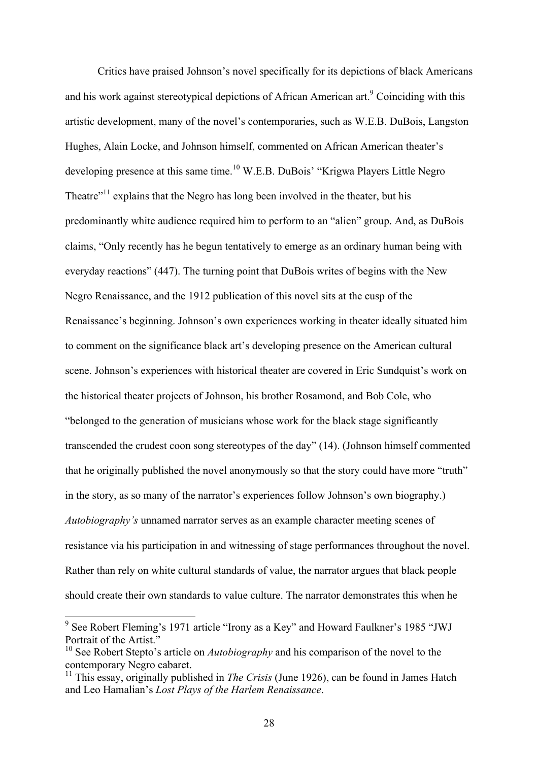Critics have praised Johnson's novel specifically for its depictions of black Americans and his work against stereotypical depictions of African American art.<sup>9</sup> Coinciding with this artistic development, many of the novel's contemporaries, such as W.E.B. DuBois, Langston Hughes, Alain Locke, and Johnson himself, commented on African American theater's developing presence at this same time.<sup>10</sup> W.E.B. DuBois' "Krigwa Players Little Negro Theatre $^{\prime\prime}$ <sup>11</sup> explains that the Negro has long been involved in the theater, but his predominantly white audience required him to perform to an "alien" group. And, as DuBois claims, "Only recently has he begun tentatively to emerge as an ordinary human being with everyday reactions" (447). The turning point that DuBois writes of begins with the New Negro Renaissance, and the 1912 publication of this novel sits at the cusp of the Renaissance's beginning. Johnson's own experiences working in theater ideally situated him to comment on the significance black art's developing presence on the American cultural scene. Johnson's experiences with historical theater are covered in Eric Sundquist's work on the historical theater projects of Johnson, his brother Rosamond, and Bob Cole, who "belonged to the generation of musicians whose work for the black stage significantly transcended the crudest coon song stereotypes of the day" (14). (Johnson himself commented that he originally published the novel anonymously so that the story could have more "truth" in the story, as so many of the narrator's experiences follow Johnson's own biography.) *Autobiography's* unnamed narrator serves as an example character meeting scenes of resistance via his participation in and witnessing of stage performances throughout the novel. Rather than rely on white cultural standards of value, the narrator argues that black people should create their own standards to value culture. The narrator demonstrates this when he

 <sup>9</sup> See Robert Fleming's 1971 article "Irony as a Key" and Howard Faulkner's 1985 "JWJ Portrait of the Artist."

<sup>&</sup>lt;sup>10</sup> See Robert Stepto's article on *Autobiography* and his comparison of the novel to the contemporary Negro cabaret.

<sup>&</sup>lt;sup>11</sup> This essay, originally published in *The Crisis* (June 1926), can be found in James Hatch and Leo Hamalian's *Lost Plays of the Harlem Renaissance*.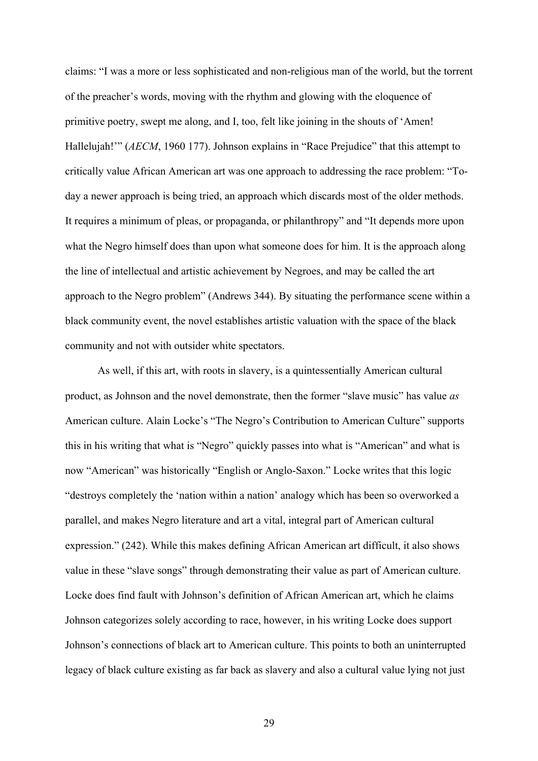claims: "I was a more or less sophisticated and non-religious man of the world, but the torrent of the preacher's words, moving with the rhythm and glowing with the eloquence of primitive poetry, swept me along, and I, too, felt like joining in the shouts of 'Amen! Hallelujah!" (*AECM*, 1960 177). Johnson explains in "Race Prejudice" that this attempt to critically value African American art was one approach to addressing the race problem: "Today a newer approach is being tried, an approach which discards most of the older methods. It requires a minimum of pleas, or propaganda, or philanthropy" and "It depends more upon what the Negro himself does than upon what someone does for him. It is the approach along the line of intellectual and artistic achievement by Negroes, and may be called the art approach to the Negro problem" (Andrews 344). By situating the performance scene within a black community event, the novel establishes artistic valuation with the space of the black community and not with outsider white spectators.

As well, if this art, with roots in slavery, is a quintessentially American cultural product, as Johnson and the novel demonstrate, then the former "slave music" has value *as* American culture. Alain Locke's "The Negro's Contribution to American Culture" supports this in his writing that what is "Negro" quickly passes into what is "American" and what is now "American" was historically "English or Anglo-Saxon." Locke writes that this logic "destroys completely the 'nation within a nation' analogy which has been so overworked a parallel, and makes Negro literature and art a vital, integral part of American cultural expression." (242). While this makes defining African American art difficult, it also shows value in these "slave songs" through demonstrating their value as part of American culture. Locke does find fault with Johnson's definition of African American art, which he claims Johnson categorizes solely according to race, however, in his writing Locke does support Johnson's connections of black art to American culture. This points to both an uninterrupted legacy of black culture existing as far back as slavery and also a cultural value lying not just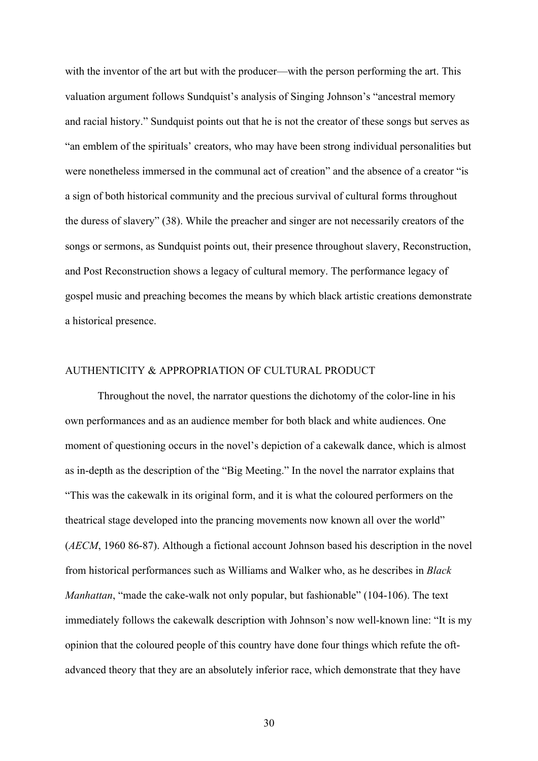with the inventor of the art but with the producer—with the person performing the art. This valuation argument follows Sundquist's analysis of Singing Johnson's "ancestral memory and racial history." Sundquist points out that he is not the creator of these songs but serves as "an emblem of the spirituals' creators, who may have been strong individual personalities but were nonetheless immersed in the communal act of creation" and the absence of a creator "is a sign of both historical community and the precious survival of cultural forms throughout the duress of slavery" (38). While the preacher and singer are not necessarily creators of the songs or sermons, as Sundquist points out, their presence throughout slavery, Reconstruction, and Post Reconstruction shows a legacy of cultural memory. The performance legacy of gospel music and preaching becomes the means by which black artistic creations demonstrate a historical presence.

# AUTHENTICITY & APPROPRIATION OF CULTURAL PRODUCT

Throughout the novel, the narrator questions the dichotomy of the color-line in his own performances and as an audience member for both black and white audiences. One moment of questioning occurs in the novel's depiction of a cakewalk dance, which is almost as in-depth as the description of the "Big Meeting." In the novel the narrator explains that "This was the cakewalk in its original form, and it is what the coloured performers on the theatrical stage developed into the prancing movements now known all over the world" (*AECM*, 1960 86-87). Although a fictional account Johnson based his description in the novel from historical performances such as Williams and Walker who, as he describes in *Black Manhattan*, "made the cake-walk not only popular, but fashionable" (104-106). The text immediately follows the cakewalk description with Johnson's now well-known line: "It is my opinion that the coloured people of this country have done four things which refute the oftadvanced theory that they are an absolutely inferior race, which demonstrate that they have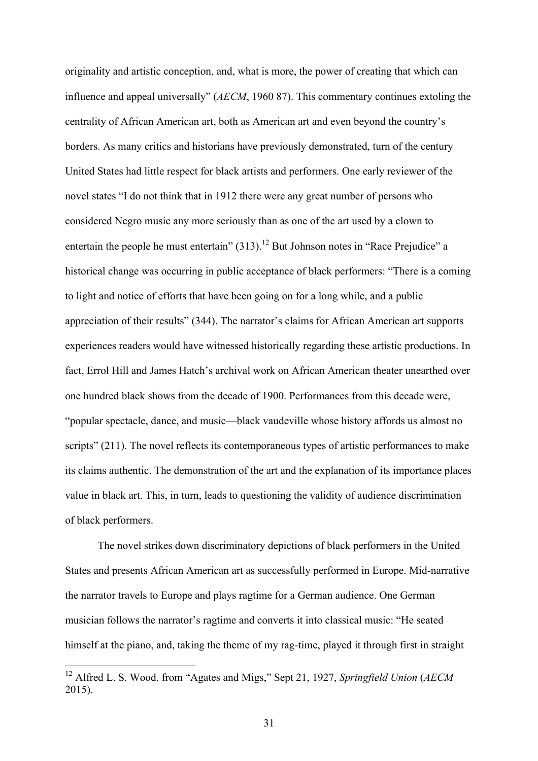originality and artistic conception, and, what is more, the power of creating that which can influence and appeal universally" (*AECM*, 1960 87). This commentary continues extoling the centrality of African American art, both as American art and even beyond the country's borders. As many critics and historians have previously demonstrated, turn of the century United States had little respect for black artists and performers. One early reviewer of the novel states "I do not think that in 1912 there were any great number of persons who considered Negro music any more seriously than as one of the art used by a clown to entertain the people he must entertain"  $(313)$ .<sup>12</sup> But Johnson notes in "Race Prejudice" a historical change was occurring in public acceptance of black performers: "There is a coming to light and notice of efforts that have been going on for a long while, and a public appreciation of their results" (344). The narrator's claims for African American art supports experiences readers would have witnessed historically regarding these artistic productions. In fact, Errol Hill and James Hatch's archival work on African American theater unearthed over one hundred black shows from the decade of 1900. Performances from this decade were, "popular spectacle, dance, and music—black vaudeville whose history affords us almost no scripts" (211). The novel reflects its contemporaneous types of artistic performances to make its claims authentic. The demonstration of the art and the explanation of its importance places value in black art. This, in turn, leads to questioning the validity of audience discrimination of black performers.

The novel strikes down discriminatory depictions of black performers in the United States and presents African American art as successfully performed in Europe. Mid-narrative the narrator travels to Europe and plays ragtime for a German audience. One German musician follows the narrator's ragtime and converts it into classical music: "He seated himself at the piano, and, taking the theme of my rag-time, played it through first in straight

 <sup>12</sup> Alfred L. S. Wood, from "Agates and Migs," Sept 21, 1927, *Springfield Union* (*AECM* 2015).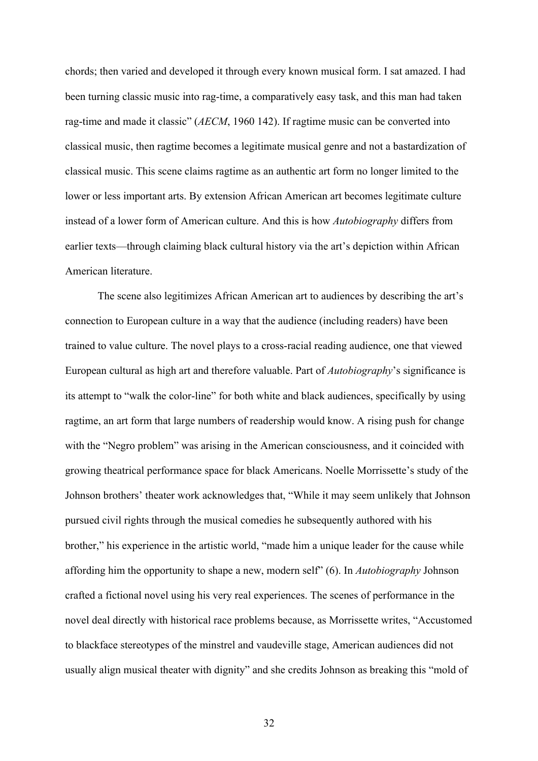chords; then varied and developed it through every known musical form. I sat amazed. I had been turning classic music into rag-time, a comparatively easy task, and this man had taken rag-time and made it classic" (*AECM*, 1960 142). If ragtime music can be converted into classical music, then ragtime becomes a legitimate musical genre and not a bastardization of classical music. This scene claims ragtime as an authentic art form no longer limited to the lower or less important arts. By extension African American art becomes legitimate culture instead of a lower form of American culture. And this is how *Autobiography* differs from earlier texts—through claiming black cultural history via the art's depiction within African American literature.

The scene also legitimizes African American art to audiences by describing the art's connection to European culture in a way that the audience (including readers) have been trained to value culture. The novel plays to a cross-racial reading audience, one that viewed European cultural as high art and therefore valuable. Part of *Autobiography*'s significance is its attempt to "walk the color-line" for both white and black audiences, specifically by using ragtime, an art form that large numbers of readership would know. A rising push for change with the "Negro problem" was arising in the American consciousness, and it coincided with growing theatrical performance space for black Americans. Noelle Morrissette's study of the Johnson brothers' theater work acknowledges that, "While it may seem unlikely that Johnson pursued civil rights through the musical comedies he subsequently authored with his brother," his experience in the artistic world, "made him a unique leader for the cause while affording him the opportunity to shape a new, modern self" (6). In *Autobiography* Johnson crafted a fictional novel using his very real experiences. The scenes of performance in the novel deal directly with historical race problems because, as Morrissette writes, "Accustomed to blackface stereotypes of the minstrel and vaudeville stage, American audiences did not usually align musical theater with dignity" and she credits Johnson as breaking this "mold of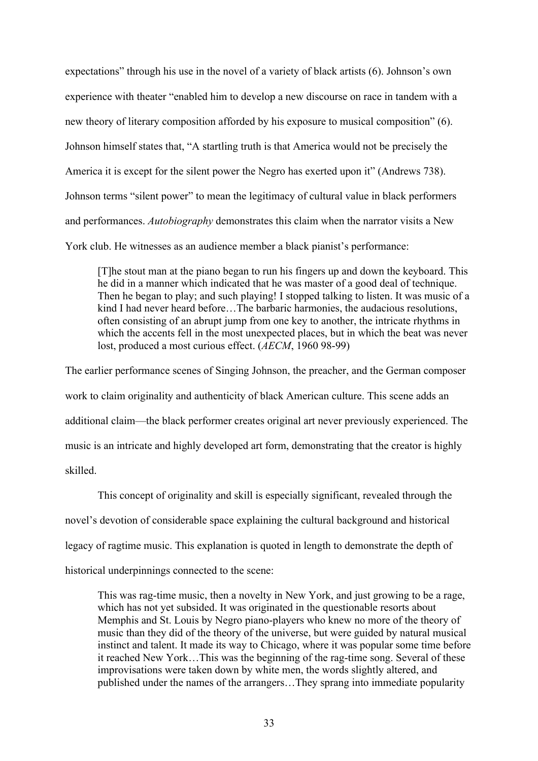expectations" through his use in the novel of a variety of black artists (6). Johnson's own experience with theater "enabled him to develop a new discourse on race in tandem with a new theory of literary composition afforded by his exposure to musical composition" (6). Johnson himself states that, "A startling truth is that America would not be precisely the America it is except for the silent power the Negro has exerted upon it" (Andrews 738). Johnson terms "silent power" to mean the legitimacy of cultural value in black performers and performances. *Autobiography* demonstrates this claim when the narrator visits a New York club. He witnesses as an audience member a black pianist's performance:

[T]he stout man at the piano began to run his fingers up and down the keyboard. This he did in a manner which indicated that he was master of a good deal of technique. Then he began to play; and such playing! I stopped talking to listen. It was music of a kind I had never heard before…The barbaric harmonies, the audacious resolutions, often consisting of an abrupt jump from one key to another, the intricate rhythms in which the accents fell in the most unexpected places, but in which the beat was never lost, produced a most curious effect. (*AECM*, 1960 98-99)

The earlier performance scenes of Singing Johnson, the preacher, and the German composer work to claim originality and authenticity of black American culture. This scene adds an additional claim—the black performer creates original art never previously experienced. The music is an intricate and highly developed art form, demonstrating that the creator is highly skilled.

This concept of originality and skill is especially significant, revealed through the novel's devotion of considerable space explaining the cultural background and historical legacy of ragtime music. This explanation is quoted in length to demonstrate the depth of historical underpinnings connected to the scene:

This was rag-time music, then a novelty in New York, and just growing to be a rage, which has not yet subsided. It was originated in the questionable resorts about Memphis and St. Louis by Negro piano-players who knew no more of the theory of music than they did of the theory of the universe, but were guided by natural musical instinct and talent. It made its way to Chicago, where it was popular some time before it reached New York…This was the beginning of the rag-time song. Several of these improvisations were taken down by white men, the words slightly altered, and published under the names of the arrangers…They sprang into immediate popularity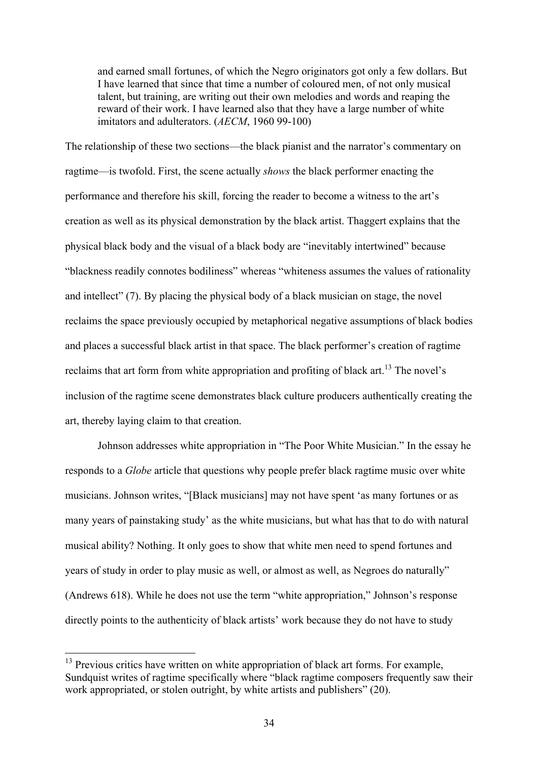and earned small fortunes, of which the Negro originators got only a few dollars. But I have learned that since that time a number of coloured men, of not only musical talent, but training, are writing out their own melodies and words and reaping the reward of their work. I have learned also that they have a large number of white imitators and adulterators. (*AECM*, 1960 99-100)

The relationship of these two sections—the black pianist and the narrator's commentary on ragtime—is twofold. First, the scene actually *shows* the black performer enacting the performance and therefore his skill, forcing the reader to become a witness to the art's creation as well as its physical demonstration by the black artist. Thaggert explains that the physical black body and the visual of a black body are "inevitably intertwined" because "blackness readily connotes bodiliness" whereas "whiteness assumes the values of rationality and intellect" (7). By placing the physical body of a black musician on stage, the novel reclaims the space previously occupied by metaphorical negative assumptions of black bodies and places a successful black artist in that space. The black performer's creation of ragtime reclaims that art form from white appropriation and profiting of black art.<sup>13</sup> The novel's inclusion of the ragtime scene demonstrates black culture producers authentically creating the art, thereby laying claim to that creation.

Johnson addresses white appropriation in "The Poor White Musician." In the essay he responds to a *Globe* article that questions why people prefer black ragtime music over white musicians. Johnson writes, "[Black musicians] may not have spent 'as many fortunes or as many years of painstaking study' as the white musicians, but what has that to do with natural musical ability? Nothing. It only goes to show that white men need to spend fortunes and years of study in order to play music as well, or almost as well, as Negroes do naturally" (Andrews 618). While he does not use the term "white appropriation," Johnson's response directly points to the authenticity of black artists' work because they do not have to study

<sup>&</sup>lt;sup>13</sup> Previous critics have written on white appropriation of black art forms. For example, Sundquist writes of ragtime specifically where "black ragtime composers frequently saw their work appropriated, or stolen outright, by white artists and publishers" (20).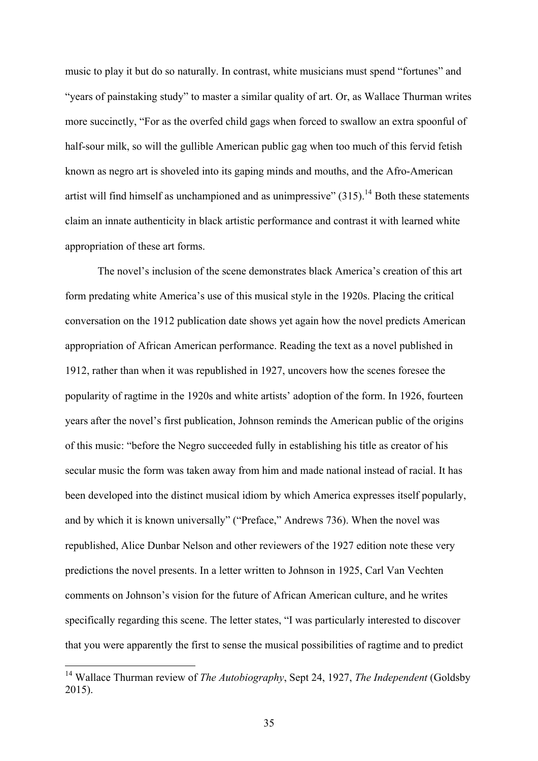music to play it but do so naturally. In contrast, white musicians must spend "fortunes" and "years of painstaking study" to master a similar quality of art. Or, as Wallace Thurman writes more succinctly, "For as the overfed child gags when forced to swallow an extra spoonful of half-sour milk, so will the gullible American public gag when too much of this fervid fetish known as negro art is shoveled into its gaping minds and mouths, and the Afro-American artist will find himself as unchampioned and as unimpressive"  $(315)$ .<sup>14</sup> Both these statements claim an innate authenticity in black artistic performance and contrast it with learned white appropriation of these art forms.

The novel's inclusion of the scene demonstrates black America's creation of this art form predating white America's use of this musical style in the 1920s. Placing the critical conversation on the 1912 publication date shows yet again how the novel predicts American appropriation of African American performance. Reading the text as a novel published in 1912, rather than when it was republished in 1927, uncovers how the scenes foresee the popularity of ragtime in the 1920s and white artists' adoption of the form. In 1926, fourteen years after the novel's first publication, Johnson reminds the American public of the origins of this music: "before the Negro succeeded fully in establishing his title as creator of his secular music the form was taken away from him and made national instead of racial. It has been developed into the distinct musical idiom by which America expresses itself popularly, and by which it is known universally" ("Preface," Andrews 736). When the novel was republished, Alice Dunbar Nelson and other reviewers of the 1927 edition note these very predictions the novel presents. In a letter written to Johnson in 1925, Carl Van Vechten comments on Johnson's vision for the future of African American culture, and he writes specifically regarding this scene. The letter states, "I was particularly interested to discover that you were apparently the first to sense the musical possibilities of ragtime and to predict

 <sup>14</sup> Wallace Thurman review of *The Autobiography*, Sept 24, 1927, *The Independent* (Goldsby 2015).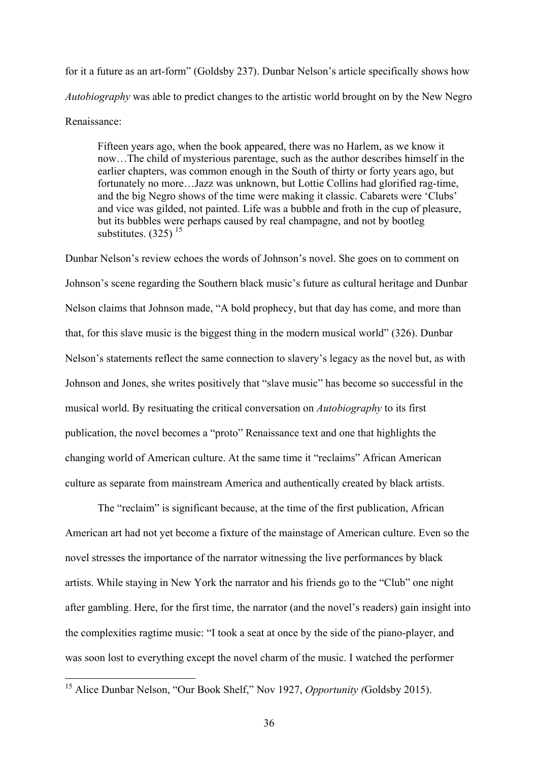for it a future as an art-form" (Goldsby 237). Dunbar Nelson's article specifically shows how *Autobiography* was able to predict changes to the artistic world brought on by the New Negro Renaissance:

Fifteen years ago, when the book appeared, there was no Harlem, as we know it now…The child of mysterious parentage, such as the author describes himself in the earlier chapters, was common enough in the South of thirty or forty years ago, but fortunately no more…Jazz was unknown, but Lottie Collins had glorified rag-time, and the big Negro shows of the time were making it classic. Cabarets were 'Clubs' and vice was gilded, not painted. Life was a bubble and froth in the cup of pleasure, but its bubbles were perhaps caused by real champagne, and not by bootleg substitutes.  $(325)$ <sup>15</sup>

Dunbar Nelson's review echoes the words of Johnson's novel. She goes on to comment on Johnson's scene regarding the Southern black music's future as cultural heritage and Dunbar Nelson claims that Johnson made, "A bold prophecy, but that day has come, and more than that, for this slave music is the biggest thing in the modern musical world" (326). Dunbar Nelson's statements reflect the same connection to slavery's legacy as the novel but, as with Johnson and Jones, she writes positively that "slave music" has become so successful in the musical world. By resituating the critical conversation on *Autobiography* to its first publication, the novel becomes a "proto" Renaissance text and one that highlights the changing world of American culture. At the same time it "reclaims" African American culture as separate from mainstream America and authentically created by black artists.

The "reclaim" is significant because, at the time of the first publication, African American art had not yet become a fixture of the mainstage of American culture. Even so the novel stresses the importance of the narrator witnessing the live performances by black artists. While staying in New York the narrator and his friends go to the "Club" one night after gambling. Here, for the first time, the narrator (and the novel's readers) gain insight into the complexities ragtime music: "I took a seat at once by the side of the piano-player, and was soon lost to everything except the novel charm of the music. I watched the performer

 <sup>15</sup> Alice Dunbar Nelson, "Our Book Shelf," Nov 1927, *Opportunity (*Goldsby 2015).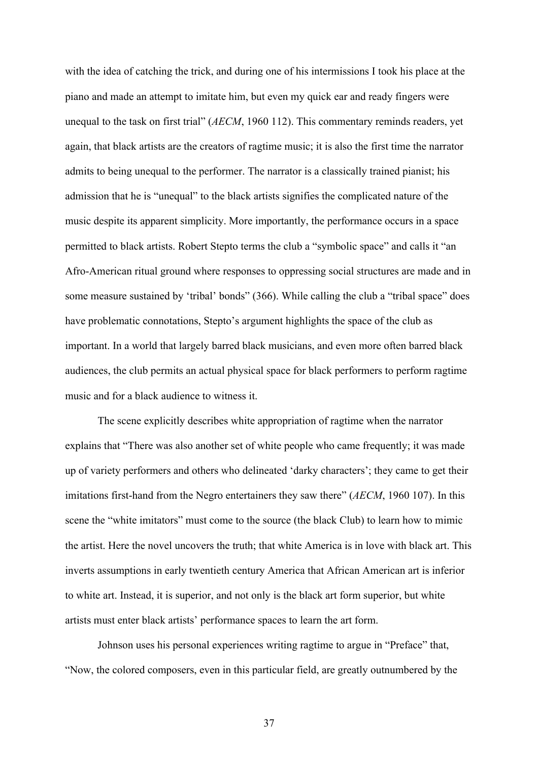with the idea of catching the trick, and during one of his intermissions I took his place at the piano and made an attempt to imitate him, but even my quick ear and ready fingers were unequal to the task on first trial" (*AECM*, 1960 112). This commentary reminds readers, yet again, that black artists are the creators of ragtime music; it is also the first time the narrator admits to being unequal to the performer. The narrator is a classically trained pianist; his admission that he is "unequal" to the black artists signifies the complicated nature of the music despite its apparent simplicity. More importantly, the performance occurs in a space permitted to black artists. Robert Stepto terms the club a "symbolic space" and calls it "an Afro-American ritual ground where responses to oppressing social structures are made and in some measure sustained by 'tribal' bonds" (366). While calling the club a "tribal space" does have problematic connotations, Stepto's argument highlights the space of the club as important. In a world that largely barred black musicians, and even more often barred black audiences, the club permits an actual physical space for black performers to perform ragtime music and for a black audience to witness it.

The scene explicitly describes white appropriation of ragtime when the narrator explains that "There was also another set of white people who came frequently; it was made up of variety performers and others who delineated 'darky characters'; they came to get their imitations first-hand from the Negro entertainers they saw there" (*AECM*, 1960 107). In this scene the "white imitators" must come to the source (the black Club) to learn how to mimic the artist. Here the novel uncovers the truth; that white America is in love with black art. This inverts assumptions in early twentieth century America that African American art is inferior to white art. Instead, it is superior, and not only is the black art form superior, but white artists must enter black artists' performance spaces to learn the art form.

Johnson uses his personal experiences writing ragtime to argue in "Preface" that, "Now, the colored composers, even in this particular field, are greatly outnumbered by the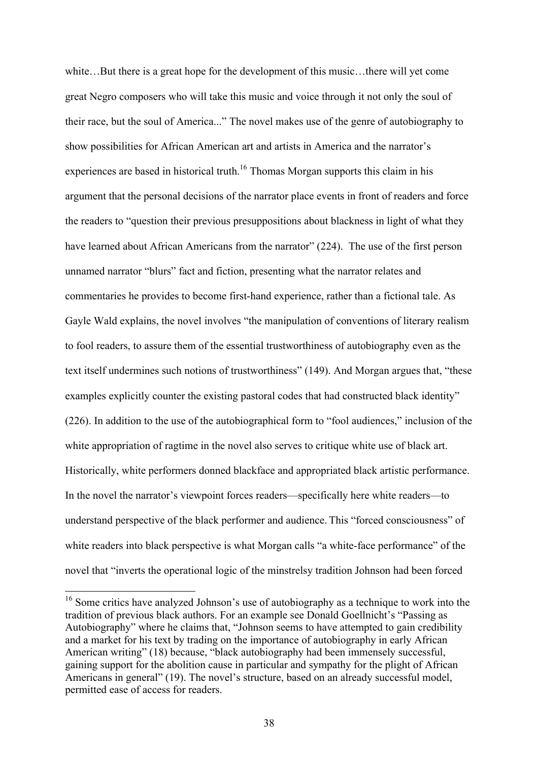white...But there is a great hope for the development of this music...there will yet come great Negro composers who will take this music and voice through it not only the soul of their race, but the soul of America..." The novel makes use of the genre of autobiography to show possibilities for African American art and artists in America and the narrator's experiences are based in historical truth.<sup>16</sup> Thomas Morgan supports this claim in his argument that the personal decisions of the narrator place events in front of readers and force the readers to "question their previous presuppositions about blackness in light of what they have learned about African Americans from the narrator" (224). The use of the first person unnamed narrator "blurs" fact and fiction, presenting what the narrator relates and commentaries he provides to become first-hand experience, rather than a fictional tale. As Gayle Wald explains, the novel involves "the manipulation of conventions of literary realism to fool readers, to assure them of the essential trustworthiness of autobiography even as the text itself undermines such notions of trustworthiness" (149). And Morgan argues that, "these examples explicitly counter the existing pastoral codes that had constructed black identity" (226). In addition to the use of the autobiographical form to "fool audiences," inclusion of the white appropriation of ragtime in the novel also serves to critique white use of black art. Historically, white performers donned blackface and appropriated black artistic performance. In the novel the narrator's viewpoint forces readers—specifically here white readers—to understand perspective of the black performer and audience. This "forced consciousness" of white readers into black perspective is what Morgan calls "a white-face performance" of the novel that "inverts the operational logic of the minstrelsy tradition Johnson had been forced

<sup>&</sup>lt;sup>16</sup> Some critics have analyzed Johnson's use of autobiography as a technique to work into the tradition of previous black authors. For an example see Donald Goellnicht's "Passing as Autobiography" where he claims that, "Johnson seems to have attempted to gain credibility and a market for his text by trading on the importance of autobiography in early African American writing" (18) because, "black autobiography had been immensely successful, gaining support for the abolition cause in particular and sympathy for the plight of African Americans in general" (19). The novel's structure, based on an already successful model, permitted ease of access for readers.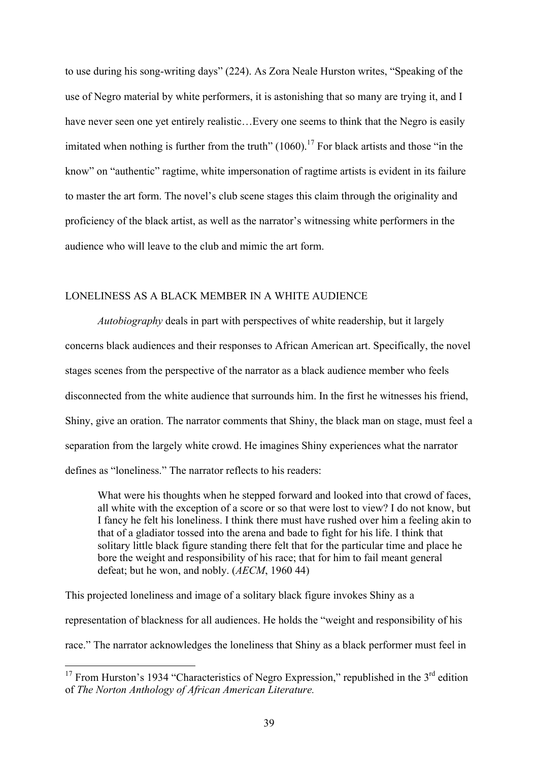to use during his song-writing days" (224). As Zora Neale Hurston writes, "Speaking of the use of Negro material by white performers, it is astonishing that so many are trying it, and I have never seen one yet entirely realistic... Every one seems to think that the Negro is easily imitated when nothing is further from the truth" (1060).<sup>17</sup> For black artists and those "in the know" on "authentic" ragtime, white impersonation of ragtime artists is evident in its failure to master the art form. The novel's club scene stages this claim through the originality and proficiency of the black artist, as well as the narrator's witnessing white performers in the audience who will leave to the club and mimic the art form.

## LONELINESS AS A BLACK MEMBER IN A WHITE AUDIENCE

*Autobiography* deals in part with perspectives of white readership, but it largely concerns black audiences and their responses to African American art. Specifically, the novel stages scenes from the perspective of the narrator as a black audience member who feels disconnected from the white audience that surrounds him. In the first he witnesses his friend, Shiny, give an oration. The narrator comments that Shiny, the black man on stage, must feel a separation from the largely white crowd. He imagines Shiny experiences what the narrator defines as "loneliness." The narrator reflects to his readers:

What were his thoughts when he stepped forward and looked into that crowd of faces, all white with the exception of a score or so that were lost to view? I do not know, but I fancy he felt his loneliness. I think there must have rushed over him a feeling akin to that of a gladiator tossed into the arena and bade to fight for his life. I think that solitary little black figure standing there felt that for the particular time and place he bore the weight and responsibility of his race; that for him to fail meant general defeat; but he won, and nobly. (*AECM*, 1960 44)

This projected loneliness and image of a solitary black figure invokes Shiny as a representation of blackness for all audiences. He holds the "weight and responsibility of his race." The narrator acknowledges the loneliness that Shiny as a black performer must feel in

<sup>&</sup>lt;sup>17</sup> From Hurston's 1934 "Characteristics of Negro Expression," republished in the  $3<sup>rd</sup>$  edition of *The Norton Anthology of African American Literature.*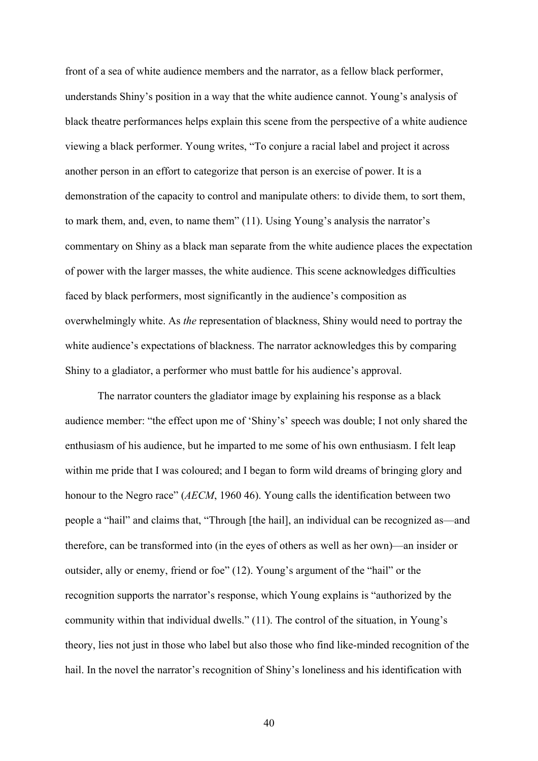front of a sea of white audience members and the narrator, as a fellow black performer, understands Shiny's position in a way that the white audience cannot. Young's analysis of black theatre performances helps explain this scene from the perspective of a white audience viewing a black performer. Young writes, "To conjure a racial label and project it across another person in an effort to categorize that person is an exercise of power. It is a demonstration of the capacity to control and manipulate others: to divide them, to sort them, to mark them, and, even, to name them" (11). Using Young's analysis the narrator's commentary on Shiny as a black man separate from the white audience places the expectation of power with the larger masses, the white audience. This scene acknowledges difficulties faced by black performers, most significantly in the audience's composition as overwhelmingly white. As *the* representation of blackness, Shiny would need to portray the white audience's expectations of blackness. The narrator acknowledges this by comparing Shiny to a gladiator, a performer who must battle for his audience's approval.

The narrator counters the gladiator image by explaining his response as a black audience member: "the effect upon me of 'Shiny's' speech was double; I not only shared the enthusiasm of his audience, but he imparted to me some of his own enthusiasm. I felt leap within me pride that I was coloured; and I began to form wild dreams of bringing glory and honour to the Negro race" (*AECM*, 1960 46). Young calls the identification between two people a "hail" and claims that, "Through [the hail], an individual can be recognized as—and therefore, can be transformed into (in the eyes of others as well as her own)—an insider or outsider, ally or enemy, friend or foe" (12). Young's argument of the "hail" or the recognition supports the narrator's response, which Young explains is "authorized by the community within that individual dwells." (11). The control of the situation, in Young's theory, lies not just in those who label but also those who find like-minded recognition of the hail. In the novel the narrator's recognition of Shiny's loneliness and his identification with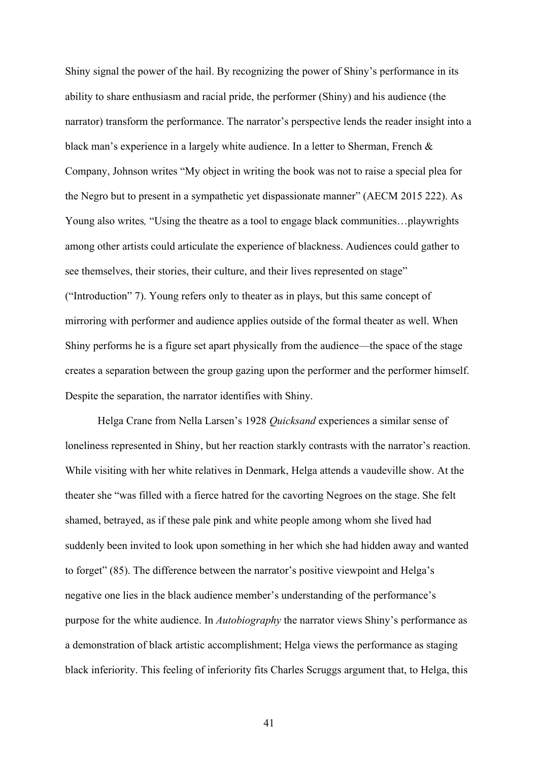Shiny signal the power of the hail. By recognizing the power of Shiny's performance in its ability to share enthusiasm and racial pride, the performer (Shiny) and his audience (the narrator) transform the performance. The narrator's perspective lends the reader insight into a black man's experience in a largely white audience. In a letter to Sherman, French & Company, Johnson writes "My object in writing the book was not to raise a special plea for the Negro but to present in a sympathetic yet dispassionate manner" (AECM 2015 222). As Young also writes, "Using the theatre as a tool to engage black communities...playwrights among other artists could articulate the experience of blackness. Audiences could gather to see themselves, their stories, their culture, and their lives represented on stage" ("Introduction" 7). Young refers only to theater as in plays, but this same concept of mirroring with performer and audience applies outside of the formal theater as well. When Shiny performs he is a figure set apart physically from the audience—the space of the stage creates a separation between the group gazing upon the performer and the performer himself. Despite the separation, the narrator identifies with Shiny.

Helga Crane from Nella Larsen's 1928 *Quicksand* experiences a similar sense of loneliness represented in Shiny, but her reaction starkly contrasts with the narrator's reaction. While visiting with her white relatives in Denmark, Helga attends a vaudeville show. At the theater she "was filled with a fierce hatred for the cavorting Negroes on the stage. She felt shamed, betrayed, as if these pale pink and white people among whom she lived had suddenly been invited to look upon something in her which she had hidden away and wanted to forget" (85). The difference between the narrator's positive viewpoint and Helga's negative one lies in the black audience member's understanding of the performance's purpose for the white audience. In *Autobiography* the narrator views Shiny's performance as a demonstration of black artistic accomplishment; Helga views the performance as staging black inferiority. This feeling of inferiority fits Charles Scruggs argument that, to Helga, this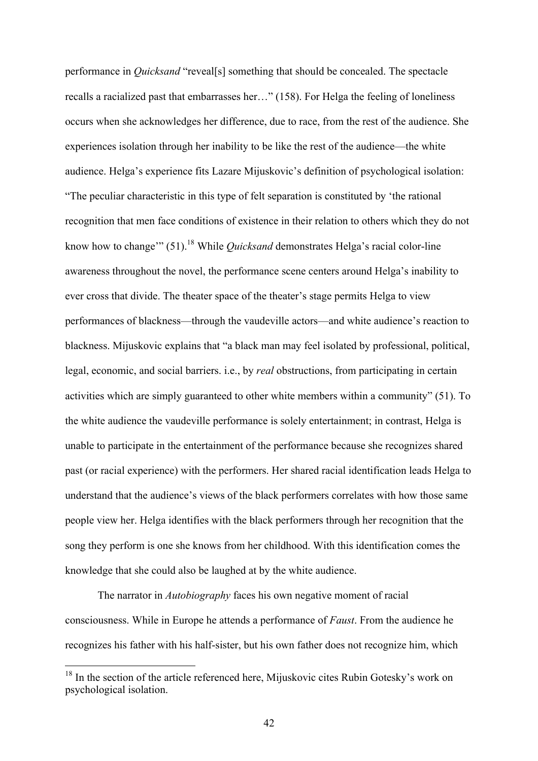performance in *Quicksand* "reveal[s] something that should be concealed. The spectacle recalls a racialized past that embarrasses her…" (158). For Helga the feeling of loneliness occurs when she acknowledges her difference, due to race, from the rest of the audience. She experiences isolation through her inability to be like the rest of the audience—the white audience. Helga's experience fits Lazare Mijuskovic's definition of psychological isolation: "The peculiar characteristic in this type of felt separation is constituted by 'the rational recognition that men face conditions of existence in their relation to others which they do not know how to change'" (51).<sup>18</sup> While *Quicksand* demonstrates Helga's racial color-line awareness throughout the novel, the performance scene centers around Helga's inability to ever cross that divide. The theater space of the theater's stage permits Helga to view performances of blackness—through the vaudeville actors—and white audience's reaction to blackness. Mijuskovic explains that "a black man may feel isolated by professional, political, legal, economic, and social barriers. i.e., by *real* obstructions, from participating in certain activities which are simply guaranteed to other white members within a community" (51). To the white audience the vaudeville performance is solely entertainment; in contrast, Helga is unable to participate in the entertainment of the performance because she recognizes shared past (or racial experience) with the performers. Her shared racial identification leads Helga to understand that the audience's views of the black performers correlates with how those same people view her. Helga identifies with the black performers through her recognition that the song they perform is one she knows from her childhood. With this identification comes the knowledge that she could also be laughed at by the white audience.

The narrator in *Autobiography* faces his own negative moment of racial consciousness. While in Europe he attends a performance of *Faust*. From the audience he recognizes his father with his half-sister, but his own father does not recognize him, which

<sup>&</sup>lt;sup>18</sup> In the section of the article referenced here, Mijuskovic cites Rubin Gotesky's work on psychological isolation.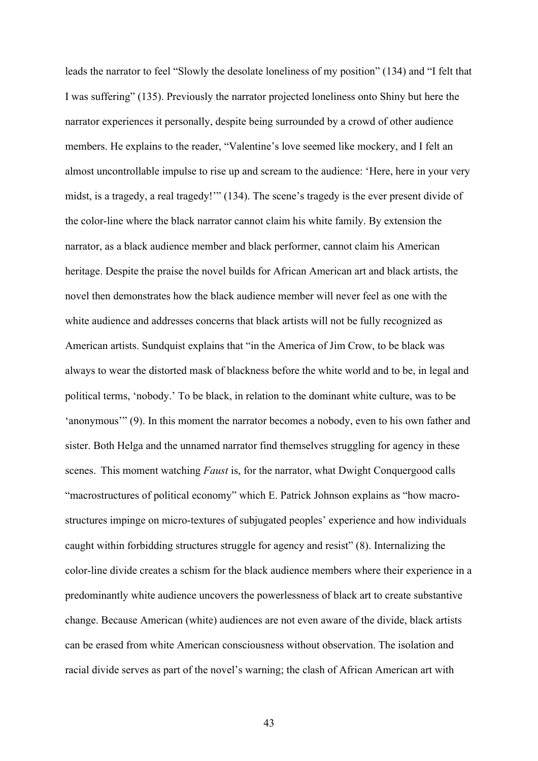leads the narrator to feel "Slowly the desolate loneliness of my position" (134) and "I felt that I was suffering" (135). Previously the narrator projected loneliness onto Shiny but here the narrator experiences it personally, despite being surrounded by a crowd of other audience members. He explains to the reader, "Valentine's love seemed like mockery, and I felt an almost uncontrollable impulse to rise up and scream to the audience: 'Here, here in your very midst, is a tragedy, a real tragedy!'" (134). The scene's tragedy is the ever present divide of the color-line where the black narrator cannot claim his white family. By extension the narrator, as a black audience member and black performer, cannot claim his American heritage. Despite the praise the novel builds for African American art and black artists, the novel then demonstrates how the black audience member will never feel as one with the white audience and addresses concerns that black artists will not be fully recognized as American artists. Sundquist explains that "in the America of Jim Crow, to be black was always to wear the distorted mask of blackness before the white world and to be, in legal and political terms, 'nobody.' To be black, in relation to the dominant white culture, was to be 'anonymous'" (9). In this moment the narrator becomes a nobody, even to his own father and sister. Both Helga and the unnamed narrator find themselves struggling for agency in these scenes. This moment watching *Faust* is, for the narrator, what Dwight Conquergood calls "macrostructures of political economy" which E. Patrick Johnson explains as "how macrostructures impinge on micro-textures of subjugated peoples' experience and how individuals caught within forbidding structures struggle for agency and resist" (8). Internalizing the color-line divide creates a schism for the black audience members where their experience in a predominantly white audience uncovers the powerlessness of black art to create substantive change. Because American (white) audiences are not even aware of the divide, black artists can be erased from white American consciousness without observation. The isolation and racial divide serves as part of the novel's warning; the clash of African American art with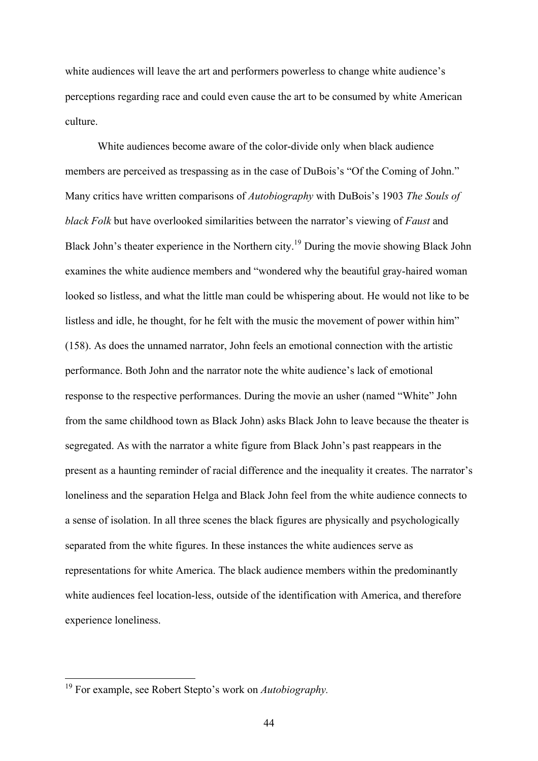white audiences will leave the art and performers powerless to change white audience's perceptions regarding race and could even cause the art to be consumed by white American culture.

White audiences become aware of the color-divide only when black audience members are perceived as trespassing as in the case of DuBois's "Of the Coming of John." Many critics have written comparisons of *Autobiography* with DuBois's 1903 *The Souls of black Folk* but have overlooked similarities between the narrator's viewing of *Faust* and Black John's theater experience in the Northern city.<sup>19</sup> During the movie showing Black John examines the white audience members and "wondered why the beautiful gray-haired woman looked so listless, and what the little man could be whispering about. He would not like to be listless and idle, he thought, for he felt with the music the movement of power within him" (158). As does the unnamed narrator, John feels an emotional connection with the artistic performance. Both John and the narrator note the white audience's lack of emotional response to the respective performances. During the movie an usher (named "White" John from the same childhood town as Black John) asks Black John to leave because the theater is segregated. As with the narrator a white figure from Black John's past reappears in the present as a haunting reminder of racial difference and the inequality it creates. The narrator's loneliness and the separation Helga and Black John feel from the white audience connects to a sense of isolation. In all three scenes the black figures are physically and psychologically separated from the white figures. In these instances the white audiences serve as representations for white America. The black audience members within the predominantly white audiences feel location-less, outside of the identification with America, and therefore experience loneliness.

 <sup>19</sup> For example, see Robert Stepto's work on *Autobiography.*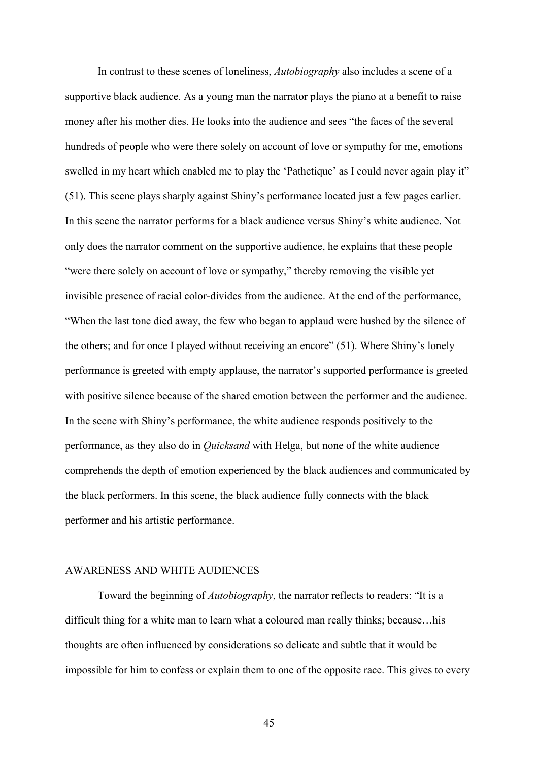In contrast to these scenes of loneliness, *Autobiography* also includes a scene of a supportive black audience. As a young man the narrator plays the piano at a benefit to raise money after his mother dies. He looks into the audience and sees "the faces of the several hundreds of people who were there solely on account of love or sympathy for me, emotions swelled in my heart which enabled me to play the 'Pathetique' as I could never again play it" (51). This scene plays sharply against Shiny's performance located just a few pages earlier. In this scene the narrator performs for a black audience versus Shiny's white audience. Not only does the narrator comment on the supportive audience, he explains that these people "were there solely on account of love or sympathy," thereby removing the visible yet invisible presence of racial color-divides from the audience. At the end of the performance, "When the last tone died away, the few who began to applaud were hushed by the silence of the others; and for once I played without receiving an encore" (51). Where Shiny's lonely performance is greeted with empty applause, the narrator's supported performance is greeted with positive silence because of the shared emotion between the performer and the audience. In the scene with Shiny's performance, the white audience responds positively to the performance, as they also do in *Quicksand* with Helga, but none of the white audience comprehends the depth of emotion experienced by the black audiences and communicated by the black performers. In this scene, the black audience fully connects with the black performer and his artistic performance.

# AWARENESS AND WHITE AUDIENCES

Toward the beginning of *Autobiography*, the narrator reflects to readers: "It is a difficult thing for a white man to learn what a coloured man really thinks; because…his thoughts are often influenced by considerations so delicate and subtle that it would be impossible for him to confess or explain them to one of the opposite race. This gives to every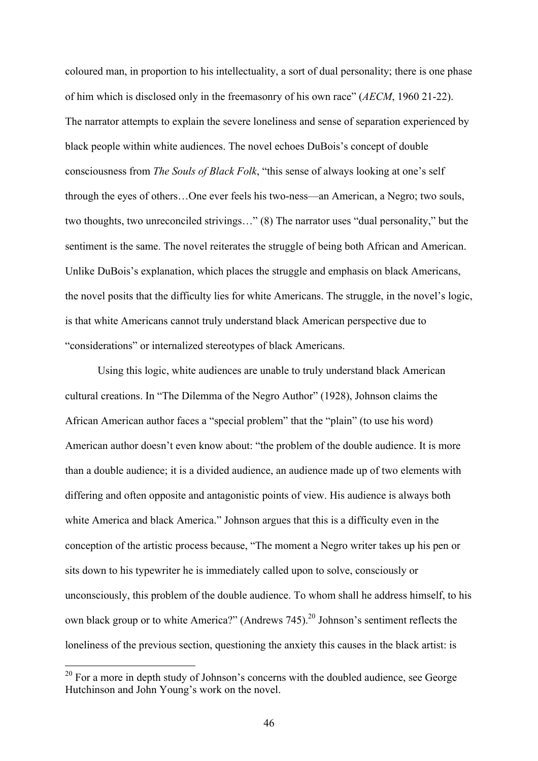coloured man, in proportion to his intellectuality, a sort of dual personality; there is one phase of him which is disclosed only in the freemasonry of his own race" (*AECM*, 1960 21-22). The narrator attempts to explain the severe loneliness and sense of separation experienced by black people within white audiences. The novel echoes DuBois's concept of double consciousness from *The Souls of Black Folk*, "this sense of always looking at one's self through the eyes of others…One ever feels his two-ness—an American, a Negro; two souls, two thoughts, two unreconciled strivings…" (8) The narrator uses "dual personality," but the sentiment is the same. The novel reiterates the struggle of being both African and American. Unlike DuBois's explanation, which places the struggle and emphasis on black Americans, the novel posits that the difficulty lies for white Americans. The struggle, in the novel's logic, is that white Americans cannot truly understand black American perspective due to "considerations" or internalized stereotypes of black Americans.

Using this logic, white audiences are unable to truly understand black American cultural creations. In "The Dilemma of the Negro Author" (1928), Johnson claims the African American author faces a "special problem" that the "plain" (to use his word) American author doesn't even know about: "the problem of the double audience. It is more than a double audience; it is a divided audience, an audience made up of two elements with differing and often opposite and antagonistic points of view. His audience is always both white America and black America." Johnson argues that this is a difficulty even in the conception of the artistic process because, "The moment a Negro writer takes up his pen or sits down to his typewriter he is immediately called upon to solve, consciously or unconsciously, this problem of the double audience. To whom shall he address himself, to his own black group or to white America?" (Andrews 745).<sup>20</sup> Johnson's sentiment reflects the loneliness of the previous section, questioning the anxiety this causes in the black artist: is

 $20$  For a more in depth study of Johnson's concerns with the doubled audience, see George Hutchinson and John Young's work on the novel.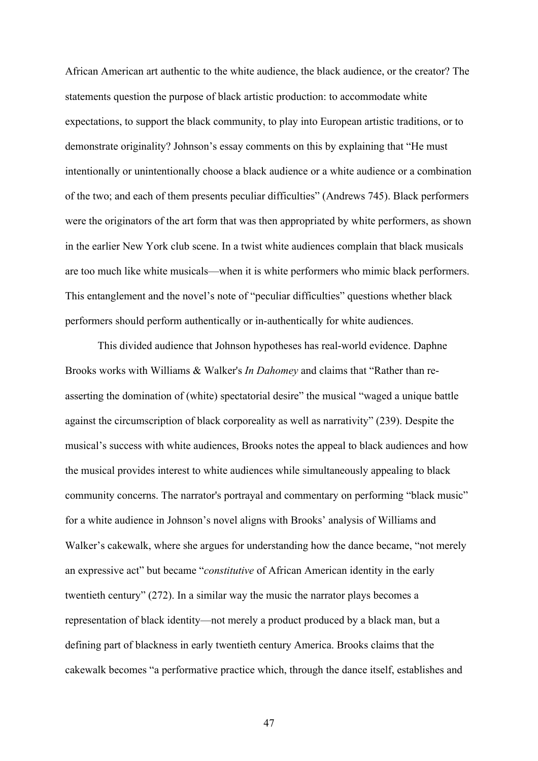African American art authentic to the white audience, the black audience, or the creator? The statements question the purpose of black artistic production: to accommodate white expectations, to support the black community, to play into European artistic traditions, or to demonstrate originality? Johnson's essay comments on this by explaining that "He must intentionally or unintentionally choose a black audience or a white audience or a combination of the two; and each of them presents peculiar difficulties" (Andrews 745). Black performers were the originators of the art form that was then appropriated by white performers, as shown in the earlier New York club scene. In a twist white audiences complain that black musicals are too much like white musicals—when it is white performers who mimic black performers. This entanglement and the novel's note of "peculiar difficulties" questions whether black performers should perform authentically or in-authentically for white audiences.

This divided audience that Johnson hypotheses has real-world evidence. Daphne Brooks works with Williams & Walker's *In Dahomey* and claims that "Rather than reasserting the domination of (white) spectatorial desire" the musical "waged a unique battle against the circumscription of black corporeality as well as narrativity" (239). Despite the musical's success with white audiences, Brooks notes the appeal to black audiences and how the musical provides interest to white audiences while simultaneously appealing to black community concerns. The narrator's portrayal and commentary on performing "black music" for a white audience in Johnson's novel aligns with Brooks' analysis of Williams and Walker's cakewalk, where she argues for understanding how the dance became, "not merely an expressive act" but became "*constitutive* of African American identity in the early twentieth century" (272). In a similar way the music the narrator plays becomes a representation of black identity—not merely a product produced by a black man, but a defining part of blackness in early twentieth century America. Brooks claims that the cakewalk becomes "a performative practice which, through the dance itself, establishes and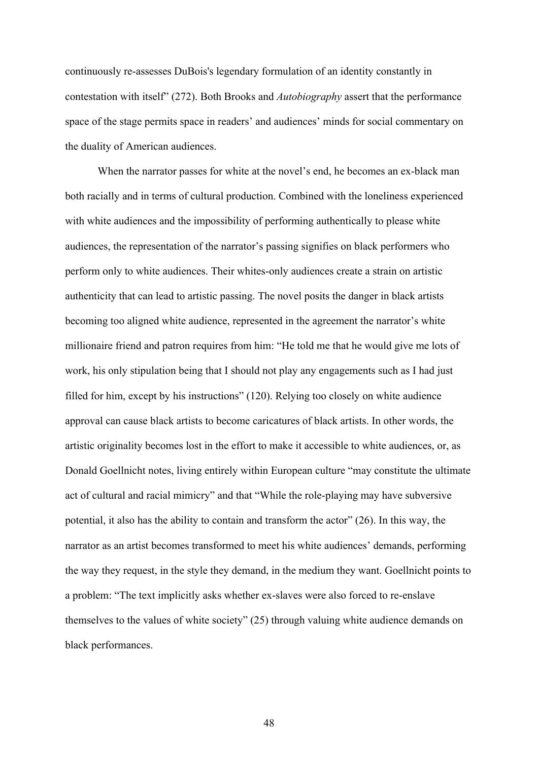continuously re-assesses DuBois's legendary formulation of an identity constantly in contestation with itself" (272). Both Brooks and *Autobiography* assert that the performance space of the stage permits space in readers' and audiences' minds for social commentary on the duality of American audiences.

When the narrator passes for white at the novel's end, he becomes an ex-black man both racially and in terms of cultural production. Combined with the loneliness experienced with white audiences and the impossibility of performing authentically to please white audiences, the representation of the narrator's passing signifies on black performers who perform only to white audiences. Their whites-only audiences create a strain on artistic authenticity that can lead to artistic passing. The novel posits the danger in black artists becoming too aligned white audience, represented in the agreement the narrator's white millionaire friend and patron requires from him: "He told me that he would give me lots of work, his only stipulation being that I should not play any engagements such as I had just filled for him, except by his instructions" (120). Relying too closely on white audience approval can cause black artists to become caricatures of black artists. In other words, the artistic originality becomes lost in the effort to make it accessible to white audiences, or, as Donald Goellnicht notes, living entirely within European culture "may constitute the ultimate act of cultural and racial mimicry" and that "While the role-playing may have subversive potential, it also has the ability to contain and transform the actor" (26). In this way, the narrator as an artist becomes transformed to meet his white audiences' demands, performing the way they request, in the style they demand, in the medium they want. Goellnicht points to a problem: "The text implicitly asks whether ex-slaves were also forced to re-enslave themselves to the values of white society" (25) through valuing white audience demands on black performances.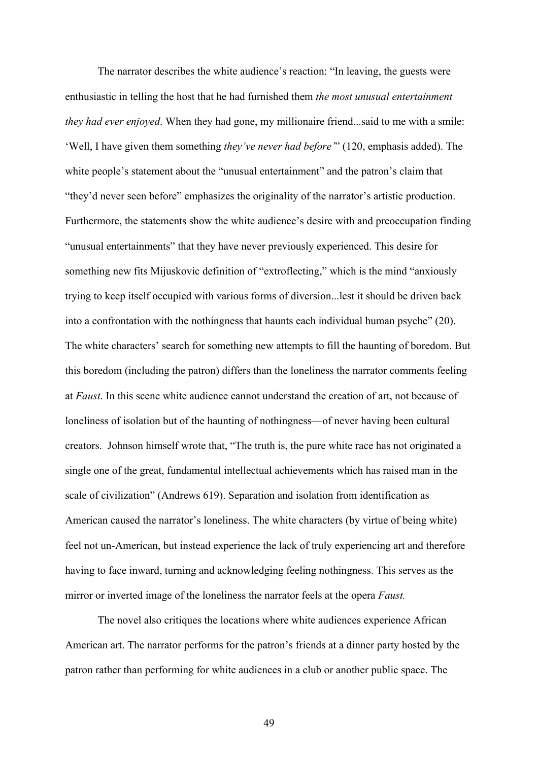The narrator describes the white audience's reaction: "In leaving, the guests were enthusiastic in telling the host that he had furnished them *the most unusual entertainment they had ever enjoyed*. When they had gone, my millionaire friend...said to me with a smile: 'Well, I have given them something *they've never had before'*" (120, emphasis added). The white people's statement about the "unusual entertainment" and the patron's claim that "they'd never seen before" emphasizes the originality of the narrator's artistic production. Furthermore, the statements show the white audience's desire with and preoccupation finding "unusual entertainments" that they have never previously experienced. This desire for something new fits Mijuskovic definition of "extroflecting," which is the mind "anxiously trying to keep itself occupied with various forms of diversion...lest it should be driven back into a confrontation with the nothingness that haunts each individual human psyche" (20). The white characters' search for something new attempts to fill the haunting of boredom. But this boredom (including the patron) differs than the loneliness the narrator comments feeling at *Faust*. In this scene white audience cannot understand the creation of art, not because of loneliness of isolation but of the haunting of nothingness—of never having been cultural creators. Johnson himself wrote that, "The truth is, the pure white race has not originated a single one of the great, fundamental intellectual achievements which has raised man in the scale of civilization" (Andrews 619). Separation and isolation from identification as American caused the narrator's loneliness. The white characters (by virtue of being white) feel not un-American, but instead experience the lack of truly experiencing art and therefore having to face inward, turning and acknowledging feeling nothingness. This serves as the mirror or inverted image of the loneliness the narrator feels at the opera *Faust.*

The novel also critiques the locations where white audiences experience African American art. The narrator performs for the patron's friends at a dinner party hosted by the patron rather than performing for white audiences in a club or another public space. The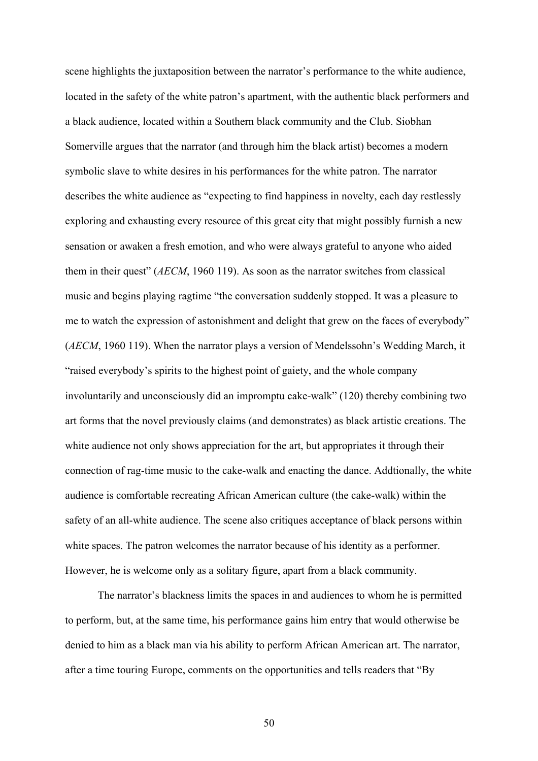scene highlights the juxtaposition between the narrator's performance to the white audience, located in the safety of the white patron's apartment, with the authentic black performers and a black audience, located within a Southern black community and the Club. Siobhan Somerville argues that the narrator (and through him the black artist) becomes a modern symbolic slave to white desires in his performances for the white patron. The narrator describes the white audience as "expecting to find happiness in novelty, each day restlessly exploring and exhausting every resource of this great city that might possibly furnish a new sensation or awaken a fresh emotion, and who were always grateful to anyone who aided them in their quest" (*AECM*, 1960 119). As soon as the narrator switches from classical music and begins playing ragtime "the conversation suddenly stopped. It was a pleasure to me to watch the expression of astonishment and delight that grew on the faces of everybody" (*AECM*, 1960 119). When the narrator plays a version of Mendelssohn's Wedding March, it "raised everybody's spirits to the highest point of gaiety, and the whole company involuntarily and unconsciously did an impromptu cake-walk" (120) thereby combining two art forms that the novel previously claims (and demonstrates) as black artistic creations. The white audience not only shows appreciation for the art, but appropriates it through their connection of rag-time music to the cake-walk and enacting the dance. Addtionally, the white audience is comfortable recreating African American culture (the cake-walk) within the safety of an all-white audience. The scene also critiques acceptance of black persons within white spaces. The patron welcomes the narrator because of his identity as a performer. However, he is welcome only as a solitary figure, apart from a black community.

The narrator's blackness limits the spaces in and audiences to whom he is permitted to perform, but, at the same time, his performance gains him entry that would otherwise be denied to him as a black man via his ability to perform African American art. The narrator, after a time touring Europe, comments on the opportunities and tells readers that "By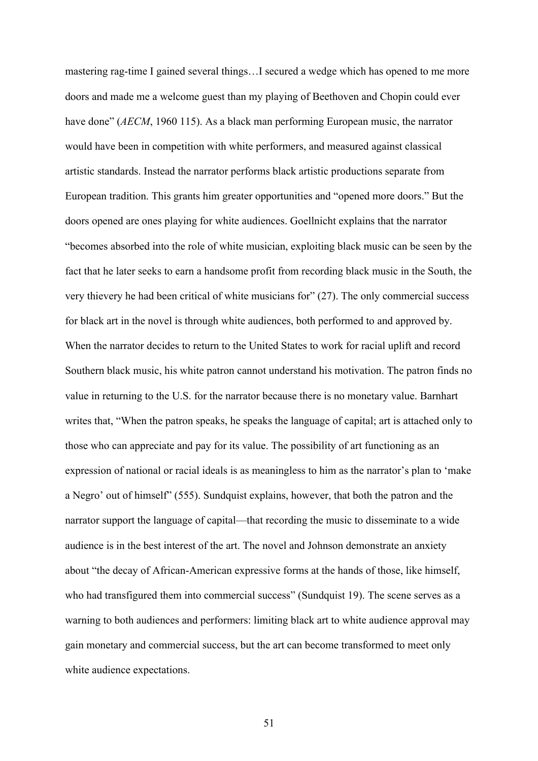mastering rag-time I gained several things…I secured a wedge which has opened to me more doors and made me a welcome guest than my playing of Beethoven and Chopin could ever have done" (*AECM*, 1960 115). As a black man performing European music, the narrator would have been in competition with white performers, and measured against classical artistic standards. Instead the narrator performs black artistic productions separate from European tradition. This grants him greater opportunities and "opened more doors." But the doors opened are ones playing for white audiences. Goellnicht explains that the narrator "becomes absorbed into the role of white musician, exploiting black music can be seen by the fact that he later seeks to earn a handsome profit from recording black music in the South, the very thievery he had been critical of white musicians for" (27). The only commercial success for black art in the novel is through white audiences, both performed to and approved by. When the narrator decides to return to the United States to work for racial uplift and record Southern black music, his white patron cannot understand his motivation. The patron finds no value in returning to the U.S. for the narrator because there is no monetary value. Barnhart writes that, "When the patron speaks, he speaks the language of capital; art is attached only to those who can appreciate and pay for its value. The possibility of art functioning as an expression of national or racial ideals is as meaningless to him as the narrator's plan to 'make a Negro' out of himself" (555). Sundquist explains, however, that both the patron and the narrator support the language of capital—that recording the music to disseminate to a wide audience is in the best interest of the art. The novel and Johnson demonstrate an anxiety about "the decay of African-American expressive forms at the hands of those, like himself, who had transfigured them into commercial success" (Sundquist 19). The scene serves as a warning to both audiences and performers: limiting black art to white audience approval may gain monetary and commercial success, but the art can become transformed to meet only white audience expectations.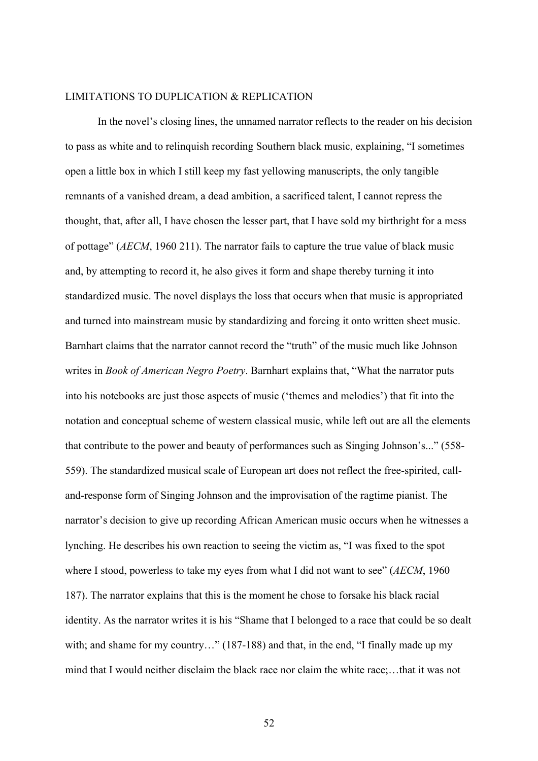#### LIMITATIONS TO DUPLICATION & REPLICATION

In the novel's closing lines, the unnamed narrator reflects to the reader on his decision to pass as white and to relinquish recording Southern black music, explaining, "I sometimes open a little box in which I still keep my fast yellowing manuscripts, the only tangible remnants of a vanished dream, a dead ambition, a sacrificed talent, I cannot repress the thought, that, after all, I have chosen the lesser part, that I have sold my birthright for a mess of pottage" (*AECM*, 1960 211). The narrator fails to capture the true value of black music and, by attempting to record it, he also gives it form and shape thereby turning it into standardized music. The novel displays the loss that occurs when that music is appropriated and turned into mainstream music by standardizing and forcing it onto written sheet music. Barnhart claims that the narrator cannot record the "truth" of the music much like Johnson writes in *Book of American Negro Poetry*. Barnhart explains that, "What the narrator puts into his notebooks are just those aspects of music ('themes and melodies') that fit into the notation and conceptual scheme of western classical music, while left out are all the elements that contribute to the power and beauty of performances such as Singing Johnson's..." (558- 559). The standardized musical scale of European art does not reflect the free-spirited, calland-response form of Singing Johnson and the improvisation of the ragtime pianist. The narrator's decision to give up recording African American music occurs when he witnesses a lynching. He describes his own reaction to seeing the victim as, "I was fixed to the spot where I stood, powerless to take my eyes from what I did not want to see" (*AECM*, 1960 187). The narrator explains that this is the moment he chose to forsake his black racial identity. As the narrator writes it is his "Shame that I belonged to a race that could be so dealt with; and shame for my country..." (187-188) and that, in the end, "I finally made up my mind that I would neither disclaim the black race nor claim the white race;…that it was not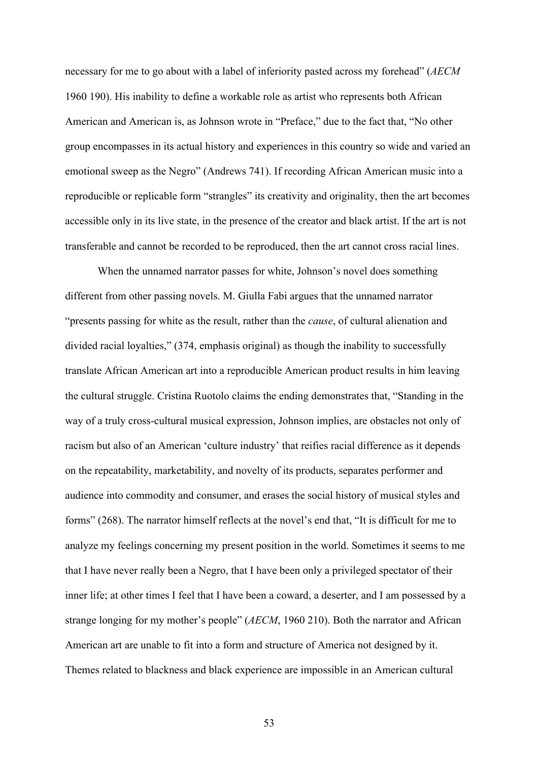necessary for me to go about with a label of inferiority pasted across my forehead" (*AECM*  1960 190). His inability to define a workable role as artist who represents both African American and American is, as Johnson wrote in "Preface," due to the fact that, "No other group encompasses in its actual history and experiences in this country so wide and varied an emotional sweep as the Negro" (Andrews 741). If recording African American music into a reproducible or replicable form "strangles" its creativity and originality, then the art becomes accessible only in its live state, in the presence of the creator and black artist. If the art is not transferable and cannot be recorded to be reproduced, then the art cannot cross racial lines.

When the unnamed narrator passes for white, Johnson's novel does something different from other passing novels. M. Giulla Fabi argues that the unnamed narrator "presents passing for white as the result, rather than the *cause*, of cultural alienation and divided racial loyalties," (374, emphasis original) as though the inability to successfully translate African American art into a reproducible American product results in him leaving the cultural struggle. Cristina Ruotolo claims the ending demonstrates that, "Standing in the way of a truly cross-cultural musical expression, Johnson implies, are obstacles not only of racism but also of an American 'culture industry' that reifies racial difference as it depends on the repeatability, marketability, and novelty of its products, separates performer and audience into commodity and consumer, and erases the social history of musical styles and forms" (268). The narrator himself reflects at the novel's end that, "It is difficult for me to analyze my feelings concerning my present position in the world. Sometimes it seems to me that I have never really been a Negro, that I have been only a privileged spectator of their inner life; at other times I feel that I have been a coward, a deserter, and I am possessed by a strange longing for my mother's people" (*AECM*, 1960 210). Both the narrator and African American art are unable to fit into a form and structure of America not designed by it. Themes related to blackness and black experience are impossible in an American cultural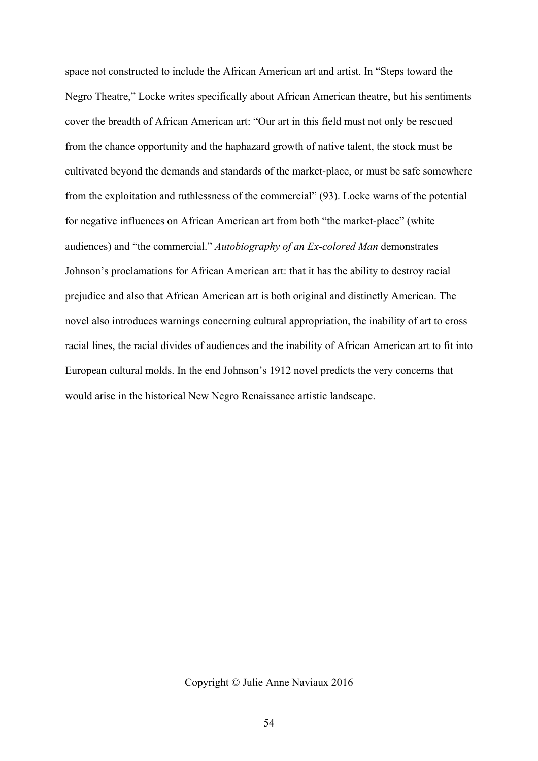space not constructed to include the African American art and artist. In "Steps toward the Negro Theatre," Locke writes specifically about African American theatre, but his sentiments cover the breadth of African American art: "Our art in this field must not only be rescued from the chance opportunity and the haphazard growth of native talent, the stock must be cultivated beyond the demands and standards of the market-place, or must be safe somewhere from the exploitation and ruthlessness of the commercial" (93). Locke warns of the potential for negative influences on African American art from both "the market-place" (white audiences) and "the commercial." *Autobiography of an Ex-colored Man* demonstrates Johnson's proclamations for African American art: that it has the ability to destroy racial prejudice and also that African American art is both original and distinctly American. The novel also introduces warnings concerning cultural appropriation, the inability of art to cross racial lines, the racial divides of audiences and the inability of African American art to fit into European cultural molds. In the end Johnson's 1912 novel predicts the very concerns that would arise in the historical New Negro Renaissance artistic landscape.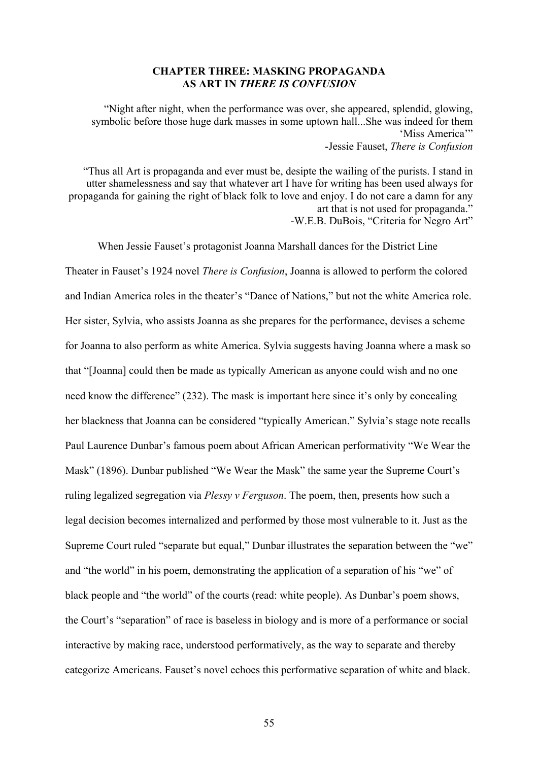### **CHAPTER THREE: MASKING PROPAGANDA AS ART IN** *THERE IS CONFUSION*

"Night after night, when the performance was over, she appeared, splendid, glowing, symbolic before those huge dark masses in some uptown hall...She was indeed for them 'Miss America'" -Jessie Fauset, *There is Confusion*

"Thus all Art is propaganda and ever must be, desipte the wailing of the purists. I stand in utter shamelessness and say that whatever art I have for writing has been used always for propaganda for gaining the right of black folk to love and enjoy. I do not care a damn for any art that is not used for propaganda." -W.E.B. DuBois, "Criteria for Negro Art"

When Jessie Fauset's protagonist Joanna Marshall dances for the District Line Theater in Fauset's 1924 novel *There is Confusion*, Joanna is allowed to perform the colored and Indian America roles in the theater's "Dance of Nations," but not the white America role. Her sister, Sylvia, who assists Joanna as she prepares for the performance, devises a scheme for Joanna to also perform as white America. Sylvia suggests having Joanna where a mask so that "[Joanna] could then be made as typically American as anyone could wish and no one need know the difference" (232). The mask is important here since it's only by concealing her blackness that Joanna can be considered "typically American." Sylvia's stage note recalls Paul Laurence Dunbar's famous poem about African American performativity "We Wear the Mask" (1896). Dunbar published "We Wear the Mask" the same year the Supreme Court's ruling legalized segregation via *Plessy v Ferguson*. The poem, then, presents how such a legal decision becomes internalized and performed by those most vulnerable to it. Just as the Supreme Court ruled "separate but equal," Dunbar illustrates the separation between the "we" and "the world" in his poem, demonstrating the application of a separation of his "we" of black people and "the world" of the courts (read: white people). As Dunbar's poem shows, the Court's "separation" of race is baseless in biology and is more of a performance or social interactive by making race, understood performatively, as the way to separate and thereby categorize Americans. Fauset's novel echoes this performative separation of white and black.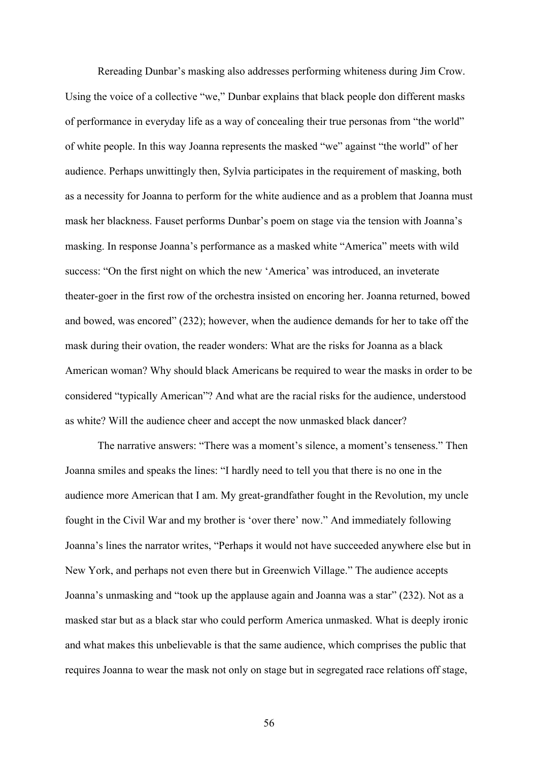Rereading Dunbar's masking also addresses performing whiteness during Jim Crow. Using the voice of a collective "we," Dunbar explains that black people don different masks of performance in everyday life as a way of concealing their true personas from "the world" of white people. In this way Joanna represents the masked "we" against "the world" of her audience. Perhaps unwittingly then, Sylvia participates in the requirement of masking, both as a necessity for Joanna to perform for the white audience and as a problem that Joanna must mask her blackness. Fauset performs Dunbar's poem on stage via the tension with Joanna's masking. In response Joanna's performance as a masked white "America" meets with wild success: "On the first night on which the new 'America' was introduced, an inveterate theater-goer in the first row of the orchestra insisted on encoring her. Joanna returned, bowed and bowed, was encored" (232); however, when the audience demands for her to take off the mask during their ovation, the reader wonders: What are the risks for Joanna as a black American woman? Why should black Americans be required to wear the masks in order to be considered "typically American"? And what are the racial risks for the audience, understood as white? Will the audience cheer and accept the now unmasked black dancer?

The narrative answers: "There was a moment's silence, a moment's tenseness." Then Joanna smiles and speaks the lines: "I hardly need to tell you that there is no one in the audience more American that I am. My great-grandfather fought in the Revolution, my uncle fought in the Civil War and my brother is 'over there' now." And immediately following Joanna's lines the narrator writes, "Perhaps it would not have succeeded anywhere else but in New York, and perhaps not even there but in Greenwich Village." The audience accepts Joanna's unmasking and "took up the applause again and Joanna was a star" (232). Not as a masked star but as a black star who could perform America unmasked. What is deeply ironic and what makes this unbelievable is that the same audience, which comprises the public that requires Joanna to wear the mask not only on stage but in segregated race relations off stage,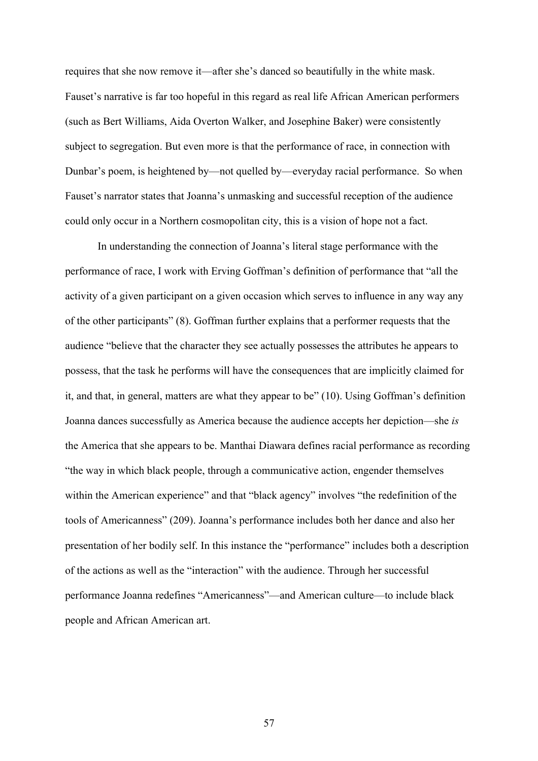requires that she now remove it—after she's danced so beautifully in the white mask. Fauset's narrative is far too hopeful in this regard as real life African American performers (such as Bert Williams, Aida Overton Walker, and Josephine Baker) were consistently subject to segregation. But even more is that the performance of race, in connection with Dunbar's poem, is heightened by—not quelled by—everyday racial performance. So when Fauset's narrator states that Joanna's unmasking and successful reception of the audience could only occur in a Northern cosmopolitan city, this is a vision of hope not a fact.

In understanding the connection of Joanna's literal stage performance with the performance of race, I work with Erving Goffman's definition of performance that "all the activity of a given participant on a given occasion which serves to influence in any way any of the other participants" (8). Goffman further explains that a performer requests that the audience "believe that the character they see actually possesses the attributes he appears to possess, that the task he performs will have the consequences that are implicitly claimed for it, and that, in general, matters are what they appear to be" (10). Using Goffman's definition Joanna dances successfully as America because the audience accepts her depiction—she *is* the America that she appears to be. Manthai Diawara defines racial performance as recording "the way in which black people, through a communicative action, engender themselves within the American experience" and that "black agency" involves "the redefinition of the tools of Americanness" (209). Joanna's performance includes both her dance and also her presentation of her bodily self. In this instance the "performance" includes both a description of the actions as well as the "interaction" with the audience. Through her successful performance Joanna redefines "Americanness"—and American culture—to include black people and African American art.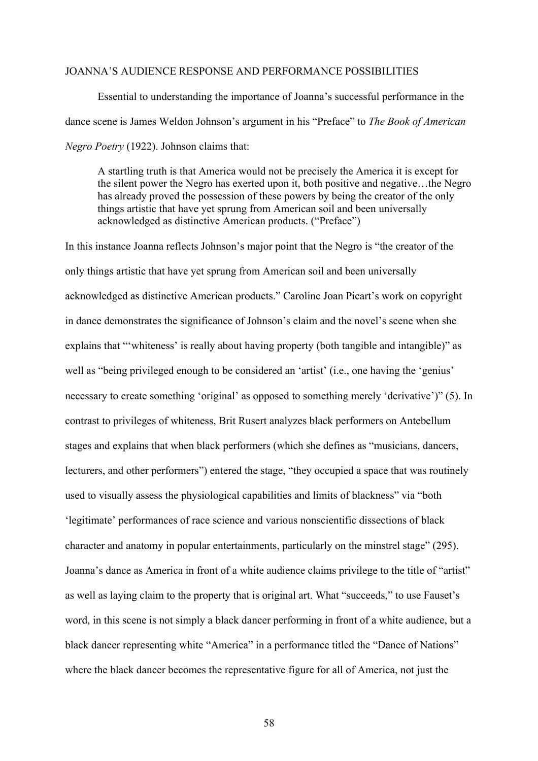#### JOANNA'S AUDIENCE RESPONSE AND PERFORMANCE POSSIBILITIES

Essential to understanding the importance of Joanna's successful performance in the dance scene is James Weldon Johnson's argument in his "Preface" to *The Book of American Negro Poetry* (1922). Johnson claims that:

A startling truth is that America would not be precisely the America it is except for the silent power the Negro has exerted upon it, both positive and negative…the Negro has already proved the possession of these powers by being the creator of the only things artistic that have yet sprung from American soil and been universally acknowledged as distinctive American products. ("Preface")

In this instance Joanna reflects Johnson's major point that the Negro is "the creator of the only things artistic that have yet sprung from American soil and been universally acknowledged as distinctive American products." Caroline Joan Picart's work on copyright in dance demonstrates the significance of Johnson's claim and the novel's scene when she explains that "'whiteness' is really about having property (both tangible and intangible)" as well as "being privileged enough to be considered an 'artist' (i.e., one having the 'genius' necessary to create something 'original' as opposed to something merely 'derivative')" (5). In contrast to privileges of whiteness, Brit Rusert analyzes black performers on Antebellum stages and explains that when black performers (which she defines as "musicians, dancers, lecturers, and other performers") entered the stage, "they occupied a space that was routinely used to visually assess the physiological capabilities and limits of blackness" via "both 'legitimate' performances of race science and various nonscientific dissections of black character and anatomy in popular entertainments, particularly on the minstrel stage" (295). Joanna's dance as America in front of a white audience claims privilege to the title of "artist" as well as laying claim to the property that is original art. What "succeeds," to use Fauset's word, in this scene is not simply a black dancer performing in front of a white audience, but a black dancer representing white "America" in a performance titled the "Dance of Nations" where the black dancer becomes the representative figure for all of America, not just the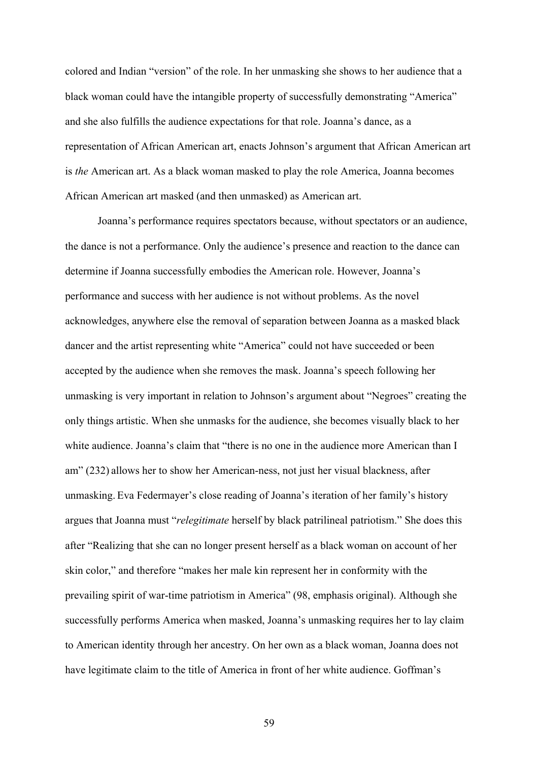colored and Indian "version" of the role. In her unmasking she shows to her audience that a black woman could have the intangible property of successfully demonstrating "America" and she also fulfills the audience expectations for that role. Joanna's dance, as a representation of African American art, enacts Johnson's argument that African American art is *the* American art. As a black woman masked to play the role America, Joanna becomes African American art masked (and then unmasked) as American art.

Joanna's performance requires spectators because, without spectators or an audience, the dance is not a performance. Only the audience's presence and reaction to the dance can determine if Joanna successfully embodies the American role. However, Joanna's performance and success with her audience is not without problems. As the novel acknowledges, anywhere else the removal of separation between Joanna as a masked black dancer and the artist representing white "America" could not have succeeded or been accepted by the audience when she removes the mask. Joanna's speech following her unmasking is very important in relation to Johnson's argument about "Negroes" creating the only things artistic. When she unmasks for the audience, she becomes visually black to her white audience. Joanna's claim that "there is no one in the audience more American than I am" (232) allows her to show her American-ness, not just her visual blackness, after unmasking. Eva Federmayer's close reading of Joanna's iteration of her family's history argues that Joanna must "*relegitimate* herself by black patrilineal patriotism." She does this after "Realizing that she can no longer present herself as a black woman on account of her skin color," and therefore "makes her male kin represent her in conformity with the prevailing spirit of war-time patriotism in America" (98, emphasis original). Although she successfully performs America when masked, Joanna's unmasking requires her to lay claim to American identity through her ancestry. On her own as a black woman, Joanna does not have legitimate claim to the title of America in front of her white audience. Goffman's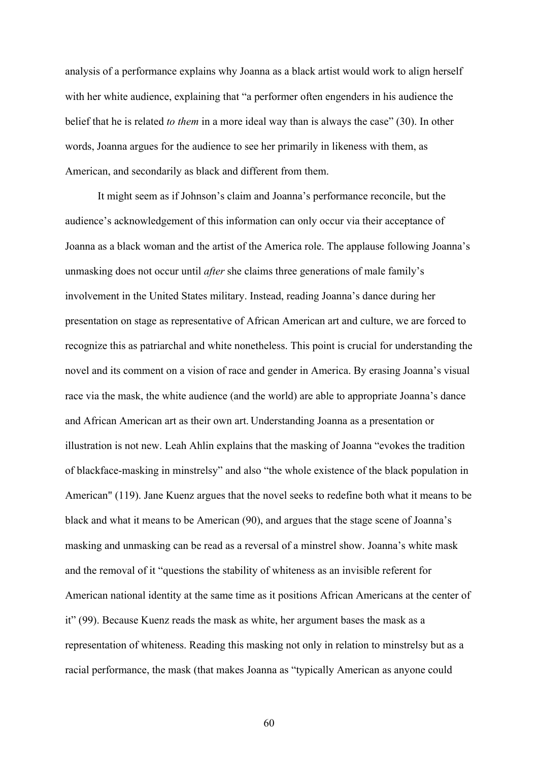analysis of a performance explains why Joanna as a black artist would work to align herself with her white audience, explaining that "a performer often engenders in his audience the belief that he is related *to them* in a more ideal way than is always the case" (30). In other words, Joanna argues for the audience to see her primarily in likeness with them, as American, and secondarily as black and different from them.

It might seem as if Johnson's claim and Joanna's performance reconcile, but the audience's acknowledgement of this information can only occur via their acceptance of Joanna as a black woman and the artist of the America role. The applause following Joanna's unmasking does not occur until *after* she claims three generations of male family's involvement in the United States military. Instead, reading Joanna's dance during her presentation on stage as representative of African American art and culture, we are forced to recognize this as patriarchal and white nonetheless. This point is crucial for understanding the novel and its comment on a vision of race and gender in America. By erasing Joanna's visual race via the mask, the white audience (and the world) are able to appropriate Joanna's dance and African American art as their own art. Understanding Joanna as a presentation or illustration is not new. Leah Ahlin explains that the masking of Joanna "evokes the tradition of blackface-masking in minstrelsy" and also "the whole existence of the black population in American" (119). Jane Kuenz argues that the novel seeks to redefine both what it means to be black and what it means to be American (90), and argues that the stage scene of Joanna's masking and unmasking can be read as a reversal of a minstrel show. Joanna's white mask and the removal of it "questions the stability of whiteness as an invisible referent for American national identity at the same time as it positions African Americans at the center of it" (99). Because Kuenz reads the mask as white, her argument bases the mask as a representation of whiteness. Reading this masking not only in relation to minstrelsy but as a racial performance, the mask (that makes Joanna as "typically American as anyone could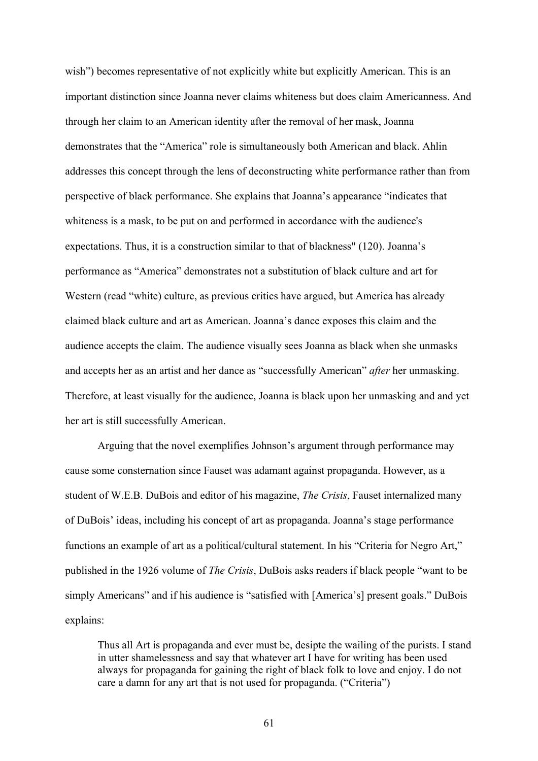wish") becomes representative of not explicitly white but explicitly American. This is an important distinction since Joanna never claims whiteness but does claim Americanness. And through her claim to an American identity after the removal of her mask, Joanna demonstrates that the "America" role is simultaneously both American and black. Ahlin addresses this concept through the lens of deconstructing white performance rather than from perspective of black performance. She explains that Joanna's appearance "indicates that whiteness is a mask, to be put on and performed in accordance with the audience's expectations. Thus, it is a construction similar to that of blackness" (120). Joanna's performance as "America" demonstrates not a substitution of black culture and art for Western (read "white) culture, as previous critics have argued, but America has already claimed black culture and art as American. Joanna's dance exposes this claim and the audience accepts the claim. The audience visually sees Joanna as black when she unmasks and accepts her as an artist and her dance as "successfully American" *after* her unmasking. Therefore, at least visually for the audience, Joanna is black upon her unmasking and and yet her art is still successfully American.

Arguing that the novel exemplifies Johnson's argument through performance may cause some consternation since Fauset was adamant against propaganda. However, as a student of W.E.B. DuBois and editor of his magazine, *The Crisis*, Fauset internalized many of DuBois' ideas, including his concept of art as propaganda. Joanna's stage performance functions an example of art as a political/cultural statement. In his "Criteria for Negro Art," published in the 1926 volume of *The Crisis*, DuBois asks readers if black people "want to be simply Americans" and if his audience is "satisfied with [America's] present goals." DuBois explains:

Thus all Art is propaganda and ever must be, desipte the wailing of the purists. I stand in utter shamelessness and say that whatever art I have for writing has been used always for propaganda for gaining the right of black folk to love and enjoy. I do not care a damn for any art that is not used for propaganda. ("Criteria")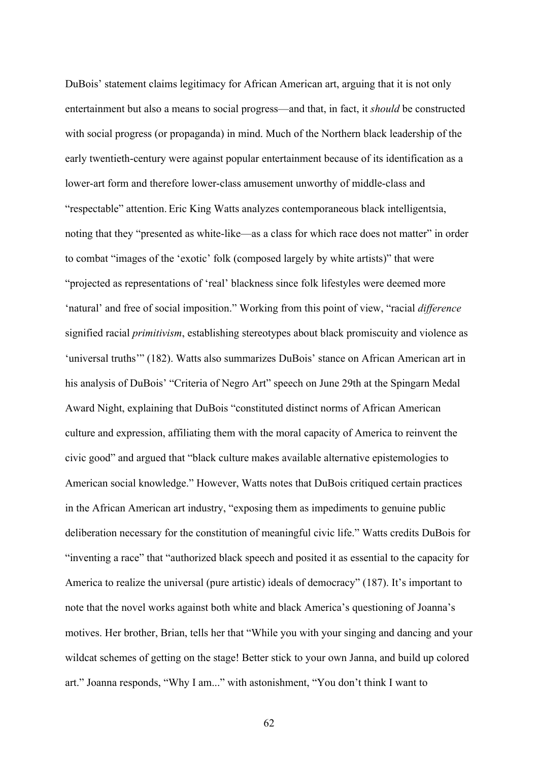DuBois' statement claims legitimacy for African American art, arguing that it is not only entertainment but also a means to social progress—and that, in fact, it *should* be constructed with social progress (or propaganda) in mind. Much of the Northern black leadership of the early twentieth-century were against popular entertainment because of its identification as a lower-art form and therefore lower-class amusement unworthy of middle-class and "respectable" attention. Eric King Watts analyzes contemporaneous black intelligentsia, noting that they "presented as white-like—as a class for which race does not matter" in order to combat "images of the 'exotic' folk (composed largely by white artists)" that were "projected as representations of 'real' blackness since folk lifestyles were deemed more 'natural' and free of social imposition." Working from this point of view, "racial *difference* signified racial *primitivism*, establishing stereotypes about black promiscuity and violence as 'universal truths'" (182). Watts also summarizes DuBois' stance on African American art in his analysis of DuBois' "Criteria of Negro Art" speech on June 29th at the Spingarn Medal Award Night, explaining that DuBois "constituted distinct norms of African American culture and expression, affiliating them with the moral capacity of America to reinvent the civic good" and argued that "black culture makes available alternative epistemologies to American social knowledge." However, Watts notes that DuBois critiqued certain practices in the African American art industry, "exposing them as impediments to genuine public deliberation necessary for the constitution of meaningful civic life." Watts credits DuBois for "inventing a race" that "authorized black speech and posited it as essential to the capacity for America to realize the universal (pure artistic) ideals of democracy" (187). It's important to note that the novel works against both white and black America's questioning of Joanna's motives. Her brother, Brian, tells her that "While you with your singing and dancing and your wildcat schemes of getting on the stage! Better stick to your own Janna, and build up colored art." Joanna responds, "Why I am..." with astonishment, "You don't think I want to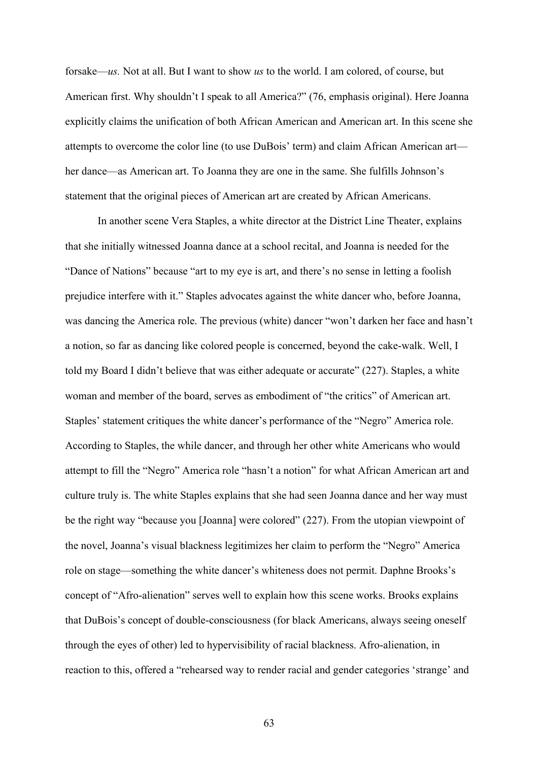forsake—*us.* Not at all. But I want to show *us* to the world. I am colored, of course, but American first. Why shouldn't I speak to all America?" (76, emphasis original). Here Joanna explicitly claims the unification of both African American and American art. In this scene she attempts to overcome the color line (to use DuBois' term) and claim African American art her dance—as American art. To Joanna they are one in the same. She fulfills Johnson's statement that the original pieces of American art are created by African Americans.

In another scene Vera Staples, a white director at the District Line Theater, explains that she initially witnessed Joanna dance at a school recital, and Joanna is needed for the "Dance of Nations" because "art to my eye is art, and there's no sense in letting a foolish prejudice interfere with it." Staples advocates against the white dancer who, before Joanna, was dancing the America role. The previous (white) dancer "won't darken her face and hasn't a notion, so far as dancing like colored people is concerned, beyond the cake-walk. Well, I told my Board I didn't believe that was either adequate or accurate" (227). Staples, a white woman and member of the board, serves as embodiment of "the critics" of American art. Staples' statement critiques the white dancer's performance of the "Negro" America role. According to Staples, the while dancer, and through her other white Americans who would attempt to fill the "Negro" America role "hasn't a notion" for what African American art and culture truly is. The white Staples explains that she had seen Joanna dance and her way must be the right way "because you [Joanna] were colored" (227). From the utopian viewpoint of the novel, Joanna's visual blackness legitimizes her claim to perform the "Negro" America role on stage—something the white dancer's whiteness does not permit. Daphne Brooks's concept of "Afro-alienation" serves well to explain how this scene works. Brooks explains that DuBois's concept of double-consciousness (for black Americans, always seeing oneself through the eyes of other) led to hypervisibility of racial blackness. Afro-alienation, in reaction to this, offered a "rehearsed way to render racial and gender categories 'strange' and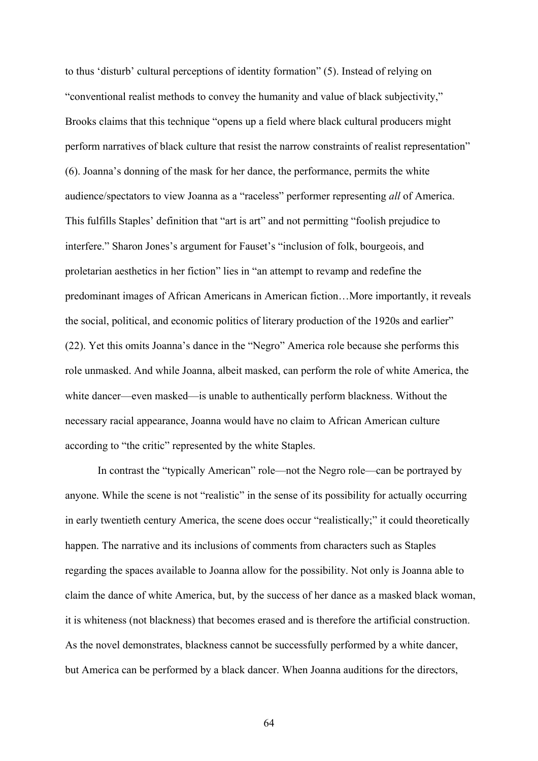to thus 'disturb' cultural perceptions of identity formation" (5). Instead of relying on "conventional realist methods to convey the humanity and value of black subjectivity," Brooks claims that this technique "opens up a field where black cultural producers might perform narratives of black culture that resist the narrow constraints of realist representation" (6). Joanna's donning of the mask for her dance, the performance, permits the white audience/spectators to view Joanna as a "raceless" performer representing *all* of America. This fulfills Staples' definition that "art is art" and not permitting "foolish prejudice to interfere." Sharon Jones's argument for Fauset's "inclusion of folk, bourgeois, and proletarian aesthetics in her fiction" lies in "an attempt to revamp and redefine the predominant images of African Americans in American fiction…More importantly, it reveals the social, political, and economic politics of literary production of the 1920s and earlier" (22). Yet this omits Joanna's dance in the "Negro" America role because she performs this role unmasked. And while Joanna, albeit masked, can perform the role of white America, the white dancer—even masked—is unable to authentically perform blackness. Without the necessary racial appearance, Joanna would have no claim to African American culture according to "the critic" represented by the white Staples.

In contrast the "typically American" role—not the Negro role—can be portrayed by anyone. While the scene is not "realistic" in the sense of its possibility for actually occurring in early twentieth century America, the scene does occur "realistically;" it could theoretically happen. The narrative and its inclusions of comments from characters such as Staples regarding the spaces available to Joanna allow for the possibility. Not only is Joanna able to claim the dance of white America, but, by the success of her dance as a masked black woman, it is whiteness (not blackness) that becomes erased and is therefore the artificial construction. As the novel demonstrates, blackness cannot be successfully performed by a white dancer, but America can be performed by a black dancer. When Joanna auditions for the directors,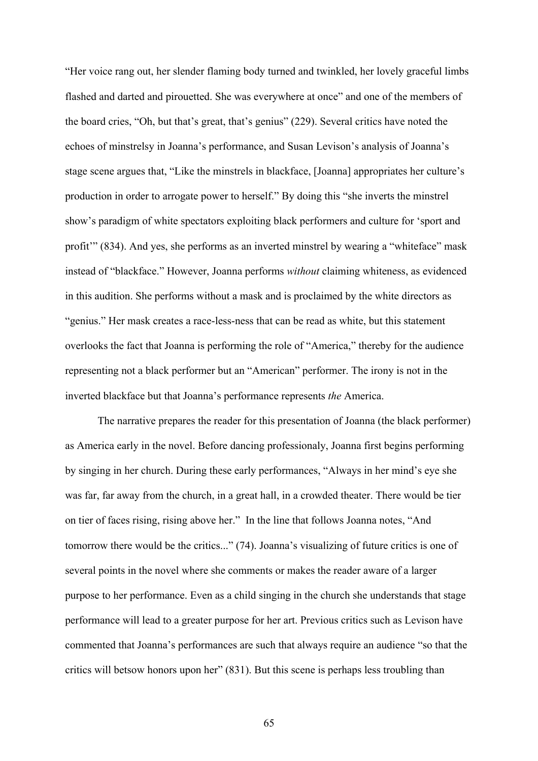"Her voice rang out, her slender flaming body turned and twinkled, her lovely graceful limbs flashed and darted and pirouetted. She was everywhere at once" and one of the members of the board cries, "Oh, but that's great, that's genius" (229). Several critics have noted the echoes of minstrelsy in Joanna's performance, and Susan Levison's analysis of Joanna's stage scene argues that, "Like the minstrels in blackface, [Joanna] appropriates her culture's production in order to arrogate power to herself." By doing this "she inverts the minstrel show's paradigm of white spectators exploiting black performers and culture for 'sport and profit'" (834). And yes, she performs as an inverted minstrel by wearing a "whiteface" mask instead of "blackface." However, Joanna performs *without* claiming whiteness, as evidenced in this audition. She performs without a mask and is proclaimed by the white directors as "genius." Her mask creates a race-less-ness that can be read as white, but this statement overlooks the fact that Joanna is performing the role of "America," thereby for the audience representing not a black performer but an "American" performer. The irony is not in the inverted blackface but that Joanna's performance represents *the* America.

The narrative prepares the reader for this presentation of Joanna (the black performer) as America early in the novel. Before dancing professionaly, Joanna first begins performing by singing in her church. During these early performances, "Always in her mind's eye she was far, far away from the church, in a great hall, in a crowded theater. There would be tier on tier of faces rising, rising above her." In the line that follows Joanna notes, "And tomorrow there would be the critics..." (74). Joanna's visualizing of future critics is one of several points in the novel where she comments or makes the reader aware of a larger purpose to her performance. Even as a child singing in the church she understands that stage performance will lead to a greater purpose for her art. Previous critics such as Levison have commented that Joanna's performances are such that always require an audience "so that the critics will betsow honors upon her" (831). But this scene is perhaps less troubling than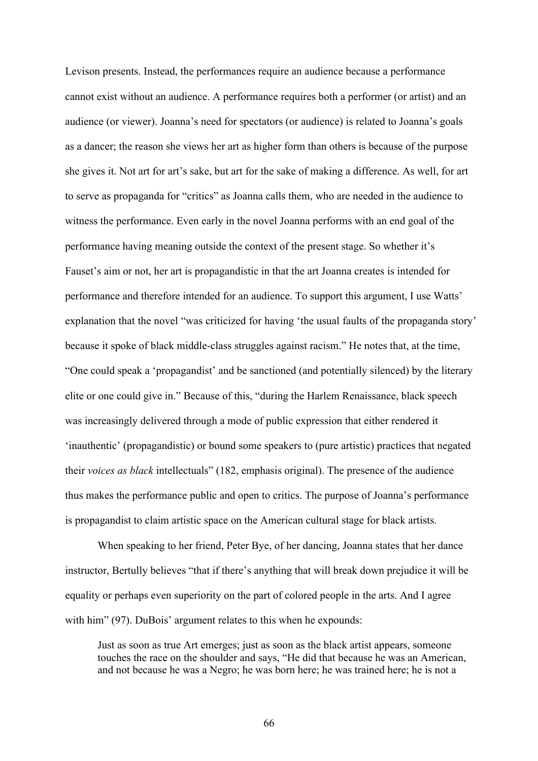Levison presents. Instead, the performances require an audience because a performance cannot exist without an audience. A performance requires both a performer (or artist) and an audience (or viewer). Joanna's need for spectators (or audience) is related to Joanna's goals as a dancer; the reason she views her art as higher form than others is because of the purpose she gives it. Not art for art's sake, but art for the sake of making a difference. As well, for art to serve as propaganda for "critics" as Joanna calls them, who are needed in the audience to witness the performance. Even early in the novel Joanna performs with an end goal of the performance having meaning outside the context of the present stage. So whether it's Fauset's aim or not, her art is propagandistic in that the art Joanna creates is intended for performance and therefore intended for an audience. To support this argument, I use Watts' explanation that the novel "was criticized for having 'the usual faults of the propaganda story' because it spoke of black middle-class struggles against racism." He notes that, at the time, "One could speak a 'propagandist' and be sanctioned (and potentially silenced) by the literary elite or one could give in." Because of this, "during the Harlem Renaissance, black speech was increasingly delivered through a mode of public expression that either rendered it 'inauthentic' (propagandistic) or bound some speakers to (pure artistic) practices that negated their *voices as black* intellectuals" (182, emphasis original). The presence of the audience thus makes the performance public and open to critics. The purpose of Joanna's performance is propagandist to claim artistic space on the American cultural stage for black artists.

When speaking to her friend, Peter Bye, of her dancing, Joanna states that her dance instructor, Bertully believes "that if there's anything that will break down prejudice it will be equality or perhaps even superiority on the part of colored people in the arts. And I agree with him" (97). DuBois' argument relates to this when he expounds:

Just as soon as true Art emerges; just as soon as the black artist appears, someone touches the race on the shoulder and says, "He did that because he was an American, and not because he was a Negro; he was born here; he was trained here; he is not a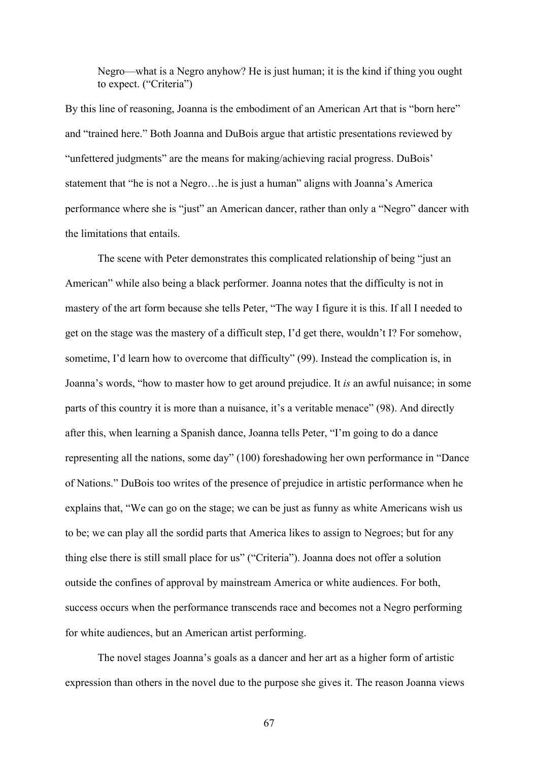Negro—what is a Negro anyhow? He is just human; it is the kind if thing you ought to expect. ("Criteria")

By this line of reasoning, Joanna is the embodiment of an American Art that is "born here" and "trained here." Both Joanna and DuBois argue that artistic presentations reviewed by "unfettered judgments" are the means for making/achieving racial progress. DuBois' statement that "he is not a Negro…he is just a human" aligns with Joanna's America performance where she is "just" an American dancer, rather than only a "Negro" dancer with the limitations that entails.

The scene with Peter demonstrates this complicated relationship of being "just an American" while also being a black performer. Joanna notes that the difficulty is not in mastery of the art form because she tells Peter, "The way I figure it is this. If all I needed to get on the stage was the mastery of a difficult step, I'd get there, wouldn't I? For somehow, sometime, I'd learn how to overcome that difficulty" (99). Instead the complication is, in Joanna's words, "how to master how to get around prejudice. It *is* an awful nuisance; in some parts of this country it is more than a nuisance, it's a veritable menace" (98). And directly after this, when learning a Spanish dance, Joanna tells Peter, "I'm going to do a dance representing all the nations, some day" (100) foreshadowing her own performance in "Dance of Nations." DuBois too writes of the presence of prejudice in artistic performance when he explains that, "We can go on the stage; we can be just as funny as white Americans wish us to be; we can play all the sordid parts that America likes to assign to Negroes; but for any thing else there is still small place for us" ("Criteria"). Joanna does not offer a solution outside the confines of approval by mainstream America or white audiences. For both, success occurs when the performance transcends race and becomes not a Negro performing for white audiences, but an American artist performing.

The novel stages Joanna's goals as a dancer and her art as a higher form of artistic expression than others in the novel due to the purpose she gives it. The reason Joanna views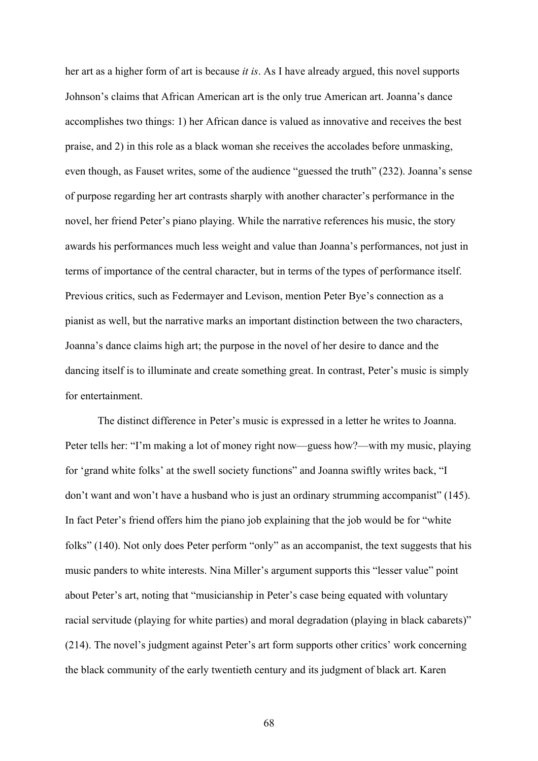her art as a higher form of art is because *it is*. As I have already argued, this novel supports Johnson's claims that African American art is the only true American art. Joanna's dance accomplishes two things: 1) her African dance is valued as innovative and receives the best praise, and 2) in this role as a black woman she receives the accolades before unmasking, even though, as Fauset writes, some of the audience "guessed the truth" (232). Joanna's sense of purpose regarding her art contrasts sharply with another character's performance in the novel, her friend Peter's piano playing. While the narrative references his music, the story awards his performances much less weight and value than Joanna's performances, not just in terms of importance of the central character, but in terms of the types of performance itself. Previous critics, such as Federmayer and Levison, mention Peter Bye's connection as a pianist as well, but the narrative marks an important distinction between the two characters, Joanna's dance claims high art; the purpose in the novel of her desire to dance and the dancing itself is to illuminate and create something great. In contrast, Peter's music is simply for entertainment.

The distinct difference in Peter's music is expressed in a letter he writes to Joanna. Peter tells her: "I'm making a lot of money right now—guess how?—with my music, playing for 'grand white folks' at the swell society functions" and Joanna swiftly writes back, "I don't want and won't have a husband who is just an ordinary strumming accompanist" (145). In fact Peter's friend offers him the piano job explaining that the job would be for "white folks" (140). Not only does Peter perform "only" as an accompanist, the text suggests that his music panders to white interests. Nina Miller's argument supports this "lesser value" point about Peter's art, noting that "musicianship in Peter's case being equated with voluntary racial servitude (playing for white parties) and moral degradation (playing in black cabarets)" (214). The novel's judgment against Peter's art form supports other critics' work concerning the black community of the early twentieth century and its judgment of black art. Karen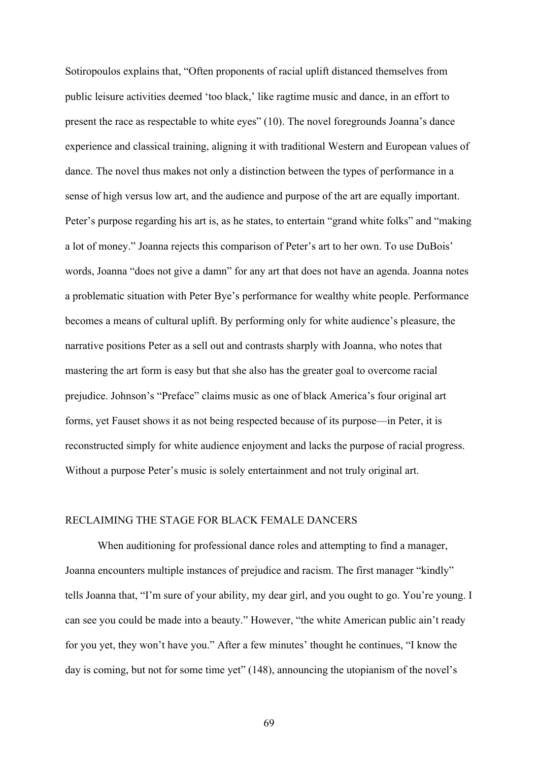Sotiropoulos explains that, "Often proponents of racial uplift distanced themselves from public leisure activities deemed 'too black,' like ragtime music and dance, in an effort to present the race as respectable to white eyes" (10). The novel foregrounds Joanna's dance experience and classical training, aligning it with traditional Western and European values of dance. The novel thus makes not only a distinction between the types of performance in a sense of high versus low art, and the audience and purpose of the art are equally important. Peter's purpose regarding his art is, as he states, to entertain "grand white folks" and "making a lot of money." Joanna rejects this comparison of Peter's art to her own. To use DuBois' words, Joanna "does not give a damn" for any art that does not have an agenda. Joanna notes a problematic situation with Peter Bye's performance for wealthy white people. Performance becomes a means of cultural uplift. By performing only for white audience's pleasure, the narrative positions Peter as a sell out and contrasts sharply with Joanna, who notes that mastering the art form is easy but that she also has the greater goal to overcome racial prejudice. Johnson's "Preface" claims music as one of black America's four original art forms, yet Fauset shows it as not being respected because of its purpose—in Peter, it is reconstructed simply for white audience enjoyment and lacks the purpose of racial progress. Without a purpose Peter's music is solely entertainment and not truly original art.

# RECLAIMING THE STAGE FOR BLACK FEMALE DANCERS

When auditioning for professional dance roles and attempting to find a manager, Joanna encounters multiple instances of prejudice and racism. The first manager "kindly" tells Joanna that, "I'm sure of your ability, my dear girl, and you ought to go. You're young. I can see you could be made into a beauty." However, "the white American public ain't ready for you yet, they won't have you." After a few minutes' thought he continues, "I know the day is coming, but not for some time yet" (148), announcing the utopianism of the novel's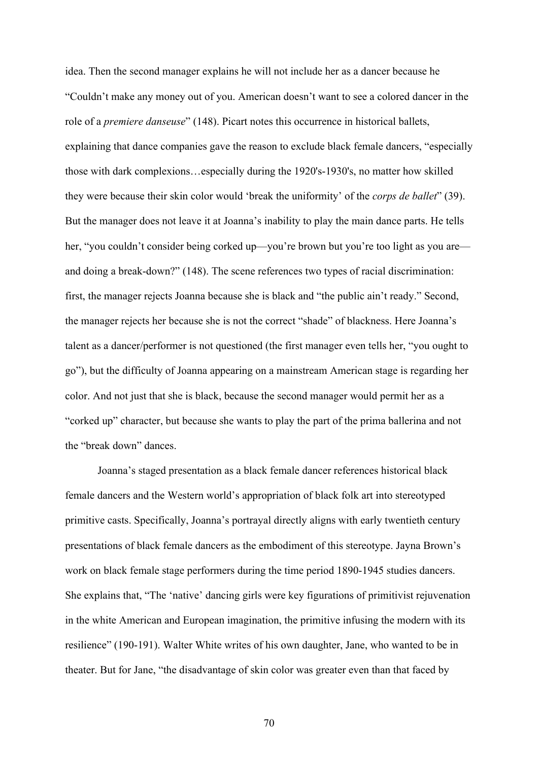idea. Then the second manager explains he will not include her as a dancer because he "Couldn't make any money out of you. American doesn't want to see a colored dancer in the role of a *premiere danseuse*" (148). Picart notes this occurrence in historical ballets, explaining that dance companies gave the reason to exclude black female dancers, "especially those with dark complexions…especially during the 1920's-1930's, no matter how skilled they were because their skin color would 'break the uniformity' of the *corps de ballet*" (39). But the manager does not leave it at Joanna's inability to play the main dance parts. He tells her, "you couldn't consider being corked up—you're brown but you're too light as you are and doing a break-down?" (148). The scene references two types of racial discrimination: first, the manager rejects Joanna because she is black and "the public ain't ready." Second, the manager rejects her because she is not the correct "shade" of blackness. Here Joanna's talent as a dancer/performer is not questioned (the first manager even tells her, "you ought to go"), but the difficulty of Joanna appearing on a mainstream American stage is regarding her color. And not just that she is black, because the second manager would permit her as a "corked up" character, but because she wants to play the part of the prima ballerina and not the "break down" dances.

Joanna's staged presentation as a black female dancer references historical black female dancers and the Western world's appropriation of black folk art into stereotyped primitive casts. Specifically, Joanna's portrayal directly aligns with early twentieth century presentations of black female dancers as the embodiment of this stereotype. Jayna Brown's work on black female stage performers during the time period 1890-1945 studies dancers. She explains that, "The 'native' dancing girls were key figurations of primitivist rejuvenation in the white American and European imagination, the primitive infusing the modern with its resilience" (190-191). Walter White writes of his own daughter, Jane, who wanted to be in theater. But for Jane, "the disadvantage of skin color was greater even than that faced by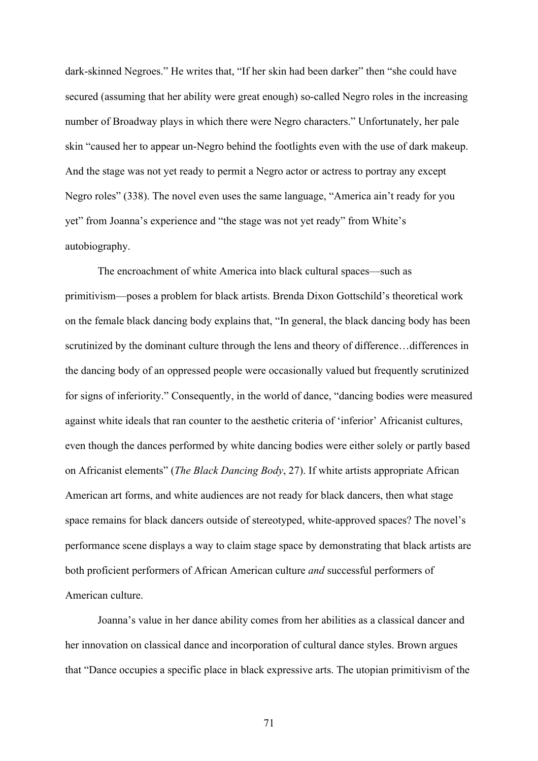dark-skinned Negroes." He writes that, "If her skin had been darker" then "she could have secured (assuming that her ability were great enough) so-called Negro roles in the increasing number of Broadway plays in which there were Negro characters." Unfortunately, her pale skin "caused her to appear un-Negro behind the footlights even with the use of dark makeup. And the stage was not yet ready to permit a Negro actor or actress to portray any except Negro roles" (338). The novel even uses the same language, "America ain't ready for you yet" from Joanna's experience and "the stage was not yet ready" from White's autobiography.

The encroachment of white America into black cultural spaces—such as primitivism—poses a problem for black artists. Brenda Dixon Gottschild's theoretical work on the female black dancing body explains that, "In general, the black dancing body has been scrutinized by the dominant culture through the lens and theory of difference…differences in the dancing body of an oppressed people were occasionally valued but frequently scrutinized for signs of inferiority." Consequently, in the world of dance, "dancing bodies were measured against white ideals that ran counter to the aesthetic criteria of 'inferior' Africanist cultures, even though the dances performed by white dancing bodies were either solely or partly based on Africanist elements" (*The Black Dancing Body*, 27). If white artists appropriate African American art forms, and white audiences are not ready for black dancers, then what stage space remains for black dancers outside of stereotyped, white-approved spaces? The novel's performance scene displays a way to claim stage space by demonstrating that black artists are both proficient performers of African American culture *and* successful performers of American culture.

Joanna's value in her dance ability comes from her abilities as a classical dancer and her innovation on classical dance and incorporation of cultural dance styles. Brown argues that "Dance occupies a specific place in black expressive arts. The utopian primitivism of the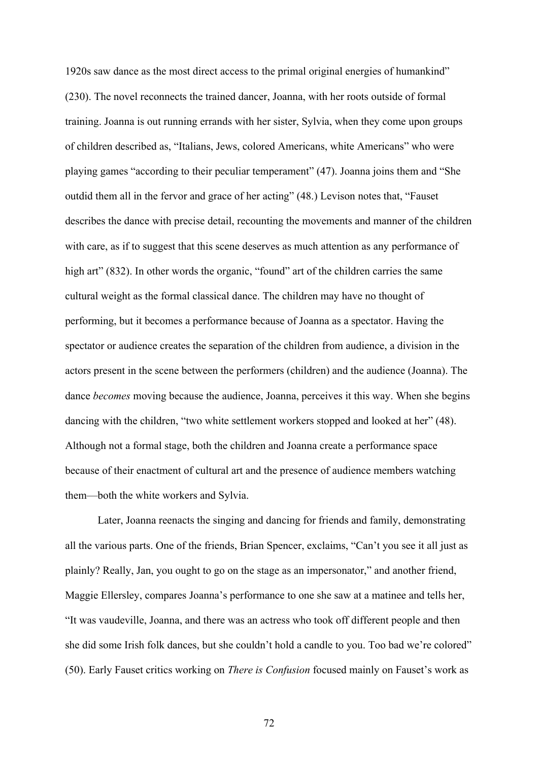1920s saw dance as the most direct access to the primal original energies of humankind" (230). The novel reconnects the trained dancer, Joanna, with her roots outside of formal training. Joanna is out running errands with her sister, Sylvia, when they come upon groups of children described as, "Italians, Jews, colored Americans, white Americans" who were playing games "according to their peculiar temperament" (47). Joanna joins them and "She outdid them all in the fervor and grace of her acting" (48.) Levison notes that, "Fauset describes the dance with precise detail, recounting the movements and manner of the children with care, as if to suggest that this scene deserves as much attention as any performance of high art" (832). In other words the organic, "found" art of the children carries the same cultural weight as the formal classical dance. The children may have no thought of performing, but it becomes a performance because of Joanna as a spectator. Having the spectator or audience creates the separation of the children from audience, a division in the actors present in the scene between the performers (children) and the audience (Joanna). The dance *becomes* moving because the audience, Joanna, perceives it this way. When she begins dancing with the children, "two white settlement workers stopped and looked at her" (48). Although not a formal stage, both the children and Joanna create a performance space because of their enactment of cultural art and the presence of audience members watching them—both the white workers and Sylvia.

Later, Joanna reenacts the singing and dancing for friends and family, demonstrating all the various parts. One of the friends, Brian Spencer, exclaims, "Can't you see it all just as plainly? Really, Jan, you ought to go on the stage as an impersonator," and another friend, Maggie Ellersley, compares Joanna's performance to one she saw at a matinee and tells her, "It was vaudeville, Joanna, and there was an actress who took off different people and then she did some Irish folk dances, but she couldn't hold a candle to you. Too bad we're colored" (50). Early Fauset critics working on *There is Confusion* focused mainly on Fauset's work as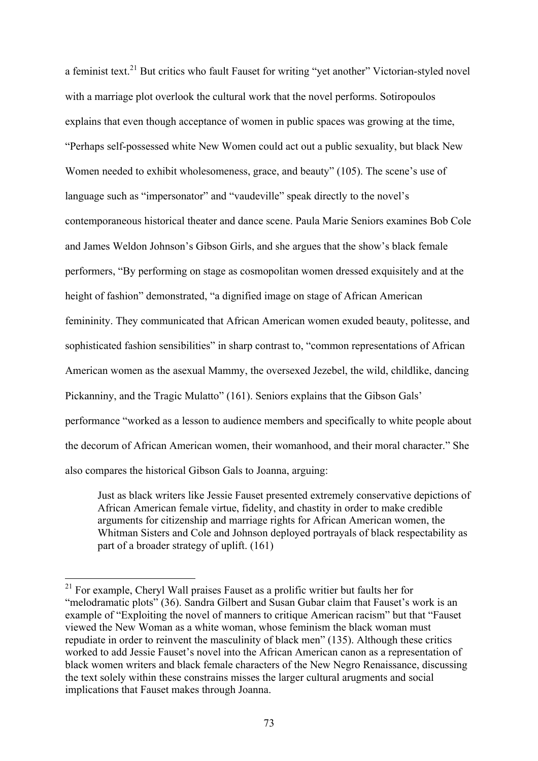a feminist text.<sup>21</sup> But critics who fault Fauset for writing "yet another" Victorian-styled novel with a marriage plot overlook the cultural work that the novel performs. Sotiropoulos explains that even though acceptance of women in public spaces was growing at the time, "Perhaps self-possessed white New Women could act out a public sexuality, but black New Women needed to exhibit wholesomeness, grace, and beauty" (105). The scene's use of language such as "impersonator" and "vaudeville" speak directly to the novel's contemporaneous historical theater and dance scene. Paula Marie Seniors examines Bob Cole and James Weldon Johnson's Gibson Girls, and she argues that the show's black female performers, "By performing on stage as cosmopolitan women dressed exquisitely and at the height of fashion" demonstrated, "a dignified image on stage of African American femininity. They communicated that African American women exuded beauty, politesse, and sophisticated fashion sensibilities" in sharp contrast to, "common representations of African American women as the asexual Mammy, the oversexed Jezebel, the wild, childlike, dancing Pickanniny, and the Tragic Mulatto" (161). Seniors explains that the Gibson Gals' performance "worked as a lesson to audience members and specifically to white people about the decorum of African American women, their womanhood, and their moral character." She also compares the historical Gibson Gals to Joanna, arguing:

Just as black writers like Jessie Fauset presented extremely conservative depictions of African American female virtue, fidelity, and chastity in order to make credible arguments for citizenship and marriage rights for African American women, the Whitman Sisters and Cole and Johnson deployed portrayals of black respectability as part of a broader strategy of uplift. (161)

<sup>&</sup>lt;sup>21</sup> For example, Cheryl Wall praises Fauset as a prolific writier but faults her for "melodramatic plots" (36). Sandra Gilbert and Susan Gubar claim that Fauset's work is an example of "Exploiting the novel of manners to critique American racism" but that "Fauset viewed the New Woman as a white woman, whose feminism the black woman must repudiate in order to reinvent the masculinity of black men" (135). Although these critics worked to add Jessie Fauset's novel into the African American canon as a representation of black women writers and black female characters of the New Negro Renaissance, discussing the text solely within these constrains misses the larger cultural arugments and social implications that Fauset makes through Joanna.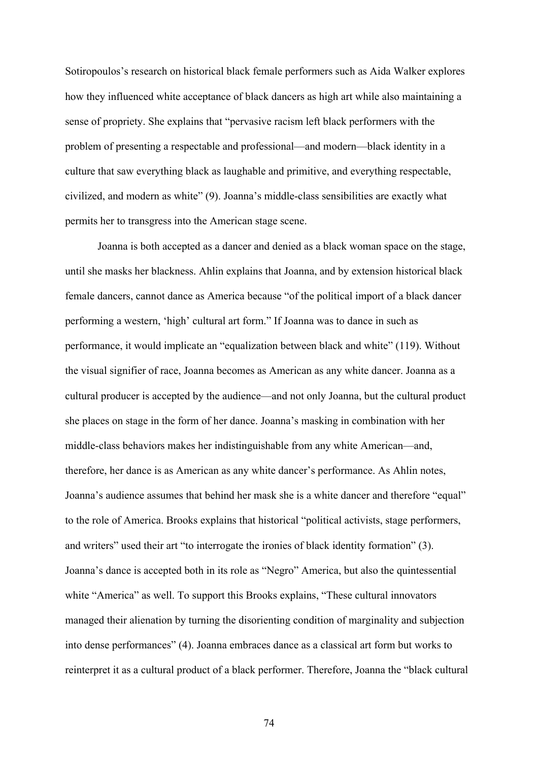Sotiropoulos's research on historical black female performers such as Aida Walker explores how they influenced white acceptance of black dancers as high art while also maintaining a sense of propriety. She explains that "pervasive racism left black performers with the problem of presenting a respectable and professional—and modern—black identity in a culture that saw everything black as laughable and primitive, and everything respectable, civilized, and modern as white" (9). Joanna's middle-class sensibilities are exactly what permits her to transgress into the American stage scene.

Joanna is both accepted as a dancer and denied as a black woman space on the stage, until she masks her blackness. Ahlin explains that Joanna, and by extension historical black female dancers, cannot dance as America because "of the political import of a black dancer performing a western, 'high' cultural art form." If Joanna was to dance in such as performance, it would implicate an "equalization between black and white" (119). Without the visual signifier of race, Joanna becomes as American as any white dancer. Joanna as a cultural producer is accepted by the audience—and not only Joanna, but the cultural product she places on stage in the form of her dance. Joanna's masking in combination with her middle-class behaviors makes her indistinguishable from any white American—and, therefore, her dance is as American as any white dancer's performance. As Ahlin notes, Joanna's audience assumes that behind her mask she is a white dancer and therefore "equal" to the role of America. Brooks explains that historical "political activists, stage performers, and writers" used their art "to interrogate the ironies of black identity formation" (3). Joanna's dance is accepted both in its role as "Negro" America, but also the quintessential white "America" as well. To support this Brooks explains, "These cultural innovators managed their alienation by turning the disorienting condition of marginality and subjection into dense performances" (4). Joanna embraces dance as a classical art form but works to reinterpret it as a cultural product of a black performer. Therefore, Joanna the "black cultural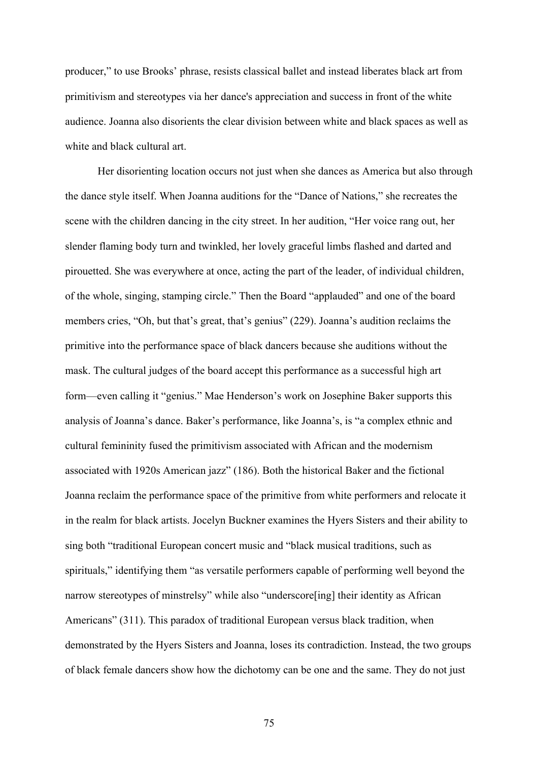producer," to use Brooks' phrase, resists classical ballet and instead liberates black art from primitivism and stereotypes via her dance's appreciation and success in front of the white audience. Joanna also disorients the clear division between white and black spaces as well as white and black cultural art.

Her disorienting location occurs not just when she dances as America but also through the dance style itself. When Joanna auditions for the "Dance of Nations," she recreates the scene with the children dancing in the city street. In her audition, "Her voice rang out, her slender flaming body turn and twinkled, her lovely graceful limbs flashed and darted and pirouetted. She was everywhere at once, acting the part of the leader, of individual children, of the whole, singing, stamping circle." Then the Board "applauded" and one of the board members cries, "Oh, but that's great, that's genius" (229). Joanna's audition reclaims the primitive into the performance space of black dancers because she auditions without the mask. The cultural judges of the board accept this performance as a successful high art form—even calling it "genius." Mae Henderson's work on Josephine Baker supports this analysis of Joanna's dance. Baker's performance, like Joanna's, is "a complex ethnic and cultural femininity fused the primitivism associated with African and the modernism associated with 1920s American jazz" (186). Both the historical Baker and the fictional Joanna reclaim the performance space of the primitive from white performers and relocate it in the realm for black artists. Jocelyn Buckner examines the Hyers Sisters and their ability to sing both "traditional European concert music and "black musical traditions, such as spirituals," identifying them "as versatile performers capable of performing well beyond the narrow stereotypes of minstrelsy" while also "underscore[ing] their identity as African Americans" (311). This paradox of traditional European versus black tradition, when demonstrated by the Hyers Sisters and Joanna, loses its contradiction. Instead, the two groups of black female dancers show how the dichotomy can be one and the same. They do not just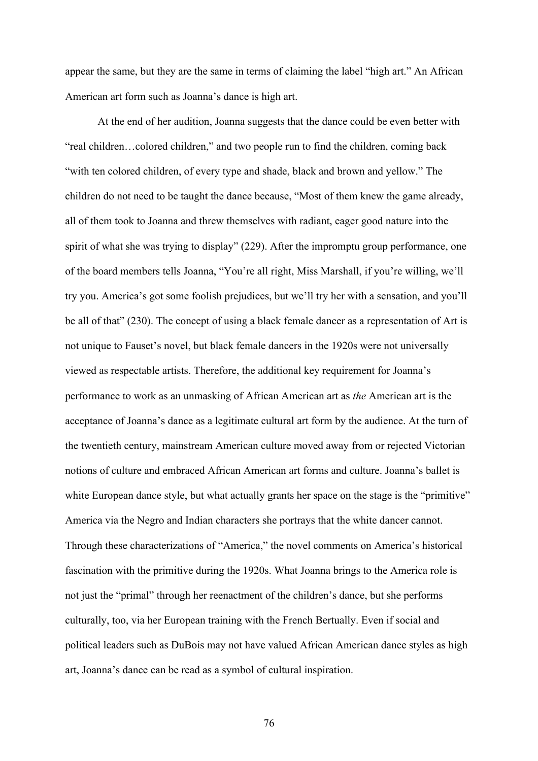appear the same, but they are the same in terms of claiming the label "high art." An African American art form such as Joanna's dance is high art.

At the end of her audition, Joanna suggests that the dance could be even better with "real children…colored children," and two people run to find the children, coming back "with ten colored children, of every type and shade, black and brown and yellow." The children do not need to be taught the dance because, "Most of them knew the game already, all of them took to Joanna and threw themselves with radiant, eager good nature into the spirit of what she was trying to display" (229). After the impromptu group performance, one of the board members tells Joanna, "You're all right, Miss Marshall, if you're willing, we'll try you. America's got some foolish prejudices, but we'll try her with a sensation, and you'll be all of that" (230). The concept of using a black female dancer as a representation of Art is not unique to Fauset's novel, but black female dancers in the 1920s were not universally viewed as respectable artists. Therefore, the additional key requirement for Joanna's performance to work as an unmasking of African American art as *the* American art is the acceptance of Joanna's dance as a legitimate cultural art form by the audience. At the turn of the twentieth century, mainstream American culture moved away from or rejected Victorian notions of culture and embraced African American art forms and culture. Joanna's ballet is white European dance style, but what actually grants her space on the stage is the "primitive" America via the Negro and Indian characters she portrays that the white dancer cannot. Through these characterizations of "America," the novel comments on America's historical fascination with the primitive during the 1920s. What Joanna brings to the America role is not just the "primal" through her reenactment of the children's dance, but she performs culturally, too, via her European training with the French Bertually. Even if social and political leaders such as DuBois may not have valued African American dance styles as high art, Joanna's dance can be read as a symbol of cultural inspiration.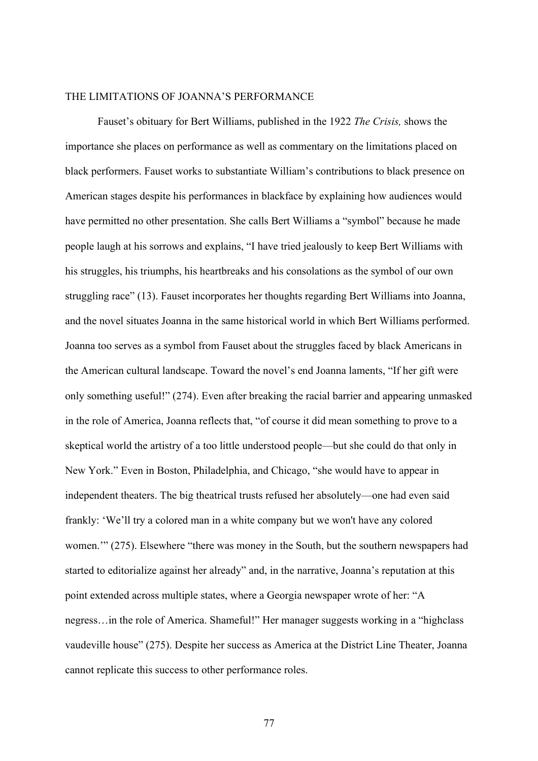### THE LIMITATIONS OF JOANNA'S PERFORMANCE

Fauset's obituary for Bert Williams, published in the 1922 *The Crisis,* shows the importance she places on performance as well as commentary on the limitations placed on black performers. Fauset works to substantiate William's contributions to black presence on American stages despite his performances in blackface by explaining how audiences would have permitted no other presentation. She calls Bert Williams a "symbol" because he made people laugh at his sorrows and explains, "I have tried jealously to keep Bert Williams with his struggles, his triumphs, his heartbreaks and his consolations as the symbol of our own struggling race" (13). Fauset incorporates her thoughts regarding Bert Williams into Joanna, and the novel situates Joanna in the same historical world in which Bert Williams performed. Joanna too serves as a symbol from Fauset about the struggles faced by black Americans in the American cultural landscape. Toward the novel's end Joanna laments, "If her gift were only something useful!" (274). Even after breaking the racial barrier and appearing unmasked in the role of America, Joanna reflects that, "of course it did mean something to prove to a skeptical world the artistry of a too little understood people—but she could do that only in New York." Even in Boston, Philadelphia, and Chicago, "she would have to appear in independent theaters. The big theatrical trusts refused her absolutely—one had even said frankly: 'We'll try a colored man in a white company but we won't have any colored women.'" (275). Elsewhere "there was money in the South, but the southern newspapers had started to editorialize against her already" and, in the narrative, Joanna's reputation at this point extended across multiple states, where a Georgia newspaper wrote of her: "A negress…in the role of America. Shameful!" Her manager suggests working in a "highclass vaudeville house" (275). Despite her success as America at the District Line Theater, Joanna cannot replicate this success to other performance roles.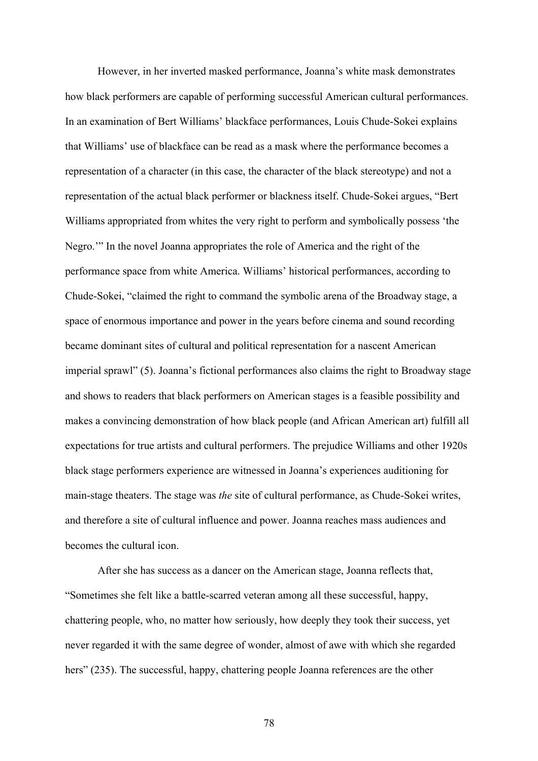However, in her inverted masked performance, Joanna's white mask demonstrates how black performers are capable of performing successful American cultural performances. In an examination of Bert Williams' blackface performances, Louis Chude-Sokei explains that Williams' use of blackface can be read as a mask where the performance becomes a representation of a character (in this case, the character of the black stereotype) and not a representation of the actual black performer or blackness itself. Chude-Sokei argues, "Bert Williams appropriated from whites the very right to perform and symbolically possess 'the Negro.'" In the novel Joanna appropriates the role of America and the right of the performance space from white America. Williams' historical performances, according to Chude-Sokei, "claimed the right to command the symbolic arena of the Broadway stage, a space of enormous importance and power in the years before cinema and sound recording became dominant sites of cultural and political representation for a nascent American imperial sprawl" (5). Joanna's fictional performances also claims the right to Broadway stage and shows to readers that black performers on American stages is a feasible possibility and makes a convincing demonstration of how black people (and African American art) fulfill all expectations for true artists and cultural performers. The prejudice Williams and other 1920s black stage performers experience are witnessed in Joanna's experiences auditioning for main-stage theaters. The stage was *the* site of cultural performance, as Chude-Sokei writes, and therefore a site of cultural influence and power. Joanna reaches mass audiences and becomes the cultural icon.

After she has success as a dancer on the American stage, Joanna reflects that, "Sometimes she felt like a battle-scarred veteran among all these successful, happy, chattering people, who, no matter how seriously, how deeply they took their success, yet never regarded it with the same degree of wonder, almost of awe with which she regarded hers" (235). The successful, happy, chattering people Joanna references are the other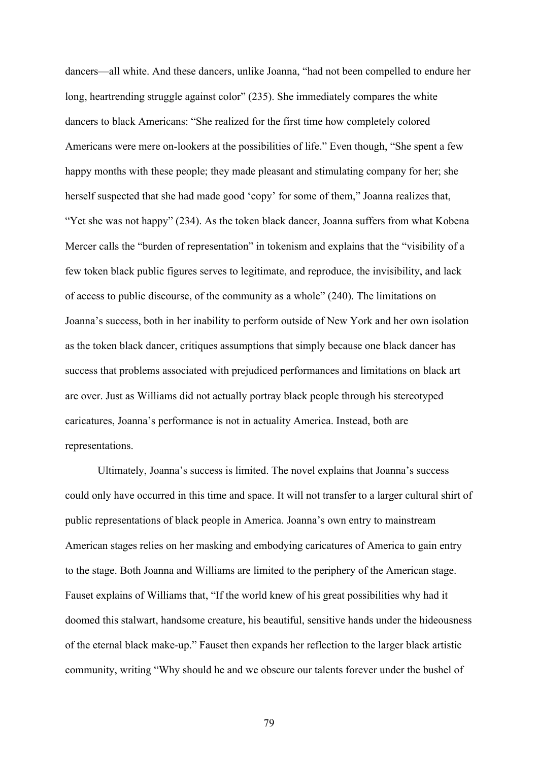dancers—all white. And these dancers, unlike Joanna, "had not been compelled to endure her long, heartrending struggle against color" (235). She immediately compares the white dancers to black Americans: "She realized for the first time how completely colored Americans were mere on-lookers at the possibilities of life." Even though, "She spent a few happy months with these people; they made pleasant and stimulating company for her; she herself suspected that she had made good 'copy' for some of them," Joanna realizes that, "Yet she was not happy" (234). As the token black dancer, Joanna suffers from what Kobena Mercer calls the "burden of representation" in tokenism and explains that the "visibility of a few token black public figures serves to legitimate, and reproduce, the invisibility, and lack of access to public discourse, of the community as a whole" (240). The limitations on Joanna's success, both in her inability to perform outside of New York and her own isolation as the token black dancer, critiques assumptions that simply because one black dancer has success that problems associated with prejudiced performances and limitations on black art are over. Just as Williams did not actually portray black people through his stereotyped caricatures, Joanna's performance is not in actuality America. Instead, both are representations.

Ultimately, Joanna's success is limited. The novel explains that Joanna's success could only have occurred in this time and space. It will not transfer to a larger cultural shirt of public representations of black people in America. Joanna's own entry to mainstream American stages relies on her masking and embodying caricatures of America to gain entry to the stage. Both Joanna and Williams are limited to the periphery of the American stage. Fauset explains of Williams that, "If the world knew of his great possibilities why had it doomed this stalwart, handsome creature, his beautiful, sensitive hands under the hideousness of the eternal black make-up." Fauset then expands her reflection to the larger black artistic community, writing "Why should he and we obscure our talents forever under the bushel of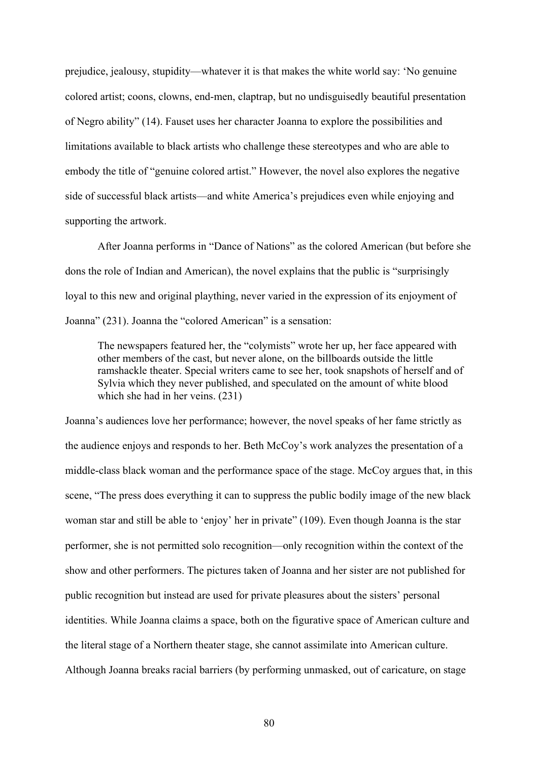prejudice, jealousy, stupidity—whatever it is that makes the white world say: 'No genuine colored artist; coons, clowns, end-men, claptrap, but no undisguisedly beautiful presentation of Negro ability" (14). Fauset uses her character Joanna to explore the possibilities and limitations available to black artists who challenge these stereotypes and who are able to embody the title of "genuine colored artist." However, the novel also explores the negative side of successful black artists—and white America's prejudices even while enjoying and supporting the artwork.

After Joanna performs in "Dance of Nations" as the colored American (but before she dons the role of Indian and American), the novel explains that the public is "surprisingly loyal to this new and original plaything, never varied in the expression of its enjoyment of Joanna" (231). Joanna the "colored American" is a sensation:

The newspapers featured her, the "colymists" wrote her up, her face appeared with other members of the cast, but never alone, on the billboards outside the little ramshackle theater. Special writers came to see her, took snapshots of herself and of Sylvia which they never published, and speculated on the amount of white blood which she had in her veins. (231).

Joanna's audiences love her performance; however, the novel speaks of her fame strictly as the audience enjoys and responds to her. Beth McCoy's work analyzes the presentation of a middle-class black woman and the performance space of the stage. McCoy argues that, in this scene, "The press does everything it can to suppress the public bodily image of the new black woman star and still be able to 'enjoy' her in private" (109). Even though Joanna is the star performer, she is not permitted solo recognition—only recognition within the context of the show and other performers. The pictures taken of Joanna and her sister are not published for public recognition but instead are used for private pleasures about the sisters' personal identities. While Joanna claims a space, both on the figurative space of American culture and the literal stage of a Northern theater stage, she cannot assimilate into American culture. Although Joanna breaks racial barriers (by performing unmasked, out of caricature, on stage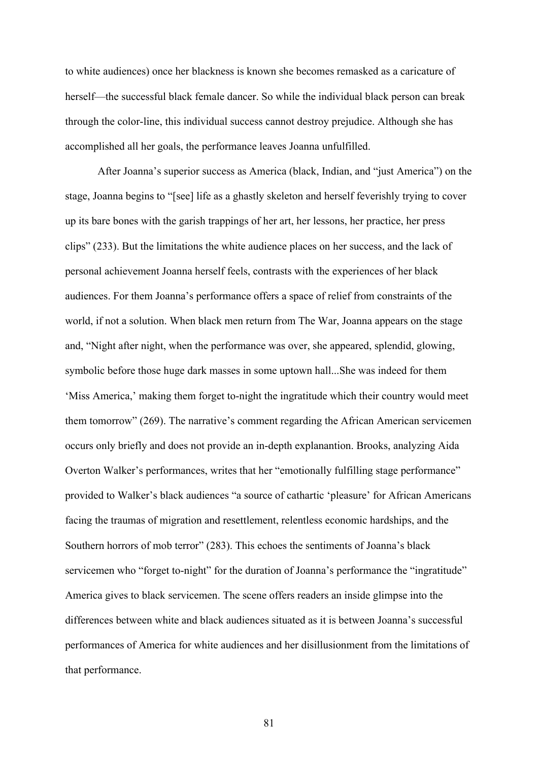to white audiences) once her blackness is known she becomes remasked as a caricature of herself—the successful black female dancer. So while the individual black person can break through the color-line, this individual success cannot destroy prejudice. Although she has accomplished all her goals, the performance leaves Joanna unfulfilled.

After Joanna's superior success as America (black, Indian, and "just America") on the stage, Joanna begins to "[see] life as a ghastly skeleton and herself feverishly trying to cover up its bare bones with the garish trappings of her art, her lessons, her practice, her press clips" (233). But the limitations the white audience places on her success, and the lack of personal achievement Joanna herself feels, contrasts with the experiences of her black audiences. For them Joanna's performance offers a space of relief from constraints of the world, if not a solution. When black men return from The War, Joanna appears on the stage and, "Night after night, when the performance was over, she appeared, splendid, glowing, symbolic before those huge dark masses in some uptown hall...She was indeed for them 'Miss America,' making them forget to-night the ingratitude which their country would meet them tomorrow" (269). The narrative's comment regarding the African American servicemen occurs only briefly and does not provide an in-depth explanantion. Brooks, analyzing Aida Overton Walker's performances, writes that her "emotionally fulfilling stage performance" provided to Walker's black audiences "a source of cathartic 'pleasure' for African Americans facing the traumas of migration and resettlement, relentless economic hardships, and the Southern horrors of mob terror" (283). This echoes the sentiments of Joanna's black servicemen who "forget to-night" for the duration of Joanna's performance the "ingratitude" America gives to black servicemen. The scene offers readers an inside glimpse into the differences between white and black audiences situated as it is between Joanna's successful performances of America for white audiences and her disillusionment from the limitations of that performance.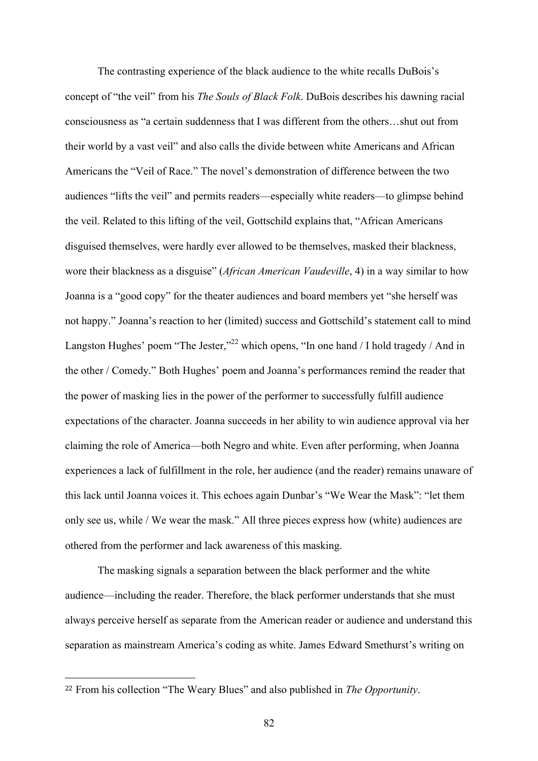The contrasting experience of the black audience to the white recalls DuBois's concept of "the veil" from his *The Souls of Black Folk*. DuBois describes his dawning racial consciousness as "a certain suddenness that I was different from the others…shut out from their world by a vast veil" and also calls the divide between white Americans and African Americans the "Veil of Race." The novel's demonstration of difference between the two audiences "lifts the veil" and permits readers—especially white readers—to glimpse behind the veil. Related to this lifting of the veil, Gottschild explains that, "African Americans disguised themselves, were hardly ever allowed to be themselves, masked their blackness, wore their blackness as a disguise" (*African American Vaudeville*, 4) in a way similar to how Joanna is a "good copy" for the theater audiences and board members yet "she herself was not happy." Joanna's reaction to her (limited) success and Gottschild's statement call to mind Langston Hughes' poem "The Jester,"<sup>22</sup> which opens, "In one hand / I hold tragedy / And in the other / Comedy." Both Hughes' poem and Joanna's performances remind the reader that the power of masking lies in the power of the performer to successfully fulfill audience expectations of the character. Joanna succeeds in her ability to win audience approval via her claiming the role of America—both Negro and white. Even after performing, when Joanna experiences a lack of fulfillment in the role, her audience (and the reader) remains unaware of this lack until Joanna voices it. This echoes again Dunbar's "We Wear the Mask": "let them only see us, while / We wear the mask." All three pieces express how (white) audiences are othered from the performer and lack awareness of this masking.

The masking signals a separation between the black performer and the white audience—including the reader. Therefore, the black performer understands that she must always perceive herself as separate from the American reader or audience and understand this separation as mainstream America's coding as white. James Edward Smethurst's writing on

 $\overline{a}$ 

<sup>22</sup> From his collection "The Weary Blues" and also published in *The Opportunity*.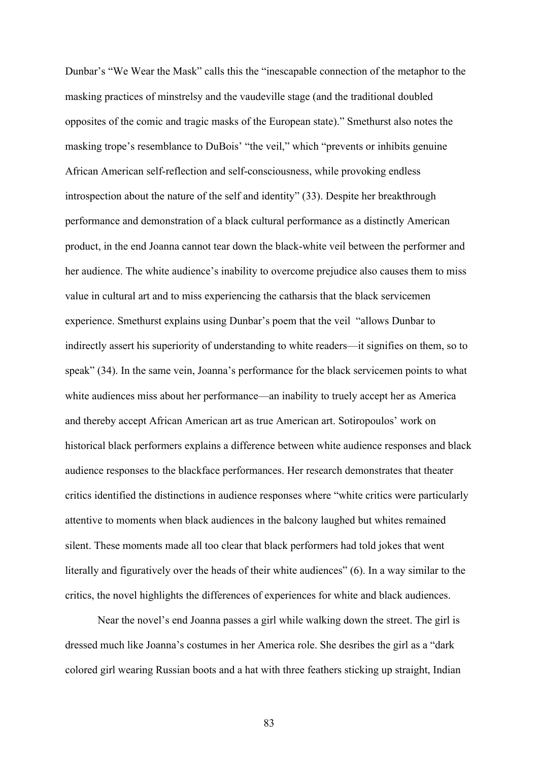Dunbar's "We Wear the Mask" calls this the "inescapable connection of the metaphor to the masking practices of minstrelsy and the vaudeville stage (and the traditional doubled opposites of the comic and tragic masks of the European state)." Smethurst also notes the masking trope's resemblance to DuBois' "the veil," which "prevents or inhibits genuine African American self-reflection and self-consciousness, while provoking endless introspection about the nature of the self and identity" (33). Despite her breakthrough performance and demonstration of a black cultural performance as a distinctly American product, in the end Joanna cannot tear down the black-white veil between the performer and her audience. The white audience's inability to overcome prejudice also causes them to miss value in cultural art and to miss experiencing the catharsis that the black servicemen experience. Smethurst explains using Dunbar's poem that the veil "allows Dunbar to indirectly assert his superiority of understanding to white readers—it signifies on them, so to speak" (34). In the same vein, Joanna's performance for the black servicemen points to what white audiences miss about her performance—an inability to truely accept her as America and thereby accept African American art as true American art. Sotiropoulos' work on historical black performers explains a difference between white audience responses and black audience responses to the blackface performances. Her research demonstrates that theater critics identified the distinctions in audience responses where "white critics were particularly attentive to moments when black audiences in the balcony laughed but whites remained silent. These moments made all too clear that black performers had told jokes that went literally and figuratively over the heads of their white audiences" (6). In a way similar to the critics, the novel highlights the differences of experiences for white and black audiences.

Near the novel's end Joanna passes a girl while walking down the street. The girl is dressed much like Joanna's costumes in her America role. She desribes the girl as a "dark colored girl wearing Russian boots and a hat with three feathers sticking up straight, Indian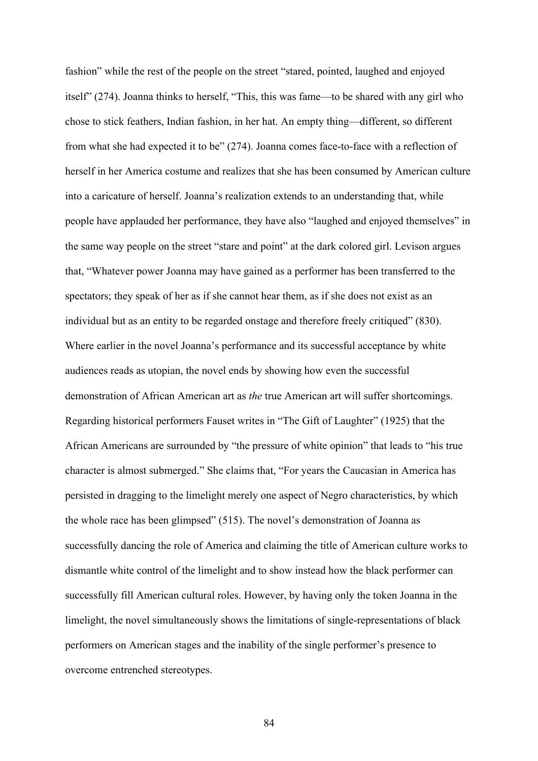fashion" while the rest of the people on the street "stared, pointed, laughed and enjoyed itself" (274). Joanna thinks to herself, "This, this was fame—to be shared with any girl who chose to stick feathers, Indian fashion, in her hat. An empty thing—different, so different from what she had expected it to be" (274). Joanna comes face-to-face with a reflection of herself in her America costume and realizes that she has been consumed by American culture into a caricature of herself. Joanna's realization extends to an understanding that, while people have applauded her performance, they have also "laughed and enjoyed themselves" in the same way people on the street "stare and point" at the dark colored girl. Levison argues that, "Whatever power Joanna may have gained as a performer has been transferred to the spectators; they speak of her as if she cannot hear them, as if she does not exist as an individual but as an entity to be regarded onstage and therefore freely critiqued" (830). Where earlier in the novel Joanna's performance and its successful acceptance by white audiences reads as utopian, the novel ends by showing how even the successful demonstration of African American art as *the* true American art will suffer shortcomings. Regarding historical performers Fauset writes in "The Gift of Laughter" (1925) that the African Americans are surrounded by "the pressure of white opinion" that leads to "his true character is almost submerged." She claims that, "For years the Caucasian in America has persisted in dragging to the limelight merely one aspect of Negro characteristics, by which the whole race has been glimpsed" (515). The novel's demonstration of Joanna as successfully dancing the role of America and claiming the title of American culture works to dismantle white control of the limelight and to show instead how the black performer can successfully fill American cultural roles. However, by having only the token Joanna in the limelight, the novel simultaneously shows the limitations of single-representations of black performers on American stages and the inability of the single performer's presence to overcome entrenched stereotypes.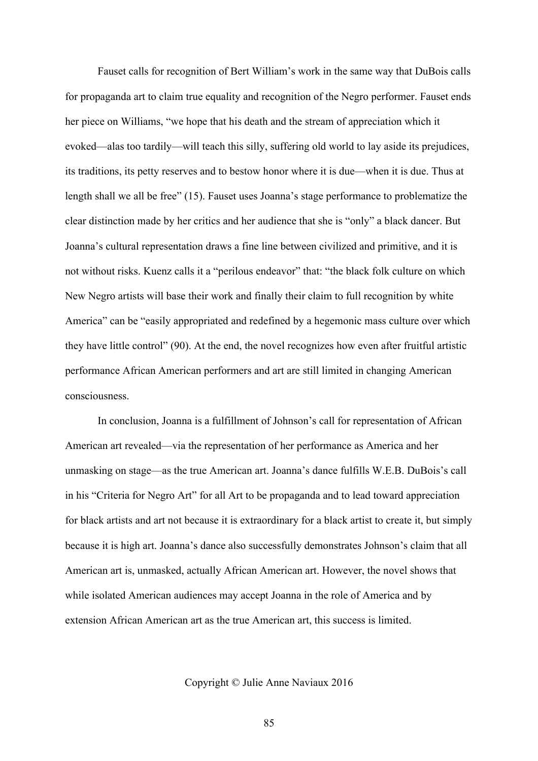Fauset calls for recognition of Bert William's work in the same way that DuBois calls for propaganda art to claim true equality and recognition of the Negro performer. Fauset ends her piece on Williams, "we hope that his death and the stream of appreciation which it evoked—alas too tardily—will teach this silly, suffering old world to lay aside its prejudices, its traditions, its petty reserves and to bestow honor where it is due—when it is due. Thus at length shall we all be free" (15). Fauset uses Joanna's stage performance to problematize the clear distinction made by her critics and her audience that she is "only" a black dancer. But Joanna's cultural representation draws a fine line between civilized and primitive, and it is not without risks. Kuenz calls it a "perilous endeavor" that: "the black folk culture on which New Negro artists will base their work and finally their claim to full recognition by white America" can be "easily appropriated and redefined by a hegemonic mass culture over which they have little control" (90). At the end, the novel recognizes how even after fruitful artistic performance African American performers and art are still limited in changing American consciousness.

In conclusion, Joanna is a fulfillment of Johnson's call for representation of African American art revealed—via the representation of her performance as America and her unmasking on stage—as the true American art. Joanna's dance fulfills W.E.B. DuBois's call in his "Criteria for Negro Art" for all Art to be propaganda and to lead toward appreciation for black artists and art not because it is extraordinary for a black artist to create it, but simply because it is high art. Joanna's dance also successfully demonstrates Johnson's claim that all American art is, unmasked, actually African American art. However, the novel shows that while isolated American audiences may accept Joanna in the role of America and by extension African American art as the true American art, this success is limited.

Copyright © Julie Anne Naviaux 2016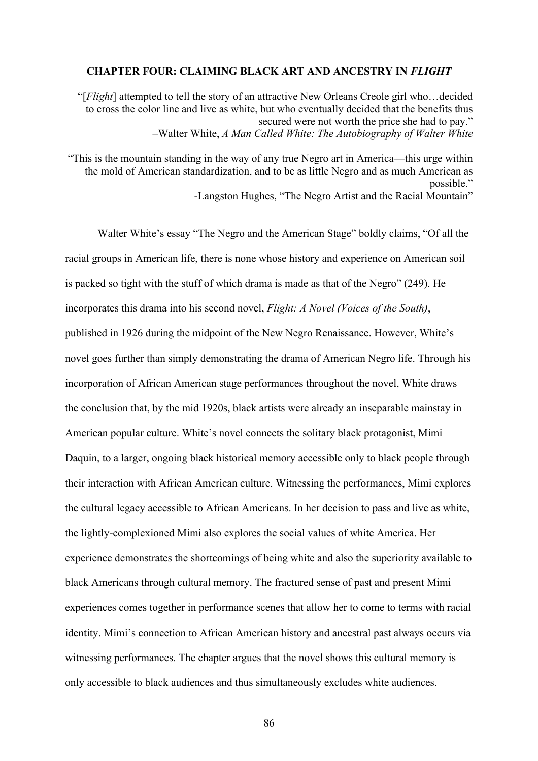#### **CHAPTER FOUR: CLAIMING BLACK ART AND ANCESTRY IN** *FLIGHT*

"[*Flight*] attempted to tell the story of an attractive New Orleans Creole girl who…decided to cross the color line and live as white, but who eventually decided that the benefits thus secured were not worth the price she had to pay." –Walter White, *A Man Called White: The Autobiography of Walter White*

"This is the mountain standing in the way of any true Negro art in America—this urge within the mold of American standardization, and to be as little Negro and as much American as possible." -Langston Hughes, "The Negro Artist and the Racial Mountain"

Walter White's essay "The Negro and the American Stage" boldly claims, "Of all the racial groups in American life, there is none whose history and experience on American soil is packed so tight with the stuff of which drama is made as that of the Negro" (249). He incorporates this drama into his second novel, *Flight: A Novel (Voices of the South)*, published in 1926 during the midpoint of the New Negro Renaissance. However, White's novel goes further than simply demonstrating the drama of American Negro life. Through his incorporation of African American stage performances throughout the novel, White draws the conclusion that, by the mid 1920s, black artists were already an inseparable mainstay in American popular culture. White's novel connects the solitary black protagonist, Mimi Daquin, to a larger, ongoing black historical memory accessible only to black people through their interaction with African American culture. Witnessing the performances, Mimi explores the cultural legacy accessible to African Americans. In her decision to pass and live as white, the lightly-complexioned Mimi also explores the social values of white America. Her experience demonstrates the shortcomings of being white and also the superiority available to black Americans through cultural memory. The fractured sense of past and present Mimi experiences comes together in performance scenes that allow her to come to terms with racial identity. Mimi's connection to African American history and ancestral past always occurs via witnessing performances. The chapter argues that the novel shows this cultural memory is only accessible to black audiences and thus simultaneously excludes white audiences.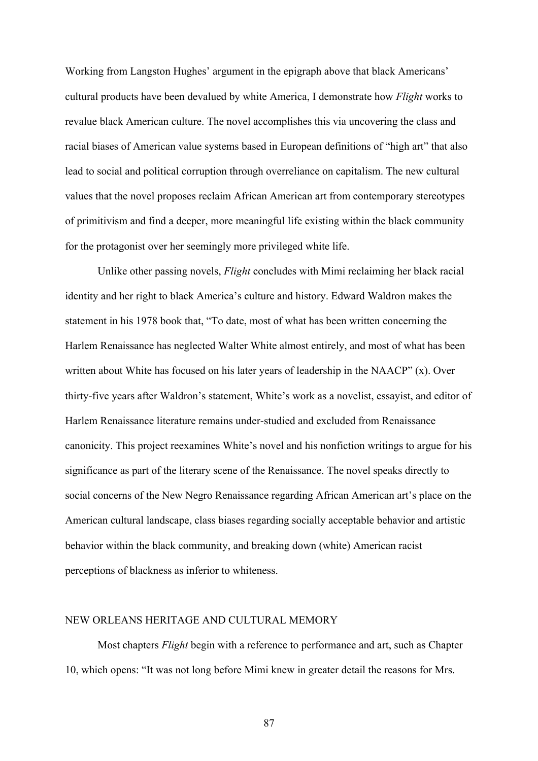Working from Langston Hughes' argument in the epigraph above that black Americans' cultural products have been devalued by white America, I demonstrate how *Flight* works to revalue black American culture. The novel accomplishes this via uncovering the class and racial biases of American value systems based in European definitions of "high art" that also lead to social and political corruption through overreliance on capitalism. The new cultural values that the novel proposes reclaim African American art from contemporary stereotypes of primitivism and find a deeper, more meaningful life existing within the black community for the protagonist over her seemingly more privileged white life.

Unlike other passing novels, *Flight* concludes with Mimi reclaiming her black racial identity and her right to black America's culture and history. Edward Waldron makes the statement in his 1978 book that, "To date, most of what has been written concerning the Harlem Renaissance has neglected Walter White almost entirely, and most of what has been written about White has focused on his later years of leadership in the NAACP" (x). Over thirty-five years after Waldron's statement, White's work as a novelist, essayist, and editor of Harlem Renaissance literature remains under-studied and excluded from Renaissance canonicity. This project reexamines White's novel and his nonfiction writings to argue for his significance as part of the literary scene of the Renaissance. The novel speaks directly to social concerns of the New Negro Renaissance regarding African American art's place on the American cultural landscape, class biases regarding socially acceptable behavior and artistic behavior within the black community, and breaking down (white) American racist perceptions of blackness as inferior to whiteness.

## NEW ORLEANS HERITAGE AND CULTURAL MEMORY

Most chapters *Flight* begin with a reference to performance and art, such as Chapter 10, which opens: "It was not long before Mimi knew in greater detail the reasons for Mrs.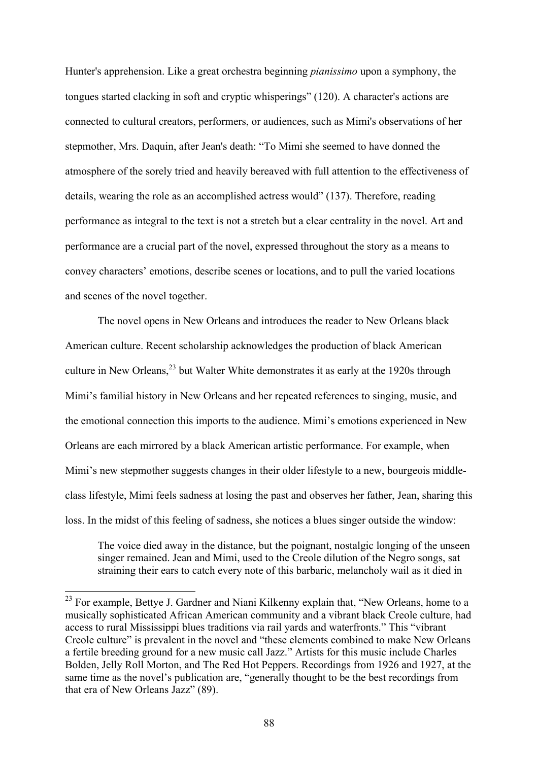Hunter's apprehension. Like a great orchestra beginning *pianissimo* upon a symphony, the tongues started clacking in soft and cryptic whisperings" (120). A character's actions are connected to cultural creators, performers, or audiences, such as Mimi's observations of her stepmother, Mrs. Daquin, after Jean's death: "To Mimi she seemed to have donned the atmosphere of the sorely tried and heavily bereaved with full attention to the effectiveness of details, wearing the role as an accomplished actress would" (137). Therefore, reading performance as integral to the text is not a stretch but a clear centrality in the novel. Art and performance are a crucial part of the novel, expressed throughout the story as a means to convey characters' emotions, describe scenes or locations, and to pull the varied locations and scenes of the novel together.

The novel opens in New Orleans and introduces the reader to New Orleans black American culture. Recent scholarship acknowledges the production of black American culture in New Orleans,<sup>23</sup> but Walter White demonstrates it as early at the 1920s through Mimi's familial history in New Orleans and her repeated references to singing, music, and the emotional connection this imports to the audience. Mimi's emotions experienced in New Orleans are each mirrored by a black American artistic performance. For example, when Mimi's new stepmother suggests changes in their older lifestyle to a new, bourgeois middleclass lifestyle, Mimi feels sadness at losing the past and observes her father, Jean, sharing this loss. In the midst of this feeling of sadness, she notices a blues singer outside the window:

The voice died away in the distance, but the poignant, nostalgic longing of the unseen singer remained. Jean and Mimi, used to the Creole dilution of the Negro songs, sat straining their ears to catch every note of this barbaric, melancholy wail as it died in

<sup>&</sup>lt;sup>23</sup> For example, Bettye J. Gardner and Niani Kilkenny explain that, "New Orleans, home to a musically sophisticated African American community and a vibrant black Creole culture, had access to rural Mississippi blues traditions via rail yards and waterfronts." This "vibrant Creole culture" is prevalent in the novel and "these elements combined to make New Orleans a fertile breeding ground for a new music call Jazz." Artists for this music include Charles Bolden, Jelly Roll Morton, and The Red Hot Peppers. Recordings from 1926 and 1927, at the same time as the novel's publication are, "generally thought to be the best recordings from that era of New Orleans Jazz" (89).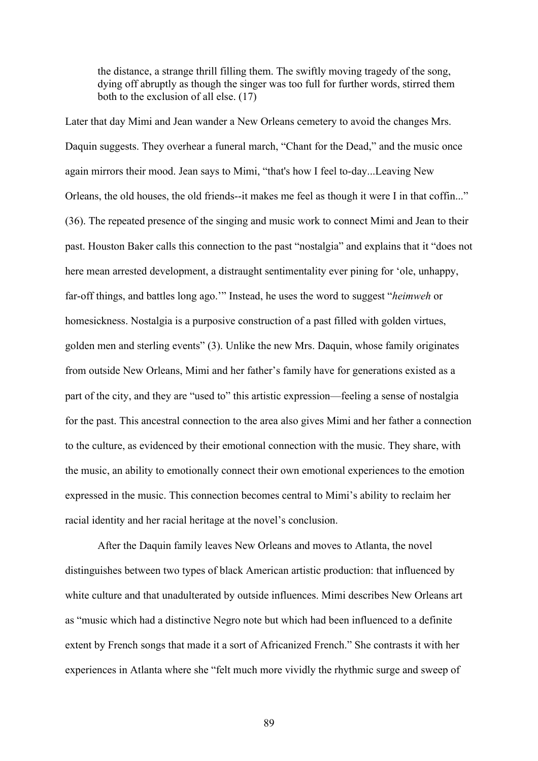the distance, a strange thrill filling them. The swiftly moving tragedy of the song, dying off abruptly as though the singer was too full for further words, stirred them both to the exclusion of all else. (17)

Later that day Mimi and Jean wander a New Orleans cemetery to avoid the changes Mrs. Daquin suggests. They overhear a funeral march, "Chant for the Dead," and the music once again mirrors their mood. Jean says to Mimi, "that's how I feel to-day...Leaving New Orleans, the old houses, the old friends--it makes me feel as though it were I in that coffin..." (36). The repeated presence of the singing and music work to connect Mimi and Jean to their past. Houston Baker calls this connection to the past "nostalgia" and explains that it "does not here mean arrested development, a distraught sentimentality ever pining for 'ole, unhappy, far-off things, and battles long ago.'" Instead, he uses the word to suggest "*heimweh* or homesickness. Nostalgia is a purposive construction of a past filled with golden virtues, golden men and sterling events" (3). Unlike the new Mrs. Daquin, whose family originates from outside New Orleans, Mimi and her father's family have for generations existed as a part of the city, and they are "used to" this artistic expression—feeling a sense of nostalgia for the past. This ancestral connection to the area also gives Mimi and her father a connection to the culture, as evidenced by their emotional connection with the music. They share, with the music, an ability to emotionally connect their own emotional experiences to the emotion expressed in the music. This connection becomes central to Mimi's ability to reclaim her racial identity and her racial heritage at the novel's conclusion.

After the Daquin family leaves New Orleans and moves to Atlanta, the novel distinguishes between two types of black American artistic production: that influenced by white culture and that unadulterated by outside influences. Mimi describes New Orleans art as "music which had a distinctive Negro note but which had been influenced to a definite extent by French songs that made it a sort of Africanized French." She contrasts it with her experiences in Atlanta where she "felt much more vividly the rhythmic surge and sweep of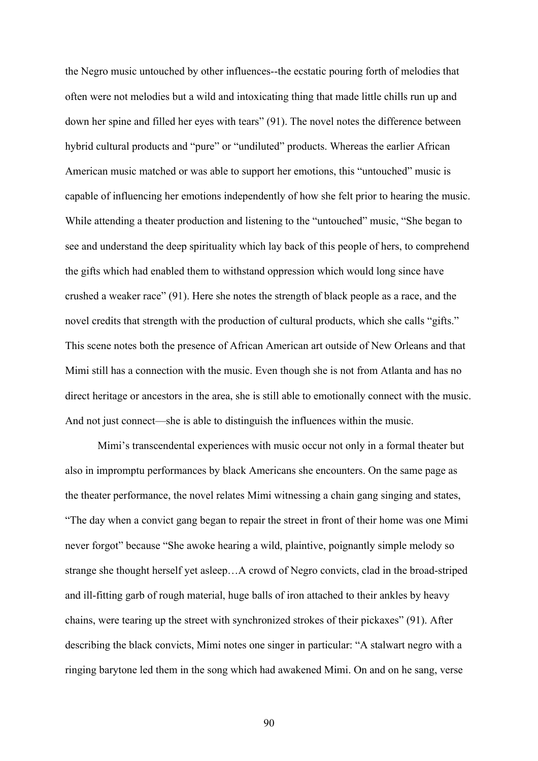the Negro music untouched by other influences--the ecstatic pouring forth of melodies that often were not melodies but a wild and intoxicating thing that made little chills run up and down her spine and filled her eyes with tears" (91). The novel notes the difference between hybrid cultural products and "pure" or "undiluted" products. Whereas the earlier African American music matched or was able to support her emotions, this "untouched" music is capable of influencing her emotions independently of how she felt prior to hearing the music. While attending a theater production and listening to the "untouched" music, "She began to see and understand the deep spirituality which lay back of this people of hers, to comprehend the gifts which had enabled them to withstand oppression which would long since have crushed a weaker race" (91). Here she notes the strength of black people as a race, and the novel credits that strength with the production of cultural products, which she calls "gifts." This scene notes both the presence of African American art outside of New Orleans and that Mimi still has a connection with the music. Even though she is not from Atlanta and has no direct heritage or ancestors in the area, she is still able to emotionally connect with the music. And not just connect—she is able to distinguish the influences within the music.

Mimi's transcendental experiences with music occur not only in a formal theater but also in impromptu performances by black Americans she encounters. On the same page as the theater performance, the novel relates Mimi witnessing a chain gang singing and states, "The day when a convict gang began to repair the street in front of their home was one Mimi never forgot" because "She awoke hearing a wild, plaintive, poignantly simple melody so strange she thought herself yet asleep…A crowd of Negro convicts, clad in the broad-striped and ill-fitting garb of rough material, huge balls of iron attached to their ankles by heavy chains, were tearing up the street with synchronized strokes of their pickaxes" (91). After describing the black convicts, Mimi notes one singer in particular: "A stalwart negro with a ringing barytone led them in the song which had awakened Mimi. On and on he sang, verse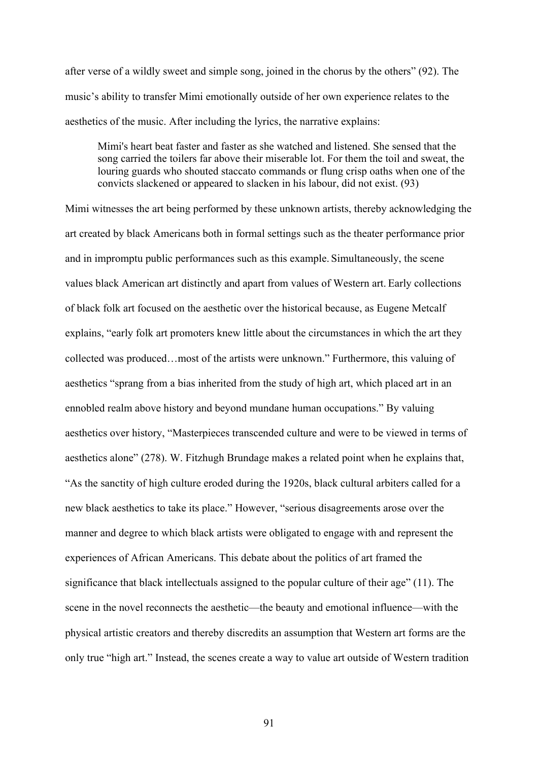after verse of a wildly sweet and simple song, joined in the chorus by the others" (92). The music's ability to transfer Mimi emotionally outside of her own experience relates to the aesthetics of the music. After including the lyrics, the narrative explains:

Mimi's heart beat faster and faster as she watched and listened. She sensed that the song carried the toilers far above their miserable lot. For them the toil and sweat, the louring guards who shouted staccato commands or flung crisp oaths when one of the convicts slackened or appeared to slacken in his labour, did not exist. (93)

Mimi witnesses the art being performed by these unknown artists, thereby acknowledging the art created by black Americans both in formal settings such as the theater performance prior and in impromptu public performances such as this example. Simultaneously, the scene values black American art distinctly and apart from values of Western art. Early collections of black folk art focused on the aesthetic over the historical because, as Eugene Metcalf explains, "early folk art promoters knew little about the circumstances in which the art they collected was produced…most of the artists were unknown." Furthermore, this valuing of aesthetics "sprang from a bias inherited from the study of high art, which placed art in an ennobled realm above history and beyond mundane human occupations." By valuing aesthetics over history, "Masterpieces transcended culture and were to be viewed in terms of aesthetics alone" (278). W. Fitzhugh Brundage makes a related point when he explains that, "As the sanctity of high culture eroded during the 1920s, black cultural arbiters called for a new black aesthetics to take its place." However, "serious disagreements arose over the manner and degree to which black artists were obligated to engage with and represent the experiences of African Americans. This debate about the politics of art framed the significance that black intellectuals assigned to the popular culture of their age" (11). The scene in the novel reconnects the aesthetic—the beauty and emotional influence—with the physical artistic creators and thereby discredits an assumption that Western art forms are the only true "high art." Instead, the scenes create a way to value art outside of Western tradition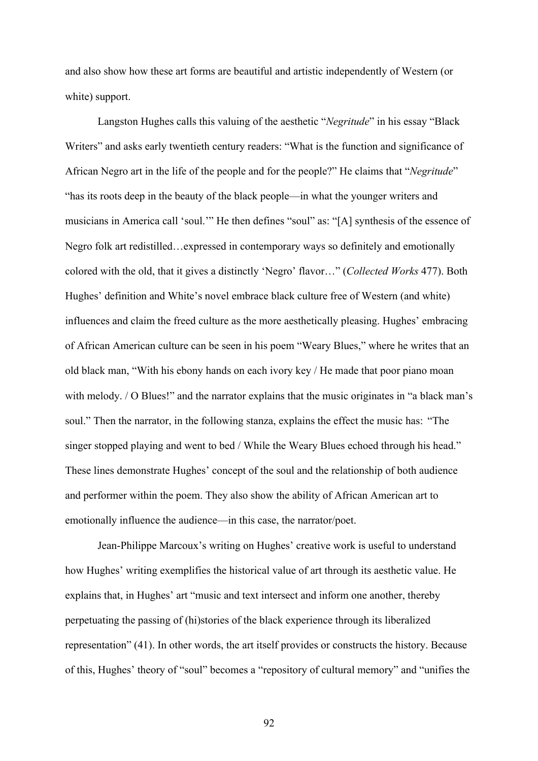and also show how these art forms are beautiful and artistic independently of Western (or white) support.

Langston Hughes calls this valuing of the aesthetic "*Negritude*" in his essay "Black Writers" and asks early twentieth century readers: "What is the function and significance of African Negro art in the life of the people and for the people?" He claims that "*Negritude*" "has its roots deep in the beauty of the black people—in what the younger writers and musicians in America call 'soul.'" He then defines "soul" as: "[A] synthesis of the essence of Negro folk art redistilled…expressed in contemporary ways so definitely and emotionally colored with the old, that it gives a distinctly 'Negro' flavor…" (*Collected Works* 477). Both Hughes' definition and White's novel embrace black culture free of Western (and white) influences and claim the freed culture as the more aesthetically pleasing. Hughes' embracing of African American culture can be seen in his poem "Weary Blues," where he writes that an old black man, "With his ebony hands on each ivory key / He made that poor piano moan with melody. */ O Blues!*" and the narrator explains that the music originates in "a black man's soul." Then the narrator, in the following stanza, explains the effect the music has: "The singer stopped playing and went to bed / While the Weary Blues echoed through his head." These lines demonstrate Hughes' concept of the soul and the relationship of both audience and performer within the poem. They also show the ability of African American art to emotionally influence the audience—in this case, the narrator/poet.

Jean-Philippe Marcoux's writing on Hughes' creative work is useful to understand how Hughes' writing exemplifies the historical value of art through its aesthetic value. He explains that, in Hughes' art "music and text intersect and inform one another, thereby perpetuating the passing of (hi)stories of the black experience through its liberalized representation" (41). In other words, the art itself provides or constructs the history. Because of this, Hughes' theory of "soul" becomes a "repository of cultural memory" and "unifies the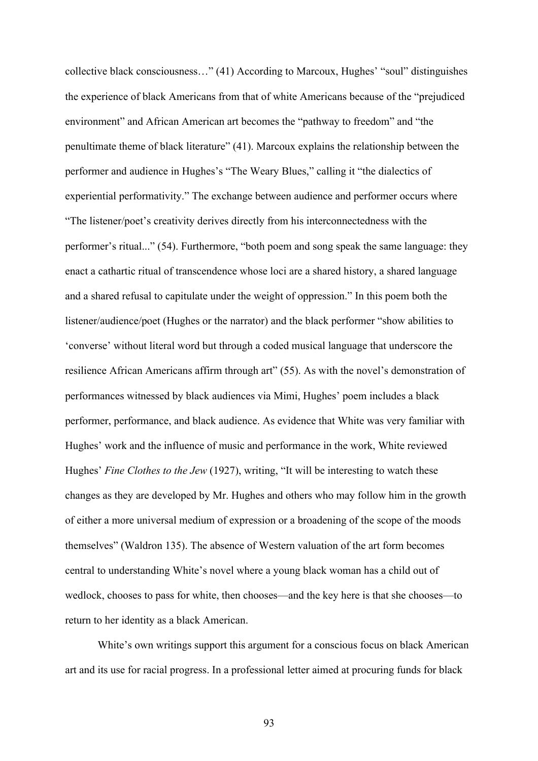collective black consciousness…" (41) According to Marcoux, Hughes' "soul" distinguishes the experience of black Americans from that of white Americans because of the "prejudiced environment" and African American art becomes the "pathway to freedom" and "the penultimate theme of black literature" (41). Marcoux explains the relationship between the performer and audience in Hughes's "The Weary Blues," calling it "the dialectics of experiential performativity." The exchange between audience and performer occurs where "The listener/poet's creativity derives directly from his interconnectedness with the performer's ritual..." (54). Furthermore, "both poem and song speak the same language: they enact a cathartic ritual of transcendence whose loci are a shared history, a shared language and a shared refusal to capitulate under the weight of oppression." In this poem both the listener/audience/poet (Hughes or the narrator) and the black performer "show abilities to 'converse' without literal word but through a coded musical language that underscore the resilience African Americans affirm through art" (55). As with the novel's demonstration of performances witnessed by black audiences via Mimi, Hughes' poem includes a black performer, performance, and black audience. As evidence that White was very familiar with Hughes' work and the influence of music and performance in the work, White reviewed Hughes' *Fine Clothes to the Jew* (1927), writing, "It will be interesting to watch these changes as they are developed by Mr. Hughes and others who may follow him in the growth of either a more universal medium of expression or a broadening of the scope of the moods themselves" (Waldron 135). The absence of Western valuation of the art form becomes central to understanding White's novel where a young black woman has a child out of wedlock, chooses to pass for white, then chooses—and the key here is that she chooses—to return to her identity as a black American.

White's own writings support this argument for a conscious focus on black American art and its use for racial progress. In a professional letter aimed at procuring funds for black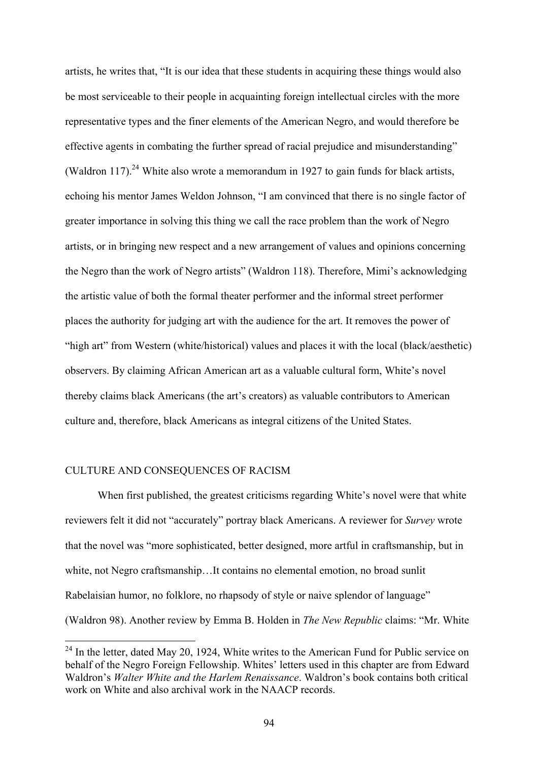artists, he writes that, "It is our idea that these students in acquiring these things would also be most serviceable to their people in acquainting foreign intellectual circles with the more representative types and the finer elements of the American Negro, and would therefore be effective agents in combating the further spread of racial prejudice and misunderstanding" (Waldron 117).<sup>24</sup> White also wrote a memorandum in 1927 to gain funds for black artists, echoing his mentor James Weldon Johnson, "I am convinced that there is no single factor of greater importance in solving this thing we call the race problem than the work of Negro artists, or in bringing new respect and a new arrangement of values and opinions concerning the Negro than the work of Negro artists" (Waldron 118). Therefore, Mimi's acknowledging the artistic value of both the formal theater performer and the informal street performer places the authority for judging art with the audience for the art. It removes the power of "high art" from Western (white/historical) values and places it with the local (black/aesthetic) observers. By claiming African American art as a valuable cultural form, White's novel thereby claims black Americans (the art's creators) as valuable contributors to American culture and, therefore, black Americans as integral citizens of the United States.

## CULTURE AND CONSEQUENCES OF RACISM

When first published, the greatest criticisms regarding White's novel were that white reviewers felt it did not "accurately" portray black Americans. A reviewer for *Survey* wrote that the novel was "more sophisticated, better designed, more artful in craftsmanship, but in white, not Negro craftsmanship…It contains no elemental emotion, no broad sunlit Rabelaisian humor, no folklore, no rhapsody of style or naive splendor of language" (Waldron 98). Another review by Emma B. Holden in *The New Republic* claims: "Mr. White

 $24$  In the letter, dated May 20, 1924, White writes to the American Fund for Public service on behalf of the Negro Foreign Fellowship. Whites' letters used in this chapter are from Edward Waldron's *Walter White and the Harlem Renaissance*. Waldron's book contains both critical work on White and also archival work in the NAACP records.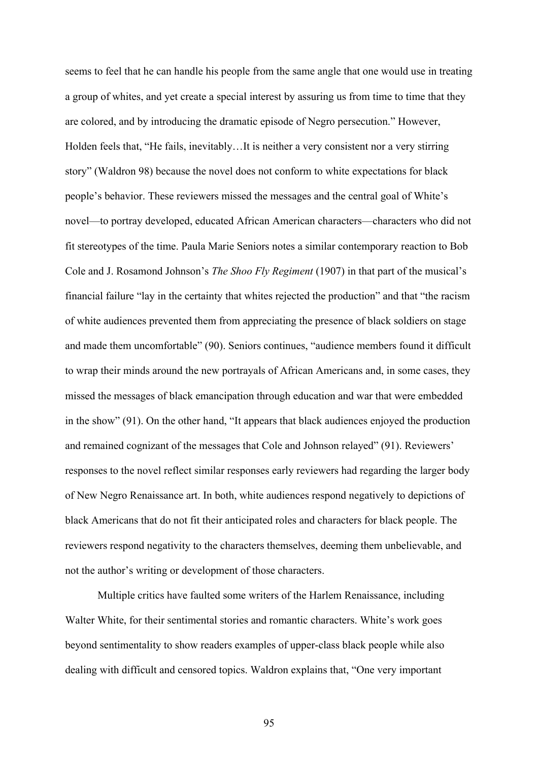seems to feel that he can handle his people from the same angle that one would use in treating a group of whites, and yet create a special interest by assuring us from time to time that they are colored, and by introducing the dramatic episode of Negro persecution." However, Holden feels that, "He fails, inevitably…It is neither a very consistent nor a very stirring story" (Waldron 98) because the novel does not conform to white expectations for black people's behavior. These reviewers missed the messages and the central goal of White's novel—to portray developed, educated African American characters—characters who did not fit stereotypes of the time. Paula Marie Seniors notes a similar contemporary reaction to Bob Cole and J. Rosamond Johnson's *The Shoo Fly Regiment* (1907) in that part of the musical's financial failure "lay in the certainty that whites rejected the production" and that "the racism of white audiences prevented them from appreciating the presence of black soldiers on stage and made them uncomfortable" (90). Seniors continues, "audience members found it difficult to wrap their minds around the new portrayals of African Americans and, in some cases, they missed the messages of black emancipation through education and war that were embedded in the show" (91). On the other hand, "It appears that black audiences enjoyed the production and remained cognizant of the messages that Cole and Johnson relayed" (91). Reviewers' responses to the novel reflect similar responses early reviewers had regarding the larger body of New Negro Renaissance art. In both, white audiences respond negatively to depictions of black Americans that do not fit their anticipated roles and characters for black people. The reviewers respond negativity to the characters themselves, deeming them unbelievable, and not the author's writing or development of those characters.

Multiple critics have faulted some writers of the Harlem Renaissance, including Walter White, for their sentimental stories and romantic characters. White's work goes beyond sentimentality to show readers examples of upper-class black people while also dealing with difficult and censored topics. Waldron explains that, "One very important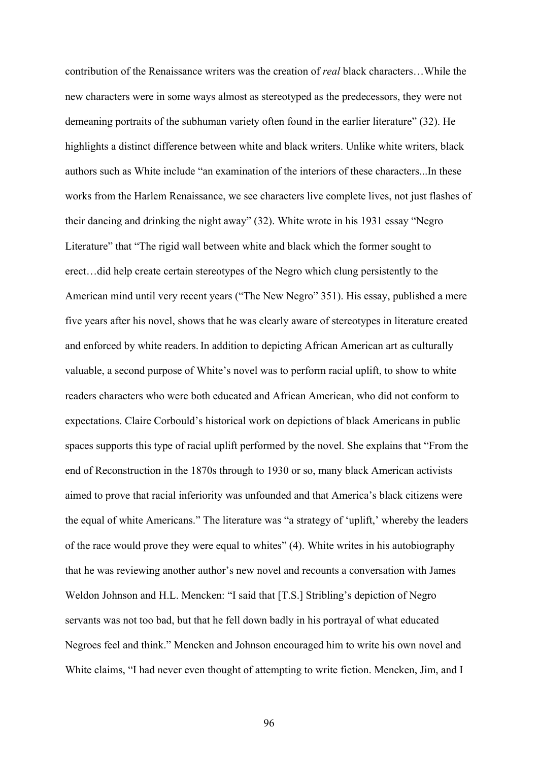contribution of the Renaissance writers was the creation of *real* black characters…While the new characters were in some ways almost as stereotyped as the predecessors, they were not demeaning portraits of the subhuman variety often found in the earlier literature" (32). He highlights a distinct difference between white and black writers. Unlike white writers, black authors such as White include "an examination of the interiors of these characters...In these works from the Harlem Renaissance, we see characters live complete lives, not just flashes of their dancing and drinking the night away" (32). White wrote in his 1931 essay "Negro Literature" that "The rigid wall between white and black which the former sought to erect…did help create certain stereotypes of the Negro which clung persistently to the American mind until very recent years ("The New Negro" 351). His essay, published a mere five years after his novel, shows that he was clearly aware of stereotypes in literature created and enforced by white readers. In addition to depicting African American art as culturally valuable, a second purpose of White's novel was to perform racial uplift, to show to white readers characters who were both educated and African American, who did not conform to expectations. Claire Corbould's historical work on depictions of black Americans in public spaces supports this type of racial uplift performed by the novel. She explains that "From the end of Reconstruction in the 1870s through to 1930 or so, many black American activists aimed to prove that racial inferiority was unfounded and that America's black citizens were the equal of white Americans." The literature was "a strategy of 'uplift,' whereby the leaders of the race would prove they were equal to whites" (4). White writes in his autobiography that he was reviewing another author's new novel and recounts a conversation with James Weldon Johnson and H.L. Mencken: "I said that [T.S.] Stribling's depiction of Negro servants was not too bad, but that he fell down badly in his portrayal of what educated Negroes feel and think." Mencken and Johnson encouraged him to write his own novel and White claims, "I had never even thought of attempting to write fiction. Mencken, Jim, and I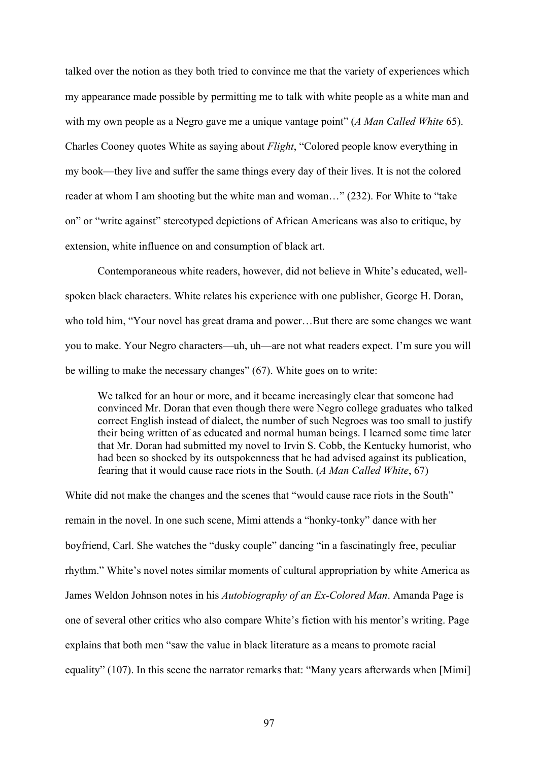talked over the notion as they both tried to convince me that the variety of experiences which my appearance made possible by permitting me to talk with white people as a white man and with my own people as a Negro gave me a unique vantage point" (*A Man Called White* 65). Charles Cooney quotes White as saying about *Flight*, "Colored people know everything in my book—they live and suffer the same things every day of their lives. It is not the colored reader at whom I am shooting but the white man and woman…" (232). For White to "take on" or "write against" stereotyped depictions of African Americans was also to critique, by extension, white influence on and consumption of black art.

Contemporaneous white readers, however, did not believe in White's educated, wellspoken black characters. White relates his experience with one publisher, George H. Doran, who told him, "Your novel has great drama and power…But there are some changes we want you to make. Your Negro characters—uh, uh—are not what readers expect. I'm sure you will be willing to make the necessary changes" (67). White goes on to write:

We talked for an hour or more, and it became increasingly clear that someone had convinced Mr. Doran that even though there were Negro college graduates who talked correct English instead of dialect, the number of such Negroes was too small to justify their being written of as educated and normal human beings. I learned some time later that Mr. Doran had submitted my novel to Irvin S. Cobb, the Kentucky humorist, who had been so shocked by its outspokenness that he had advised against its publication, fearing that it would cause race riots in the South. (*A Man Called White*, 67)

White did not make the changes and the scenes that "would cause race riots in the South" remain in the novel. In one such scene, Mimi attends a "honky-tonky" dance with her boyfriend, Carl. She watches the "dusky couple" dancing "in a fascinatingly free, peculiar rhythm." White's novel notes similar moments of cultural appropriation by white America as James Weldon Johnson notes in his *Autobiography of an Ex-Colored Man*. Amanda Page is one of several other critics who also compare White's fiction with his mentor's writing. Page explains that both men "saw the value in black literature as a means to promote racial equality" (107). In this scene the narrator remarks that: "Many years afterwards when [Mimi]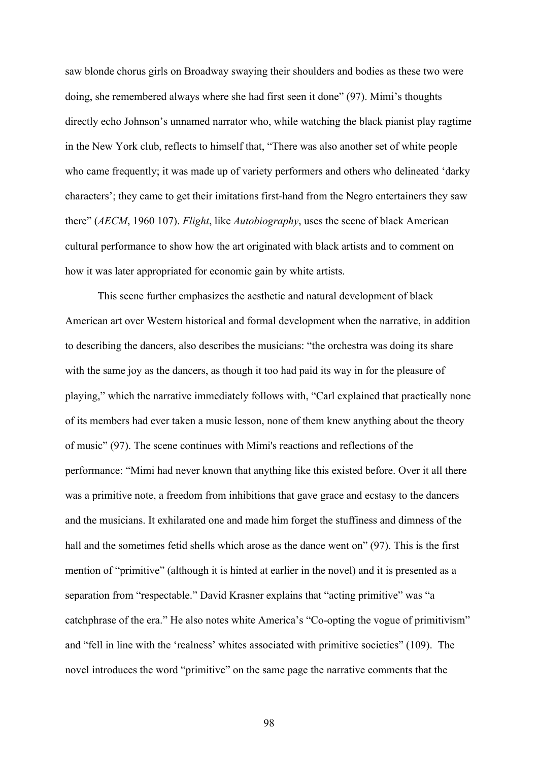saw blonde chorus girls on Broadway swaying their shoulders and bodies as these two were doing, she remembered always where she had first seen it done" (97). Mimi's thoughts directly echo Johnson's unnamed narrator who, while watching the black pianist play ragtime in the New York club, reflects to himself that, "There was also another set of white people who came frequently; it was made up of variety performers and others who delineated 'darky characters'; they came to get their imitations first-hand from the Negro entertainers they saw there" (*AECM*, 1960 107). *Flight*, like *Autobiography*, uses the scene of black American cultural performance to show how the art originated with black artists and to comment on how it was later appropriated for economic gain by white artists.

This scene further emphasizes the aesthetic and natural development of black American art over Western historical and formal development when the narrative, in addition to describing the dancers, also describes the musicians: "the orchestra was doing its share with the same joy as the dancers, as though it too had paid its way in for the pleasure of playing," which the narrative immediately follows with, "Carl explained that practically none of its members had ever taken a music lesson, none of them knew anything about the theory of music" (97). The scene continues with Mimi's reactions and reflections of the performance: "Mimi had never known that anything like this existed before. Over it all there was a primitive note, a freedom from inhibitions that gave grace and ecstasy to the dancers and the musicians. It exhilarated one and made him forget the stuffiness and dimness of the hall and the sometimes fetid shells which arose as the dance went on" (97). This is the first mention of "primitive" (although it is hinted at earlier in the novel) and it is presented as a separation from "respectable." David Krasner explains that "acting primitive" was "a catchphrase of the era." He also notes white America's "Co-opting the vogue of primitivism" and "fell in line with the 'realness' whites associated with primitive societies" (109). The novel introduces the word "primitive" on the same page the narrative comments that the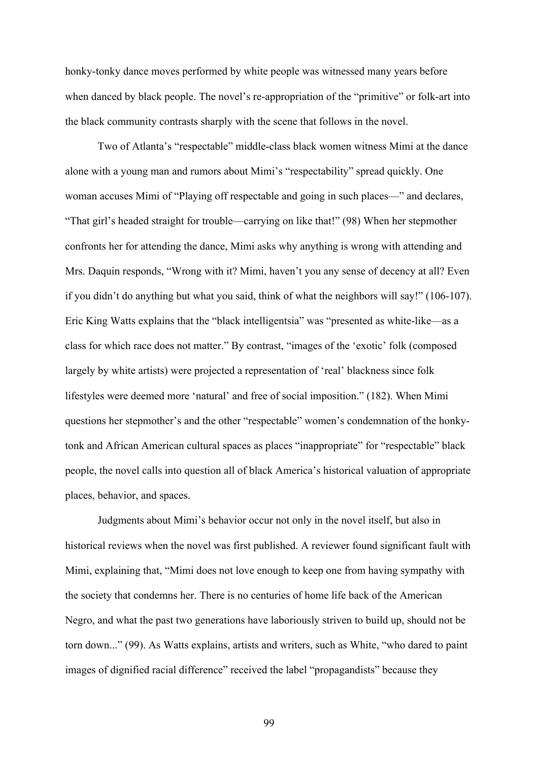honky-tonky dance moves performed by white people was witnessed many years before when danced by black people. The novel's re-appropriation of the "primitive" or folk-art into the black community contrasts sharply with the scene that follows in the novel.

Two of Atlanta's "respectable" middle-class black women witness Mimi at the dance alone with a young man and rumors about Mimi's "respectability" spread quickly. One woman accuses Mimi of "Playing off respectable and going in such places—" and declares, "That girl's headed straight for trouble—carrying on like that!" (98) When her stepmother confronts her for attending the dance, Mimi asks why anything is wrong with attending and Mrs. Daquin responds, "Wrong with it? Mimi, haven't you any sense of decency at all? Even if you didn't do anything but what you said, think of what the neighbors will say!" (106-107). Eric King Watts explains that the "black intelligentsia" was "presented as white-like—as a class for which race does not matter." By contrast, "images of the 'exotic' folk (composed largely by white artists) were projected a representation of 'real' blackness since folk lifestyles were deemed more 'natural' and free of social imposition." (182). When Mimi questions her stepmother's and the other "respectable" women's condemnation of the honkytonk and African American cultural spaces as places "inappropriate" for "respectable" black people, the novel calls into question all of black America's historical valuation of appropriate places, behavior, and spaces.

Judgments about Mimi's behavior occur not only in the novel itself, but also in historical reviews when the novel was first published. A reviewer found significant fault with Mimi, explaining that, "Mimi does not love enough to keep one from having sympathy with the society that condemns her. There is no centuries of home life back of the American Negro, and what the past two generations have laboriously striven to build up, should not be torn down..." (99). As Watts explains, artists and writers, such as White, "who dared to paint images of dignified racial difference" received the label "propagandists" because they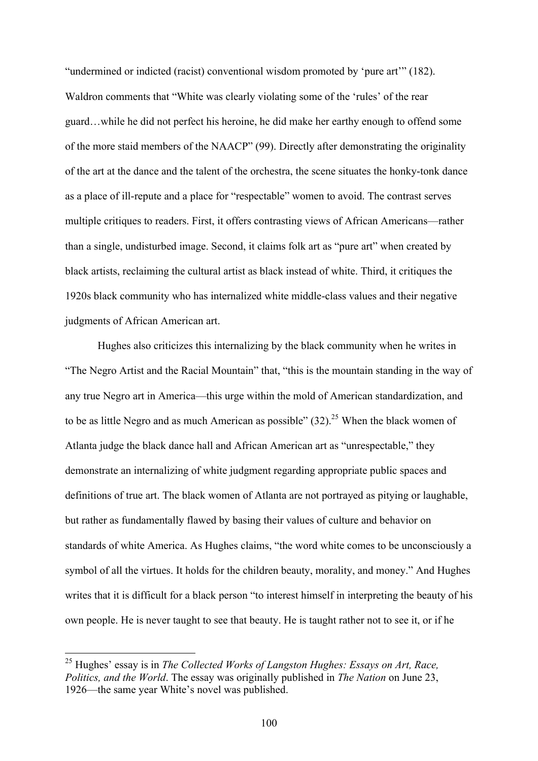"undermined or indicted (racist) conventional wisdom promoted by 'pure art'" (182). Waldron comments that "White was clearly violating some of the 'rules' of the rear guard…while he did not perfect his heroine, he did make her earthy enough to offend some of the more staid members of the NAACP" (99). Directly after demonstrating the originality of the art at the dance and the talent of the orchestra, the scene situates the honky-tonk dance as a place of ill-repute and a place for "respectable" women to avoid. The contrast serves multiple critiques to readers. First, it offers contrasting views of African Americans—rather than a single, undisturbed image. Second, it claims folk art as "pure art" when created by black artists, reclaiming the cultural artist as black instead of white. Third, it critiques the 1920s black community who has internalized white middle-class values and their negative judgments of African American art.

Hughes also criticizes this internalizing by the black community when he writes in "The Negro Artist and the Racial Mountain" that, "this is the mountain standing in the way of any true Negro art in America—this urge within the mold of American standardization, and to be as little Negro and as much American as possible"  $(32)$ <sup>25</sup> When the black women of Atlanta judge the black dance hall and African American art as "unrespectable," they demonstrate an internalizing of white judgment regarding appropriate public spaces and definitions of true art. The black women of Atlanta are not portrayed as pitying or laughable, but rather as fundamentally flawed by basing their values of culture and behavior on standards of white America. As Hughes claims, "the word white comes to be unconsciously a symbol of all the virtues. It holds for the children beauty, morality, and money." And Hughes writes that it is difficult for a black person "to interest himself in interpreting the beauty of his own people. He is never taught to see that beauty. He is taught rather not to see it, or if he

 <sup>25</sup> Hughes' essay is in *The Collected Works of Langston Hughes: Essays on Art, Race, Politics, and the World*. The essay was originally published in *The Nation* on June 23, 1926—the same year White's novel was published.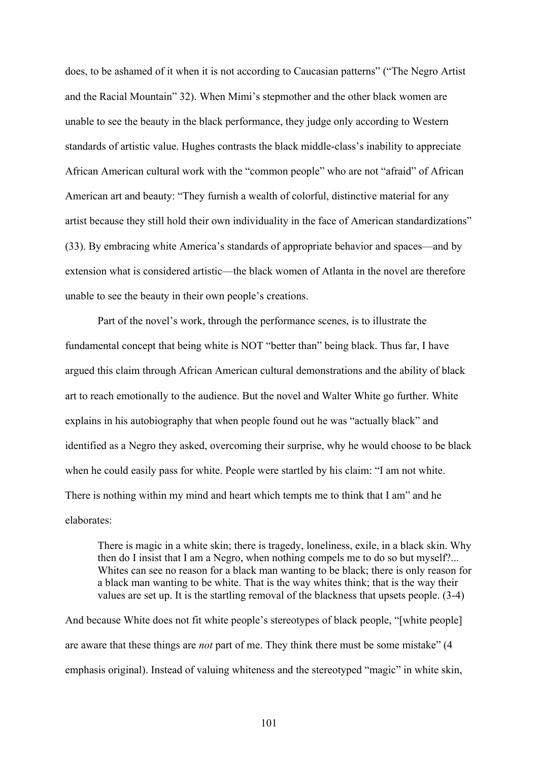does, to be ashamed of it when it is not according to Caucasian patterns" ("The Negro Artist and the Racial Mountain" 32). When Mimi's stepmother and the other black women are unable to see the beauty in the black performance, they judge only according to Western standards of artistic value. Hughes contrasts the black middle-class's inability to appreciate African American cultural work with the "common people" who are not "afraid" of African American art and beauty: "They furnish a wealth of colorful, distinctive material for any artist because they still hold their own individuality in the face of American standardizations" (33). By embracing white America's standards of appropriate behavior and spaces—and by extension what is considered artistic—the black women of Atlanta in the novel are therefore unable to see the beauty in their own people's creations.

Part of the novel's work, through the performance scenes, is to illustrate the fundamental concept that being white is NOT "better than" being black. Thus far, I have argued this claim through African American cultural demonstrations and the ability of black art to reach emotionally to the audience. But the novel and Walter White go further. White explains in his autobiography that when people found out he was "actually black" and identified as a Negro they asked, overcoming their surprise, why he would choose to be black when he could easily pass for white. People were startled by his claim: "I am not white. There is nothing within my mind and heart which tempts me to think that I am" and he elaborates:

There is magic in a white skin; there is tragedy, loneliness, exile, in a black skin. Why then do I insist that I am a Negro, when nothing compels me to do so but myself?... Whites can see no reason for a black man wanting to be black; there is only reason for a black man wanting to be white. That is the way whites think; that is the way their values are set up. It is the startling removal of the blackness that upsets people. (3-4)

And because White does not fit white people's stereotypes of black people, "[white people] are aware that these things are *not* part of me. They think there must be some mistake" (4 emphasis original). Instead of valuing whiteness and the stereotyped "magic" in white skin,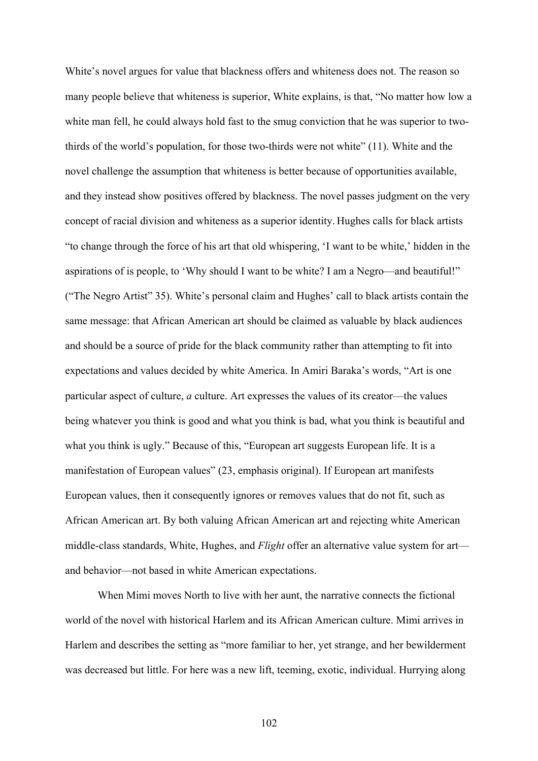White's novel argues for value that blackness offers and whiteness does not. The reason so many people believe that whiteness is superior, White explains, is that, "No matter how low a white man fell, he could always hold fast to the smug conviction that he was superior to twothirds of the world's population, for those two-thirds were not white" (11). White and the novel challenge the assumption that whiteness is better because of opportunities available, and they instead show positives offered by blackness. The novel passes judgment on the very concept of racial division and whiteness as a superior identity. Hughes calls for black artists "to change through the force of his art that old whispering, 'I want to be white,' hidden in the aspirations of is people, to 'Why should I want to be white? I am a Negro—and beautiful!" ("The Negro Artist" 35). White's personal claim and Hughes' call to black artists contain the same message: that African American art should be claimed as valuable by black audiences and should be a source of pride for the black community rather than attempting to fit into expectations and values decided by white America. In Amiri Baraka's words, "Art is one particular aspect of culture, *a* culture. Art expresses the values of its creator—the values being whatever you think is good and what you think is bad, what you think is beautiful and what you think is ugly." Because of this, "European art suggests European life. It is a manifestation of European values" (23, emphasis original). If European art manifests European values, then it consequently ignores or removes values that do not fit, such as African American art. By both valuing African American art and rejecting white American middle-class standards, White, Hughes, and *Flight* offer an alternative value system for art and behavior—not based in white American expectations.

When Mimi moves North to live with her aunt, the narrative connects the fictional world of the novel with historical Harlem and its African American culture. Mimi arrives in Harlem and describes the setting as "more familiar to her, yet strange, and her bewilderment was decreased but little. For here was a new lift, teeming, exotic, individual. Hurrying along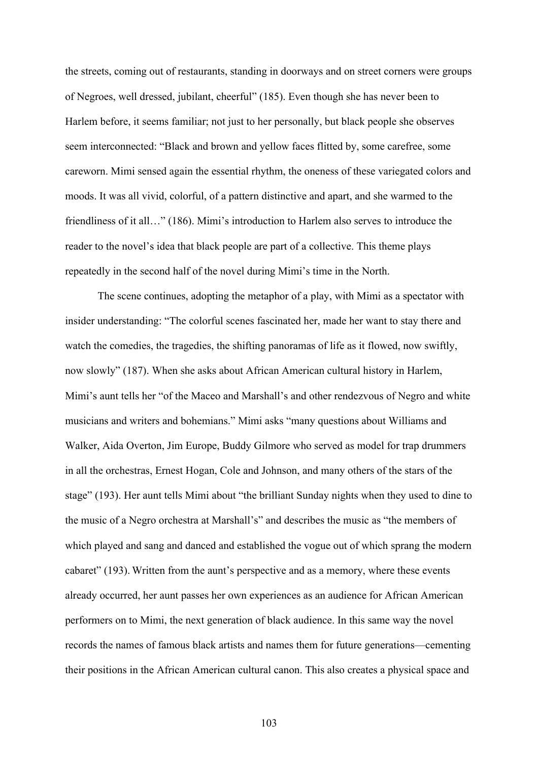the streets, coming out of restaurants, standing in doorways and on street corners were groups of Negroes, well dressed, jubilant, cheerful" (185). Even though she has never been to Harlem before, it seems familiar; not just to her personally, but black people she observes seem interconnected: "Black and brown and yellow faces flitted by, some carefree, some careworn. Mimi sensed again the essential rhythm, the oneness of these variegated colors and moods. It was all vivid, colorful, of a pattern distinctive and apart, and she warmed to the friendliness of it all…" (186). Mimi's introduction to Harlem also serves to introduce the reader to the novel's idea that black people are part of a collective. This theme plays repeatedly in the second half of the novel during Mimi's time in the North.

The scene continues, adopting the metaphor of a play, with Mimi as a spectator with insider understanding: "The colorful scenes fascinated her, made her want to stay there and watch the comedies, the tragedies, the shifting panoramas of life as it flowed, now swiftly, now slowly" (187). When she asks about African American cultural history in Harlem, Mimi's aunt tells her "of the Maceo and Marshall's and other rendezvous of Negro and white musicians and writers and bohemians." Mimi asks "many questions about Williams and Walker, Aida Overton, Jim Europe, Buddy Gilmore who served as model for trap drummers in all the orchestras, Ernest Hogan, Cole and Johnson, and many others of the stars of the stage" (193). Her aunt tells Mimi about "the brilliant Sunday nights when they used to dine to the music of a Negro orchestra at Marshall's" and describes the music as "the members of which played and sang and danced and established the vogue out of which sprang the modern cabaret" (193). Written from the aunt's perspective and as a memory, where these events already occurred, her aunt passes her own experiences as an audience for African American performers on to Mimi, the next generation of black audience. In this same way the novel records the names of famous black artists and names them for future generations—cementing their positions in the African American cultural canon. This also creates a physical space and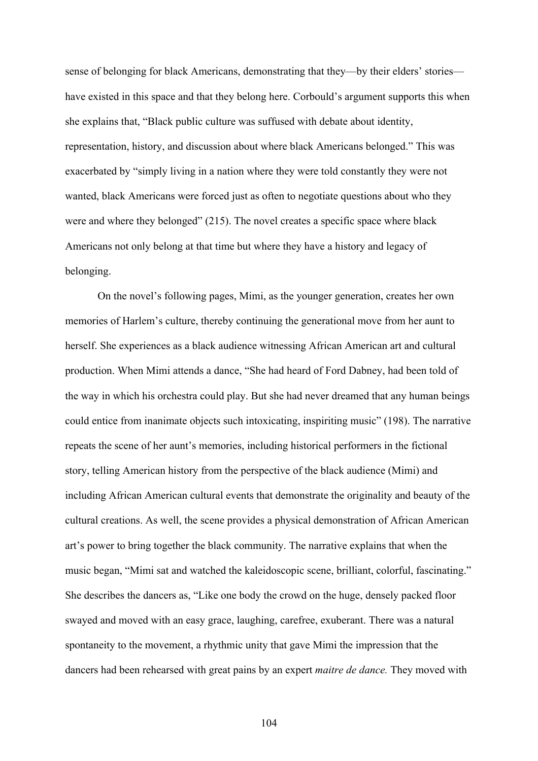sense of belonging for black Americans, demonstrating that they—by their elders' stories have existed in this space and that they belong here. Corbould's argument supports this when she explains that, "Black public culture was suffused with debate about identity, representation, history, and discussion about where black Americans belonged." This was exacerbated by "simply living in a nation where they were told constantly they were not wanted, black Americans were forced just as often to negotiate questions about who they were and where they belonged" (215). The novel creates a specific space where black Americans not only belong at that time but where they have a history and legacy of belonging.

On the novel's following pages, Mimi, as the younger generation, creates her own memories of Harlem's culture, thereby continuing the generational move from her aunt to herself. She experiences as a black audience witnessing African American art and cultural production. When Mimi attends a dance, "She had heard of Ford Dabney, had been told of the way in which his orchestra could play. But she had never dreamed that any human beings could entice from inanimate objects such intoxicating, inspiriting music" (198). The narrative repeats the scene of her aunt's memories, including historical performers in the fictional story, telling American history from the perspective of the black audience (Mimi) and including African American cultural events that demonstrate the originality and beauty of the cultural creations. As well, the scene provides a physical demonstration of African American art's power to bring together the black community. The narrative explains that when the music began, "Mimi sat and watched the kaleidoscopic scene, brilliant, colorful, fascinating." She describes the dancers as, "Like one body the crowd on the huge, densely packed floor swayed and moved with an easy grace, laughing, carefree, exuberant. There was a natural spontaneity to the movement, a rhythmic unity that gave Mimi the impression that the dancers had been rehearsed with great pains by an expert *maitre de dance.* They moved with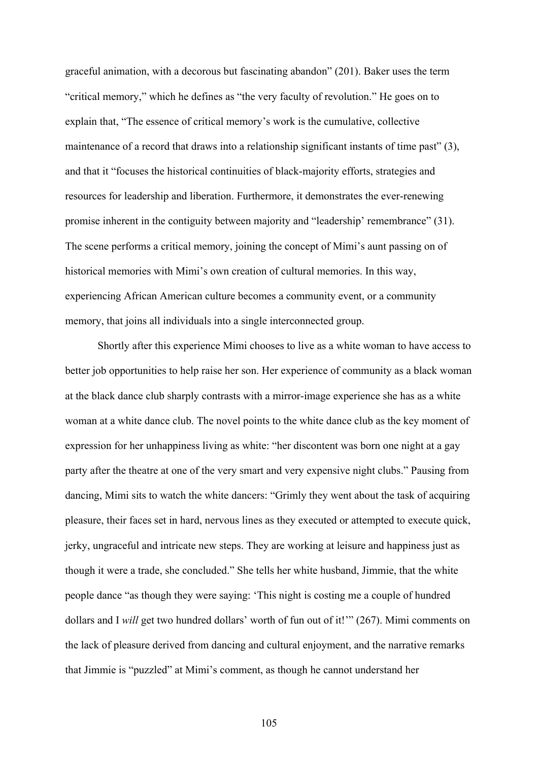graceful animation, with a decorous but fascinating abandon" (201). Baker uses the term "critical memory," which he defines as "the very faculty of revolution." He goes on to explain that, "The essence of critical memory's work is the cumulative, collective maintenance of a record that draws into a relationship significant instants of time past" (3), and that it "focuses the historical continuities of black-majority efforts, strategies and resources for leadership and liberation. Furthermore, it demonstrates the ever-renewing promise inherent in the contiguity between majority and "leadership' remembrance" (31). The scene performs a critical memory, joining the concept of Mimi's aunt passing on of historical memories with Mimi's own creation of cultural memories. In this way, experiencing African American culture becomes a community event, or a community memory, that joins all individuals into a single interconnected group.

Shortly after this experience Mimi chooses to live as a white woman to have access to better job opportunities to help raise her son. Her experience of community as a black woman at the black dance club sharply contrasts with a mirror-image experience she has as a white woman at a white dance club. The novel points to the white dance club as the key moment of expression for her unhappiness living as white: "her discontent was born one night at a gay party after the theatre at one of the very smart and very expensive night clubs." Pausing from dancing, Mimi sits to watch the white dancers: "Grimly they went about the task of acquiring pleasure, their faces set in hard, nervous lines as they executed or attempted to execute quick, jerky, ungraceful and intricate new steps. They are working at leisure and happiness just as though it were a trade, she concluded." She tells her white husband, Jimmie, that the white people dance "as though they were saying: 'This night is costing me a couple of hundred dollars and I *will* get two hundred dollars' worth of fun out of it!'" (267). Mimi comments on the lack of pleasure derived from dancing and cultural enjoyment, and the narrative remarks that Jimmie is "puzzled" at Mimi's comment, as though he cannot understand her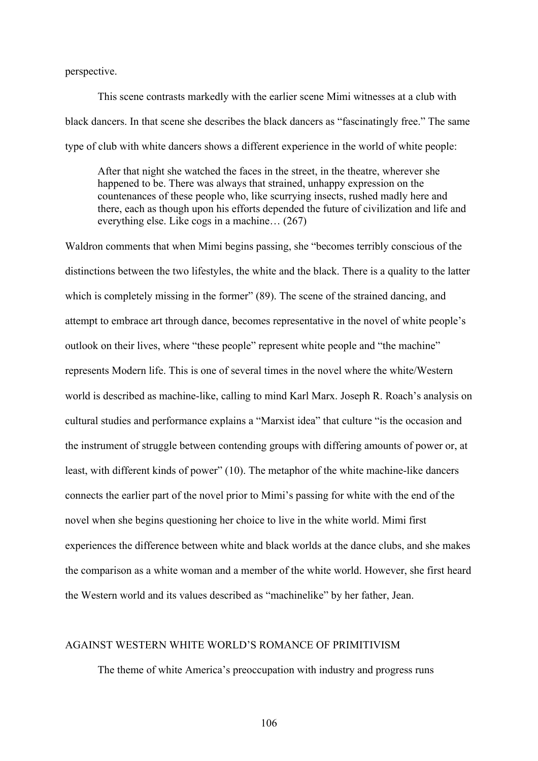perspective.

This scene contrasts markedly with the earlier scene Mimi witnesses at a club with black dancers. In that scene she describes the black dancers as "fascinatingly free." The same type of club with white dancers shows a different experience in the world of white people:

After that night she watched the faces in the street, in the theatre, wherever she happened to be. There was always that strained, unhappy expression on the countenances of these people who, like scurrying insects, rushed madly here and there, each as though upon his efforts depended the future of civilization and life and everything else. Like cogs in a machine… (267)

Waldron comments that when Mimi begins passing, she "becomes terribly conscious of the distinctions between the two lifestyles, the white and the black. There is a quality to the latter which is completely missing in the former" (89). The scene of the strained dancing, and attempt to embrace art through dance, becomes representative in the novel of white people's outlook on their lives, where "these people" represent white people and "the machine" represents Modern life. This is one of several times in the novel where the white/Western world is described as machine-like, calling to mind Karl Marx. Joseph R. Roach's analysis on cultural studies and performance explains a "Marxist idea" that culture "is the occasion and the instrument of struggle between contending groups with differing amounts of power or, at least, with different kinds of power" (10). The metaphor of the white machine-like dancers connects the earlier part of the novel prior to Mimi's passing for white with the end of the novel when she begins questioning her choice to live in the white world. Mimi first experiences the difference between white and black worlds at the dance clubs, and she makes the comparison as a white woman and a member of the white world. However, she first heard the Western world and its values described as "machinelike" by her father, Jean.

#### AGAINST WESTERN WHITE WORLD'S ROMANCE OF PRIMITIVISM

The theme of white America's preoccupation with industry and progress runs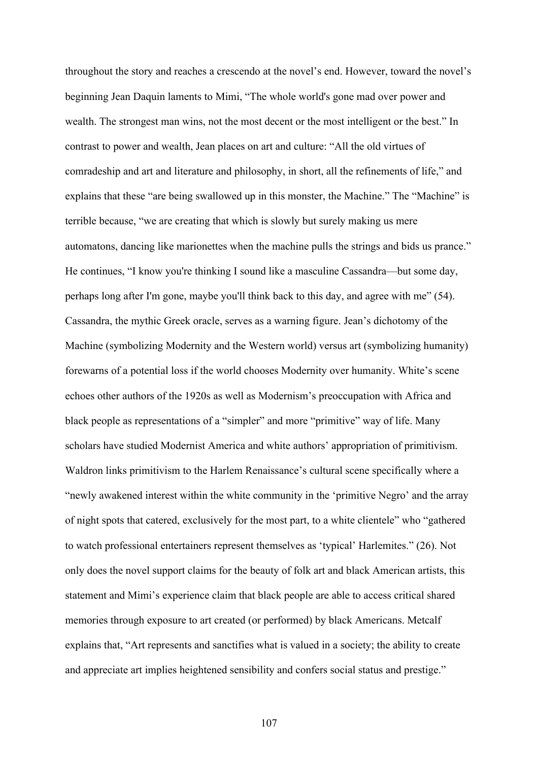throughout the story and reaches a crescendo at the novel's end. However, toward the novel's beginning Jean Daquin laments to Mimi, "The whole world's gone mad over power and wealth. The strongest man wins, not the most decent or the most intelligent or the best." In contrast to power and wealth, Jean places on art and culture: "All the old virtues of comradeship and art and literature and philosophy, in short, all the refinements of life," and explains that these "are being swallowed up in this monster, the Machine." The "Machine" is terrible because, "we are creating that which is slowly but surely making us mere automatons, dancing like marionettes when the machine pulls the strings and bids us prance." He continues, "I know you're thinking I sound like a masculine Cassandra—but some day, perhaps long after I'm gone, maybe you'll think back to this day, and agree with me" (54). Cassandra, the mythic Greek oracle, serves as a warning figure. Jean's dichotomy of the Machine (symbolizing Modernity and the Western world) versus art (symbolizing humanity) forewarns of a potential loss if the world chooses Modernity over humanity. White's scene echoes other authors of the 1920s as well as Modernism's preoccupation with Africa and black people as representations of a "simpler" and more "primitive" way of life. Many scholars have studied Modernist America and white authors' appropriation of primitivism. Waldron links primitivism to the Harlem Renaissance's cultural scene specifically where a "newly awakened interest within the white community in the 'primitive Negro' and the array of night spots that catered, exclusively for the most part, to a white clientele" who "gathered to watch professional entertainers represent themselves as 'typical' Harlemites." (26). Not only does the novel support claims for the beauty of folk art and black American artists, this statement and Mimi's experience claim that black people are able to access critical shared memories through exposure to art created (or performed) by black Americans. Metcalf explains that, "Art represents and sanctifies what is valued in a society; the ability to create and appreciate art implies heightened sensibility and confers social status and prestige."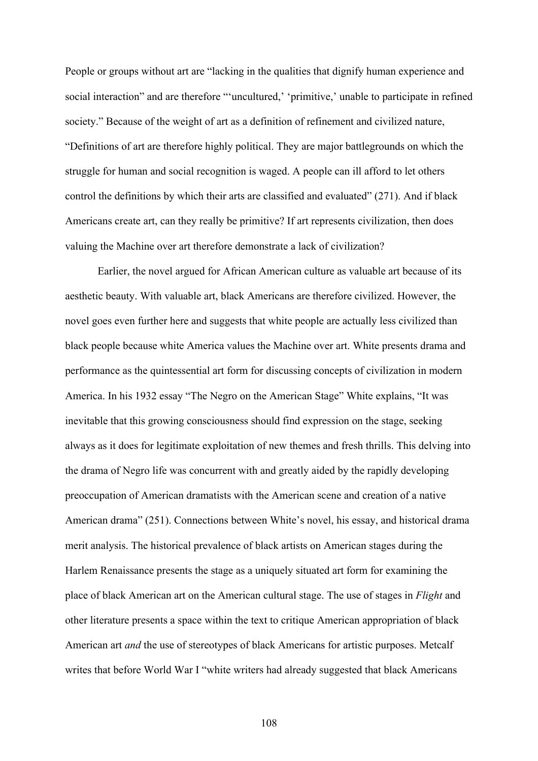People or groups without art are "lacking in the qualities that dignify human experience and social interaction" and are therefore "'uncultured,' 'primitive,' unable to participate in refined society." Because of the weight of art as a definition of refinement and civilized nature, "Definitions of art are therefore highly political. They are major battlegrounds on which the struggle for human and social recognition is waged. A people can ill afford to let others control the definitions by which their arts are classified and evaluated" (271). And if black Americans create art, can they really be primitive? If art represents civilization, then does valuing the Machine over art therefore demonstrate a lack of civilization?

Earlier, the novel argued for African American culture as valuable art because of its aesthetic beauty. With valuable art, black Americans are therefore civilized. However, the novel goes even further here and suggests that white people are actually less civilized than black people because white America values the Machine over art. White presents drama and performance as the quintessential art form for discussing concepts of civilization in modern America. In his 1932 essay "The Negro on the American Stage" White explains, "It was inevitable that this growing consciousness should find expression on the stage, seeking always as it does for legitimate exploitation of new themes and fresh thrills. This delving into the drama of Negro life was concurrent with and greatly aided by the rapidly developing preoccupation of American dramatists with the American scene and creation of a native American drama" (251). Connections between White's novel, his essay, and historical drama merit analysis. The historical prevalence of black artists on American stages during the Harlem Renaissance presents the stage as a uniquely situated art form for examining the place of black American art on the American cultural stage. The use of stages in *Flight* and other literature presents a space within the text to critique American appropriation of black American art *and* the use of stereotypes of black Americans for artistic purposes. Metcalf writes that before World War I "white writers had already suggested that black Americans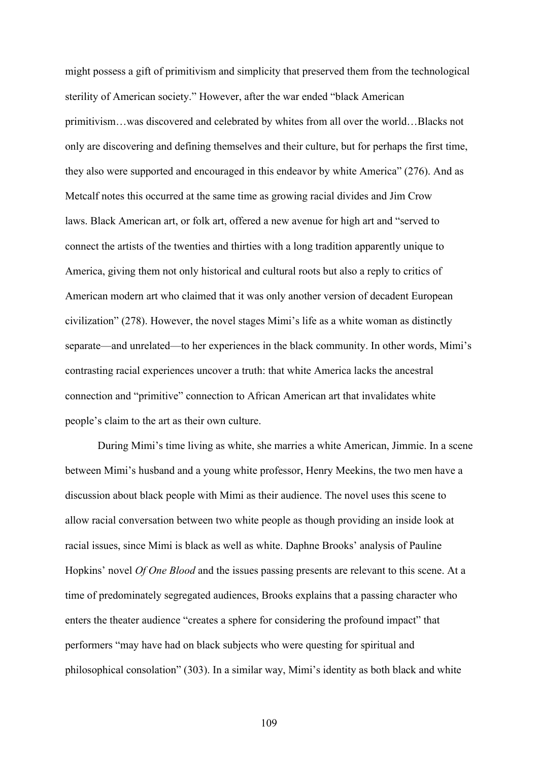might possess a gift of primitivism and simplicity that preserved them from the technological sterility of American society." However, after the war ended "black American primitivism…was discovered and celebrated by whites from all over the world…Blacks not only are discovering and defining themselves and their culture, but for perhaps the first time, they also were supported and encouraged in this endeavor by white America" (276). And as Metcalf notes this occurred at the same time as growing racial divides and Jim Crow laws. Black American art, or folk art, offered a new avenue for high art and "served to connect the artists of the twenties and thirties with a long tradition apparently unique to America, giving them not only historical and cultural roots but also a reply to critics of American modern art who claimed that it was only another version of decadent European civilization" (278). However, the novel stages Mimi's life as a white woman as distinctly separate—and unrelated—to her experiences in the black community. In other words, Mimi's contrasting racial experiences uncover a truth: that white America lacks the ancestral connection and "primitive" connection to African American art that invalidates white people's claim to the art as their own culture.

During Mimi's time living as white, she marries a white American, Jimmie. In a scene between Mimi's husband and a young white professor, Henry Meekins, the two men have a discussion about black people with Mimi as their audience. The novel uses this scene to allow racial conversation between two white people as though providing an inside look at racial issues, since Mimi is black as well as white. Daphne Brooks' analysis of Pauline Hopkins' novel *Of One Blood* and the issues passing presents are relevant to this scene. At a time of predominately segregated audiences, Brooks explains that a passing character who enters the theater audience "creates a sphere for considering the profound impact" that performers "may have had on black subjects who were questing for spiritual and philosophical consolation" (303). In a similar way, Mimi's identity as both black and white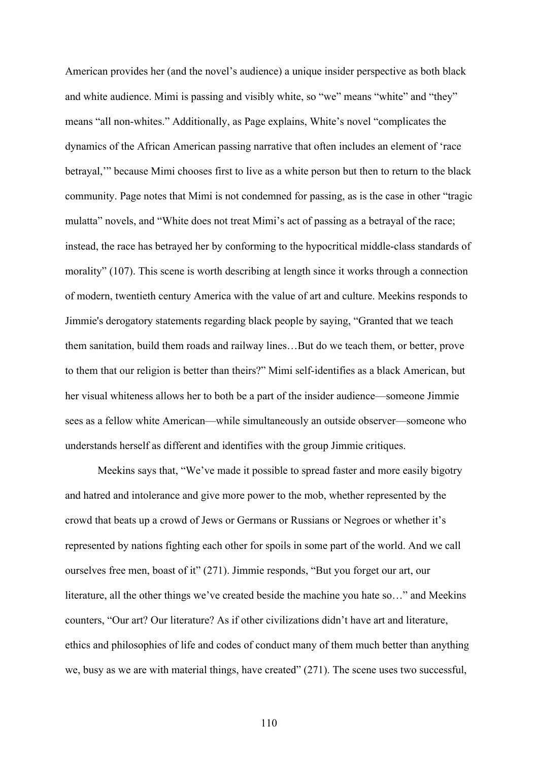American provides her (and the novel's audience) a unique insider perspective as both black and white audience. Mimi is passing and visibly white, so "we" means "white" and "they" means "all non-whites." Additionally, as Page explains, White's novel "complicates the dynamics of the African American passing narrative that often includes an element of 'race betrayal,'" because Mimi chooses first to live as a white person but then to return to the black community. Page notes that Mimi is not condemned for passing, as is the case in other "tragic mulatta" novels, and "White does not treat Mimi's act of passing as a betrayal of the race; instead, the race has betrayed her by conforming to the hypocritical middle-class standards of morality" (107). This scene is worth describing at length since it works through a connection of modern, twentieth century America with the value of art and culture. Meekins responds to Jimmie's derogatory statements regarding black people by saying, "Granted that we teach them sanitation, build them roads and railway lines…But do we teach them, or better, prove to them that our religion is better than theirs?" Mimi self-identifies as a black American, but her visual whiteness allows her to both be a part of the insider audience—someone Jimmie sees as a fellow white American—while simultaneously an outside observer—someone who understands herself as different and identifies with the group Jimmie critiques.

Meekins says that, "We've made it possible to spread faster and more easily bigotry and hatred and intolerance and give more power to the mob, whether represented by the crowd that beats up a crowd of Jews or Germans or Russians or Negroes or whether it's represented by nations fighting each other for spoils in some part of the world. And we call ourselves free men, boast of it" (271). Jimmie responds, "But you forget our art, our literature, all the other things we've created beside the machine you hate so…" and Meekins counters, "Our art? Our literature? As if other civilizations didn't have art and literature, ethics and philosophies of life and codes of conduct many of them much better than anything we, busy as we are with material things, have created" (271). The scene uses two successful,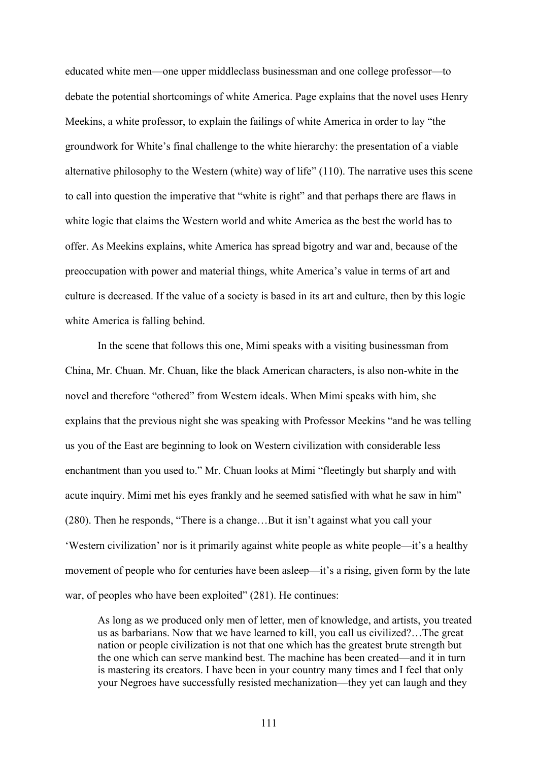educated white men—one upper middleclass businessman and one college professor—to debate the potential shortcomings of white America. Page explains that the novel uses Henry Meekins, a white professor, to explain the failings of white America in order to lay "the groundwork for White's final challenge to the white hierarchy: the presentation of a viable alternative philosophy to the Western (white) way of life" (110). The narrative uses this scene to call into question the imperative that "white is right" and that perhaps there are flaws in white logic that claims the Western world and white America as the best the world has to offer. As Meekins explains, white America has spread bigotry and war and, because of the preoccupation with power and material things, white America's value in terms of art and culture is decreased. If the value of a society is based in its art and culture, then by this logic white America is falling behind.

In the scene that follows this one, Mimi speaks with a visiting businessman from China, Mr. Chuan. Mr. Chuan, like the black American characters, is also non-white in the novel and therefore "othered" from Western ideals. When Mimi speaks with him, she explains that the previous night she was speaking with Professor Meekins "and he was telling us you of the East are beginning to look on Western civilization with considerable less enchantment than you used to." Mr. Chuan looks at Mimi "fleetingly but sharply and with acute inquiry. Mimi met his eyes frankly and he seemed satisfied with what he saw in him" (280). Then he responds, "There is a change…But it isn't against what you call your 'Western civilization' nor is it primarily against white people as white people—it's a healthy movement of people who for centuries have been asleep—it's a rising, given form by the late war, of peoples who have been exploited" (281). He continues:

As long as we produced only men of letter, men of knowledge, and artists, you treated us as barbarians. Now that we have learned to kill, you call us civilized?…The great nation or people civilization is not that one which has the greatest brute strength but the one which can serve mankind best. The machine has been created—and it in turn is mastering its creators. I have been in your country many times and I feel that only your Negroes have successfully resisted mechanization—they yet can laugh and they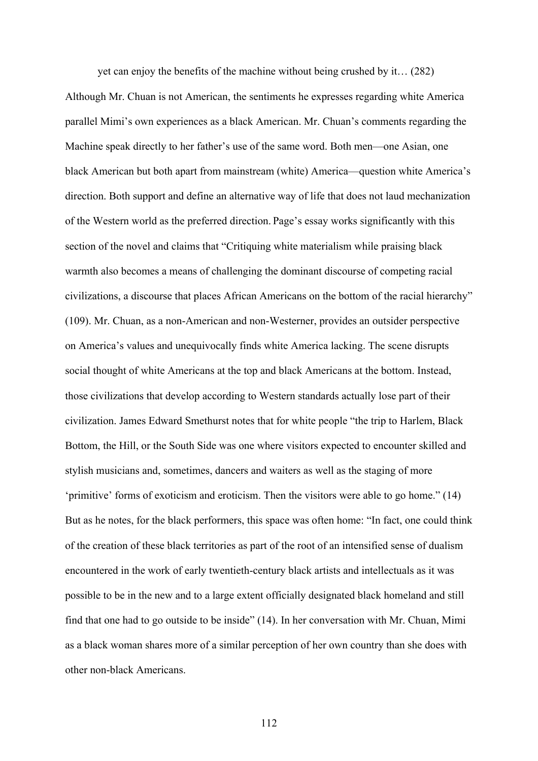yet can enjoy the benefits of the machine without being crushed by it… (282) Although Mr. Chuan is not American, the sentiments he expresses regarding white America parallel Mimi's own experiences as a black American. Mr. Chuan's comments regarding the Machine speak directly to her father's use of the same word. Both men—one Asian, one black American but both apart from mainstream (white) America—question white America's direction. Both support and define an alternative way of life that does not laud mechanization of the Western world as the preferred direction. Page's essay works significantly with this section of the novel and claims that "Critiquing white materialism while praising black warmth also becomes a means of challenging the dominant discourse of competing racial civilizations, a discourse that places African Americans on the bottom of the racial hierarchy" (109). Mr. Chuan, as a non-American and non-Westerner, provides an outsider perspective on America's values and unequivocally finds white America lacking. The scene disrupts social thought of white Americans at the top and black Americans at the bottom. Instead, those civilizations that develop according to Western standards actually lose part of their civilization. James Edward Smethurst notes that for white people "the trip to Harlem, Black Bottom, the Hill, or the South Side was one where visitors expected to encounter skilled and stylish musicians and, sometimes, dancers and waiters as well as the staging of more 'primitive' forms of exoticism and eroticism. Then the visitors were able to go home." (14) But as he notes, for the black performers, this space was often home: "In fact, one could think of the creation of these black territories as part of the root of an intensified sense of dualism encountered in the work of early twentieth-century black artists and intellectuals as it was possible to be in the new and to a large extent officially designated black homeland and still find that one had to go outside to be inside" (14). In her conversation with Mr. Chuan, Mimi as a black woman shares more of a similar perception of her own country than she does with other non-black Americans.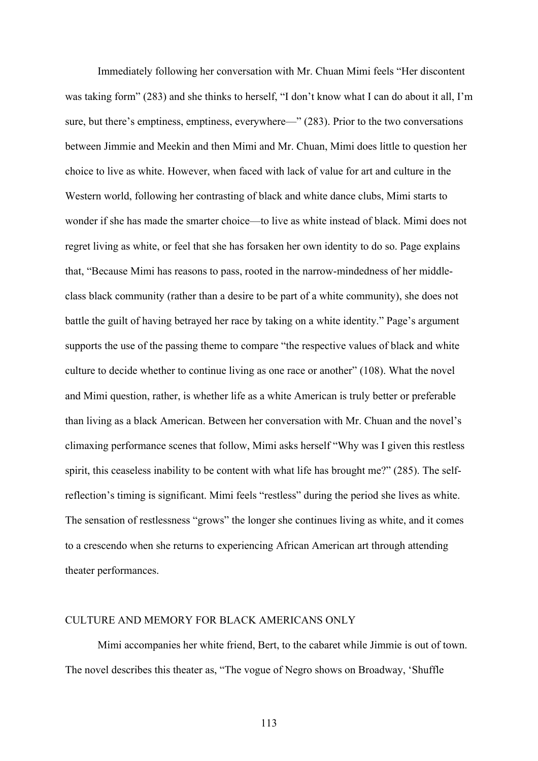Immediately following her conversation with Mr. Chuan Mimi feels "Her discontent was taking form" (283) and she thinks to herself, "I don't know what I can do about it all, I'm sure, but there's emptiness, emptiness, everywhere—" (283). Prior to the two conversations between Jimmie and Meekin and then Mimi and Mr. Chuan, Mimi does little to question her choice to live as white. However, when faced with lack of value for art and culture in the Western world, following her contrasting of black and white dance clubs, Mimi starts to wonder if she has made the smarter choice—to live as white instead of black. Mimi does not regret living as white, or feel that she has forsaken her own identity to do so. Page explains that, "Because Mimi has reasons to pass, rooted in the narrow-mindedness of her middleclass black community (rather than a desire to be part of a white community), she does not battle the guilt of having betrayed her race by taking on a white identity." Page's argument supports the use of the passing theme to compare "the respective values of black and white culture to decide whether to continue living as one race or another" (108). What the novel and Mimi question, rather, is whether life as a white American is truly better or preferable than living as a black American. Between her conversation with Mr. Chuan and the novel's climaxing performance scenes that follow, Mimi asks herself "Why was I given this restless spirit, this ceaseless inability to be content with what life has brought me?" (285). The selfreflection's timing is significant. Mimi feels "restless" during the period she lives as white. The sensation of restlessness "grows" the longer she continues living as white, and it comes to a crescendo when she returns to experiencing African American art through attending theater performances.

# CULTURE AND MEMORY FOR BLACK AMERICANS ONLY

Mimi accompanies her white friend, Bert, to the cabaret while Jimmie is out of town. The novel describes this theater as, "The vogue of Negro shows on Broadway, 'Shuffle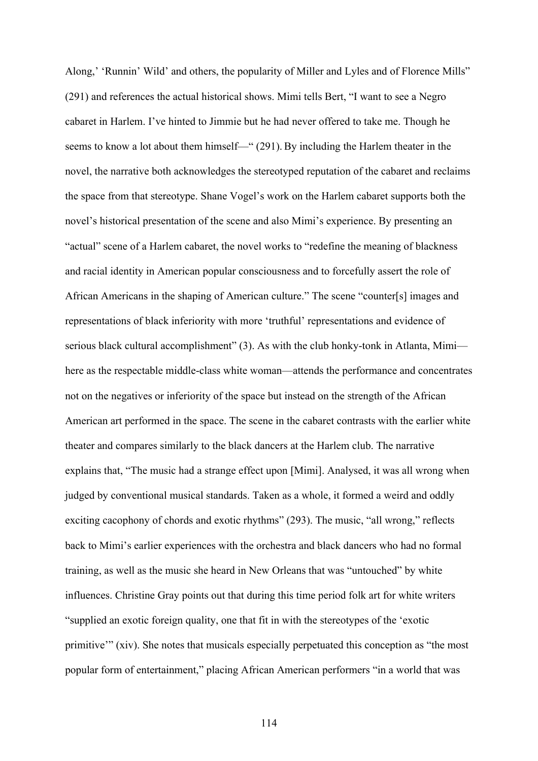Along,' 'Runnin' Wild' and others, the popularity of Miller and Lyles and of Florence Mills" (291) and references the actual historical shows. Mimi tells Bert, "I want to see a Negro cabaret in Harlem. I've hinted to Jimmie but he had never offered to take me. Though he seems to know a lot about them himself—" (291).By including the Harlem theater in the novel, the narrative both acknowledges the stereotyped reputation of the cabaret and reclaims the space from that stereotype. Shane Vogel's work on the Harlem cabaret supports both the novel's historical presentation of the scene and also Mimi's experience. By presenting an "actual" scene of a Harlem cabaret, the novel works to "redefine the meaning of blackness and racial identity in American popular consciousness and to forcefully assert the role of African Americans in the shaping of American culture." The scene "counter[s] images and representations of black inferiority with more 'truthful' representations and evidence of serious black cultural accomplishment" (3). As with the club honky-tonk in Atlanta, Mimi here as the respectable middle-class white woman—attends the performance and concentrates not on the negatives or inferiority of the space but instead on the strength of the African American art performed in the space. The scene in the cabaret contrasts with the earlier white theater and compares similarly to the black dancers at the Harlem club. The narrative explains that, "The music had a strange effect upon [Mimi]. Analysed, it was all wrong when judged by conventional musical standards. Taken as a whole, it formed a weird and oddly exciting cacophony of chords and exotic rhythms" (293). The music, "all wrong," reflects back to Mimi's earlier experiences with the orchestra and black dancers who had no formal training, as well as the music she heard in New Orleans that was "untouched" by white influences. Christine Gray points out that during this time period folk art for white writers "supplied an exotic foreign quality, one that fit in with the stereotypes of the 'exotic primitive'" (xiv). She notes that musicals especially perpetuated this conception as "the most popular form of entertainment," placing African American performers "in a world that was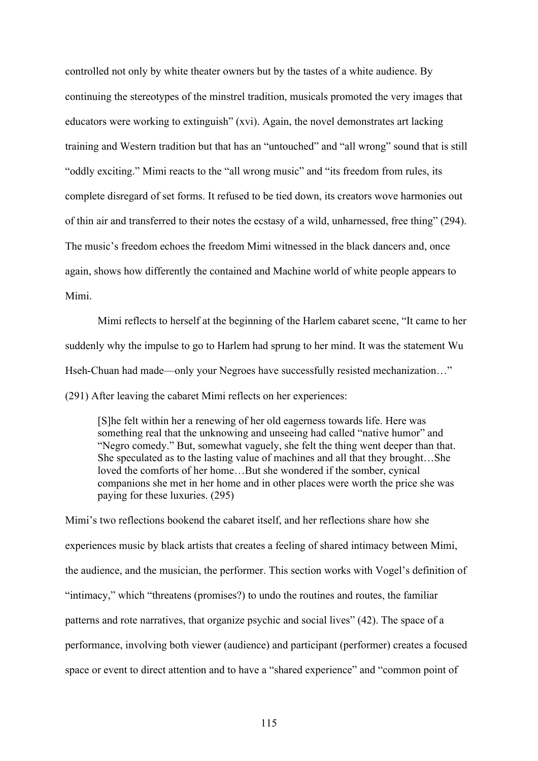controlled not only by white theater owners but by the tastes of a white audience. By continuing the stereotypes of the minstrel tradition, musicals promoted the very images that educators were working to extinguish" (xvi). Again, the novel demonstrates art lacking training and Western tradition but that has an "untouched" and "all wrong" sound that is still "oddly exciting." Mimi reacts to the "all wrong music" and "its freedom from rules, its complete disregard of set forms. It refused to be tied down, its creators wove harmonies out of thin air and transferred to their notes the ecstasy of a wild, unharnessed, free thing" (294). The music's freedom echoes the freedom Mimi witnessed in the black dancers and, once again, shows how differently the contained and Machine world of white people appears to Mimi.

Mimi reflects to herself at the beginning of the Harlem cabaret scene, "It came to her suddenly why the impulse to go to Harlem had sprung to her mind. It was the statement Wu Hseh-Chuan had made—only your Negroes have successfully resisted mechanization…" (291) After leaving the cabaret Mimi reflects on her experiences:

[S]he felt within her a renewing of her old eagerness towards life. Here was something real that the unknowing and unseeing had called "native humor" and "Negro comedy." But, somewhat vaguely, she felt the thing went deeper than that. She speculated as to the lasting value of machines and all that they brought…She loved the comforts of her home…But she wondered if the somber, cynical companions she met in her home and in other places were worth the price she was paying for these luxuries. (295)

Mimi's two reflections bookend the cabaret itself, and her reflections share how she experiences music by black artists that creates a feeling of shared intimacy between Mimi, the audience, and the musician, the performer. This section works with Vogel's definition of "intimacy," which "threatens (promises?) to undo the routines and routes, the familiar patterns and rote narratives, that organize psychic and social lives" (42). The space of a performance, involving both viewer (audience) and participant (performer) creates a focused space or event to direct attention and to have a "shared experience" and "common point of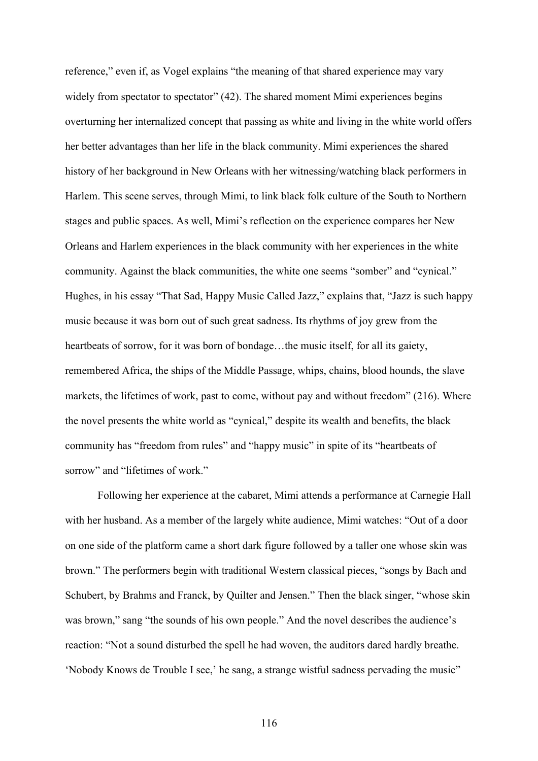reference," even if, as Vogel explains "the meaning of that shared experience may vary widely from spectator to spectator" (42). The shared moment Mimi experiences begins overturning her internalized concept that passing as white and living in the white world offers her better advantages than her life in the black community. Mimi experiences the shared history of her background in New Orleans with her witnessing/watching black performers in Harlem. This scene serves, through Mimi, to link black folk culture of the South to Northern stages and public spaces. As well, Mimi's reflection on the experience compares her New Orleans and Harlem experiences in the black community with her experiences in the white community. Against the black communities, the white one seems "somber" and "cynical." Hughes, in his essay "That Sad, Happy Music Called Jazz," explains that, "Jazz is such happy music because it was born out of such great sadness. Its rhythms of joy grew from the heartbeats of sorrow, for it was born of bondage...the music itself, for all its gaiety, remembered Africa, the ships of the Middle Passage, whips, chains, blood hounds, the slave markets, the lifetimes of work, past to come, without pay and without freedom" (216). Where the novel presents the white world as "cynical," despite its wealth and benefits, the black community has "freedom from rules" and "happy music" in spite of its "heartbeats of sorrow" and "lifetimes of work."

Following her experience at the cabaret, Mimi attends a performance at Carnegie Hall with her husband. As a member of the largely white audience, Mimi watches: "Out of a door on one side of the platform came a short dark figure followed by a taller one whose skin was brown." The performers begin with traditional Western classical pieces, "songs by Bach and Schubert, by Brahms and Franck, by Quilter and Jensen." Then the black singer, "whose skin was brown," sang "the sounds of his own people." And the novel describes the audience's reaction: "Not a sound disturbed the spell he had woven, the auditors dared hardly breathe. 'Nobody Knows de Trouble I see,' he sang, a strange wistful sadness pervading the music"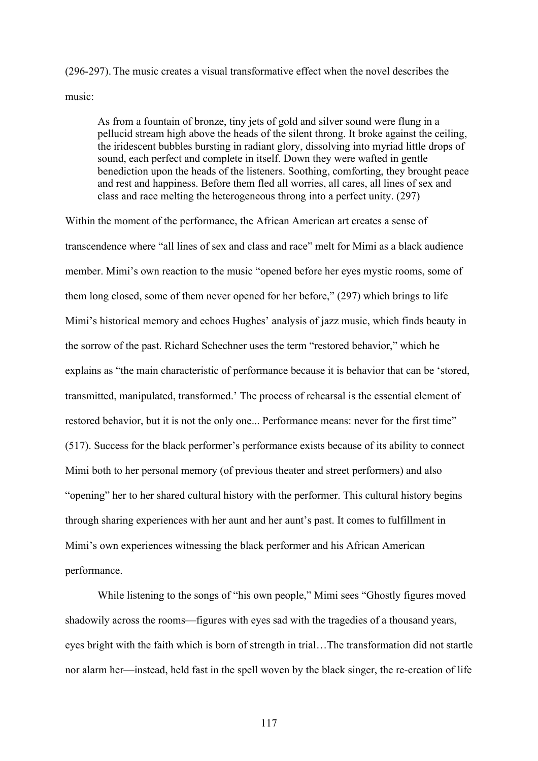(296-297). The music creates a visual transformative effect when the novel describes the music:

As from a fountain of bronze, tiny jets of gold and silver sound were flung in a pellucid stream high above the heads of the silent throng. It broke against the ceiling, the iridescent bubbles bursting in radiant glory, dissolving into myriad little drops of sound, each perfect and complete in itself. Down they were wafted in gentle benediction upon the heads of the listeners. Soothing, comforting, they brought peace and rest and happiness. Before them fled all worries, all cares, all lines of sex and class and race melting the heterogeneous throng into a perfect unity. (297)

Within the moment of the performance, the African American art creates a sense of transcendence where "all lines of sex and class and race" melt for Mimi as a black audience member. Mimi's own reaction to the music "opened before her eyes mystic rooms, some of them long closed, some of them never opened for her before," (297) which brings to life Mimi's historical memory and echoes Hughes' analysis of jazz music, which finds beauty in the sorrow of the past. Richard Schechner uses the term "restored behavior," which he explains as "the main characteristic of performance because it is behavior that can be 'stored, transmitted, manipulated, transformed.' The process of rehearsal is the essential element of restored behavior, but it is not the only one... Performance means: never for the first time" (517). Success for the black performer's performance exists because of its ability to connect Mimi both to her personal memory (of previous theater and street performers) and also "opening" her to her shared cultural history with the performer. This cultural history begins through sharing experiences with her aunt and her aunt's past. It comes to fulfillment in Mimi's own experiences witnessing the black performer and his African American performance.

While listening to the songs of "his own people," Mimi sees "Ghostly figures moved shadowily across the rooms—figures with eyes sad with the tragedies of a thousand years, eyes bright with the faith which is born of strength in trial…The transformation did not startle nor alarm her—instead, held fast in the spell woven by the black singer, the re-creation of life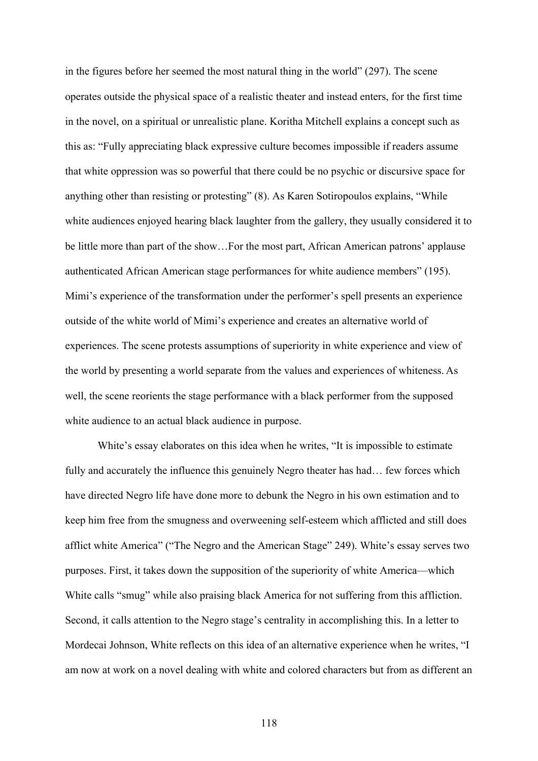in the figures before her seemed the most natural thing in the world" (297). The scene operates outside the physical space of a realistic theater and instead enters, for the first time in the novel, on a spiritual or unrealistic plane. Koritha Mitchell explains a concept such as this as: "Fully appreciating black expressive culture becomes impossible if readers assume that white oppression was so powerful that there could be no psychic or discursive space for anything other than resisting or protesting" (8). As Karen Sotiropoulos explains, "While white audiences enjoyed hearing black laughter from the gallery, they usually considered it to be little more than part of the show…For the most part, African American patrons' applause authenticated African American stage performances for white audience members" (195). Mimi's experience of the transformation under the performer's spell presents an experience outside of the white world of Mimi's experience and creates an alternative world of experiences. The scene protests assumptions of superiority in white experience and view of the world by presenting a world separate from the values and experiences of whiteness. As well, the scene reorients the stage performance with a black performer from the supposed white audience to an actual black audience in purpose.

White's essay elaborates on this idea when he writes, "It is impossible to estimate fully and accurately the influence this genuinely Negro theater has had... few forces which have directed Negro life have done more to debunk the Negro in his own estimation and to keep him free from the smugness and overweening self-esteem which afflicted and still does afflict white America" ("The Negro and the American Stage" 249). White's essay serves two purposes. First, it takes down the supposition of the superiority of white America—which White calls "smug" while also praising black America for not suffering from this affliction. Second, it calls attention to the Negro stage's centrality in accomplishing this. In a letter to Mordecai Johnson, White reflects on this idea of an alternative experience when he writes, "I am now at work on a novel dealing with white and colored characters but from as different an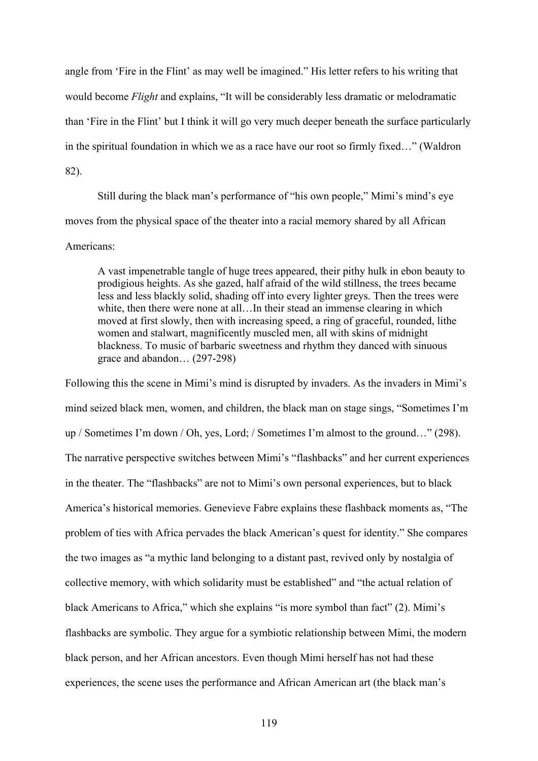angle from 'Fire in the Flint' as may well be imagined." His letter refers to his writing that would become *Flight* and explains, "It will be considerably less dramatic or melodramatic than 'Fire in the Flint' but I think it will go very much deeper beneath the surface particularly in the spiritual foundation in which we as a race have our root so firmly fixed…" (Waldron 82).

Still during the black man's performance of "his own people," Mimi's mind's eye moves from the physical space of the theater into a racial memory shared by all African Americans:

A vast impenetrable tangle of huge trees appeared, their pithy hulk in ebon beauty to prodigious heights. As she gazed, half afraid of the wild stillness, the trees became less and less blackly solid, shading off into every lighter greys. Then the trees were white, then there were none at all...In their stead an immense clearing in which moved at first slowly, then with increasing speed, a ring of graceful, rounded, lithe women and stalwart, magnificently muscled men, all with skins of midnight blackness. To music of barbaric sweetness and rhythm they danced with sinuous grace and abandon… (297-298)

Following this the scene in Mimi's mind is disrupted by invaders. As the invaders in Mimi's mind seized black men, women, and children, the black man on stage sings, "Sometimes I'm up / Sometimes I'm down / Oh, yes, Lord; / Sometimes I'm almost to the ground…" (298). The narrative perspective switches between Mimi's "flashbacks" and her current experiences in the theater. The "flashbacks" are not to Mimi's own personal experiences, but to black America's historical memories. Genevieve Fabre explains these flashback moments as, "The problem of ties with Africa pervades the black American's quest for identity." She compares the two images as "a mythic land belonging to a distant past, revived only by nostalgia of collective memory, with which solidarity must be established" and "the actual relation of black Americans to Africa," which she explains "is more symbol than fact" (2). Mimi's flashbacks are symbolic. They argue for a symbiotic relationship between Mimi, the modern black person, and her African ancestors. Even though Mimi herself has not had these experiences, the scene uses the performance and African American art (the black man's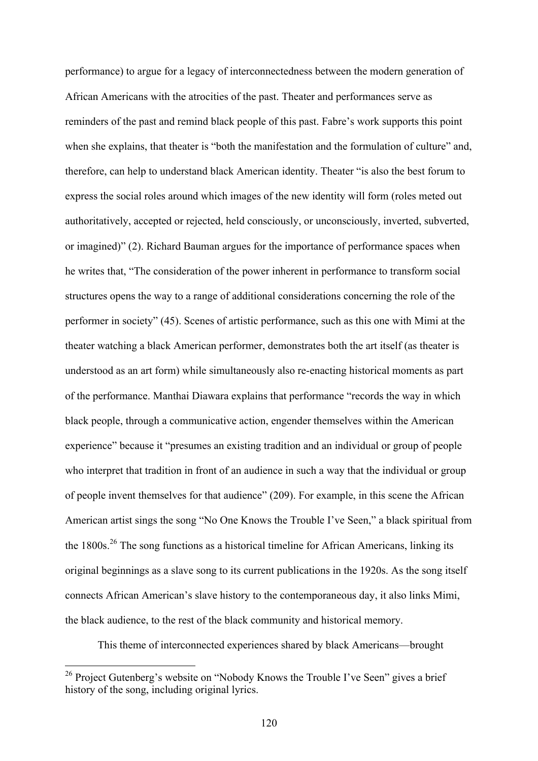performance) to argue for a legacy of interconnectedness between the modern generation of African Americans with the atrocities of the past. Theater and performances serve as reminders of the past and remind black people of this past. Fabre's work supports this point when she explains, that theater is "both the manifestation and the formulation of culture" and, therefore, can help to understand black American identity. Theater "is also the best forum to express the social roles around which images of the new identity will form (roles meted out authoritatively, accepted or rejected, held consciously, or unconsciously, inverted, subverted, or imagined)" (2). Richard Bauman argues for the importance of performance spaces when he writes that, "The consideration of the power inherent in performance to transform social structures opens the way to a range of additional considerations concerning the role of the performer in society" (45). Scenes of artistic performance, such as this one with Mimi at the theater watching a black American performer, demonstrates both the art itself (as theater is understood as an art form) while simultaneously also re-enacting historical moments as part of the performance. Manthai Diawara explains that performance "records the way in which black people, through a communicative action, engender themselves within the American experience" because it "presumes an existing tradition and an individual or group of people who interpret that tradition in front of an audience in such a way that the individual or group of people invent themselves for that audience" (209). For example, in this scene the African American artist sings the song "No One Knows the Trouble I've Seen," a black spiritual from the  $1800s$ <sup>26</sup> The song functions as a historical timeline for African Americans, linking its original beginnings as a slave song to its current publications in the 1920s. As the song itself connects African American's slave history to the contemporaneous day, it also links Mimi, the black audience, to the rest of the black community and historical memory.

This theme of interconnected experiences shared by black Americans—brought

<sup>&</sup>lt;sup>26</sup> Project Gutenberg's website on "Nobody Knows the Trouble I've Seen" gives a brief history of the song, including original lyrics.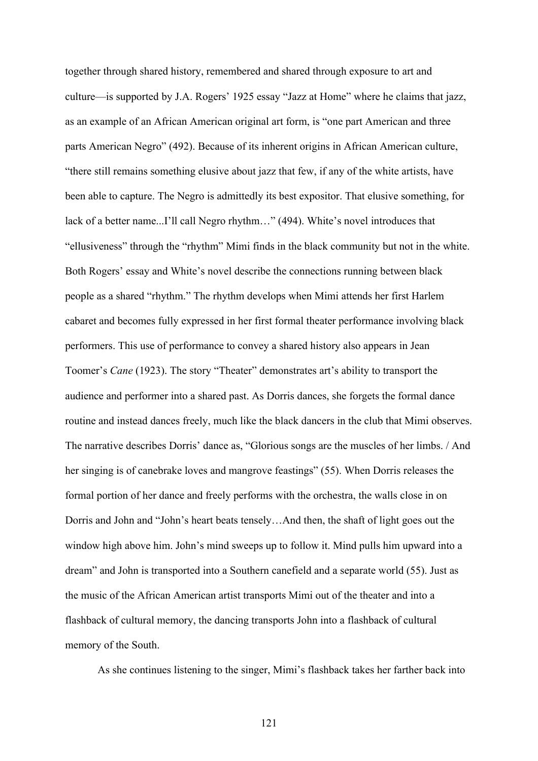together through shared history, remembered and shared through exposure to art and culture—is supported by J.A. Rogers' 1925 essay "Jazz at Home" where he claims that jazz, as an example of an African American original art form, is "one part American and three parts American Negro" (492). Because of its inherent origins in African American culture, "there still remains something elusive about jazz that few, if any of the white artists, have been able to capture. The Negro is admittedly its best expositor. That elusive something, for lack of a better name...I'll call Negro rhythm…" (494). White's novel introduces that "ellusiveness" through the "rhythm" Mimi finds in the black community but not in the white. Both Rogers' essay and White's novel describe the connections running between black people as a shared "rhythm." The rhythm develops when Mimi attends her first Harlem cabaret and becomes fully expressed in her first formal theater performance involving black performers. This use of performance to convey a shared history also appears in Jean Toomer's *Cane* (1923). The story "Theater" demonstrates art's ability to transport the audience and performer into a shared past. As Dorris dances, she forgets the formal dance routine and instead dances freely, much like the black dancers in the club that Mimi observes. The narrative describes Dorris' dance as, "Glorious songs are the muscles of her limbs. / And her singing is of canebrake loves and mangrove feastings" (55). When Dorris releases the formal portion of her dance and freely performs with the orchestra, the walls close in on Dorris and John and "John's heart beats tensely…And then, the shaft of light goes out the window high above him. John's mind sweeps up to follow it. Mind pulls him upward into a dream" and John is transported into a Southern canefield and a separate world (55). Just as the music of the African American artist transports Mimi out of the theater and into a flashback of cultural memory, the dancing transports John into a flashback of cultural memory of the South.

As she continues listening to the singer, Mimi's flashback takes her farther back into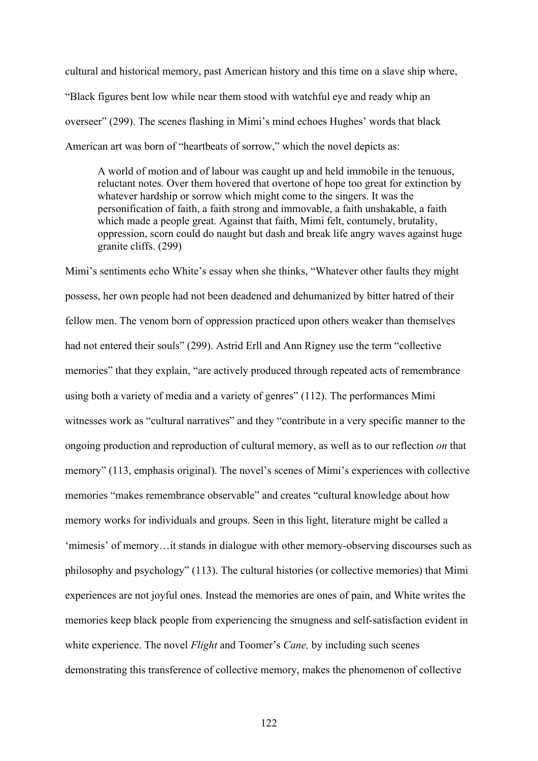cultural and historical memory, past American history and this time on a slave ship where, "Black figures bent low while near them stood with watchful eye and ready whip an overseer" (299). The scenes flashing in Mimi's mind echoes Hughes' words that black American art was born of "heartbeats of sorrow," which the novel depicts as:

A world of motion and of labour was caught up and held immobile in the tenuous, reluctant notes. Over them hovered that overtone of hope too great for extinction by whatever hardship or sorrow which might come to the singers. It was the personification of faith, a faith strong and immovable, a faith unshakable, a faith which made a people great. Against that faith, Mimi felt, contumely, brutality, oppression, scorn could do naught but dash and break life angry waves against huge granite cliffs. (299)

Mimi's sentiments echo White's essay when she thinks, "Whatever other faults they might possess, her own people had not been deadened and dehumanized by bitter hatred of their fellow men. The venom born of oppression practiced upon others weaker than themselves had not entered their souls" (299). Astrid Erll and Ann Rigney use the term "collective memories" that they explain, "are actively produced through repeated acts of remembrance using both a variety of media and a variety of genres" (112). The performances Mimi witnesses work as "cultural narratives" and they "contribute in a very specific manner to the ongoing production and reproduction of cultural memory, as well as to our reflection *on* that memory" (113, emphasis original). The novel's scenes of Mimi's experiences with collective memories "makes remembrance observable" and creates "cultural knowledge about how memory works for individuals and groups. Seen in this light, literature might be called a 'mimesis' of memory…it stands in dialogue with other memory-observing discourses such as philosophy and psychology" (113). The cultural histories (or collective memories) that Mimi experiences are not joyful ones. Instead the memories are ones of pain, and White writes the memories keep black people from experiencing the smugness and self-satisfaction evident in white experience. The novel *Flight* and Toomer's *Cane,* by including such scenes demonstrating this transference of collective memory, makes the phenomenon of collective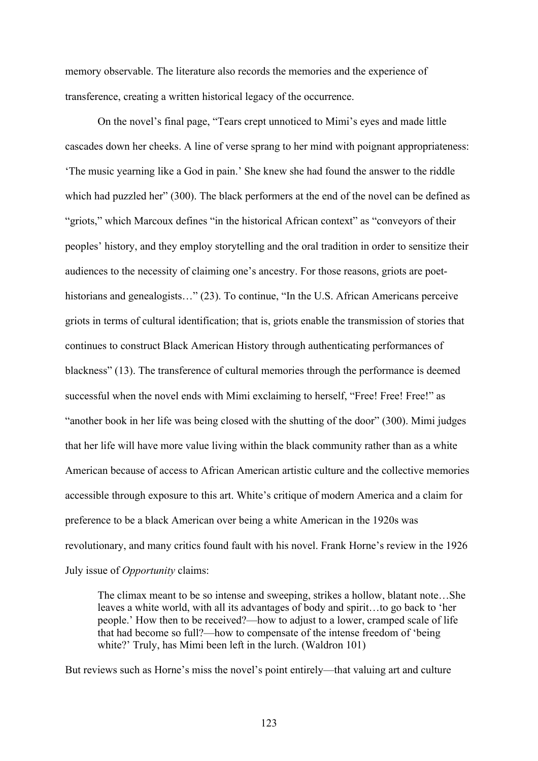memory observable. The literature also records the memories and the experience of transference, creating a written historical legacy of the occurrence.

On the novel's final page, "Tears crept unnoticed to Mimi's eyes and made little cascades down her cheeks. A line of verse sprang to her mind with poignant appropriateness: 'The music yearning like a God in pain.' She knew she had found the answer to the riddle which had puzzled her" (300). The black performers at the end of the novel can be defined as "griots," which Marcoux defines "in the historical African context" as "conveyors of their peoples' history, and they employ storytelling and the oral tradition in order to sensitize their audiences to the necessity of claiming one's ancestry. For those reasons, griots are poethistorians and genealogists…" (23). To continue, "In the U.S. African Americans perceive griots in terms of cultural identification; that is, griots enable the transmission of stories that continues to construct Black American History through authenticating performances of blackness" (13). The transference of cultural memories through the performance is deemed successful when the novel ends with Mimi exclaiming to herself, "Free! Free! Free!" as "another book in her life was being closed with the shutting of the door" (300). Mimi judges that her life will have more value living within the black community rather than as a white American because of access to African American artistic culture and the collective memories accessible through exposure to this art. White's critique of modern America and a claim for preference to be a black American over being a white American in the 1920s was revolutionary, and many critics found fault with his novel. Frank Horne's review in the 1926 July issue of *Opportunity* claims:

The climax meant to be so intense and sweeping, strikes a hollow, blatant note…She leaves a white world, with all its advantages of body and spirit…to go back to 'her people.' How then to be received?—how to adjust to a lower, cramped scale of life that had become so full?—how to compensate of the intense freedom of 'being white?' Truly, has Mimi been left in the lurch. (Waldron 101)

But reviews such as Horne's miss the novel's point entirely—that valuing art and culture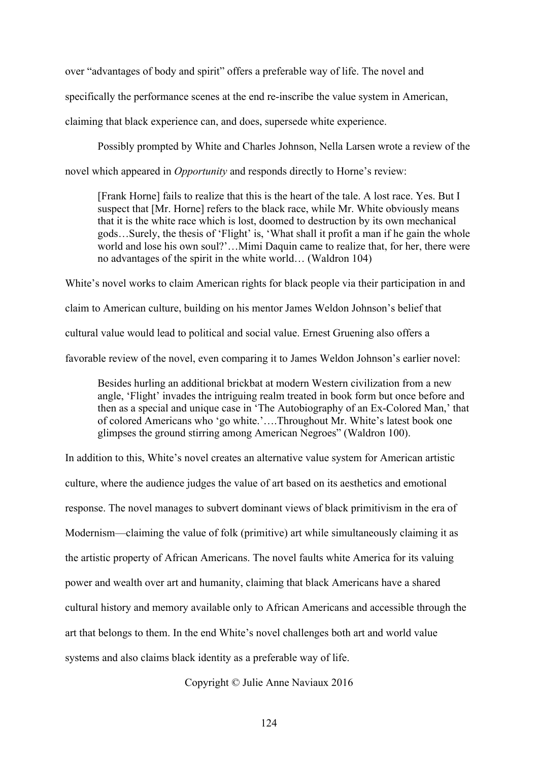over "advantages of body and spirit" offers a preferable way of life. The novel and

specifically the performance scenes at the end re-inscribe the value system in American,

claiming that black experience can, and does, supersede white experience.

Possibly prompted by White and Charles Johnson, Nella Larsen wrote a review of the

novel which appeared in *Opportunity* and responds directly to Horne's review:

[Frank Horne] fails to realize that this is the heart of the tale. A lost race. Yes. But I suspect that [Mr. Horne] refers to the black race, while Mr. White obviously means that it is the white race which is lost, doomed to destruction by its own mechanical gods…Surely, the thesis of 'Flight' is, 'What shall it profit a man if he gain the whole world and lose his own soul?'…Mimi Daquin came to realize that, for her, there were no advantages of the spirit in the white world… (Waldron 104)

White's novel works to claim American rights for black people via their participation in and claim to American culture, building on his mentor James Weldon Johnson's belief that cultural value would lead to political and social value. Ernest Gruening also offers a favorable review of the novel, even comparing it to James Weldon Johnson's earlier novel:

Besides hurling an additional brickbat at modern Western civilization from a new angle, 'Flight' invades the intriguing realm treated in book form but once before and then as a special and unique case in 'The Autobiography of an Ex-Colored Man,' that of colored Americans who 'go white.'….Throughout Mr. White's latest book one glimpses the ground stirring among American Negroes" (Waldron 100).

In addition to this, White's novel creates an alternative value system for American artistic culture, where the audience judges the value of art based on its aesthetics and emotional response. The novel manages to subvert dominant views of black primitivism in the era of Modernism—claiming the value of folk (primitive) art while simultaneously claiming it as the artistic property of African Americans. The novel faults white America for its valuing power and wealth over art and humanity, claiming that black Americans have a shared cultural history and memory available only to African Americans and accessible through the art that belongs to them. In the end White's novel challenges both art and world value systems and also claims black identity as a preferable way of life.

Copyright © Julie Anne Naviaux 2016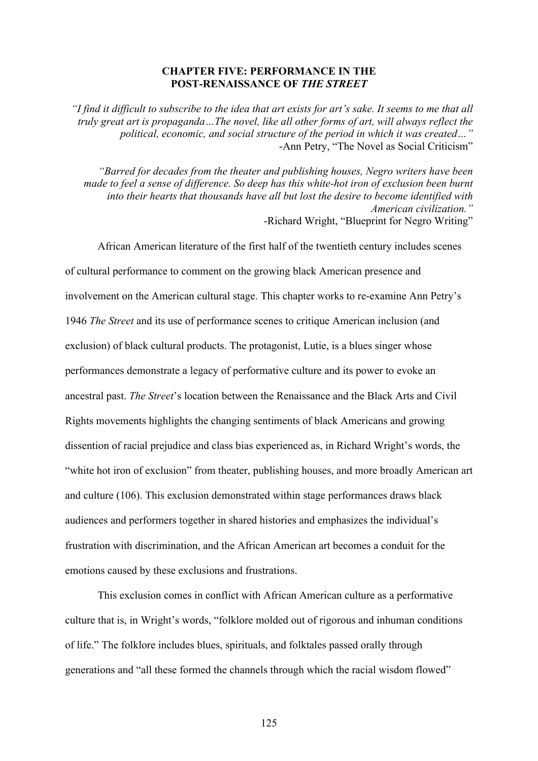#### **CHAPTER FIVE: PERFORMANCE IN THE POST-RENAISSANCE OF** *THE STREET*

*"I find it difficult to subscribe to the idea that art exists for art's sake. It seems to me that all truly great art is propaganda…The novel, like all other forms of art, will always reflect the political, economic, and social structure of the period in which it was created…"* -Ann Petry, "The Novel as Social Criticism"

*"Barred for decades from the theater and publishing houses, Negro writers have been made to feel a sense of difference. So deep has this white-hot iron of exclusion been burnt into their hearts that thousands have all but lost the desire to become identified with American civilization."* -Richard Wright, "Blueprint for Negro Writing"

African American literature of the first half of the twentieth century includes scenes of cultural performance to comment on the growing black American presence and involvement on the American cultural stage. This chapter works to re-examine Ann Petry's 1946 *The Street* and its use of performance scenes to critique American inclusion (and exclusion) of black cultural products. The protagonist, Lutie, is a blues singer whose performances demonstrate a legacy of performative culture and its power to evoke an ancestral past. *The Street*'s location between the Renaissance and the Black Arts and Civil Rights movements highlights the changing sentiments of black Americans and growing dissention of racial prejudice and class bias experienced as, in Richard Wright's words, the "white hot iron of exclusion" from theater, publishing houses, and more broadly American art and culture (106). This exclusion demonstrated within stage performances draws black audiences and performers together in shared histories and emphasizes the individual's frustration with discrimination, and the African American art becomes a conduit for the emotions caused by these exclusions and frustrations.

This exclusion comes in conflict with African American culture as a performative culture that is, in Wright's words, "folklore molded out of rigorous and inhuman conditions of life." The folklore includes blues, spirituals, and folktales passed orally through generations and "all these formed the channels through which the racial wisdom flowed"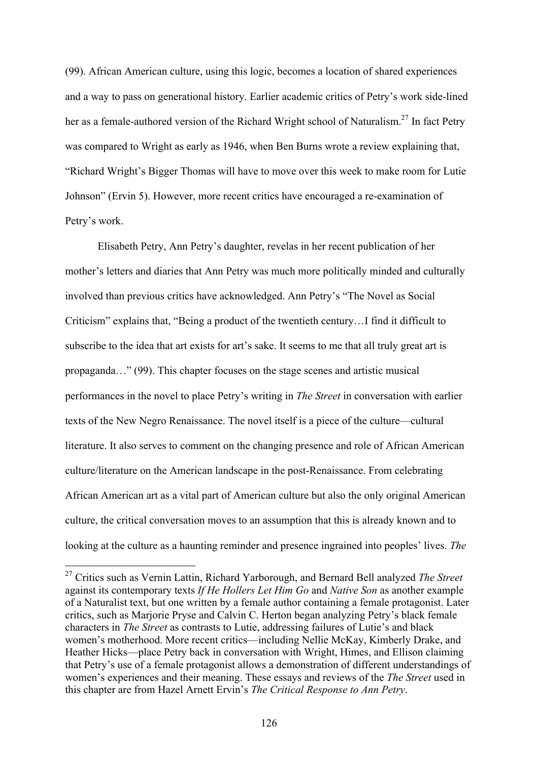(99). African American culture, using this logic, becomes a location of shared experiences and a way to pass on generational history. Earlier academic critics of Petry's work side-lined her as a female-authored version of the Richard Wright school of Naturalism.<sup>27</sup> In fact Petry was compared to Wright as early as 1946, when Ben Burns wrote a review explaining that, "Richard Wright's Bigger Thomas will have to move over this week to make room for Lutie Johnson" (Ervin 5). However, more recent critics have encouraged a re-examination of Petry's work.

Elisabeth Petry, Ann Petry's daughter, revelas in her recent publication of her mother's letters and diaries that Ann Petry was much more politically minded and culturally involved than previous critics have acknowledged. Ann Petry's "The Novel as Social Criticism" explains that, "Being a product of the twentieth century…I find it difficult to subscribe to the idea that art exists for art's sake. It seems to me that all truly great art is propaganda…" (99). This chapter focuses on the stage scenes and artistic musical performances in the novel to place Petry's writing in *The Street* in conversation with earlier texts of the New Negro Renaissance. The novel itself is a piece of the culture—cultural literature. It also serves to comment on the changing presence and role of African American culture/literature on the American landscape in the post-Renaissance. From celebrating African American art as a vital part of American culture but also the only original American culture, the critical conversation moves to an assumption that this is already known and to looking at the culture as a haunting reminder and presence ingrained into peoples' lives. *The* 

 <sup>27</sup> Critics such as Vernin Lattin, Richard Yarborough, and Bernard Bell analyzed *The Street* against its contemporary texts *If He Hollers Let Him Go* and *Native Son* as another example of a Naturalist text, but one written by a female author containing a female protagonist. Later critics, such as Marjorie Pryse and Calvin C. Herton began analyzing Petry's black female characters in *The Street* as contrasts to Lutie, addressing failures of Lutie's and black women's motherhood. More recent critics—including Nellie McKay, Kimberly Drake, and Heather Hicks—place Petry back in conversation with Wright, Himes, and Ellison claiming that Petry's use of a female protagonist allows a demonstration of different understandings of women's experiences and their meaning. These essays and reviews of the *The Street* used in this chapter are from Hazel Arnett Ervin's *The Critical Response to Ann Petry*.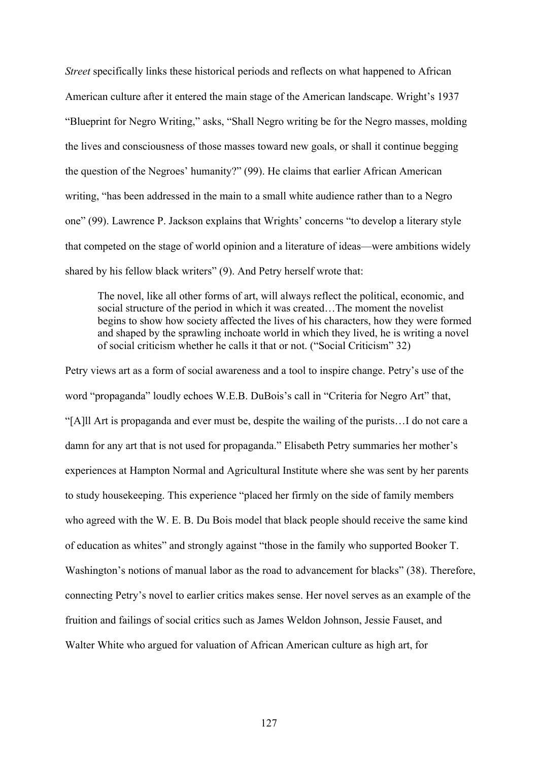*Street* specifically links these historical periods and reflects on what happened to African American culture after it entered the main stage of the American landscape. Wright's 1937 "Blueprint for Negro Writing," asks, "Shall Negro writing be for the Negro masses, molding the lives and consciousness of those masses toward new goals, or shall it continue begging the question of the Negroes' humanity?" (99). He claims that earlier African American writing, "has been addressed in the main to a small white audience rather than to a Negro one" (99). Lawrence P. Jackson explains that Wrights' concerns "to develop a literary style that competed on the stage of world opinion and a literature of ideas—were ambitions widely shared by his fellow black writers" (9). And Petry herself wrote that:

The novel, like all other forms of art, will always reflect the political, economic, and social structure of the period in which it was created…The moment the novelist begins to show how society affected the lives of his characters, how they were formed and shaped by the sprawling inchoate world in which they lived, he is writing a novel of social criticism whether he calls it that or not. ("Social Criticism" 32)

Petry views art as a form of social awareness and a tool to inspire change. Petry's use of the word "propaganda" loudly echoes W.E.B. DuBois's call in "Criteria for Negro Art" that, "[A]ll Art is propaganda and ever must be, despite the wailing of the purists…I do not care a damn for any art that is not used for propaganda." Elisabeth Petry summaries her mother's experiences at Hampton Normal and Agricultural Institute where she was sent by her parents to study housekeeping. This experience "placed her firmly on the side of family members who agreed with the W. E. B. Du Bois model that black people should receive the same kind of education as whites" and strongly against "those in the family who supported Booker T. Washington's notions of manual labor as the road to advancement for blacks" (38). Therefore, connecting Petry's novel to earlier critics makes sense. Her novel serves as an example of the fruition and failings of social critics such as James Weldon Johnson, Jessie Fauset, and Walter White who argued for valuation of African American culture as high art, for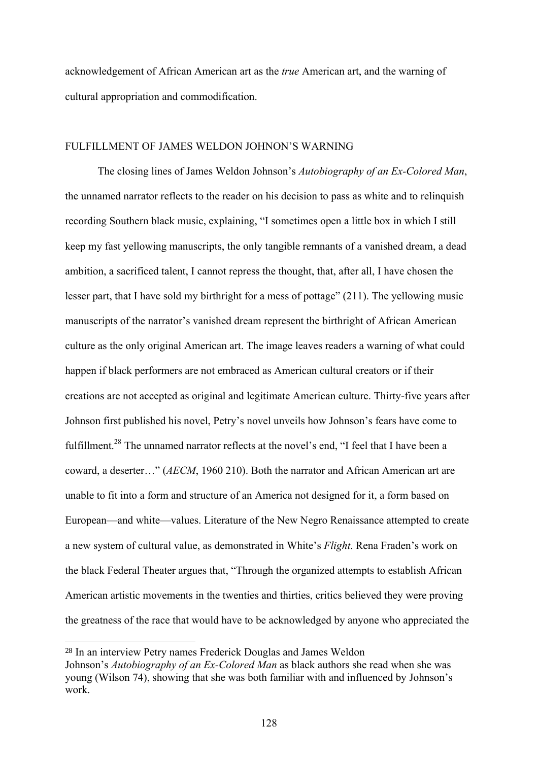acknowledgement of African American art as the *true* American art, and the warning of cultural appropriation and commodification.

## FULFILLMENT OF JAMES WELDON JOHNON'S WARNING

The closing lines of James Weldon Johnson's *Autobiography of an Ex-Colored Man*, the unnamed narrator reflects to the reader on his decision to pass as white and to relinquish recording Southern black music, explaining, "I sometimes open a little box in which I still keep my fast yellowing manuscripts, the only tangible remnants of a vanished dream, a dead ambition, a sacrificed talent, I cannot repress the thought, that, after all, I have chosen the lesser part, that I have sold my birthright for a mess of pottage" (211). The yellowing music manuscripts of the narrator's vanished dream represent the birthright of African American culture as the only original American art. The image leaves readers a warning of what could happen if black performers are not embraced as American cultural creators or if their creations are not accepted as original and legitimate American culture. Thirty-five years after Johnson first published his novel, Petry's novel unveils how Johnson's fears have come to fulfillment.<sup>28</sup> The unnamed narrator reflects at the novel's end, "I feel that I have been a coward, a deserter…" (*AECM*, 1960 210). Both the narrator and African American art are unable to fit into a form and structure of an America not designed for it, a form based on European—and white—values. Literature of the New Negro Renaissance attempted to create a new system of cultural value, as demonstrated in White's *Flight*. Rena Fraden's work on the black Federal Theater argues that, "Through the organized attempts to establish African American artistic movements in the twenties and thirties, critics believed they were proving the greatness of the race that would have to be acknowledged by anyone who appreciated the

 $\overline{a}$ 

<sup>28</sup> In an interview Petry names Frederick Douglas and James Weldon

Johnson's *Autobiography of an Ex-Colored Man* as black authors she read when she was young (Wilson 74), showing that she was both familiar with and influenced by Johnson's work.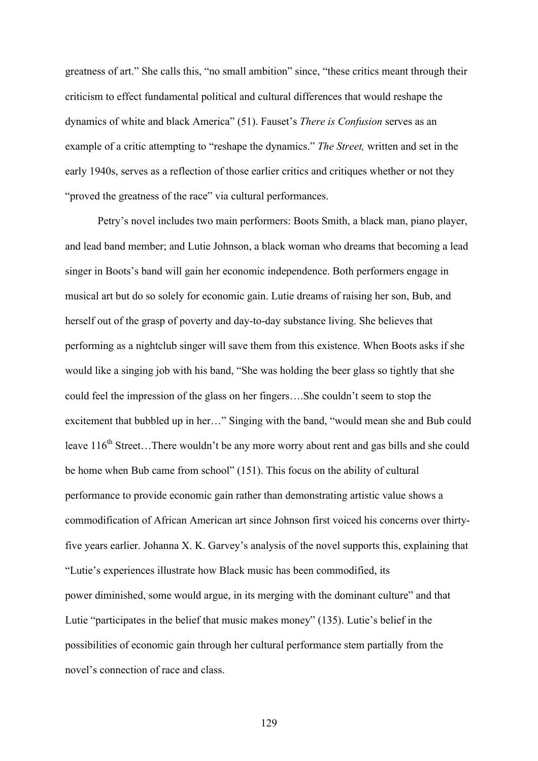greatness of art." She calls this, "no small ambition" since, "these critics meant through their criticism to effect fundamental political and cultural differences that would reshape the dynamics of white and black America" (51). Fauset's *There is Confusion* serves as an example of a critic attempting to "reshape the dynamics." *The Street,* written and set in the early 1940s, serves as a reflection of those earlier critics and critiques whether or not they "proved the greatness of the race" via cultural performances.

Petry's novel includes two main performers: Boots Smith, a black man, piano player, and lead band member; and Lutie Johnson, a black woman who dreams that becoming a lead singer in Boots's band will gain her economic independence. Both performers engage in musical art but do so solely for economic gain. Lutie dreams of raising her son, Bub, and herself out of the grasp of poverty and day-to-day substance living. She believes that performing as a nightclub singer will save them from this existence. When Boots asks if she would like a singing job with his band, "She was holding the beer glass so tightly that she could feel the impression of the glass on her fingers….She couldn't seem to stop the excitement that bubbled up in her…" Singing with the band, "would mean she and Bub could leave  $116<sup>th</sup> Street... There would not be any more worry about rent and gas bills and she could$ be home when Bub came from school" (151). This focus on the ability of cultural performance to provide economic gain rather than demonstrating artistic value shows a commodification of African American art since Johnson first voiced his concerns over thirtyfive years earlier. Johanna X. K. Garvey's analysis of the novel supports this, explaining that "Lutie's experiences illustrate how Black music has been commodified, its power diminished, some would argue, in its merging with the dominant culture" and that Lutie "participates in the belief that music makes money" (135). Lutie's belief in the possibilities of economic gain through her cultural performance stem partially from the novel's connection of race and class.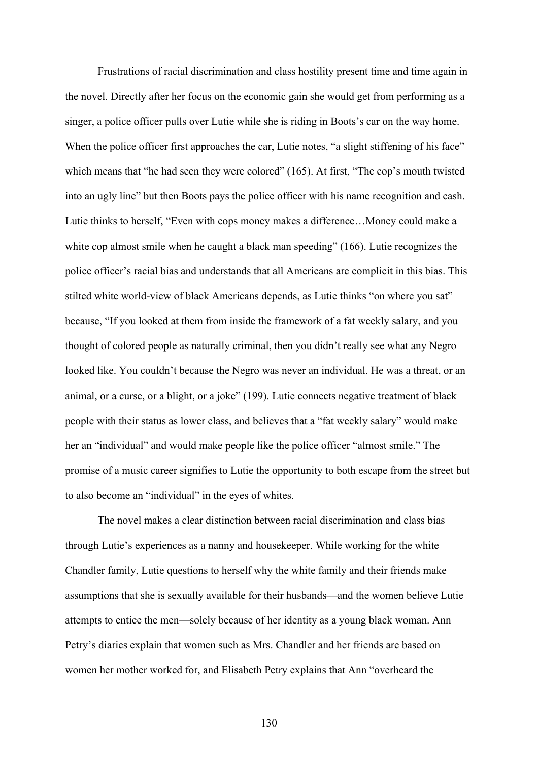Frustrations of racial discrimination and class hostility present time and time again in the novel. Directly after her focus on the economic gain she would get from performing as a singer, a police officer pulls over Lutie while she is riding in Boots's car on the way home. When the police officer first approaches the car, Lutie notes, "a slight stiffening of his face" which means that "he had seen they were colored" (165). At first, "The cop's mouth twisted into an ugly line" but then Boots pays the police officer with his name recognition and cash. Lutie thinks to herself, "Even with cops money makes a difference…Money could make a white cop almost smile when he caught a black man speeding" (166). Lutie recognizes the police officer's racial bias and understands that all Americans are complicit in this bias. This stilted white world-view of black Americans depends, as Lutie thinks "on where you sat" because, "If you looked at them from inside the framework of a fat weekly salary, and you thought of colored people as naturally criminal, then you didn't really see what any Negro looked like. You couldn't because the Negro was never an individual. He was a threat, or an animal, or a curse, or a blight, or a joke" (199). Lutie connects negative treatment of black people with their status as lower class, and believes that a "fat weekly salary" would make her an "individual" and would make people like the police officer "almost smile." The promise of a music career signifies to Lutie the opportunity to both escape from the street but to also become an "individual" in the eyes of whites.

The novel makes a clear distinction between racial discrimination and class bias through Lutie's experiences as a nanny and housekeeper. While working for the white Chandler family, Lutie questions to herself why the white family and their friends make assumptions that she is sexually available for their husbands—and the women believe Lutie attempts to entice the men—solely because of her identity as a young black woman. Ann Petry's diaries explain that women such as Mrs. Chandler and her friends are based on women her mother worked for, and Elisabeth Petry explains that Ann "overheard the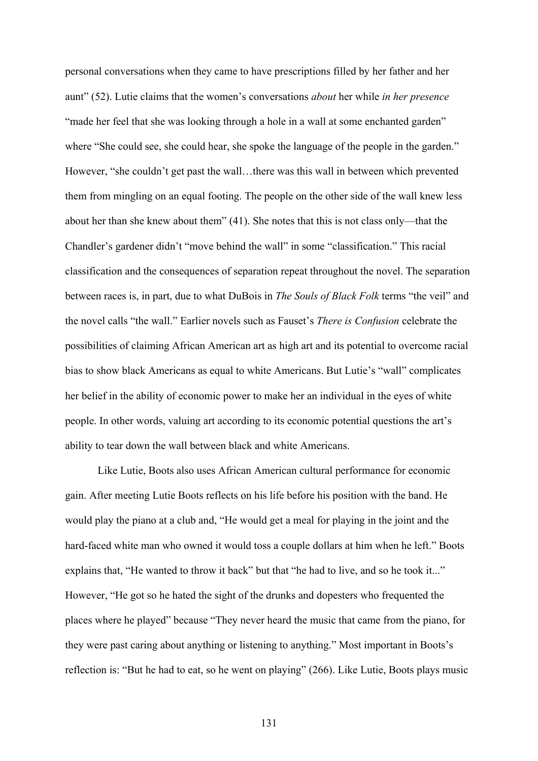personal conversations when they came to have prescriptions filled by her father and her aunt" (52). Lutie claims that the women's conversations *about* her while *in her presence* "made her feel that she was looking through a hole in a wall at some enchanted garden" where "She could see, she could hear, she spoke the language of the people in the garden." However, "she couldn't get past the wall…there was this wall in between which prevented them from mingling on an equal footing. The people on the other side of the wall knew less about her than she knew about them" (41). She notes that this is not class only—that the Chandler's gardener didn't "move behind the wall" in some "classification." This racial classification and the consequences of separation repeat throughout the novel. The separation between races is, in part, due to what DuBois in *The Souls of Black Folk* terms "the veil" and the novel calls "the wall." Earlier novels such as Fauset's *There is Confusion* celebrate the possibilities of claiming African American art as high art and its potential to overcome racial bias to show black Americans as equal to white Americans. But Lutie's "wall" complicates her belief in the ability of economic power to make her an individual in the eyes of white people. In other words, valuing art according to its economic potential questions the art's ability to tear down the wall between black and white Americans.

Like Lutie, Boots also uses African American cultural performance for economic gain. After meeting Lutie Boots reflects on his life before his position with the band. He would play the piano at a club and, "He would get a meal for playing in the joint and the hard-faced white man who owned it would toss a couple dollars at him when he left." Boots explains that, "He wanted to throw it back" but that "he had to live, and so he took it..." However, "He got so he hated the sight of the drunks and dopesters who frequented the places where he played" because "They never heard the music that came from the piano, for they were past caring about anything or listening to anything." Most important in Boots's reflection is: "But he had to eat, so he went on playing" (266). Like Lutie, Boots plays music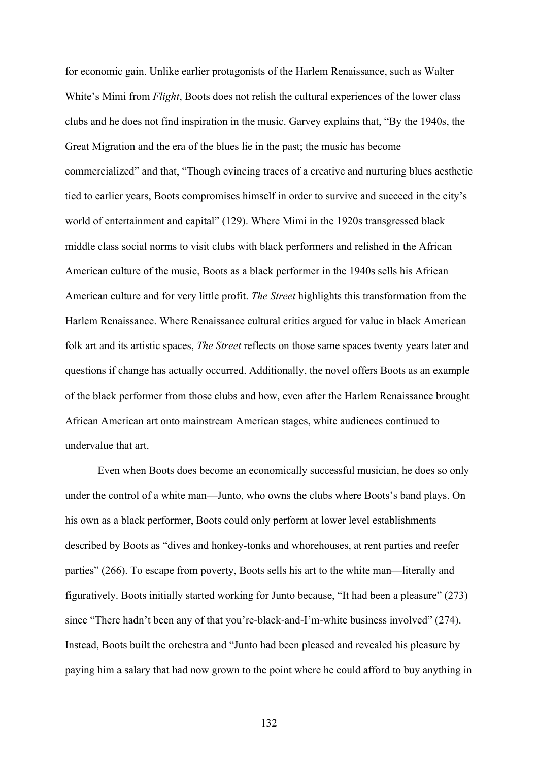for economic gain. Unlike earlier protagonists of the Harlem Renaissance, such as Walter White's Mimi from *Flight*, Boots does not relish the cultural experiences of the lower class clubs and he does not find inspiration in the music. Garvey explains that, "By the 1940s, the Great Migration and the era of the blues lie in the past; the music has become commercialized" and that, "Though evincing traces of a creative and nurturing blues aesthetic tied to earlier years, Boots compromises himself in order to survive and succeed in the city's world of entertainment and capital" (129). Where Mimi in the 1920s transgressed black middle class social norms to visit clubs with black performers and relished in the African American culture of the music, Boots as a black performer in the 1940s sells his African American culture and for very little profit. *The Street* highlights this transformation from the Harlem Renaissance. Where Renaissance cultural critics argued for value in black American folk art and its artistic spaces, *The Street* reflects on those same spaces twenty years later and questions if change has actually occurred. Additionally, the novel offers Boots as an example of the black performer from those clubs and how, even after the Harlem Renaissance brought African American art onto mainstream American stages, white audiences continued to undervalue that art.

Even when Boots does become an economically successful musician, he does so only under the control of a white man—Junto, who owns the clubs where Boots's band plays. On his own as a black performer, Boots could only perform at lower level establishments described by Boots as "dives and honkey-tonks and whorehouses, at rent parties and reefer parties" (266). To escape from poverty, Boots sells his art to the white man—literally and figuratively. Boots initially started working for Junto because, "It had been a pleasure" (273) since "There hadn't been any of that you're-black-and-I'm-white business involved" (274). Instead, Boots built the orchestra and "Junto had been pleased and revealed his pleasure by paying him a salary that had now grown to the point where he could afford to buy anything in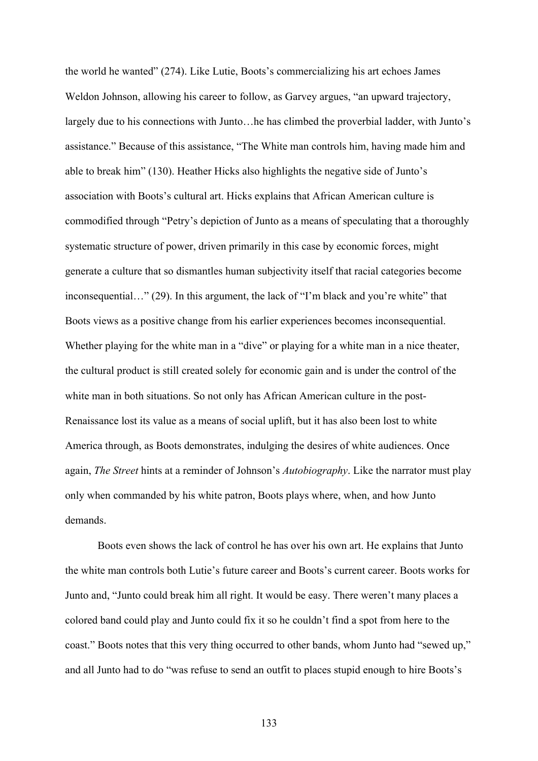the world he wanted" (274). Like Lutie, Boots's commercializing his art echoes James Weldon Johnson, allowing his career to follow, as Garvey argues, "an upward trajectory, largely due to his connections with Junto…he has climbed the proverbial ladder, with Junto's assistance." Because of this assistance, "The White man controls him, having made him and able to break him" (130). Heather Hicks also highlights the negative side of Junto's association with Boots's cultural art. Hicks explains that African American culture is commodified through "Petry's depiction of Junto as a means of speculating that a thoroughly systematic structure of power, driven primarily in this case by economic forces, might generate a culture that so dismantles human subjectivity itself that racial categories become inconsequential…" (29). In this argument, the lack of "I'm black and you're white" that Boots views as a positive change from his earlier experiences becomes inconsequential. Whether playing for the white man in a "dive" or playing for a white man in a nice theater, the cultural product is still created solely for economic gain and is under the control of the white man in both situations. So not only has African American culture in the post-Renaissance lost its value as a means of social uplift, but it has also been lost to white America through, as Boots demonstrates, indulging the desires of white audiences. Once again, *The Street* hints at a reminder of Johnson's *Autobiography*. Like the narrator must play only when commanded by his white patron, Boots plays where, when, and how Junto demands.

Boots even shows the lack of control he has over his own art. He explains that Junto the white man controls both Lutie's future career and Boots's current career. Boots works for Junto and, "Junto could break him all right. It would be easy. There weren't many places a colored band could play and Junto could fix it so he couldn't find a spot from here to the coast." Boots notes that this very thing occurred to other bands, whom Junto had "sewed up," and all Junto had to do "was refuse to send an outfit to places stupid enough to hire Boots's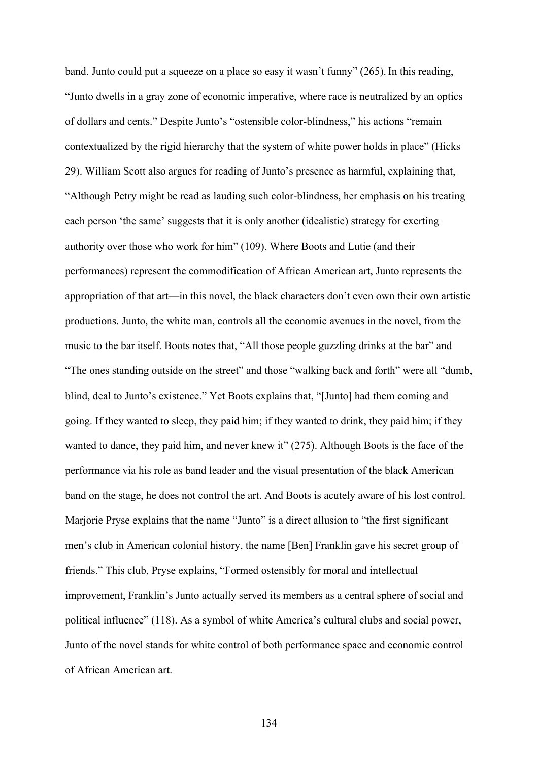band. Junto could put a squeeze on a place so easy it wasn't funny" (265). In this reading, "Junto dwells in a gray zone of economic imperative, where race is neutralized by an optics of dollars and cents." Despite Junto's "ostensible color-blindness," his actions "remain contextualized by the rigid hierarchy that the system of white power holds in place" (Hicks 29). William Scott also argues for reading of Junto's presence as harmful, explaining that, "Although Petry might be read as lauding such color-blindness, her emphasis on his treating each person 'the same' suggests that it is only another (idealistic) strategy for exerting authority over those who work for him" (109). Where Boots and Lutie (and their performances) represent the commodification of African American art, Junto represents the appropriation of that art—in this novel, the black characters don't even own their own artistic productions. Junto, the white man, controls all the economic avenues in the novel, from the music to the bar itself. Boots notes that, "All those people guzzling drinks at the bar" and "The ones standing outside on the street" and those "walking back and forth" were all "dumb, blind, deal to Junto's existence." Yet Boots explains that, "[Junto] had them coming and going. If they wanted to sleep, they paid him; if they wanted to drink, they paid him; if they wanted to dance, they paid him, and never knew it" (275). Although Boots is the face of the performance via his role as band leader and the visual presentation of the black American band on the stage, he does not control the art. And Boots is acutely aware of his lost control. Marjorie Pryse explains that the name "Junto" is a direct allusion to "the first significant men's club in American colonial history, the name [Ben] Franklin gave his secret group of friends." This club, Pryse explains, "Formed ostensibly for moral and intellectual improvement, Franklin's Junto actually served its members as a central sphere of social and political influence" (118). As a symbol of white America's cultural clubs and social power, Junto of the novel stands for white control of both performance space and economic control of African American art.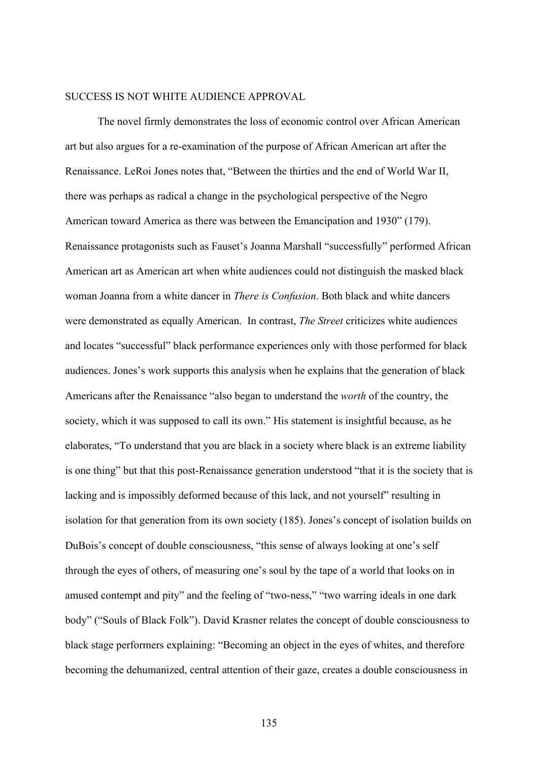### SUCCESS IS NOT WHITE AUDIENCE APPROVAL

The novel firmly demonstrates the loss of economic control over African American art but also argues for a re-examination of the purpose of African American art after the Renaissance. LeRoi Jones notes that, "Between the thirties and the end of World War II, there was perhaps as radical a change in the psychological perspective of the Negro American toward America as there was between the Emancipation and 1930" (179). Renaissance protagonists such as Fauset's Joanna Marshall "successfully" performed African American art as American art when white audiences could not distinguish the masked black woman Joanna from a white dancer in *There is Confusion*. Both black and white dancers were demonstrated as equally American. In contrast, *The Street* criticizes white audiences and locates "successful" black performance experiences only with those performed for black audiences. Jones's work supports this analysis when he explains that the generation of black Americans after the Renaissance "also began to understand the *worth* of the country, the society, which it was supposed to call its own." His statement is insightful because, as he elaborates, "To understand that you are black in a society where black is an extreme liability is one thing" but that this post-Renaissance generation understood "that it is the society that is lacking and is impossibly deformed because of this lack, and not yourself" resulting in isolation for that generation from its own society (185). Jones's concept of isolation builds on DuBois's concept of double consciousness, "this sense of always looking at one's self through the eyes of others, of measuring one's soul by the tape of a world that looks on in amused contempt and pity" and the feeling of "two-ness," "two warring ideals in one dark body" ("Souls of Black Folk"). David Krasner relates the concept of double consciousness to black stage performers explaining: "Becoming an object in the eyes of whites, and therefore becoming the dehumanized, central attention of their gaze, creates a double consciousness in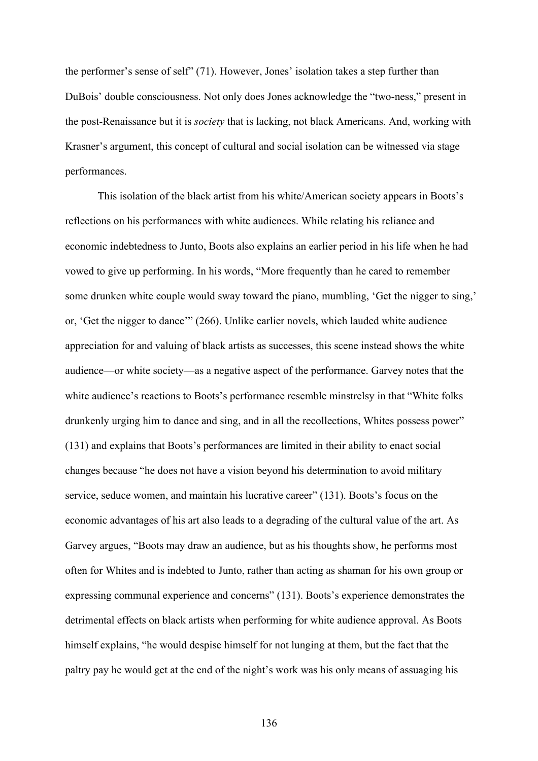the performer's sense of self" (71). However, Jones' isolation takes a step further than DuBois' double consciousness. Not only does Jones acknowledge the "two-ness," present in the post-Renaissance but it is *society* that is lacking, not black Americans. And, working with Krasner's argument, this concept of cultural and social isolation can be witnessed via stage performances.

This isolation of the black artist from his white/American society appears in Boots's reflections on his performances with white audiences. While relating his reliance and economic indebtedness to Junto, Boots also explains an earlier period in his life when he had vowed to give up performing. In his words, "More frequently than he cared to remember some drunken white couple would sway toward the piano, mumbling, 'Get the nigger to sing,' or, 'Get the nigger to dance'" (266). Unlike earlier novels, which lauded white audience appreciation for and valuing of black artists as successes, this scene instead shows the white audience—or white society—as a negative aspect of the performance. Garvey notes that the white audience's reactions to Boots's performance resemble minstrelsy in that "White folks drunkenly urging him to dance and sing, and in all the recollections, Whites possess power" (131) and explains that Boots's performances are limited in their ability to enact social changes because "he does not have a vision beyond his determination to avoid military service, seduce women, and maintain his lucrative career" (131). Boots's focus on the economic advantages of his art also leads to a degrading of the cultural value of the art. As Garvey argues, "Boots may draw an audience, but as his thoughts show, he performs most often for Whites and is indebted to Junto, rather than acting as shaman for his own group or expressing communal experience and concerns" (131). Boots's experience demonstrates the detrimental effects on black artists when performing for white audience approval. As Boots himself explains, "he would despise himself for not lunging at them, but the fact that the paltry pay he would get at the end of the night's work was his only means of assuaging his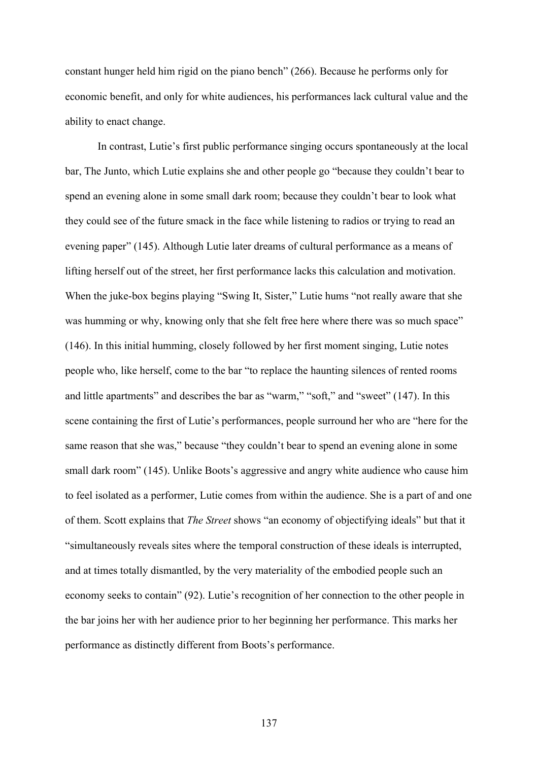constant hunger held him rigid on the piano bench" (266). Because he performs only for economic benefit, and only for white audiences, his performances lack cultural value and the ability to enact change.

In contrast, Lutie's first public performance singing occurs spontaneously at the local bar, The Junto, which Lutie explains she and other people go "because they couldn't bear to spend an evening alone in some small dark room; because they couldn't bear to look what they could see of the future smack in the face while listening to radios or trying to read an evening paper" (145). Although Lutie later dreams of cultural performance as a means of lifting herself out of the street, her first performance lacks this calculation and motivation. When the juke-box begins playing "Swing It, Sister," Lutie hums "not really aware that she was humming or why, knowing only that she felt free here where there was so much space" (146). In this initial humming, closely followed by her first moment singing, Lutie notes people who, like herself, come to the bar "to replace the haunting silences of rented rooms and little apartments" and describes the bar as "warm," "soft," and "sweet" (147). In this scene containing the first of Lutie's performances, people surround her who are "here for the same reason that she was," because "they couldn't bear to spend an evening alone in some small dark room" (145). Unlike Boots's aggressive and angry white audience who cause him to feel isolated as a performer, Lutie comes from within the audience. She is a part of and one of them. Scott explains that *The Street* shows "an economy of objectifying ideals" but that it "simultaneously reveals sites where the temporal construction of these ideals is interrupted, and at times totally dismantled, by the very materiality of the embodied people such an economy seeks to contain" (92). Lutie's recognition of her connection to the other people in the bar joins her with her audience prior to her beginning her performance. This marks her performance as distinctly different from Boots's performance.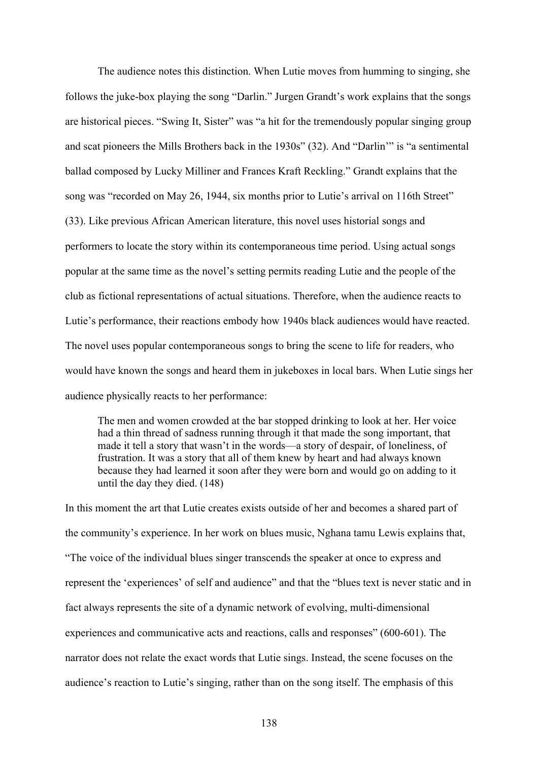The audience notes this distinction. When Lutie moves from humming to singing, she follows the juke-box playing the song "Darlin." Jurgen Grandt's work explains that the songs are historical pieces. "Swing It, Sister" was "a hit for the tremendously popular singing group and scat pioneers the Mills Brothers back in the 1930s" (32). And "Darlin'" is "a sentimental ballad composed by Lucky Milliner and Frances Kraft Reckling." Grandt explains that the song was "recorded on May 26, 1944, six months prior to Lutie's arrival on 116th Street" (33). Like previous African American literature, this novel uses historial songs and performers to locate the story within its contemporaneous time period. Using actual songs popular at the same time as the novel's setting permits reading Lutie and the people of the club as fictional representations of actual situations. Therefore, when the audience reacts to Lutie's performance, their reactions embody how 1940s black audiences would have reacted. The novel uses popular contemporaneous songs to bring the scene to life for readers, who would have known the songs and heard them in jukeboxes in local bars. When Lutie sings her audience physically reacts to her performance:

The men and women crowded at the bar stopped drinking to look at her. Her voice had a thin thread of sadness running through it that made the song important, that made it tell a story that wasn't in the words—a story of despair, of loneliness, of frustration. It was a story that all of them knew by heart and had always known because they had learned it soon after they were born and would go on adding to it until the day they died. (148)

In this moment the art that Lutie creates exists outside of her and becomes a shared part of the community's experience. In her work on blues music, Nghana tamu Lewis explains that, "The voice of the individual blues singer transcends the speaker at once to express and represent the 'experiences' of self and audience" and that the "blues text is never static and in fact always represents the site of a dynamic network of evolving, multi-dimensional experiences and communicative acts and reactions, calls and responses" (600-601). The narrator does not relate the exact words that Lutie sings. Instead, the scene focuses on the audience's reaction to Lutie's singing, rather than on the song itself. The emphasis of this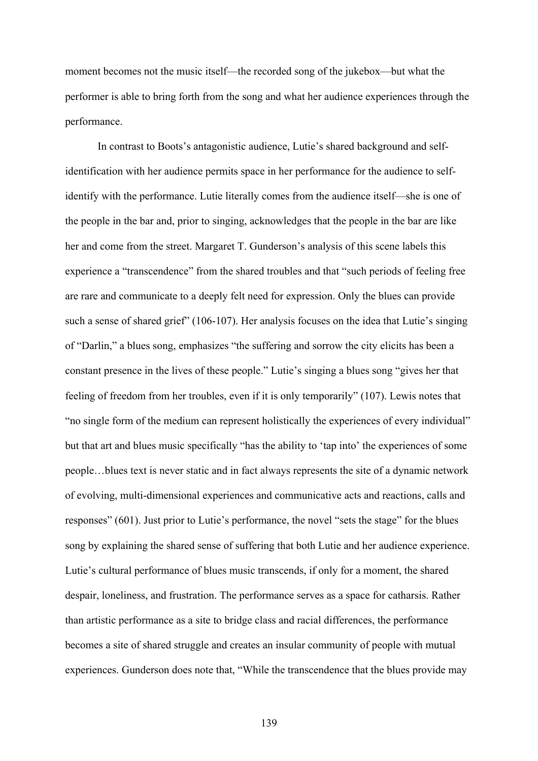moment becomes not the music itself—the recorded song of the jukebox—but what the performer is able to bring forth from the song and what her audience experiences through the performance.

In contrast to Boots's antagonistic audience, Lutie's shared background and selfidentification with her audience permits space in her performance for the audience to selfidentify with the performance. Lutie literally comes from the audience itself—she is one of the people in the bar and, prior to singing, acknowledges that the people in the bar are like her and come from the street. Margaret T. Gunderson's analysis of this scene labels this experience a "transcendence" from the shared troubles and that "such periods of feeling free are rare and communicate to a deeply felt need for expression. Only the blues can provide such a sense of shared grief" (106-107). Her analysis focuses on the idea that Lutie's singing of "Darlin," a blues song, emphasizes "the suffering and sorrow the city elicits has been a constant presence in the lives of these people." Lutie's singing a blues song "gives her that feeling of freedom from her troubles, even if it is only temporarily" (107). Lewis notes that "no single form of the medium can represent holistically the experiences of every individual" but that art and blues music specifically "has the ability to 'tap into' the experiences of some people…blues text is never static and in fact always represents the site of a dynamic network of evolving, multi-dimensional experiences and communicative acts and reactions, calls and responses" (601). Just prior to Lutie's performance, the novel "sets the stage" for the blues song by explaining the shared sense of suffering that both Lutie and her audience experience. Lutie's cultural performance of blues music transcends, if only for a moment, the shared despair, loneliness, and frustration. The performance serves as a space for catharsis. Rather than artistic performance as a site to bridge class and racial differences, the performance becomes a site of shared struggle and creates an insular community of people with mutual experiences. Gunderson does note that, "While the transcendence that the blues provide may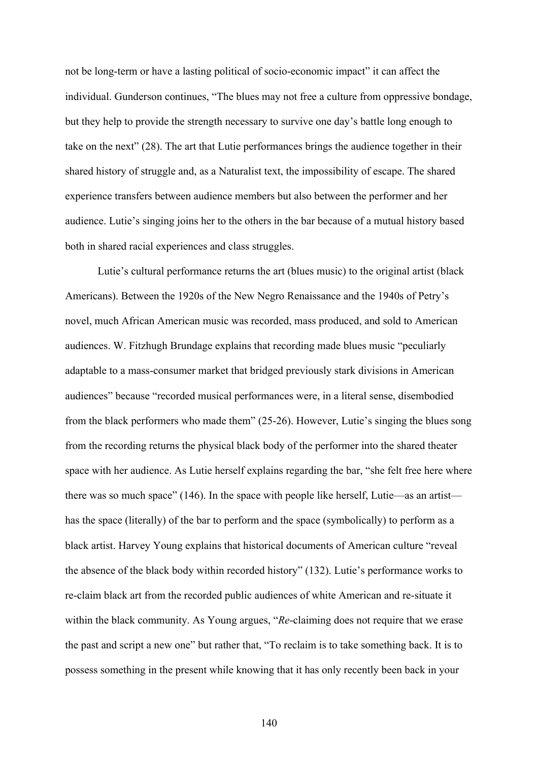not be long-term or have a lasting political of socio-economic impact" it can affect the individual. Gunderson continues, "The blues may not free a culture from oppressive bondage, but they help to provide the strength necessary to survive one day's battle long enough to take on the next" (28). The art that Lutie performances brings the audience together in their shared history of struggle and, as a Naturalist text, the impossibility of escape. The shared experience transfers between audience members but also between the performer and her audience. Lutie's singing joins her to the others in the bar because of a mutual history based both in shared racial experiences and class struggles.

Lutie's cultural performance returns the art (blues music) to the original artist (black Americans). Between the 1920s of the New Negro Renaissance and the 1940s of Petry's novel, much African American music was recorded, mass produced, and sold to American audiences. W. Fitzhugh Brundage explains that recording made blues music "peculiarly adaptable to a mass-consumer market that bridged previously stark divisions in American audiences" because "recorded musical performances were, in a literal sense, disembodied from the black performers who made them" (25-26). However, Lutie's singing the blues song from the recording returns the physical black body of the performer into the shared theater space with her audience. As Lutie herself explains regarding the bar, "she felt free here where there was so much space" (146). In the space with people like herself, Lutie—as an artist has the space (literally) of the bar to perform and the space (symbolically) to perform as a black artist. Harvey Young explains that historical documents of American culture "reveal the absence of the black body within recorded history" (132). Lutie's performance works to re-claim black art from the recorded public audiences of white American and re-situate it within the black community. As Young argues, "*Re*-claiming does not require that we erase the past and script a new one" but rather that, "To reclaim is to take something back. It is to possess something in the present while knowing that it has only recently been back in your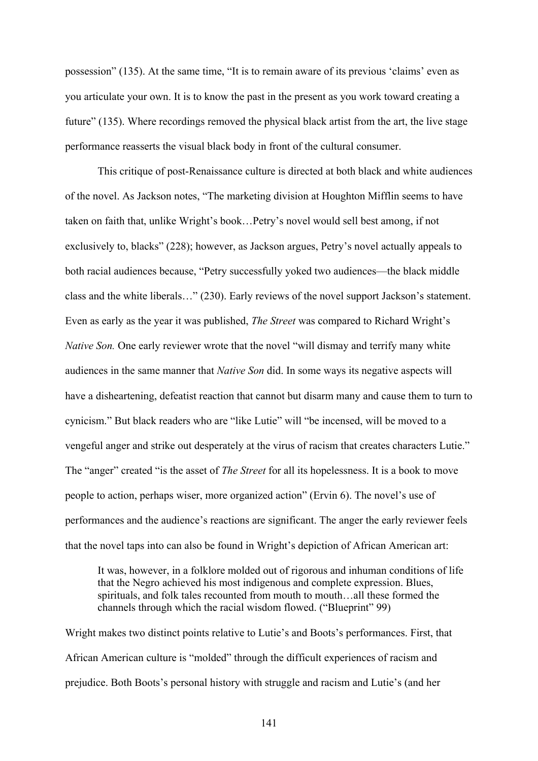possession" (135). At the same time, "It is to remain aware of its previous 'claims' even as you articulate your own. It is to know the past in the present as you work toward creating a future" (135). Where recordings removed the physical black artist from the art, the live stage performance reasserts the visual black body in front of the cultural consumer.

This critique of post-Renaissance culture is directed at both black and white audiences of the novel. As Jackson notes, "The marketing division at Houghton Mifflin seems to have taken on faith that, unlike Wright's book…Petry's novel would sell best among, if not exclusively to, blacks" (228); however, as Jackson argues, Petry's novel actually appeals to both racial audiences because, "Petry successfully yoked two audiences—the black middle class and the white liberals…" (230). Early reviews of the novel support Jackson's statement. Even as early as the year it was published, *The Street* was compared to Richard Wright's *Native Son.* One early reviewer wrote that the novel "will dismay and terrify many white audiences in the same manner that *Native Son* did. In some ways its negative aspects will have a disheartening, defeatist reaction that cannot but disarm many and cause them to turn to cynicism." But black readers who are "like Lutie" will "be incensed, will be moved to a vengeful anger and strike out desperately at the virus of racism that creates characters Lutie." The "anger" created "is the asset of *The Street* for all its hopelessness. It is a book to move people to action, perhaps wiser, more organized action" (Ervin 6). The novel's use of performances and the audience's reactions are significant. The anger the early reviewer feels that the novel taps into can also be found in Wright's depiction of African American art:

It was, however, in a folklore molded out of rigorous and inhuman conditions of life that the Negro achieved his most indigenous and complete expression. Blues, spirituals, and folk tales recounted from mouth to mouth…all these formed the channels through which the racial wisdom flowed. ("Blueprint" 99)

Wright makes two distinct points relative to Lutie's and Boots's performances. First, that African American culture is "molded" through the difficult experiences of racism and prejudice. Both Boots's personal history with struggle and racism and Lutie's (and her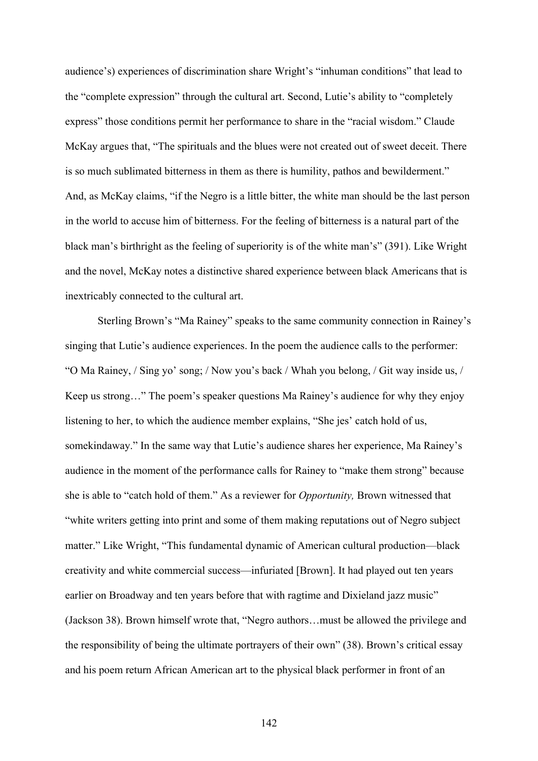audience's) experiences of discrimination share Wright's "inhuman conditions" that lead to the "complete expression" through the cultural art. Second, Lutie's ability to "completely express" those conditions permit her performance to share in the "racial wisdom." Claude McKay argues that, "The spirituals and the blues were not created out of sweet deceit. There is so much sublimated bitterness in them as there is humility, pathos and bewilderment." And, as McKay claims, "if the Negro is a little bitter, the white man should be the last person in the world to accuse him of bitterness. For the feeling of bitterness is a natural part of the black man's birthright as the feeling of superiority is of the white man's" (391). Like Wright and the novel, McKay notes a distinctive shared experience between black Americans that is inextricably connected to the cultural art.

Sterling Brown's "Ma Rainey" speaks to the same community connection in Rainey's singing that Lutie's audience experiences. In the poem the audience calls to the performer: "O Ma Rainey, / Sing yo' song; / Now you's back / Whah you belong, / Git way inside us, / Keep us strong…" The poem's speaker questions Ma Rainey's audience for why they enjoy listening to her, to which the audience member explains, "She jes' catch hold of us, somekindaway." In the same way that Lutie's audience shares her experience, Ma Rainey's audience in the moment of the performance calls for Rainey to "make them strong" because she is able to "catch hold of them." As a reviewer for *Opportunity,* Brown witnessed that "white writers getting into print and some of them making reputations out of Negro subject matter." Like Wright, "This fundamental dynamic of American cultural production—black creativity and white commercial success—infuriated [Brown]. It had played out ten years earlier on Broadway and ten years before that with ragtime and Dixieland jazz music" (Jackson 38). Brown himself wrote that, "Negro authors…must be allowed the privilege and the responsibility of being the ultimate portrayers of their own" (38). Brown's critical essay and his poem return African American art to the physical black performer in front of an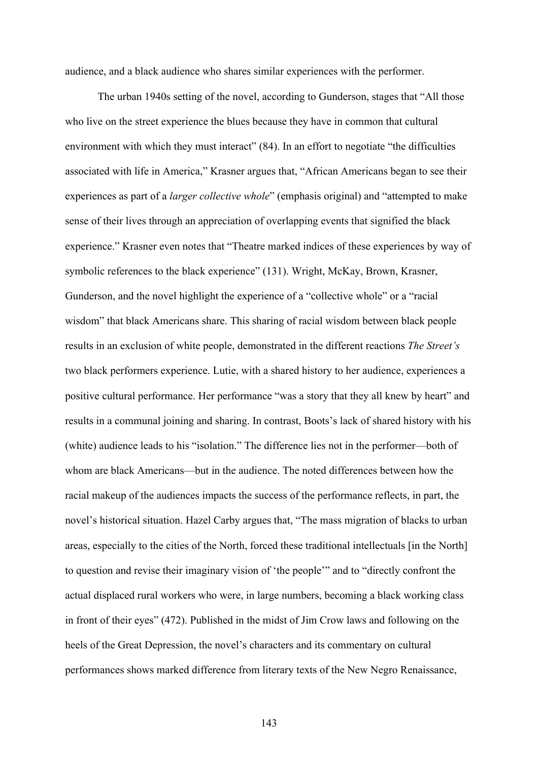audience, and a black audience who shares similar experiences with the performer.

The urban 1940s setting of the novel, according to Gunderson, stages that "All those who live on the street experience the blues because they have in common that cultural environment with which they must interact" (84). In an effort to negotiate "the difficulties" associated with life in America," Krasner argues that, "African Americans began to see their experiences as part of a *larger collective whole*" (emphasis original) and "attempted to make sense of their lives through an appreciation of overlapping events that signified the black experience." Krasner even notes that "Theatre marked indices of these experiences by way of symbolic references to the black experience" (131). Wright, McKay, Brown, Krasner, Gunderson, and the novel highlight the experience of a "collective whole" or a "racial wisdom" that black Americans share. This sharing of racial wisdom between black people results in an exclusion of white people, demonstrated in the different reactions *The Street's* two black performers experience. Lutie, with a shared history to her audience, experiences a positive cultural performance. Her performance "was a story that they all knew by heart" and results in a communal joining and sharing. In contrast, Boots's lack of shared history with his (white) audience leads to his "isolation." The difference lies not in the performer—both of whom are black Americans—but in the audience. The noted differences between how the racial makeup of the audiences impacts the success of the performance reflects, in part, the novel's historical situation. Hazel Carby argues that, "The mass migration of blacks to urban areas, especially to the cities of the North, forced these traditional intellectuals [in the North] to question and revise their imaginary vision of 'the people'" and to "directly confront the actual displaced rural workers who were, in large numbers, becoming a black working class in front of their eyes" (472). Published in the midst of Jim Crow laws and following on the heels of the Great Depression, the novel's characters and its commentary on cultural performances shows marked difference from literary texts of the New Negro Renaissance,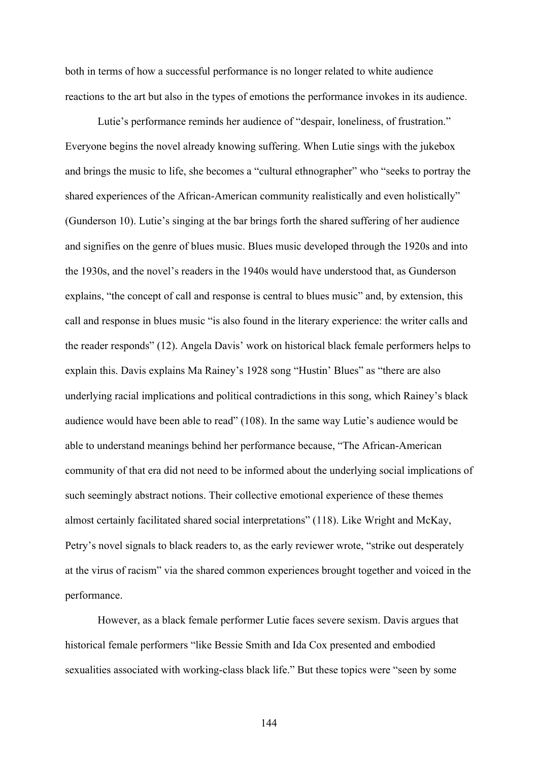both in terms of how a successful performance is no longer related to white audience reactions to the art but also in the types of emotions the performance invokes in its audience.

Lutie's performance reminds her audience of "despair, loneliness, of frustration." Everyone begins the novel already knowing suffering. When Lutie sings with the jukebox and brings the music to life, she becomes a "cultural ethnographer" who "seeks to portray the shared experiences of the African-American community realistically and even holistically" (Gunderson 10). Lutie's singing at the bar brings forth the shared suffering of her audience and signifies on the genre of blues music. Blues music developed through the 1920s and into the 1930s, and the novel's readers in the 1940s would have understood that, as Gunderson explains, "the concept of call and response is central to blues music" and, by extension, this call and response in blues music "is also found in the literary experience: the writer calls and the reader responds" (12). Angela Davis' work on historical black female performers helps to explain this. Davis explains Ma Rainey's 1928 song "Hustin' Blues" as "there are also underlying racial implications and political contradictions in this song, which Rainey's black audience would have been able to read" (108). In the same way Lutie's audience would be able to understand meanings behind her performance because, "The African-American community of that era did not need to be informed about the underlying social implications of such seemingly abstract notions. Their collective emotional experience of these themes almost certainly facilitated shared social interpretations" (118). Like Wright and McKay, Petry's novel signals to black readers to, as the early reviewer wrote, "strike out desperately at the virus of racism" via the shared common experiences brought together and voiced in the performance.

However, as a black female performer Lutie faces severe sexism. Davis argues that historical female performers "like Bessie Smith and Ida Cox presented and embodied sexualities associated with working-class black life." But these topics were "seen by some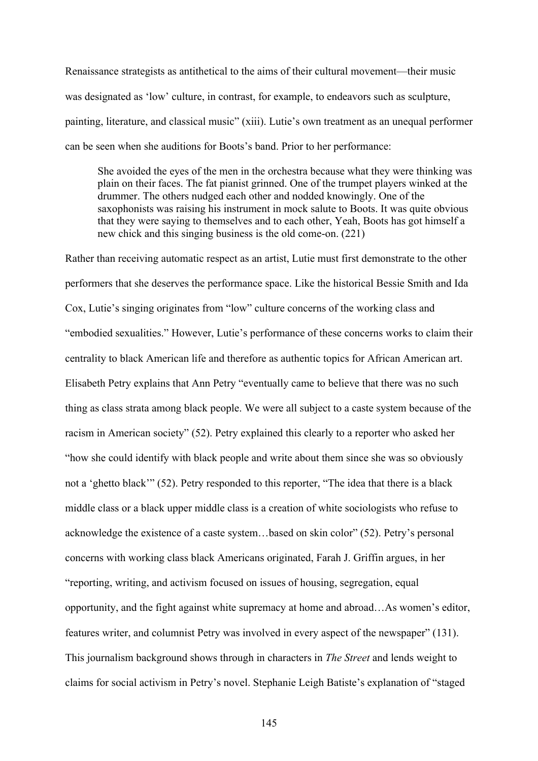Renaissance strategists as antithetical to the aims of their cultural movement—their music was designated as 'low' culture, in contrast, for example, to endeavors such as sculpture, painting, literature, and classical music" (xiii). Lutie's own treatment as an unequal performer can be seen when she auditions for Boots's band. Prior to her performance:

She avoided the eyes of the men in the orchestra because what they were thinking was plain on their faces. The fat pianist grinned. One of the trumpet players winked at the drummer. The others nudged each other and nodded knowingly. One of the saxophonists was raising his instrument in mock salute to Boots. It was quite obvious that they were saying to themselves and to each other, Yeah, Boots has got himself a new chick and this singing business is the old come-on. (221)

Rather than receiving automatic respect as an artist, Lutie must first demonstrate to the other performers that she deserves the performance space. Like the historical Bessie Smith and Ida Cox, Lutie's singing originates from "low" culture concerns of the working class and "embodied sexualities." However, Lutie's performance of these concerns works to claim their centrality to black American life and therefore as authentic topics for African American art. Elisabeth Petry explains that Ann Petry "eventually came to believe that there was no such thing as class strata among black people. We were all subject to a caste system because of the racism in American society" (52). Petry explained this clearly to a reporter who asked her "how she could identify with black people and write about them since she was so obviously not a 'ghetto black'" (52). Petry responded to this reporter, "The idea that there is a black middle class or a black upper middle class is a creation of white sociologists who refuse to acknowledge the existence of a caste system…based on skin color" (52). Petry's personal concerns with working class black Americans originated, Farah J. Griffin argues, in her "reporting, writing, and activism focused on issues of housing, segregation, equal opportunity, and the fight against white supremacy at home and abroad…As women's editor, features writer, and columnist Petry was involved in every aspect of the newspaper" (131). This journalism background shows through in characters in *The Street* and lends weight to claims for social activism in Petry's novel. Stephanie Leigh Batiste's explanation of "staged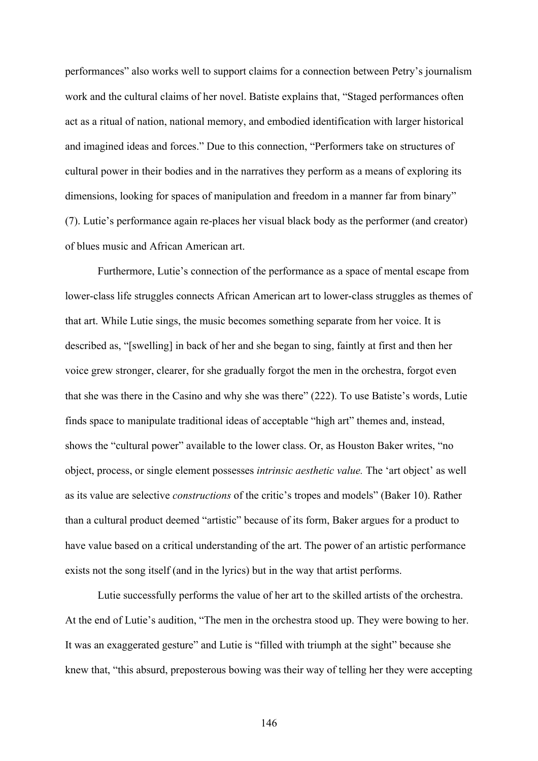performances" also works well to support claims for a connection between Petry's journalism work and the cultural claims of her novel. Batiste explains that, "Staged performances often act as a ritual of nation, national memory, and embodied identification with larger historical and imagined ideas and forces." Due to this connection, "Performers take on structures of cultural power in their bodies and in the narratives they perform as a means of exploring its dimensions, looking for spaces of manipulation and freedom in a manner far from binary" (7). Lutie's performance again re-places her visual black body as the performer (and creator) of blues music and African American art.

Furthermore, Lutie's connection of the performance as a space of mental escape from lower-class life struggles connects African American art to lower-class struggles as themes of that art. While Lutie sings, the music becomes something separate from her voice. It is described as, "[swelling] in back of her and she began to sing, faintly at first and then her voice grew stronger, clearer, for she gradually forgot the men in the orchestra, forgot even that she was there in the Casino and why she was there" (222). To use Batiste's words, Lutie finds space to manipulate traditional ideas of acceptable "high art" themes and, instead, shows the "cultural power" available to the lower class. Or, as Houston Baker writes, "no object, process, or single element possesses *intrinsic aesthetic value.* The 'art object' as well as its value are selective *constructions* of the critic's tropes and models" (Baker 10). Rather than a cultural product deemed "artistic" because of its form, Baker argues for a product to have value based on a critical understanding of the art. The power of an artistic performance exists not the song itself (and in the lyrics) but in the way that artist performs.

Lutie successfully performs the value of her art to the skilled artists of the orchestra. At the end of Lutie's audition, "The men in the orchestra stood up. They were bowing to her. It was an exaggerated gesture" and Lutie is "filled with triumph at the sight" because she knew that, "this absurd, preposterous bowing was their way of telling her they were accepting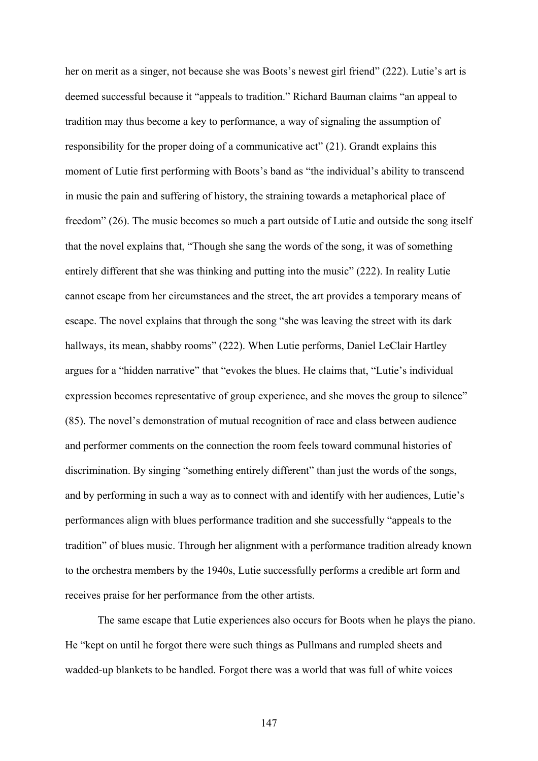her on merit as a singer, not because she was Boots's newest girl friend" (222). Lutie's art is deemed successful because it "appeals to tradition." Richard Bauman claims "an appeal to tradition may thus become a key to performance, a way of signaling the assumption of responsibility for the proper doing of a communicative act" (21). Grandt explains this moment of Lutie first performing with Boots's band as "the individual's ability to transcend in music the pain and suffering of history, the straining towards a metaphorical place of freedom" (26). The music becomes so much a part outside of Lutie and outside the song itself that the novel explains that, "Though she sang the words of the song, it was of something entirely different that she was thinking and putting into the music" (222). In reality Lutie cannot escape from her circumstances and the street, the art provides a temporary means of escape. The novel explains that through the song "she was leaving the street with its dark hallways, its mean, shabby rooms" (222). When Lutie performs, Daniel LeClair Hartley argues for a "hidden narrative" that "evokes the blues. He claims that, "Lutie's individual expression becomes representative of group experience, and she moves the group to silence" (85). The novel's demonstration of mutual recognition of race and class between audience and performer comments on the connection the room feels toward communal histories of discrimination. By singing "something entirely different" than just the words of the songs, and by performing in such a way as to connect with and identify with her audiences, Lutie's performances align with blues performance tradition and she successfully "appeals to the tradition" of blues music. Through her alignment with a performance tradition already known to the orchestra members by the 1940s, Lutie successfully performs a credible art form and receives praise for her performance from the other artists.

The same escape that Lutie experiences also occurs for Boots when he plays the piano. He "kept on until he forgot there were such things as Pullmans and rumpled sheets and wadded-up blankets to be handled. Forgot there was a world that was full of white voices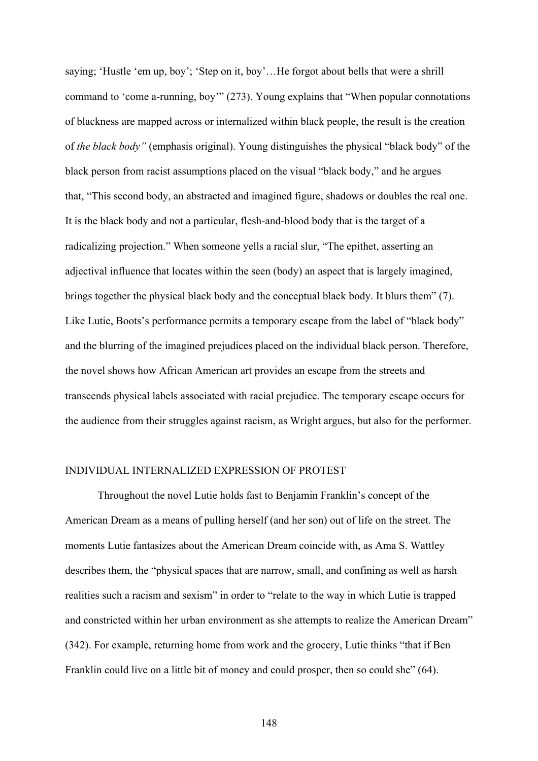saying; 'Hustle 'em up, boy'; 'Step on it, boy'…He forgot about bells that were a shrill command to 'come a-running, boy'" (273). Young explains that "When popular connotations of blackness are mapped across or internalized within black people, the result is the creation of *the black body"* (emphasis original). Young distinguishes the physical "black body" of the black person from racist assumptions placed on the visual "black body," and he argues that, "This second body, an abstracted and imagined figure, shadows or doubles the real one. It is the black body and not a particular, flesh-and-blood body that is the target of a radicalizing projection." When someone yells a racial slur, "The epithet, asserting an adjectival influence that locates within the seen (body) an aspect that is largely imagined, brings together the physical black body and the conceptual black body. It blurs them" (7). Like Lutie, Boots's performance permits a temporary escape from the label of "black body" and the blurring of the imagined prejudices placed on the individual black person. Therefore, the novel shows how African American art provides an escape from the streets and transcends physical labels associated with racial prejudice. The temporary escape occurs for the audience from their struggles against racism, as Wright argues, but also for the performer.

## INDIVIDUAL INTERNALIZED EXPRESSION OF PROTEST

Throughout the novel Lutie holds fast to Benjamin Franklin's concept of the American Dream as a means of pulling herself (and her son) out of life on the street. The moments Lutie fantasizes about the American Dream coincide with, as Ama S. Wattley describes them, the "physical spaces that are narrow, small, and confining as well as harsh realities such a racism and sexism" in order to "relate to the way in which Lutie is trapped and constricted within her urban environment as she attempts to realize the American Dream" (342). For example, returning home from work and the grocery, Lutie thinks "that if Ben Franklin could live on a little bit of money and could prosper, then so could she" (64).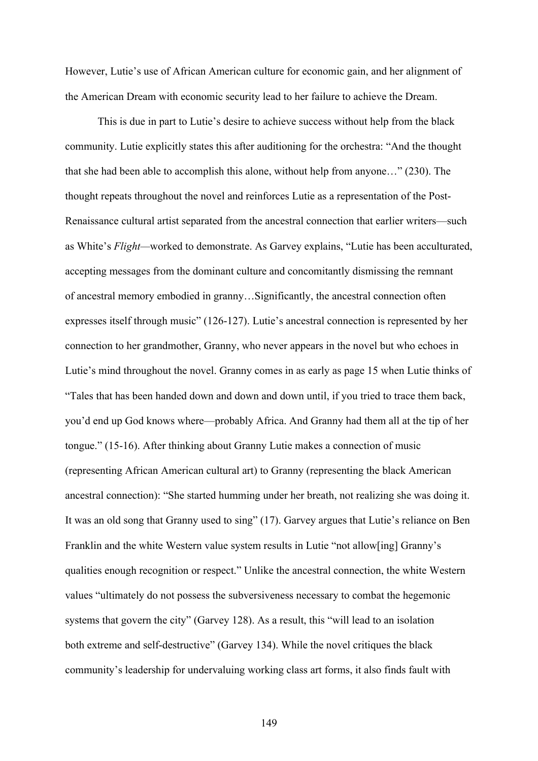However, Lutie's use of African American culture for economic gain, and her alignment of the American Dream with economic security lead to her failure to achieve the Dream.

This is due in part to Lutie's desire to achieve success without help from the black community. Lutie explicitly states this after auditioning for the orchestra: "And the thought that she had been able to accomplish this alone, without help from anyone…" (230). The thought repeats throughout the novel and reinforces Lutie as a representation of the Post-Renaissance cultural artist separated from the ancestral connection that earlier writers—such as White's *Flight—*worked to demonstrate. As Garvey explains, "Lutie has been acculturated, accepting messages from the dominant culture and concomitantly dismissing the remnant of ancestral memory embodied in granny…Significantly, the ancestral connection often expresses itself through music" (126-127). Lutie's ancestral connection is represented by her connection to her grandmother, Granny, who never appears in the novel but who echoes in Lutie's mind throughout the novel. Granny comes in as early as page 15 when Lutie thinks of "Tales that has been handed down and down and down until, if you tried to trace them back, you'd end up God knows where—probably Africa. And Granny had them all at the tip of her tongue." (15-16). After thinking about Granny Lutie makes a connection of music (representing African American cultural art) to Granny (representing the black American ancestral connection): "She started humming under her breath, not realizing she was doing it. It was an old song that Granny used to sing" (17). Garvey argues that Lutie's reliance on Ben Franklin and the white Western value system results in Lutie "not allow[ing] Granny's qualities enough recognition or respect." Unlike the ancestral connection, the white Western values "ultimately do not possess the subversiveness necessary to combat the hegemonic systems that govern the city" (Garvey 128). As a result, this "will lead to an isolation both extreme and self-destructive" (Garvey 134). While the novel critiques the black community's leadership for undervaluing working class art forms, it also finds fault with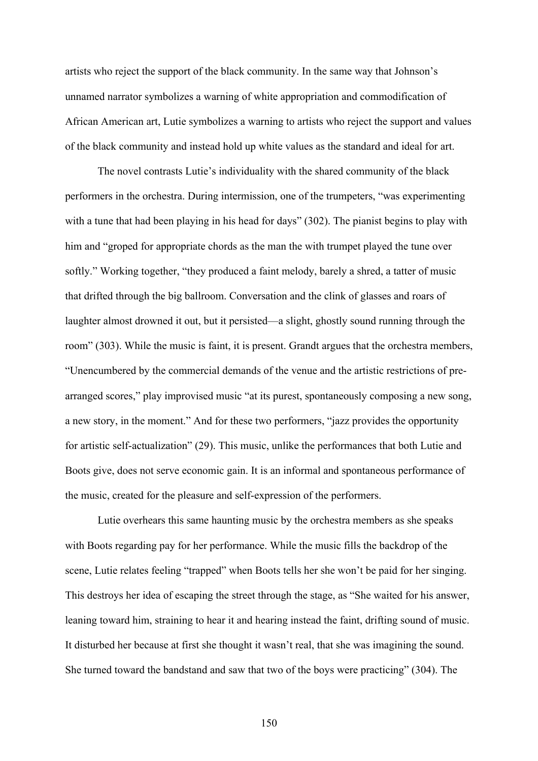artists who reject the support of the black community. In the same way that Johnson's unnamed narrator symbolizes a warning of white appropriation and commodification of African American art, Lutie symbolizes a warning to artists who reject the support and values of the black community and instead hold up white values as the standard and ideal for art.

The novel contrasts Lutie's individuality with the shared community of the black performers in the orchestra. During intermission, one of the trumpeters, "was experimenting with a tune that had been playing in his head for days" (302). The pianist begins to play with him and "groped for appropriate chords as the man the with trumpet played the tune over softly." Working together, "they produced a faint melody, barely a shred, a tatter of music that drifted through the big ballroom. Conversation and the clink of glasses and roars of laughter almost drowned it out, but it persisted—a slight, ghostly sound running through the room" (303). While the music is faint, it is present. Grandt argues that the orchestra members, "Unencumbered by the commercial demands of the venue and the artistic restrictions of prearranged scores," play improvised music "at its purest, spontaneously composing a new song, a new story, in the moment." And for these two performers, "jazz provides the opportunity for artistic self-actualization" (29). This music, unlike the performances that both Lutie and Boots give, does not serve economic gain. It is an informal and spontaneous performance of the music, created for the pleasure and self-expression of the performers.

Lutie overhears this same haunting music by the orchestra members as she speaks with Boots regarding pay for her performance. While the music fills the backdrop of the scene, Lutie relates feeling "trapped" when Boots tells her she won't be paid for her singing. This destroys her idea of escaping the street through the stage, as "She waited for his answer, leaning toward him, straining to hear it and hearing instead the faint, drifting sound of music. It disturbed her because at first she thought it wasn't real, that she was imagining the sound. She turned toward the bandstand and saw that two of the boys were practicing" (304). The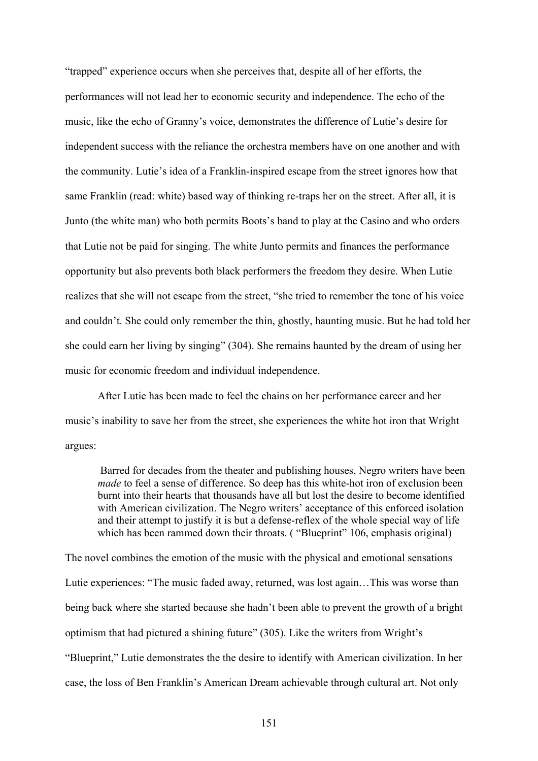"trapped" experience occurs when she perceives that, despite all of her efforts, the performances will not lead her to economic security and independence. The echo of the music, like the echo of Granny's voice, demonstrates the difference of Lutie's desire for independent success with the reliance the orchestra members have on one another and with the community. Lutie's idea of a Franklin-inspired escape from the street ignores how that same Franklin (read: white) based way of thinking re-traps her on the street. After all, it is Junto (the white man) who both permits Boots's band to play at the Casino and who orders that Lutie not be paid for singing. The white Junto permits and finances the performance opportunity but also prevents both black performers the freedom they desire. When Lutie realizes that she will not escape from the street, "she tried to remember the tone of his voice and couldn't. She could only remember the thin, ghostly, haunting music. But he had told her she could earn her living by singing" (304). She remains haunted by the dream of using her music for economic freedom and individual independence.

After Lutie has been made to feel the chains on her performance career and her music's inability to save her from the street, she experiences the white hot iron that Wright argues:

Barred for decades from the theater and publishing houses, Negro writers have been *made* to feel a sense of difference. So deep has this white-hot iron of exclusion been burnt into their hearts that thousands have all but lost the desire to become identified with American civilization. The Negro writers' acceptance of this enforced isolation and their attempt to justify it is but a defense-reflex of the whole special way of life which has been rammed down their throats. ("Blueprint" 106, emphasis original)

The novel combines the emotion of the music with the physical and emotional sensations Lutie experiences: "The music faded away, returned, was lost again…This was worse than being back where she started because she hadn't been able to prevent the growth of a bright optimism that had pictured a shining future" (305). Like the writers from Wright's "Blueprint," Lutie demonstrates the the desire to identify with American civilization. In her case, the loss of Ben Franklin's American Dream achievable through cultural art. Not only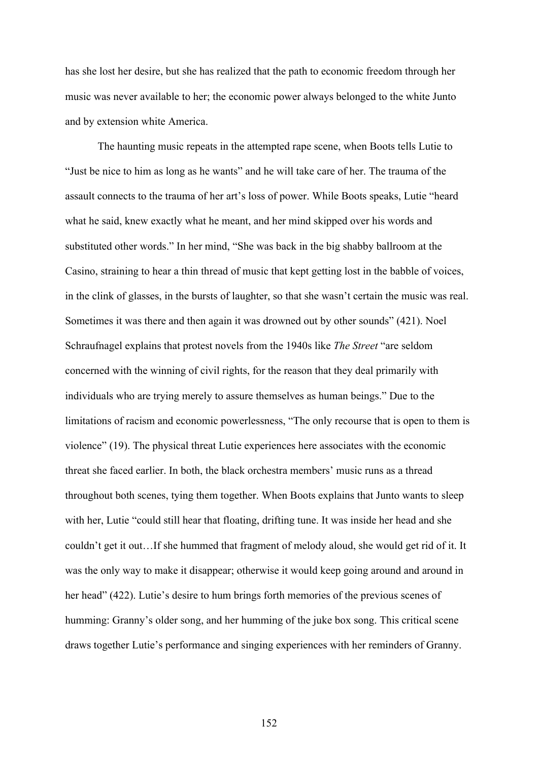has she lost her desire, but she has realized that the path to economic freedom through her music was never available to her; the economic power always belonged to the white Junto and by extension white America.

The haunting music repeats in the attempted rape scene, when Boots tells Lutie to "Just be nice to him as long as he wants" and he will take care of her. The trauma of the assault connects to the trauma of her art's loss of power. While Boots speaks, Lutie "heard what he said, knew exactly what he meant, and her mind skipped over his words and substituted other words." In her mind, "She was back in the big shabby ballroom at the Casino, straining to hear a thin thread of music that kept getting lost in the babble of voices, in the clink of glasses, in the bursts of laughter, so that she wasn't certain the music was real. Sometimes it was there and then again it was drowned out by other sounds" (421). Noel Schraufnagel explains that protest novels from the 1940s like *The Street* "are seldom concerned with the winning of civil rights, for the reason that they deal primarily with individuals who are trying merely to assure themselves as human beings." Due to the limitations of racism and economic powerlessness, "The only recourse that is open to them is violence" (19). The physical threat Lutie experiences here associates with the economic threat she faced earlier. In both, the black orchestra members' music runs as a thread throughout both scenes, tying them together. When Boots explains that Junto wants to sleep with her, Lutie "could still hear that floating, drifting tune. It was inside her head and she couldn't get it out…If she hummed that fragment of melody aloud, she would get rid of it. It was the only way to make it disappear; otherwise it would keep going around and around in her head" (422). Lutie's desire to hum brings forth memories of the previous scenes of humming: Granny's older song, and her humming of the juke box song. This critical scene draws together Lutie's performance and singing experiences with her reminders of Granny.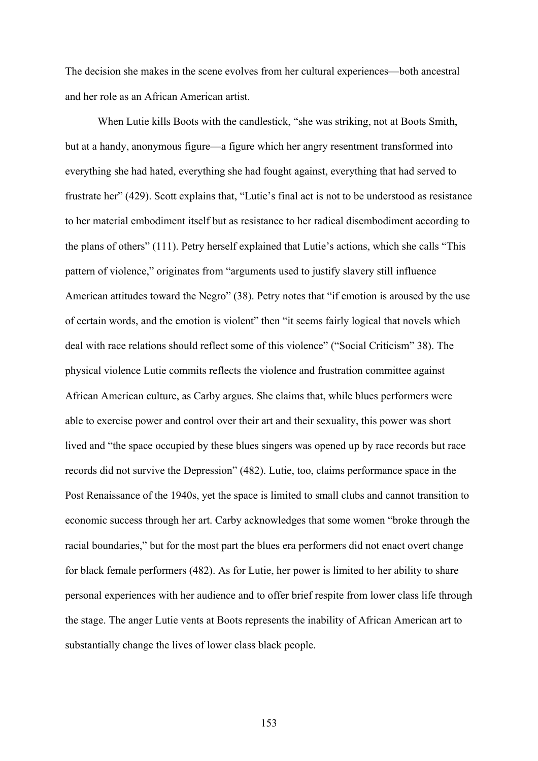The decision she makes in the scene evolves from her cultural experiences—both ancestral and her role as an African American artist.

When Lutie kills Boots with the candlestick, "she was striking, not at Boots Smith, but at a handy, anonymous figure—a figure which her angry resentment transformed into everything she had hated, everything she had fought against, everything that had served to frustrate her" (429). Scott explains that, "Lutie's final act is not to be understood as resistance to her material embodiment itself but as resistance to her radical disembodiment according to the plans of others" (111). Petry herself explained that Lutie's actions, which she calls "This pattern of violence," originates from "arguments used to justify slavery still influence American attitudes toward the Negro" (38). Petry notes that "if emotion is aroused by the use of certain words, and the emotion is violent" then "it seems fairly logical that novels which deal with race relations should reflect some of this violence" ("Social Criticism" 38). The physical violence Lutie commits reflects the violence and frustration committee against African American culture, as Carby argues. She claims that, while blues performers were able to exercise power and control over their art and their sexuality, this power was short lived and "the space occupied by these blues singers was opened up by race records but race records did not survive the Depression" (482). Lutie, too, claims performance space in the Post Renaissance of the 1940s, yet the space is limited to small clubs and cannot transition to economic success through her art. Carby acknowledges that some women "broke through the racial boundaries," but for the most part the blues era performers did not enact overt change for black female performers (482). As for Lutie, her power is limited to her ability to share personal experiences with her audience and to offer brief respite from lower class life through the stage. The anger Lutie vents at Boots represents the inability of African American art to substantially change the lives of lower class black people.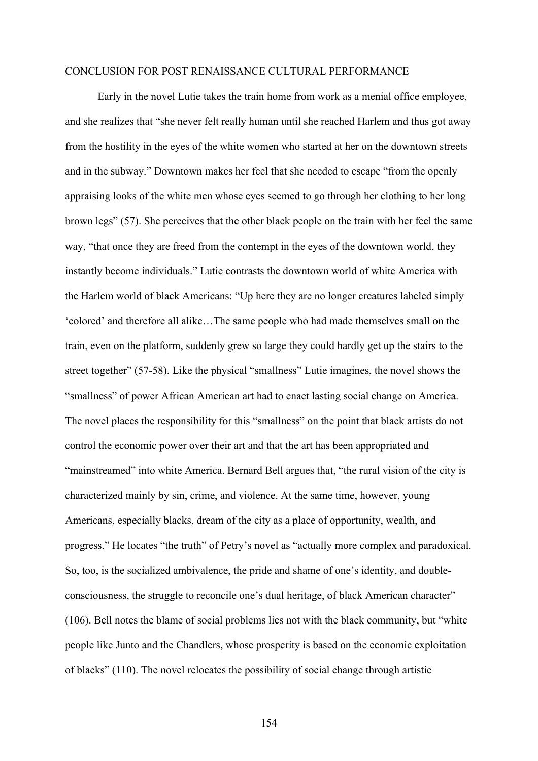#### CONCLUSION FOR POST RENAISSANCE CULTURAL PERFORMANCE

Early in the novel Lutie takes the train home from work as a menial office employee, and she realizes that "she never felt really human until she reached Harlem and thus got away from the hostility in the eyes of the white women who started at her on the downtown streets and in the subway." Downtown makes her feel that she needed to escape "from the openly appraising looks of the white men whose eyes seemed to go through her clothing to her long brown legs" (57). She perceives that the other black people on the train with her feel the same way, "that once they are freed from the contempt in the eyes of the downtown world, they instantly become individuals." Lutie contrasts the downtown world of white America with the Harlem world of black Americans: "Up here they are no longer creatures labeled simply 'colored' and therefore all alike…The same people who had made themselves small on the train, even on the platform, suddenly grew so large they could hardly get up the stairs to the street together" (57-58). Like the physical "smallness" Lutie imagines, the novel shows the "smallness" of power African American art had to enact lasting social change on America. The novel places the responsibility for this "smallness" on the point that black artists do not control the economic power over their art and that the art has been appropriated and "mainstreamed" into white America. Bernard Bell argues that, "the rural vision of the city is characterized mainly by sin, crime, and violence. At the same time, however, young Americans, especially blacks, dream of the city as a place of opportunity, wealth, and progress." He locates "the truth" of Petry's novel as "actually more complex and paradoxical. So, too, is the socialized ambivalence, the pride and shame of one's identity, and doubleconsciousness, the struggle to reconcile one's dual heritage, of black American character" (106). Bell notes the blame of social problems lies not with the black community, but "white people like Junto and the Chandlers, whose prosperity is based on the economic exploitation of blacks" (110). The novel relocates the possibility of social change through artistic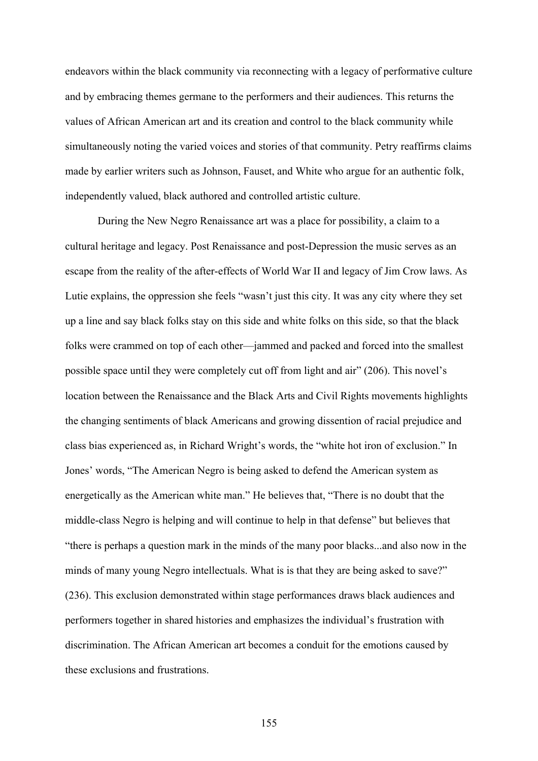endeavors within the black community via reconnecting with a legacy of performative culture and by embracing themes germane to the performers and their audiences. This returns the values of African American art and its creation and control to the black community while simultaneously noting the varied voices and stories of that community. Petry reaffirms claims made by earlier writers such as Johnson, Fauset, and White who argue for an authentic folk, independently valued, black authored and controlled artistic culture.

During the New Negro Renaissance art was a place for possibility, a claim to a cultural heritage and legacy. Post Renaissance and post-Depression the music serves as an escape from the reality of the after-effects of World War II and legacy of Jim Crow laws. As Lutie explains, the oppression she feels "wasn't just this city. It was any city where they set up a line and say black folks stay on this side and white folks on this side, so that the black folks were crammed on top of each other—jammed and packed and forced into the smallest possible space until they were completely cut off from light and air" (206). This novel's location between the Renaissance and the Black Arts and Civil Rights movements highlights the changing sentiments of black Americans and growing dissention of racial prejudice and class bias experienced as, in Richard Wright's words, the "white hot iron of exclusion." In Jones' words, "The American Negro is being asked to defend the American system as energetically as the American white man." He believes that, "There is no doubt that the middle-class Negro is helping and will continue to help in that defense" but believes that "there is perhaps a question mark in the minds of the many poor blacks...and also now in the minds of many young Negro intellectuals. What is is that they are being asked to save?" (236). This exclusion demonstrated within stage performances draws black audiences and performers together in shared histories and emphasizes the individual's frustration with discrimination. The African American art becomes a conduit for the emotions caused by these exclusions and frustrations.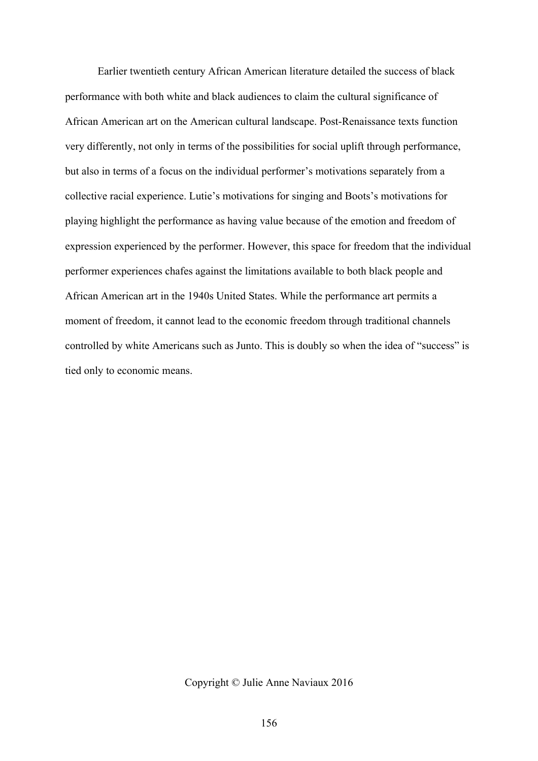Earlier twentieth century African American literature detailed the success of black performance with both white and black audiences to claim the cultural significance of African American art on the American cultural landscape. Post-Renaissance texts function very differently, not only in terms of the possibilities for social uplift through performance, but also in terms of a focus on the individual performer's motivations separately from a collective racial experience. Lutie's motivations for singing and Boots's motivations for playing highlight the performance as having value because of the emotion and freedom of expression experienced by the performer. However, this space for freedom that the individual performer experiences chafes against the limitations available to both black people and African American art in the 1940s United States. While the performance art permits a moment of freedom, it cannot lead to the economic freedom through traditional channels controlled by white Americans such as Junto. This is doubly so when the idea of "success" is tied only to economic means.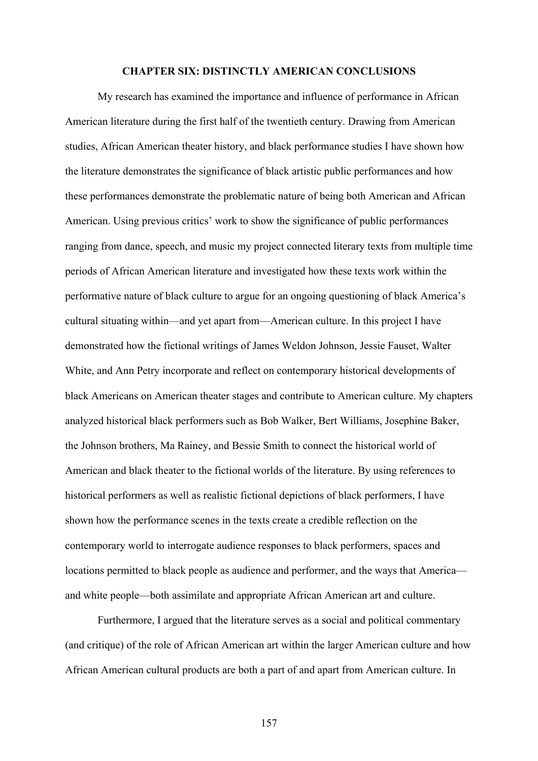#### **CHAPTER SIX: DISTINCTLY AMERICAN CONCLUSIONS**

My research has examined the importance and influence of performance in African American literature during the first half of the twentieth century. Drawing from American studies, African American theater history, and black performance studies I have shown how the literature demonstrates the significance of black artistic public performances and how these performances demonstrate the problematic nature of being both American and African American. Using previous critics' work to show the significance of public performances ranging from dance, speech, and music my project connected literary texts from multiple time periods of African American literature and investigated how these texts work within the performative nature of black culture to argue for an ongoing questioning of black America's cultural situating within—and yet apart from—American culture. In this project I have demonstrated how the fictional writings of James Weldon Johnson, Jessie Fauset, Walter White, and Ann Petry incorporate and reflect on contemporary historical developments of black Americans on American theater stages and contribute to American culture. My chapters analyzed historical black performers such as Bob Walker, Bert Williams, Josephine Baker, the Johnson brothers, Ma Rainey, and Bessie Smith to connect the historical world of American and black theater to the fictional worlds of the literature. By using references to historical performers as well as realistic fictional depictions of black performers, I have shown how the performance scenes in the texts create a credible reflection on the contemporary world to interrogate audience responses to black performers, spaces and locations permitted to black people as audience and performer, and the ways that America and white people—both assimilate and appropriate African American art and culture.

Furthermore, I argued that the literature serves as a social and political commentary (and critique) of the role of African American art within the larger American culture and how African American cultural products are both a part of and apart from American culture. In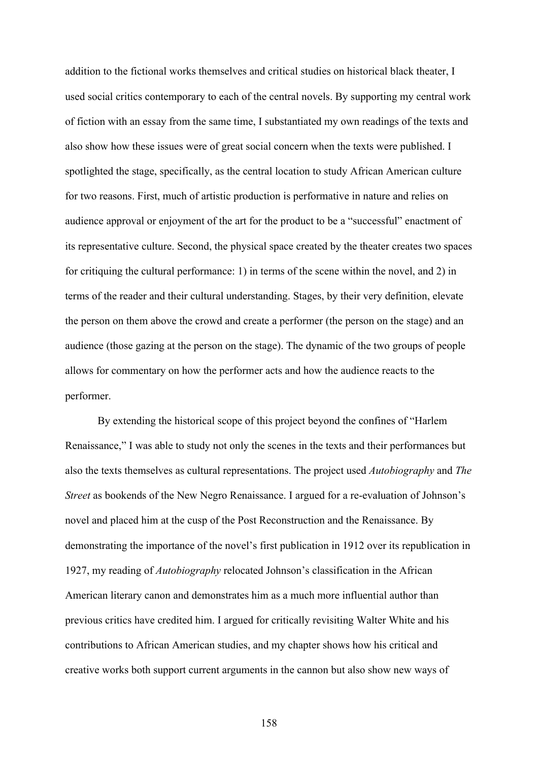addition to the fictional works themselves and critical studies on historical black theater, I used social critics contemporary to each of the central novels. By supporting my central work of fiction with an essay from the same time, I substantiated my own readings of the texts and also show how these issues were of great social concern when the texts were published. I spotlighted the stage, specifically, as the central location to study African American culture for two reasons. First, much of artistic production is performative in nature and relies on audience approval or enjoyment of the art for the product to be a "successful" enactment of its representative culture. Second, the physical space created by the theater creates two spaces for critiquing the cultural performance: 1) in terms of the scene within the novel, and 2) in terms of the reader and their cultural understanding. Stages, by their very definition, elevate the person on them above the crowd and create a performer (the person on the stage) and an audience (those gazing at the person on the stage). The dynamic of the two groups of people allows for commentary on how the performer acts and how the audience reacts to the performer.

By extending the historical scope of this project beyond the confines of "Harlem Renaissance," I was able to study not only the scenes in the texts and their performances but also the texts themselves as cultural representations. The project used *Autobiography* and *The Street* as bookends of the New Negro Renaissance. I argued for a re-evaluation of Johnson's novel and placed him at the cusp of the Post Reconstruction and the Renaissance. By demonstrating the importance of the novel's first publication in 1912 over its republication in 1927, my reading of *Autobiography* relocated Johnson's classification in the African American literary canon and demonstrates him as a much more influential author than previous critics have credited him. I argued for critically revisiting Walter White and his contributions to African American studies, and my chapter shows how his critical and creative works both support current arguments in the cannon but also show new ways of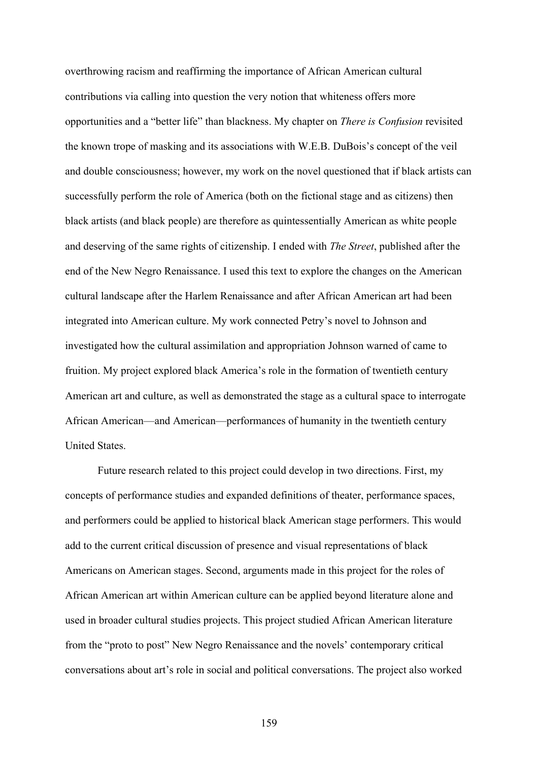overthrowing racism and reaffirming the importance of African American cultural contributions via calling into question the very notion that whiteness offers more opportunities and a "better life" than blackness. My chapter on *There is Confusion* revisited the known trope of masking and its associations with W.E.B. DuBois's concept of the veil and double consciousness; however, my work on the novel questioned that if black artists can successfully perform the role of America (both on the fictional stage and as citizens) then black artists (and black people) are therefore as quintessentially American as white people and deserving of the same rights of citizenship. I ended with *The Street*, published after the end of the New Negro Renaissance. I used this text to explore the changes on the American cultural landscape after the Harlem Renaissance and after African American art had been integrated into American culture. My work connected Petry's novel to Johnson and investigated how the cultural assimilation and appropriation Johnson warned of came to fruition. My project explored black America's role in the formation of twentieth century American art and culture, as well as demonstrated the stage as a cultural space to interrogate African American—and American—performances of humanity in the twentieth century United States.

Future research related to this project could develop in two directions. First, my concepts of performance studies and expanded definitions of theater, performance spaces, and performers could be applied to historical black American stage performers. This would add to the current critical discussion of presence and visual representations of black Americans on American stages. Second, arguments made in this project for the roles of African American art within American culture can be applied beyond literature alone and used in broader cultural studies projects. This project studied African American literature from the "proto to post" New Negro Renaissance and the novels' contemporary critical conversations about art's role in social and political conversations. The project also worked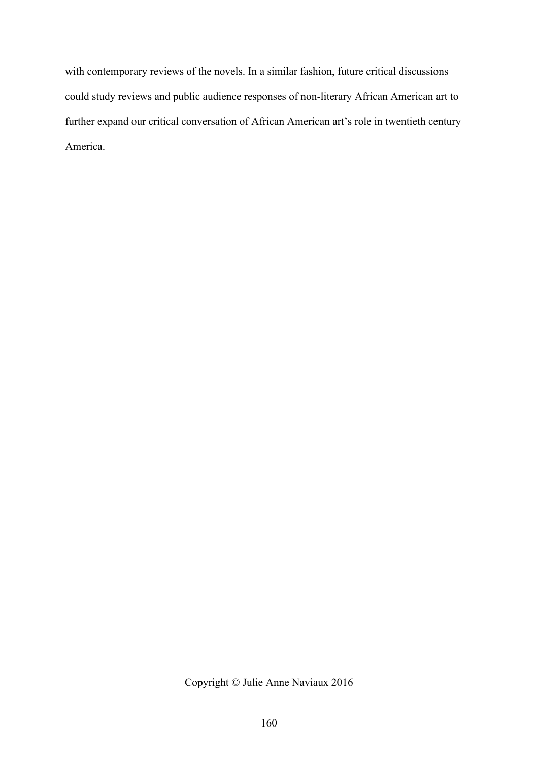with contemporary reviews of the novels. In a similar fashion, future critical discussions could study reviews and public audience responses of non-literary African American art to further expand our critical conversation of African American art's role in twentieth century America.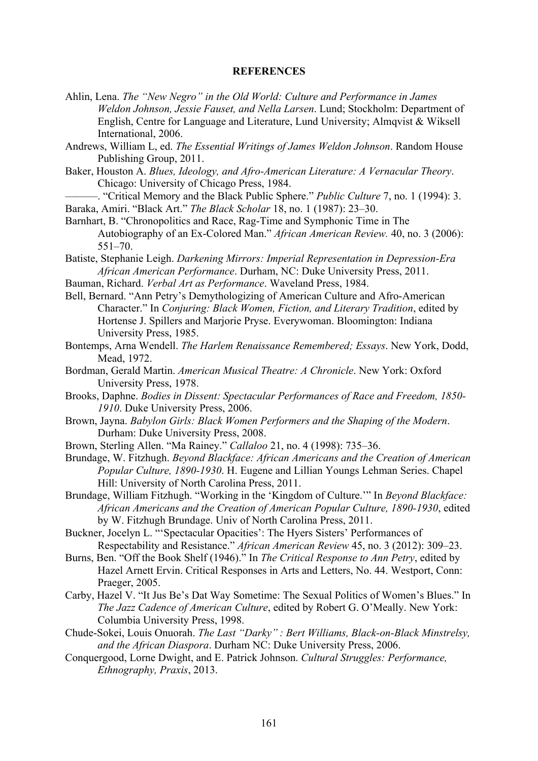#### **REFERENCES**

- Ahlin, Lena. *The "New Negro" in the Old World: Culture and Performance in James Weldon Johnson, Jessie Fauset, and Nella Larsen*. Lund; Stockholm: Department of English, Centre for Language and Literature, Lund University; Almqvist & Wiksell International, 2006.
- Andrews, William L, ed. *The Essential Writings of James Weldon Johnson*. Random House Publishing Group, 2011.
- Baker, Houston A. *Blues, Ideology, and Afro-American Literature: A Vernacular Theory*. Chicago: University of Chicago Press, 1984.
- ———. "Critical Memory and the Black Public Sphere." *Public Culture* 7, no. 1 (1994): 3. Baraka, Amiri. "Black Art." *The Black Scholar* 18, no. 1 (1987): 23–30.
- Barnhart, B. "Chronopolitics and Race, Rag-Time and Symphonic Time in The Autobiography of an Ex-Colored Man." *African American Review.* 40, no. 3 (2006): 551–70.
- Batiste, Stephanie Leigh. *Darkening Mirrors: Imperial Representation in Depression-Era African American Performance*. Durham, NC: Duke University Press, 2011.
- Bauman, Richard. *Verbal Art as Performance*. Waveland Press, 1984.
- Bell, Bernard. "Ann Petry's Demythologizing of American Culture and Afro-American Character." In *Conjuring: Black Women, Fiction, and Literary Tradition*, edited by Hortense J. Spillers and Marjorie Pryse. Everywoman. Bloomington: Indiana University Press, 1985.
- Bontemps, Arna Wendell. *The Harlem Renaissance Remembered; Essays*. New York, Dodd, Mead, 1972.
- Bordman, Gerald Martin. *American Musical Theatre: A Chronicle*. New York: Oxford University Press, 1978.
- Brooks, Daphne. *Bodies in Dissent: Spectacular Performances of Race and Freedom, 1850- 1910*. Duke University Press, 2006.
- Brown, Jayna. *Babylon Girls: Black Women Performers and the Shaping of the Modern*. Durham: Duke University Press, 2008.
- Brown, Sterling Allen. "Ma Rainey." *Callaloo* 21, no. 4 (1998): 735–36.
- Brundage, W. Fitzhugh. *Beyond Blackface: African Americans and the Creation of American Popular Culture, 1890-1930*. H. Eugene and Lillian Youngs Lehman Series. Chapel Hill: University of North Carolina Press, 2011.
- Brundage, William Fitzhugh. "Working in the 'Kingdom of Culture.'" In *Beyond Blackface: African Americans and the Creation of American Popular Culture, 1890-1930*, edited by W. Fitzhugh Brundage. Univ of North Carolina Press, 2011.
- Buckner, Jocelyn L. "'Spectacular Opacities': The Hyers Sisters' Performances of Respectability and Resistance." *African American Review* 45, no. 3 (2012): 309–23.
- Burns, Ben. "Off the Book Shelf (1946)." In *The Critical Response to Ann Petry*, edited by Hazel Arnett Ervin. Critical Responses in Arts and Letters, No. 44. Westport, Conn: Praeger, 2005.
- Carby, Hazel V. "It Jus Be's Dat Way Sometime: The Sexual Politics of Women's Blues." In *The Jazz Cadence of American Culture*, edited by Robert G. O'Meally. New York: Columbia University Press, 1998.
- Chude-Sokei, Louis Onuorah. *The Last "Darky" : Bert Williams, Black-on-Black Minstrelsy, and the African Diaspora*. Durham NC: Duke University Press, 2006.
- Conquergood, Lorne Dwight, and E. Patrick Johnson. *Cultural Struggles: Performance, Ethnography, Praxis*, 2013.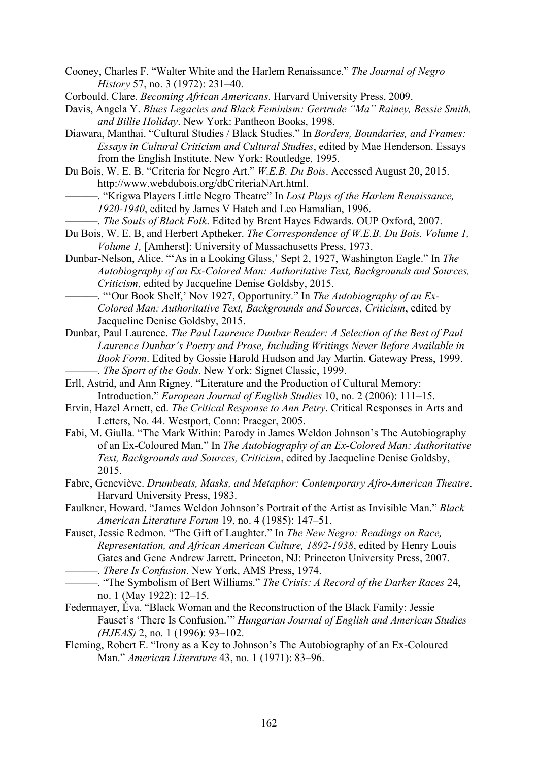- Cooney, Charles F. "Walter White and the Harlem Renaissance." *The Journal of Negro History* 57, no. 3 (1972): 231–40.
- Corbould, Clare. *Becoming African Americans*. Harvard University Press, 2009.
- Davis, Angela Y. *Blues Legacies and Black Feminism: Gertrude "Ma" Rainey, Bessie Smith, and Billie Holiday*. New York: Pantheon Books, 1998.
- Diawara, Manthai. "Cultural Studies / Black Studies." In *Borders, Boundaries, and Frames: Essays in Cultural Criticism and Cultural Studies*, edited by Mae Henderson. Essays from the English Institute. New York: Routledge, 1995.
- Du Bois, W. E. B. "Criteria for Negro Art." *W.E.B. Du Bois*. Accessed August 20, 2015. http://www.webdubois.org/dbCriteriaNArt.html.
	- ———. "Krigwa Players Little Negro Theatre" In *Lost Plays of the Harlem Renaissance, 1920-1940*, edited by James V Hatch and Leo Hamalian, 1996.
	- ———. *The Souls of Black Folk*. Edited by Brent Hayes Edwards. OUP Oxford, 2007.
- Du Bois, W. E. B, and Herbert Aptheker. *The Correspondence of W.E.B. Du Bois. Volume 1, Volume 1,* [Amherst]: University of Massachusetts Press, 1973.
- Dunbar-Nelson, Alice. "'As in a Looking Glass,' Sept 2, 1927, Washington Eagle." In *The Autobiography of an Ex-Colored Man: Authoritative Text, Backgrounds and Sources, Criticism*, edited by Jacqueline Denise Goldsby, 2015.
	- ———. "'Our Book Shelf,' Nov 1927, Opportunity." In *The Autobiography of an Ex-Colored Man: Authoritative Text, Backgrounds and Sources, Criticism*, edited by Jacqueline Denise Goldsby, 2015.
- Dunbar, Paul Laurence. *The Paul Laurence Dunbar Reader: A Selection of the Best of Paul Laurence Dunbar's Poetry and Prose, Including Writings Never Before Available in Book Form*. Edited by Gossie Harold Hudson and Jay Martin. Gateway Press, 1999. ———. *The Sport of the Gods*. New York: Signet Classic, 1999.
- Erll, Astrid, and Ann Rigney. "Literature and the Production of Cultural Memory: Introduction." *European Journal of English Studies* 10, no. 2 (2006): 111–15.
- Ervin, Hazel Arnett, ed. *The Critical Response to Ann Petry*. Critical Responses in Arts and Letters, No. 44. Westport, Conn: Praeger, 2005.
- Fabi, M. Giulla. "The Mark Within: Parody in James Weldon Johnson's The Autobiography of an Ex-Coloured Man." In *The Autobiography of an Ex-Colored Man: Authoritative Text, Backgrounds and Sources, Criticism*, edited by Jacqueline Denise Goldsby, 2015.
- Fabre, Geneviève. *Drumbeats, Masks, and Metaphor: Contemporary Afro-American Theatre*. Harvard University Press, 1983.
- Faulkner, Howard. "James Weldon Johnson's Portrait of the Artist as Invisible Man." *Black American Literature Forum* 19, no. 4 (1985): 147–51.
- Fauset, Jessie Redmon. "The Gift of Laughter." In *The New Negro: Readings on Race, Representation, and African American Culture, 1892-1938*, edited by Henry Louis Gates and Gene Andrew Jarrett. Princeton, NJ: Princeton University Press, 2007. ———. *There Is Confusion*. New York, AMS Press, 1974.
- ———. "The Symbolism of Bert Williams." *The Crisis: A Record of the Darker Races* 24,
	- no. 1 (May 1922): 12–15.
- Federmayer, Éva. "Black Woman and the Reconstruction of the Black Family: Jessie Fauset's 'There Is Confusion.'" *Hungarian Journal of English and American Studies (HJEAS)* 2, no. 1 (1996): 93–102.
- Fleming, Robert E. "Irony as a Key to Johnson's The Autobiography of an Ex-Coloured Man." *American Literature* 43, no. 1 (1971): 83–96.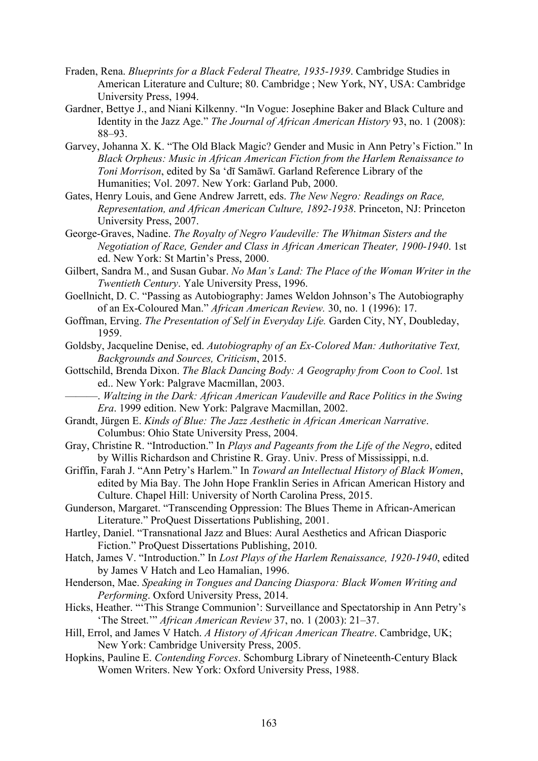- Fraden, Rena. *Blueprints for a Black Federal Theatre, 1935-1939*. Cambridge Studies in American Literature and Culture; 80. Cambridge ; New York, NY, USA: Cambridge University Press, 1994.
- Gardner, Bettye J., and Niani Kilkenny. "In Vogue: Josephine Baker and Black Culture and Identity in the Jazz Age." *The Journal of African American History* 93, no. 1 (2008): 88–93.
- Garvey, Johanna X. K. "The Old Black Magic? Gender and Music in Ann Petry's Fiction." In *Black Orpheus: Music in African American Fiction from the Harlem Renaissance to Toni Morrison*, edited by Sa ʻdī Samāwī. Garland Reference Library of the Humanities; Vol. 2097. New York: Garland Pub, 2000.
- Gates, Henry Louis, and Gene Andrew Jarrett, eds. *The New Negro: Readings on Race, Representation, and African American Culture, 1892-1938*. Princeton, NJ: Princeton University Press, 2007.
- George-Graves, Nadine. *The Royalty of Negro Vaudeville: The Whitman Sisters and the Negotiation of Race, Gender and Class in African American Theater, 1900-1940*. 1st ed. New York: St Martin's Press, 2000.
- Gilbert, Sandra M., and Susan Gubar. *No Man's Land: The Place of the Woman Writer in the Twentieth Century*. Yale University Press, 1996.
- Goellnicht, D. C. "Passing as Autobiography: James Weldon Johnson's The Autobiography of an Ex-Coloured Man." *African American Review.* 30, no. 1 (1996): 17.
- Goffman, Erving. *The Presentation of Self in Everyday Life.* Garden City, NY, Doubleday, 1959.
- Goldsby, Jacqueline Denise, ed. *Autobiography of an Ex-Colored Man: Authoritative Text, Backgrounds and Sources, Criticism*, 2015.
- Gottschild, Brenda Dixon. *The Black Dancing Body: A Geography from Coon to Cool*. 1st ed.. New York: Palgrave Macmillan, 2003.
- ———. *Waltzing in the Dark: African American Vaudeville and Race Politics in the Swing Era*. 1999 edition. New York: Palgrave Macmillan, 2002.
- Grandt, Jürgen E. *Kinds of Blue: The Jazz Aesthetic in African American Narrative*. Columbus: Ohio State University Press, 2004.
- Gray, Christine R. "Introduction." In *Plays and Pageants from the Life of the Negro*, edited by Willis Richardson and Christine R. Gray. Univ. Press of Mississippi, n.d.
- Griffin, Farah J. "Ann Petry's Harlem." In *Toward an Intellectual History of Black Women*, edited by Mia Bay. The John Hope Franklin Series in African American History and Culture. Chapel Hill: University of North Carolina Press, 2015.
- Gunderson, Margaret. "Transcending Oppression: The Blues Theme in African-American Literature." ProQuest Dissertations Publishing, 2001.
- Hartley, Daniel. "Transnational Jazz and Blues: Aural Aesthetics and African Diasporic Fiction." ProQuest Dissertations Publishing, 2010.
- Hatch, James V. "Introduction." In *Lost Plays of the Harlem Renaissance, 1920-1940*, edited by James V Hatch and Leo Hamalian, 1996.
- Henderson, Mae. *Speaking in Tongues and Dancing Diaspora: Black Women Writing and Performing*. Oxford University Press, 2014.
- Hicks, Heather. "'This Strange Communion': Surveillance and Spectatorship in Ann Petry's 'The Street.'" *African American Review* 37, no. 1 (2003): 21–37.
- Hill, Errol, and James V Hatch. *A History of African American Theatre*. Cambridge, UK; New York: Cambridge University Press, 2005.
- Hopkins, Pauline E. *Contending Forces*. Schomburg Library of Nineteenth-Century Black Women Writers. New York: Oxford University Press, 1988.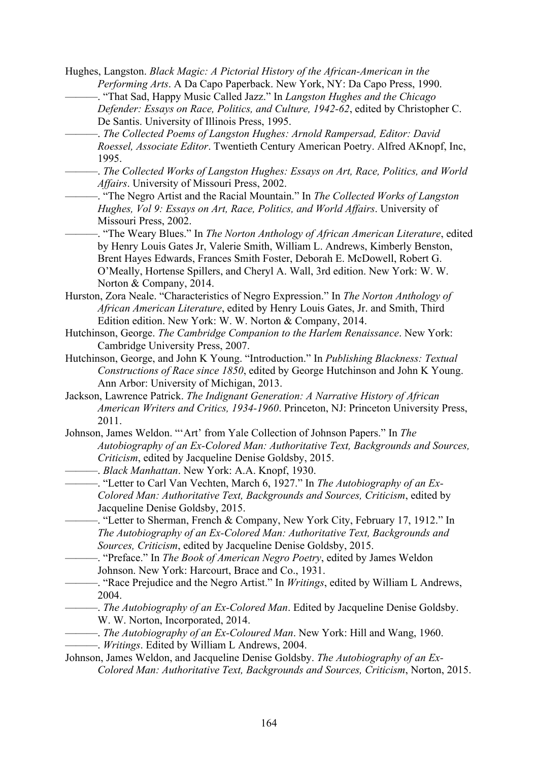- Hughes, Langston. *Black Magic: A Pictorial History of the African-American in the Performing Arts*. A Da Capo Paperback. New York, NY: Da Capo Press, 1990. ———. "That Sad, Happy Music Called Jazz." In *Langston Hughes and the Chicago* 
	- *Defender: Essays on Race, Politics, and Culture, 1942-62*, edited by Christopher C. De Santis. University of Illinois Press, 1995.
	- ———. *The Collected Poems of Langston Hughes: Arnold Rampersad, Editor: David Roessel, Associate Editor*. Twentieth Century American Poetry. Alfred AKnopf, Inc, 1995.
	- ———. *The Collected Works of Langston Hughes: Essays on Art, Race, Politics, and World Affairs*. University of Missouri Press, 2002.
	- ———. "The Negro Artist and the Racial Mountain." In *The Collected Works of Langston Hughes, Vol 9: Essays on Art, Race, Politics, and World Affairs*. University of Missouri Press, 2002.
		- ———. "The Weary Blues." In *The Norton Anthology of African American Literature*, edited by Henry Louis Gates Jr, Valerie Smith, William L. Andrews, Kimberly Benston, Brent Hayes Edwards, Frances Smith Foster, Deborah E. McDowell, Robert G. O'Meally, Hortense Spillers, and Cheryl A. Wall, 3rd edition. New York: W. W. Norton & Company, 2014.
- Hurston, Zora Neale. "Characteristics of Negro Expression." In *The Norton Anthology of African American Literature*, edited by Henry Louis Gates, Jr. and Smith, Third Edition edition. New York: W. W. Norton & Company, 2014.
- Hutchinson, George. *The Cambridge Companion to the Harlem Renaissance*. New York: Cambridge University Press, 2007.
- Hutchinson, George, and John K Young. "Introduction." In *Publishing Blackness: Textual Constructions of Race since 1850*, edited by George Hutchinson and John K Young. Ann Arbor: University of Michigan, 2013.
- Jackson, Lawrence Patrick. *The Indignant Generation: A Narrative History of African American Writers and Critics, 1934-1960*. Princeton, NJ: Princeton University Press, 2011.
- Johnson, James Weldon. "'Art' from Yale Collection of Johnson Papers." In *The Autobiography of an Ex-Colored Man: Authoritative Text, Backgrounds and Sources, Criticism*, edited by Jacqueline Denise Goldsby, 2015.
	- ———. *Black Manhattan*. New York: A.A. Knopf, 1930.
- ———. "Letter to Carl Van Vechten, March 6, 1927." In *The Autobiography of an Ex-Colored Man: Authoritative Text, Backgrounds and Sources, Criticism*, edited by Jacqueline Denise Goldsby, 2015.
	- ———. "Letter to Sherman, French & Company, New York City, February 17, 1912." In *The Autobiography of an Ex-Colored Man: Authoritative Text, Backgrounds and Sources, Criticism*, edited by Jacqueline Denise Goldsby, 2015.
- ———. "Preface." In *The Book of American Negro Poetry*, edited by James Weldon Johnson. New York: Harcourt, Brace and Co., 1931.
- ———. "Race Prejudice and the Negro Artist." In *Writings*, edited by William L Andrews, 2004.
- ———. *The Autobiography of an Ex-Colored Man*. Edited by Jacqueline Denise Goldsby. W. W. Norton, Incorporated, 2014.
- ———. *The Autobiography of an Ex-Coloured Man*. New York: Hill and Wang, 1960.
- ———. *Writings*. Edited by William L Andrews, 2004.
- Johnson, James Weldon, and Jacqueline Denise Goldsby. *The Autobiography of an Ex-Colored Man: Authoritative Text, Backgrounds and Sources, Criticism*, Norton, 2015.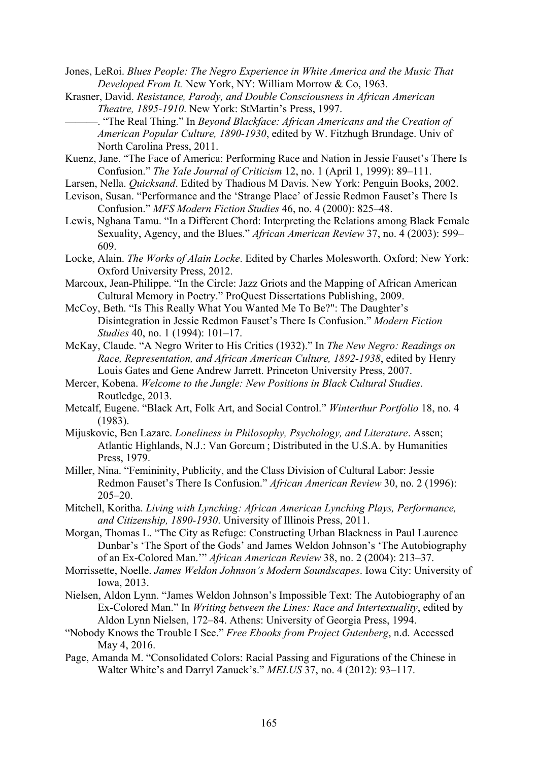- Jones, LeRoi. *Blues People: The Negro Experience in White America and the Music That Developed From It.* New York, NY: William Morrow & Co, 1963.
- Krasner, David. *Resistance, Parody, and Double Consciousness in African American Theatre, 1895-1910*. New York: StMartin's Press, 1997.
	- ———. "The Real Thing." In *Beyond Blackface: African Americans and the Creation of American Popular Culture, 1890-1930*, edited by W. Fitzhugh Brundage. Univ of North Carolina Press, 2011.
- Kuenz, Jane. "The Face of America: Performing Race and Nation in Jessie Fauset's There Is Confusion." *The Yale Journal of Criticism* 12, no. 1 (April 1, 1999): 89–111.
- Larsen, Nella. *Quicksand*. Edited by Thadious M Davis. New York: Penguin Books, 2002.
- Levison, Susan. "Performance and the 'Strange Place' of Jessie Redmon Fauset's There Is Confusion." *MFS Modern Fiction Studies* 46, no. 4 (2000): 825–48.
- Lewis, Nghana Tamu. "In a Different Chord: Interpreting the Relations among Black Female Sexuality, Agency, and the Blues." *African American Review* 37, no. 4 (2003): 599– 609.
- Locke, Alain. *The Works of Alain Locke*. Edited by Charles Molesworth. Oxford; New York: Oxford University Press, 2012.
- Marcoux, Jean-Philippe. "In the Circle: Jazz Griots and the Mapping of African American Cultural Memory in Poetry." ProQuest Dissertations Publishing, 2009.
- McCoy, Beth. "Is This Really What You Wanted Me To Be?": The Daughter's Disintegration in Jessie Redmon Fauset's There Is Confusion." *Modern Fiction Studies* 40, no. 1 (1994): 101–17.
- McKay, Claude. "A Negro Writer to His Critics (1932)." In *The New Negro: Readings on Race, Representation, and African American Culture, 1892-1938*, edited by Henry Louis Gates and Gene Andrew Jarrett. Princeton University Press, 2007.
- Mercer, Kobena. *Welcome to the Jungle: New Positions in Black Cultural Studies*. Routledge, 2013.
- Metcalf, Eugene. "Black Art, Folk Art, and Social Control." *Winterthur Portfolio* 18, no. 4 (1983).
- Mijuskovic, Ben Lazare. *Loneliness in Philosophy, Psychology, and Literature*. Assen; Atlantic Highlands, N.J.: Van Gorcum ; Distributed in the U.S.A. by Humanities Press, 1979.
- Miller, Nina. "Femininity, Publicity, and the Class Division of Cultural Labor: Jessie Redmon Fauset's There Is Confusion." *African American Review* 30, no. 2 (1996): 205–20.
- Mitchell, Koritha. *Living with Lynching: African American Lynching Plays, Performance, and Citizenship, 1890-1930*. University of Illinois Press, 2011.
- Morgan, Thomas L. "The City as Refuge: Constructing Urban Blackness in Paul Laurence Dunbar's 'The Sport of the Gods' and James Weldon Johnson's 'The Autobiography of an Ex-Colored Man.'" *African American Review* 38, no. 2 (2004): 213–37.
- Morrissette, Noelle. *James Weldon Johnson's Modern Soundscapes*. Iowa City: University of Iowa, 2013.
- Nielsen, Aldon Lynn. "James Weldon Johnson's Impossible Text: The Autobiography of an Ex-Colored Man." In *Writing between the Lines: Race and Intertextuality*, edited by Aldon Lynn Nielsen, 172–84. Athens: University of Georgia Press, 1994.
- "Nobody Knows the Trouble I See." *Free Ebooks from Project Gutenberg*, n.d. Accessed May 4, 2016.
- Page, Amanda M. "Consolidated Colors: Racial Passing and Figurations of the Chinese in Walter White's and Darryl Zanuck's." *MELUS* 37, no. 4 (2012): 93–117.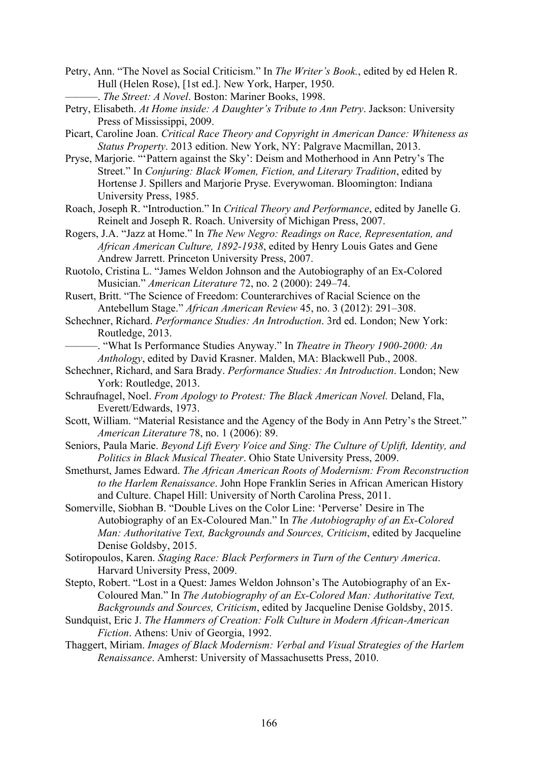- Petry, Ann. "The Novel as Social Criticism." In *The Writer's Book.*, edited by ed Helen R. Hull (Helen Rose), [1st ed.]. New York, Harper, 1950. ———. *The Street: A Novel*. Boston: Mariner Books, 1998.
- Petry, Elisabeth. *At Home inside: A Daughter's Tribute to Ann Petry*. Jackson: University Press of Mississippi, 2009.
- Picart, Caroline Joan. *Critical Race Theory and Copyright in American Dance: Whiteness as Status Property*. 2013 edition. New York, NY: Palgrave Macmillan, 2013.
- Pryse, Marjorie. "'Pattern against the Sky': Deism and Motherhood in Ann Petry's The Street." In *Conjuring: Black Women, Fiction, and Literary Tradition*, edited by Hortense J. Spillers and Marjorie Pryse. Everywoman. Bloomington: Indiana University Press, 1985.
- Roach, Joseph R. "Introduction." In *Critical Theory and Performance*, edited by Janelle G. Reinelt and Joseph R. Roach. University of Michigan Press, 2007.
- Rogers, J.A. "Jazz at Home." In *The New Negro: Readings on Race, Representation, and African American Culture, 1892-1938*, edited by Henry Louis Gates and Gene Andrew Jarrett. Princeton University Press, 2007.
- Ruotolo, Cristina L. "James Weldon Johnson and the Autobiography of an Ex-Colored Musician." *American Literature* 72, no. 2 (2000): 249–74.
- Rusert, Britt. "The Science of Freedom: Counterarchives of Racial Science on the Antebellum Stage." *African American Review* 45, no. 3 (2012): 291–308.
- Schechner, Richard. *Performance Studies: An Introduction*. 3rd ed. London; New York: Routledge, 2013.

———. "What Is Performance Studies Anyway." In *Theatre in Theory 1900-2000: An Anthology*, edited by David Krasner. Malden, MA: Blackwell Pub., 2008.

- Schechner, Richard, and Sara Brady. *Performance Studies: An Introduction*. London; New York: Routledge, 2013.
- Schraufnagel, Noel. *From Apology to Protest: The Black American Novel.* Deland, Fla, Everett/Edwards, 1973.
- Scott, William. "Material Resistance and the Agency of the Body in Ann Petry's the Street." *American Literature* 78, no. 1 (2006): 89.
- Seniors, Paula Marie. *Beyond Lift Every Voice and Sing: The Culture of Uplift, Identity, and Politics in Black Musical Theater*. Ohio State University Press, 2009.
- Smethurst, James Edward. *The African American Roots of Modernism: From Reconstruction to the Harlem Renaissance*. John Hope Franklin Series in African American History and Culture. Chapel Hill: University of North Carolina Press, 2011.
- Somerville, Siobhan B. "Double Lives on the Color Line: 'Perverse' Desire in The Autobiography of an Ex-Coloured Man." In *The Autobiography of an Ex-Colored Man: Authoritative Text, Backgrounds and Sources, Criticism*, edited by Jacqueline Denise Goldsby, 2015.
- Sotiropoulos, Karen. *Staging Race: Black Performers in Turn of the Century America*. Harvard University Press, 2009.
- Stepto, Robert. "Lost in a Quest: James Weldon Johnson's The Autobiography of an Ex-Coloured Man." In *The Autobiography of an Ex-Colored Man: Authoritative Text, Backgrounds and Sources, Criticism*, edited by Jacqueline Denise Goldsby, 2015.
- Sundquist, Eric J. *The Hammers of Creation: Folk Culture in Modern African-American Fiction*. Athens: Univ of Georgia, 1992.
- Thaggert, Miriam. *Images of Black Modernism: Verbal and Visual Strategies of the Harlem Renaissance*. Amherst: University of Massachusetts Press, 2010.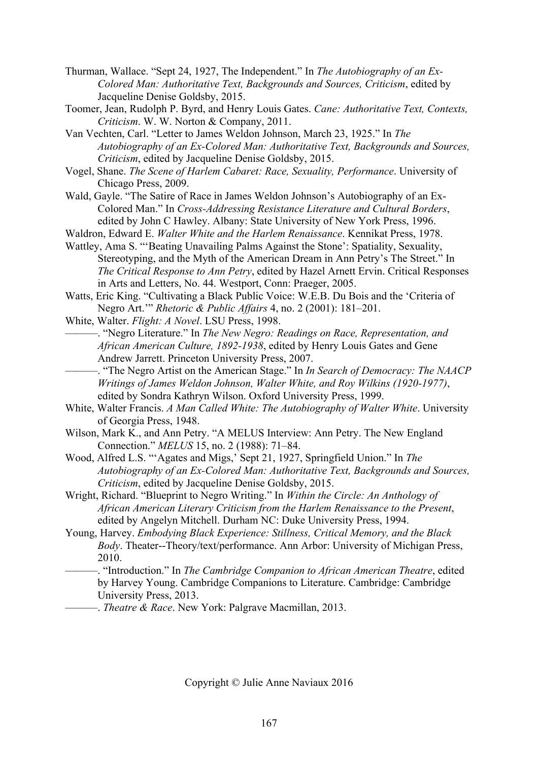Thurman, Wallace. "Sept 24, 1927, The Independent." In *The Autobiography of an Ex-Colored Man: Authoritative Text, Backgrounds and Sources, Criticism*, edited by Jacqueline Denise Goldsby, 2015.

Toomer, Jean, Rudolph P. Byrd, and Henry Louis Gates. *Cane: Authoritative Text, Contexts, Criticism*. W. W. Norton & Company, 2011.

Van Vechten, Carl. "Letter to James Weldon Johnson, March 23, 1925." In *The Autobiography of an Ex-Colored Man: Authoritative Text, Backgrounds and Sources, Criticism*, edited by Jacqueline Denise Goldsby, 2015.

- Vogel, Shane. *The Scene of Harlem Cabaret: Race, Sexuality, Performance*. University of Chicago Press, 2009.
- Wald, Gayle. "The Satire of Race in James Weldon Johnson's Autobiography of an Ex-Colored Man." In *Cross-Addressing Resistance Literature and Cultural Borders*, edited by John C Hawley. Albany: State University of New York Press, 1996.
- Waldron, Edward E. *Walter White and the Harlem Renaissance*. Kennikat Press, 1978.
- Wattley, Ama S. "'Beating Unavailing Palms Against the Stone': Spatiality, Sexuality, Stereotyping, and the Myth of the American Dream in Ann Petry's The Street." In *The Critical Response to Ann Petry*, edited by Hazel Arnett Ervin. Critical Responses in Arts and Letters, No. 44. Westport, Conn: Praeger, 2005.
- Watts, Eric King. "Cultivating a Black Public Voice: W.E.B. Du Bois and the 'Criteria of Negro Art.'" *Rhetoric & Public Affairs* 4, no. 2 (2001): 181–201.
- White, Walter. *Flight: A Novel*. LSU Press, 1998.

———. "Negro Literature." In *The New Negro: Readings on Race, Representation, and African American Culture, 1892-1938*, edited by Henry Louis Gates and Gene Andrew Jarrett. Princeton University Press, 2007.

- ———. "The Negro Artist on the American Stage." In *In Search of Democracy: The NAACP Writings of James Weldon Johnson, Walter White, and Roy Wilkins (1920-1977)*, edited by Sondra Kathryn Wilson. Oxford University Press, 1999.
- White, Walter Francis. *A Man Called White: The Autobiography of Walter White*. University of Georgia Press, 1948.
- Wilson, Mark K., and Ann Petry. "A MELUS Interview: Ann Petry. The New England Connection." *MELUS* 15, no. 2 (1988): 71–84.
- Wood, Alfred L.S. "'Agates and Migs,' Sept 21, 1927, Springfield Union." In *The Autobiography of an Ex-Colored Man: Authoritative Text, Backgrounds and Sources, Criticism*, edited by Jacqueline Denise Goldsby, 2015.
- Wright, Richard. "Blueprint to Negro Writing." In *Within the Circle: An Anthology of African American Literary Criticism from the Harlem Renaissance to the Present*, edited by Angelyn Mitchell. Durham NC: Duke University Press, 1994.
- Young, Harvey. *Embodying Black Experience: Stillness, Critical Memory, and the Black Body*. Theater--Theory/text/performance. Ann Arbor: University of Michigan Press, 2010.
- ———. "Introduction." In *The Cambridge Companion to African American Theatre*, edited by Harvey Young. Cambridge Companions to Literature. Cambridge: Cambridge University Press, 2013.
	- ———. *Theatre & Race*. New York: Palgrave Macmillan, 2013.

Copyright © Julie Anne Naviaux 2016